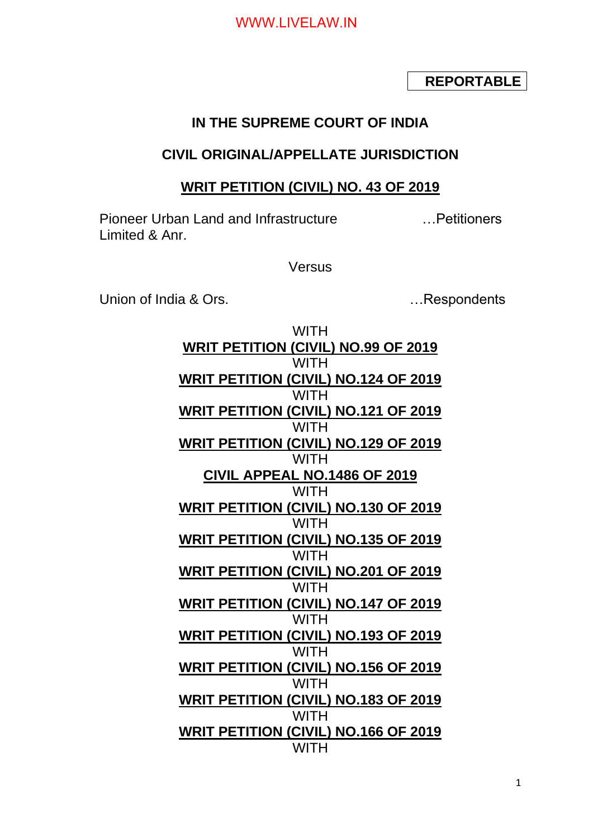## **REPORTABLE**

## **IN THE SUPREME COURT OF INDIA**

## **CIVIL ORIGINAL/APPELLATE JURISDICTION**

### **WRIT PETITION (CIVIL) NO. 43 OF 2019**

Pioneer Urban Land and Infrastructure …Petitioners Limited & Anr.

**Versus** 

Union of India & Ors. **Example 20** india a Union of India & Ors.

**WITH WRIT PETITION (CIVIL) NO.99 OF 2019 WITH WRIT PETITION (CIVIL) NO.124 OF 2019 WITH WRIT PETITION (CIVIL) NO.121 OF 2019 WITH WRIT PETITION (CIVIL) NO.129 OF 2019** WITH **CIVIL APPEAL NO.1486 OF 2019 WITH WRIT PETITION (CIVIL) NO.130 OF 2019 WITH WRIT PETITION (CIVIL) NO.135 OF 2019 WITH WRIT PETITION (CIVIL) NO.201 OF 2019 WITH WRIT PETITION (CIVIL) NO.147 OF 2019 WITH WRIT PETITION (CIVIL) NO.193 OF 2019** WITH **WRIT PETITION (CIVIL) NO.156 OF 2019 WITH WRIT PETITION (CIVIL) NO.183 OF 2019** WITH **WRIT PETITION (CIVIL) NO.166 OF 2019 WITH**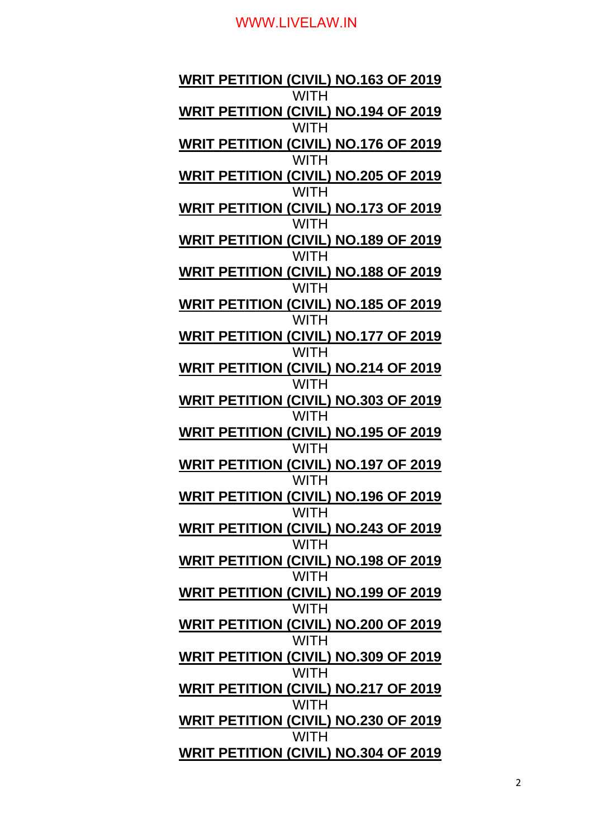**WRIT PETITION (CIVIL) NO.163 OF 2019 WITH WRIT PETITION (CIVIL) NO.194 OF 2019 WITH WRIT PETITION (CIVIL) NO.176 OF 2019 WITH WRIT PETITION (CIVIL) NO.205 OF 2019 WITH WRIT PETITION (CIVIL) NO.173 OF 2019** WITH **WRIT PETITION (CIVIL) NO.189 OF 2019 WITH WRIT PETITION (CIVIL) NO.188 OF 2019 WITH WRIT PETITION (CIVIL) NO.185 OF 2019** WITH **WRIT PETITION (CIVIL) NO.177 OF 2019 WITH WRIT PETITION (CIVIL) NO.214 OF 2019 WITH WRIT PETITION (CIVIL) NO.303 OF 2019 WITH WRIT PETITION (CIVIL) NO.195 OF 2019** WITH **WRIT PETITION (CIVIL) NO.197 OF 2019 WITH WRIT PETITION (CIVIL) NO.196 OF 2019 WITH WRIT PETITION (CIVIL) NO.243 OF 2019 WITH WRIT PETITION (CIVIL) NO.198 OF 2019 WITH WRIT PETITION (CIVIL) NO.199 OF 2019 WITH WRIT PETITION (CIVIL) NO.200 OF 2019 WITH WRIT PETITION (CIVIL) NO.309 OF 2019 WITH WRIT PETITION (CIVIL) NO.217 OF 2019 WITH WRIT PETITION (CIVIL) NO.230 OF 2019 WITH WRIT PETITION (CIVIL) NO.304 OF 2019**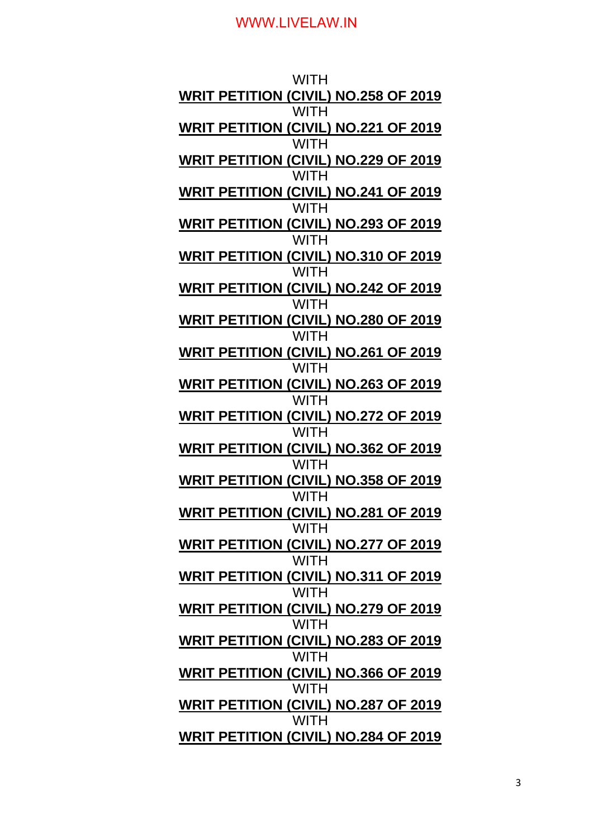| WITH                                                              |
|-------------------------------------------------------------------|
| <b>WRIT PETITION (CIVIL) NO.258 OF 2019</b>                       |
| <b>WITH</b><br><b>WRIT PETITION (CIVIL) NO.221 OF 2019</b>        |
| <b>WITH</b><br><b>WRIT PETITION (CIVIL) NO.229 OF 2019</b>        |
| WITH                                                              |
| <b>WRIT PETITION (CIVIL) NO.241 OF 2019</b><br><b>WITH</b>        |
| <b>WRIT PETITION (CIVIL) NO.293 OF 2019</b>                       |
| <b>WITH</b><br>WRIT PETITION (CIVIL) NO.310 OF 2019               |
| WITH<br><b>WRIT PETITION (CIVIL) NO.242 OF 2019</b>               |
| <b>WITH</b><br><b>WRIT PETITION (CIVIL) NO.280 OF 2019</b>        |
| <b>WITH</b>                                                       |
| WRIT PETITION (CIVIL) NO.261 OF 2019<br><b>WITH</b>               |
| <b>WRIT PETITION (CIVIL) NO.263 OF 2019</b><br><b>WITH</b>        |
| <b>WRIT PETITION (CIVIL) NO.272 OF 2019</b>                       |
| <b>WITH</b><br>WRIT PETITION (CIVIL) NO.362 OF 2019               |
| <b>WITH</b><br><b>WRIT PETIT<u>ION (CIVIL) NO.358 OF 2019</u></b> |
| <b>WITH</b>                                                       |
| <b>WRIT PETITION (CIVIL) NO.281 OF 2019</b><br>WITH               |
| <b>WRIT PETITION (CIVIL) NO.277 OF 2019</b><br><b>WITH</b>        |
| <b>WRIT PETITION (CIVIL) NO.311 OF 2019</b>                       |
| <b>WITH</b><br><b>WRIT PETITION (CIVIL) NO.279 OF 2019</b>        |
| <b>WITH</b><br><b>WRIT PETITION (CIVIL) NO.283 OF 2019</b>        |
| <b>WITH</b>                                                       |
| <b>WRIT PETITION (CIVIL) NO.366 OF 2019</b><br><b>WITH</b>        |
| WRIT PETITION (CIVIL) NO.287 OF 2019<br><b>WITH</b>               |
| <b>WRIT PETITION (CIVIL) NO.284 OF 2019</b>                       |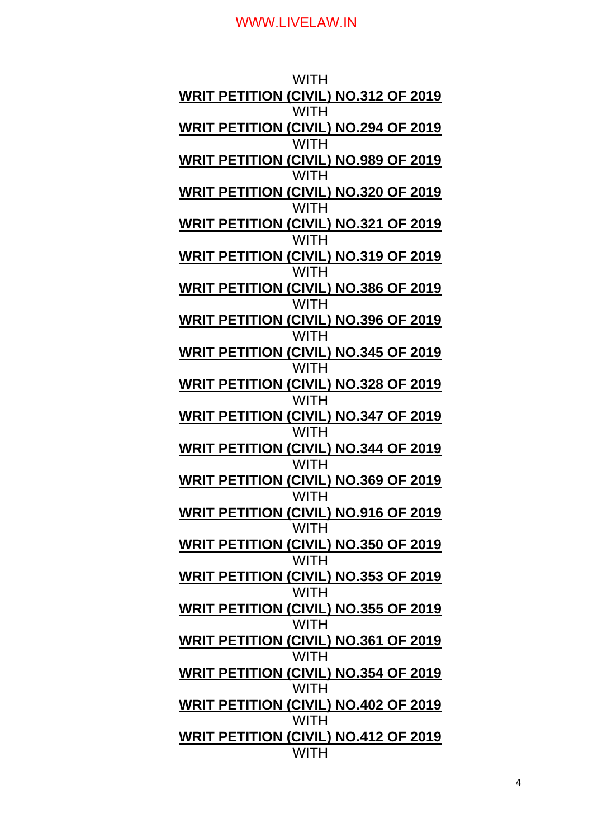| WITH                                                              |
|-------------------------------------------------------------------|
| <b>WRIT PETITION (CIVIL) NO.312 OF 2019</b>                       |
| <b>WITH</b><br><b>WRIT PETITION (CIVIL) NO.294 OF 2019</b>        |
| <b>WITH</b><br><b>WRIT PETITION (CIVIL) NO.989 OF 2019</b>        |
| <b>WITH</b><br><b>WRIT PETITION (CIVIL) NO.320 OF 2019</b>        |
| <b>WITH</b>                                                       |
| <u>WRIT PETITION (CIVIL) NO.321 OF 2019</u><br><b>WITH</b>        |
| <b>WRIT PETITION (CIVIL) NO.319 OF 2019</b><br><b>WITH</b>        |
| <b>WRIT PETITION (CIVIL) NO.386 OF 2019</b>                       |
| <b>WITH</b><br><b>WRIT PETITION (CIVIL) NO.396 OF 2019</b>        |
| <b>WITH</b><br><b>WRIT PETITION (CIVIL) NO.345 OF 2019</b>        |
| <b>WITH</b>                                                       |
| <b>WRIT PETITION (CIVIL) NO.328 OF 2019</b><br><b>WITH</b>        |
| <b>WRIT PETITION (CIVIL) NO.347 OF 2019</b><br><b>WITH</b>        |
| <b>WRIT PETITION (CIVIL) NO.344 OF 2019</b>                       |
| <b>WITH</b><br><b>WRIT PETIT<u>ION (CIVIL) NO.369 OF 2019</u></b> |
| <b>WITH</b><br><u>WRIT PETITION (CIVIL) NO.916 OF 2019</u>        |
| WITH                                                              |
| <b>WRIT PETITION (CIVIL) NO.350 OF 2019</b><br><b>WITH</b>        |
| <b>WRIT PETITION (CIVIL) NO.353 OF 2019</b><br><b>WITH</b>        |
| WRIT PETITION (CIVIL) NO.355 OF 2019<br><b>WITH</b>               |
| <b>WRIT PETITION (CIVIL) NO.361 OF 2019</b>                       |
| <b>WITH</b><br><b>WRIT PETITION (CIVIL) NO.354 OF 2019</b>        |
| <b>WITH</b><br><b>WRIT PETITION (CIVIL) NO.402 OF 2019</b>        |
| <b>WITH</b>                                                       |
| WRIT PETITION (CIVIL) NO.412 OF 2019<br><b>WITH</b>               |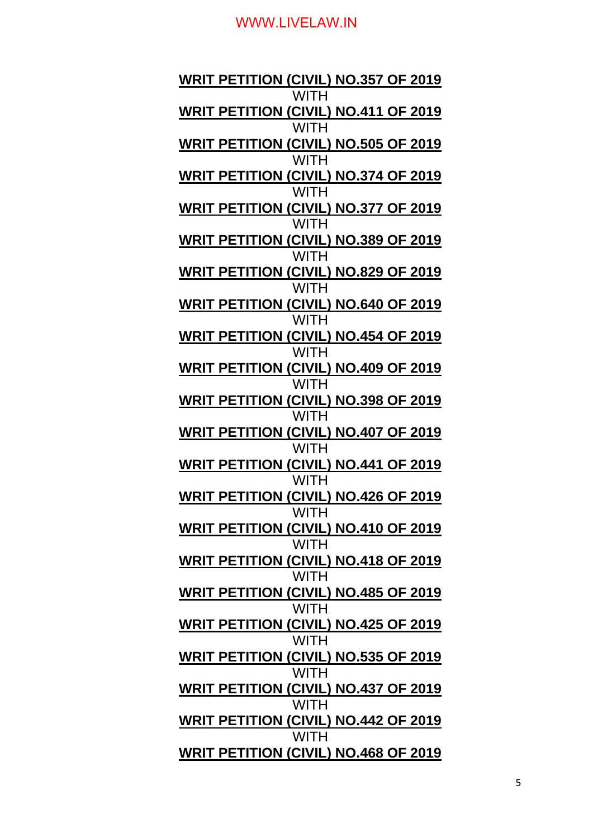**WRIT PETITION (CIVIL) NO.357 OF 2019 WITH WRIT PETITION (CIVIL) NO.411 OF 2019 WITH WRIT PETITION (CIVIL) NO.505 OF 2019 WITH WRIT PETITION (CIVIL) NO.374 OF 2019 WITH WRIT PETITION (CIVIL) NO.377 OF 2019** WITH **WRIT PETITION (CIVIL) NO.389 OF 2019 WITH WRIT PETITION (CIVIL) NO.829 OF 2019 WITH WRIT PETITION (CIVIL) NO.640 OF 2019** WITH **WRIT PETITION (CIVIL) NO.454 OF 2019 WITH WRIT PETITION (CIVIL) NO.409 OF 2019 WITH WRIT PETITION (CIVIL) NO.398 OF 2019 WITH WRIT PETITION (CIVIL) NO.407 OF 2019** WITH **WRIT PETITION (CIVIL) NO.441 OF 2019 WITH WRIT PETITION (CIVIL) NO.426 OF 2019 WITH WRIT PETITION (CIVIL) NO.410 OF 2019 WITH WRIT PETITION (CIVIL) NO.418 OF 2019 WITH WRIT PETITION (CIVIL) NO.485 OF 2019 WITH WRIT PETITION (CIVIL) NO.425 OF 2019 WITH WRIT PETITION (CIVIL) NO.535 OF 2019 WITH WRIT PETITION (CIVIL) NO.437 OF 2019 WITH WRIT PETITION (CIVIL) NO.442 OF 2019 WITH WRIT PETITION (CIVIL) NO.468 OF 2019**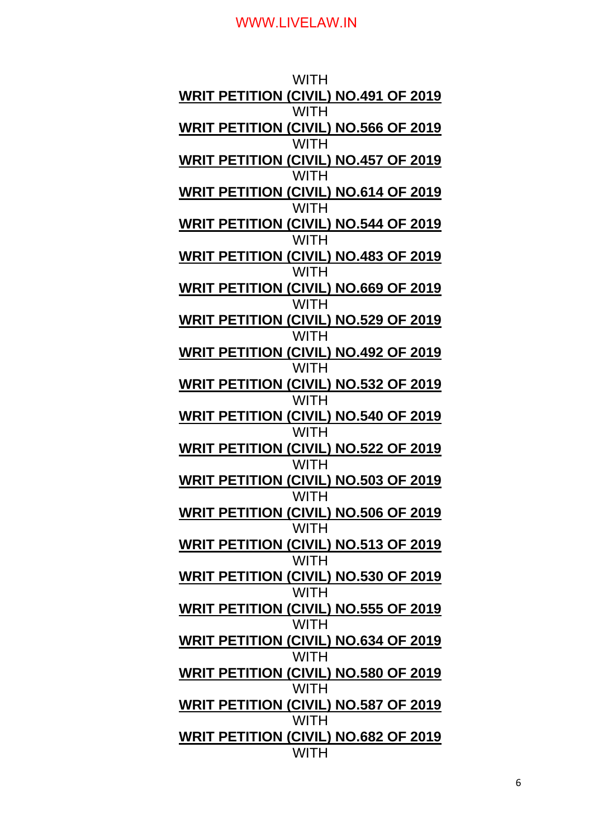| WITH                                                              |
|-------------------------------------------------------------------|
| <b>WRIT PETITION (CIVIL) NO.491 OF 2019</b>                       |
| <b>WITH</b><br><b>WRIT PETITION (CIVIL) NO.566 OF 2019</b>        |
| <b>WITH</b><br>WRIT PETITION (CIVIL) NO.457 OF 2019               |
| WITH<br><b>WRIT PETITION (CIVIL) NO.614 OF 2019</b>               |
| <b>WITH</b>                                                       |
| <b>WRIT PETITION (CIVIL) NO.544 OF 2019</b><br><b>WITH</b>        |
| <b>WRIT PETITION (CIVIL) NO.483 OF 2019</b><br><b>WITH</b>        |
| <b>WRIT PETITION (CIVIL) NO.669 OF 2019</b>                       |
| <b>WITH</b><br><b>WRIT PETITION (CIVIL) NO.529 OF 2019</b>        |
| <b>WITH</b><br><b>WRIT PETITION (CIVIL) NO.492 OF 2019</b>        |
| <b>WITH</b>                                                       |
| <b>WRIT PETITION (CIVIL) NO.532 OF 2019</b><br><b>WITH</b>        |
| <b>WRIT PETITION (CIVIL) NO.540 OF 2019</b><br><b>WITH</b>        |
| <b>WRIT PETITION (CIVIL) NO.522 OF 2019</b>                       |
| <b>WITH</b><br><b>WRIT PETIT<u>ION (CIVIL) NO.503 OF 2019</u></b> |
| <b>WITH</b><br><b>WRIT PETITION (CIVIL) NO.506 OF 2019</b>        |
| <b>WITH</b>                                                       |
| <b>WRIT PETITION (CIVIL) NO.513 OF 2019</b><br><b>WITH</b>        |
| <b>WRIT PETITION (CIVIL) NO.530 OF 2019</b><br><b>WITH</b>        |
| WRIT PETITION (CIVIL) NO.555 OF 2019<br><b>WITH</b>               |
| <b>WRIT PETITION (CIVIL) NO.634 OF 2019</b>                       |
| <b>WITH</b><br><b>WRIT PETITION (CIVIL) NO.580 OF 2019</b>        |
| <b>WITH</b><br>WRIT PETITION (CIVIL) NO.587 OF 2019               |
| <b>WITH</b>                                                       |
| WRIT PETITION (CIVIL) NO.682 OF 2019<br><b>WITH</b>               |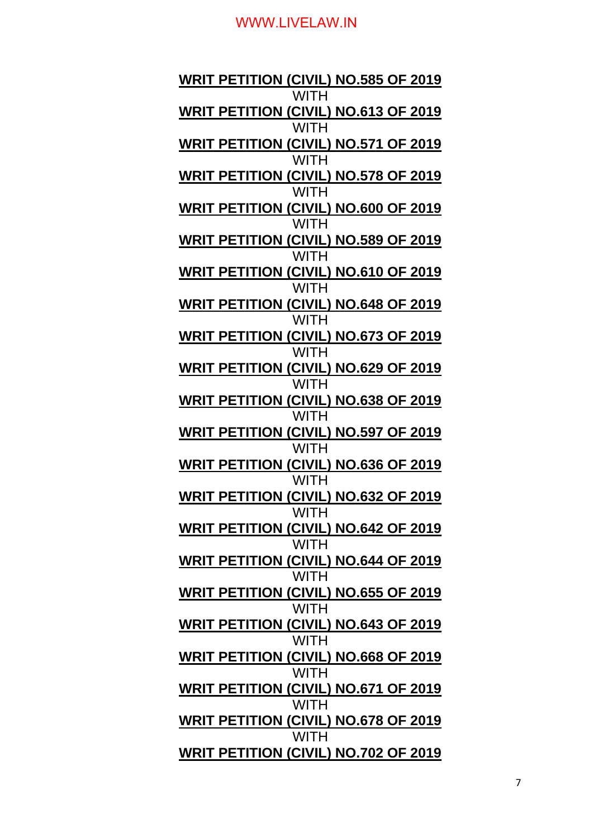**WRIT PETITION (CIVIL) NO.585 OF 2019 WITH WRIT PETITION (CIVIL) NO.613 OF 2019 WITH WRIT PETITION (CIVIL) NO.571 OF 2019 WITH WRIT PETITION (CIVIL) NO.578 OF 2019 WITH WRIT PETITION (CIVIL) NO.600 OF 2019** WITH **WRIT PETITION (CIVIL) NO.589 OF 2019 WITH WRIT PETITION (CIVIL) NO.610 OF 2019 WITH WRIT PETITION (CIVIL) NO.648 OF 2019** WITH **WRIT PETITION (CIVIL) NO.673 OF 2019 WITH WRIT PETITION (CIVIL) NO.629 OF 2019 WITH WRIT PETITION (CIVIL) NO.638 OF 2019 WITH WRIT PETITION (CIVIL) NO.597 OF 2019** WITH **WRIT PETITION (CIVIL) NO.636 OF 2019 WITH WRIT PETITION (CIVIL) NO.632 OF 2019 WITH WRIT PETITION (CIVIL) NO.642 OF 2019 WITH WRIT PETITION (CIVIL) NO.644 OF 2019 WITH WRIT PETITION (CIVIL) NO.655 OF 2019 WITH WRIT PETITION (CIVIL) NO.643 OF 2019 WITH WRIT PETITION (CIVIL) NO.668 OF 2019 WITH WRIT PETITION (CIVIL) NO.671 OF 2019 WITH WRIT PETITION (CIVIL) NO.678 OF 2019 WITH WRIT PETITION (CIVIL) NO.702 OF 2019**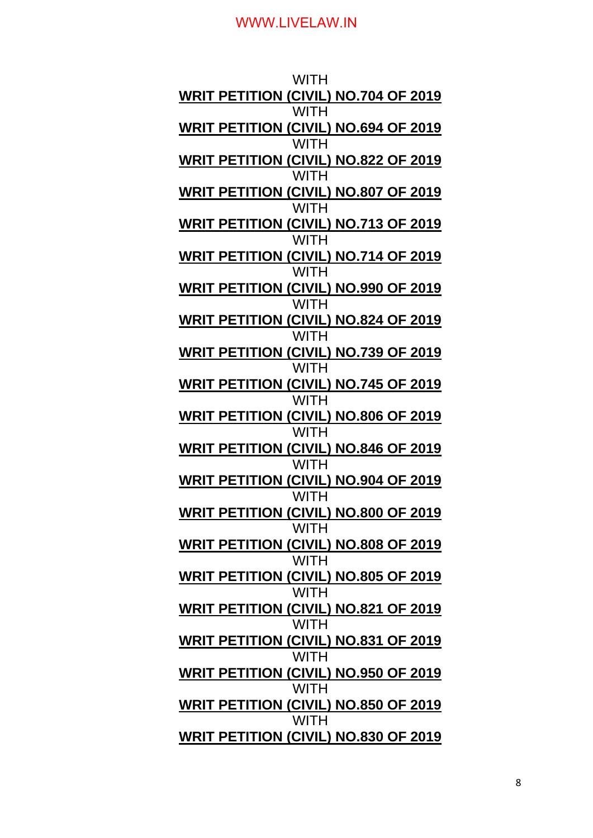| WITH                                                       |
|------------------------------------------------------------|
| <b>WRIT PETITION (CIVIL) NO.704 OF 2019</b>                |
| <b>WITH</b><br><b>WRIT PETITION (CIVIL) NO.694 OF 2019</b> |
| <b>WITH</b>                                                |
| <b>WRIT PETITION (CIVIL) NO.822 OF 2019</b><br>WITH        |
| <b>WRIT PETITION (CIVIL) NO.807 OF 2019</b>                |
| <b>WITH</b><br><b>WRIT PETITION (CIVIL) NO.713 OF 2019</b> |
| <b>WITH</b>                                                |
| <b>WRIT PETITION (CIVIL) NO.714 OF 2019</b><br><b>WITH</b> |
| <b>WRIT PETITION (CIVIL) NO.990 OF 2019</b>                |
| <b>WITH</b><br>WRIT PETITION (CIVIL) NO.824 OF 2019        |
| <b>WITH</b>                                                |
| <b>WRIT PETITION (CIVIL) NO.739 OF 2019</b><br><b>WITH</b> |
| <b>WRIT PETITION (CIVIL) NO.745 OF 2019</b>                |
| <b>WITH</b><br><b>WRIT PETITION (CIVIL) NO.806 OF 2019</b> |
| <b>WITH</b>                                                |
| <b>WRIT PETITION (CIVIL) NO.846 OF 2019</b><br><b>WITH</b> |
| <u> WRIT PETITION (CIVIL) NO.904 OF 2019</u>               |
| <b>WITH</b>                                                |
| <b>WRIT PETITION (CIVIL) NO.800 OF 2019</b><br><b>WITH</b> |
| <b>WRIT PETITION (CIVIL) NO.808 OF 2019</b>                |
| <b>WITH</b><br><b>WRIT PETITION (CIVIL) NO.805 OF 2019</b> |
| <b>WITH</b>                                                |
| WRIT PETITION (CIVIL) NO.821 OF 2019<br><b>WITH</b>        |
| <b>WRIT PETITION (CIVIL) NO.831 OF 2019</b>                |
| <b>WITH</b><br>WRIT PETITION (CIVIL) NO.950 OF 2019        |
| <b>WITH</b>                                                |
| <b>WRIT PETITION (CIVIL) NO.850 OF 2019</b><br><b>WITH</b> |
| WRIT PETITION (CIVIL) NO.830 OF 2019                       |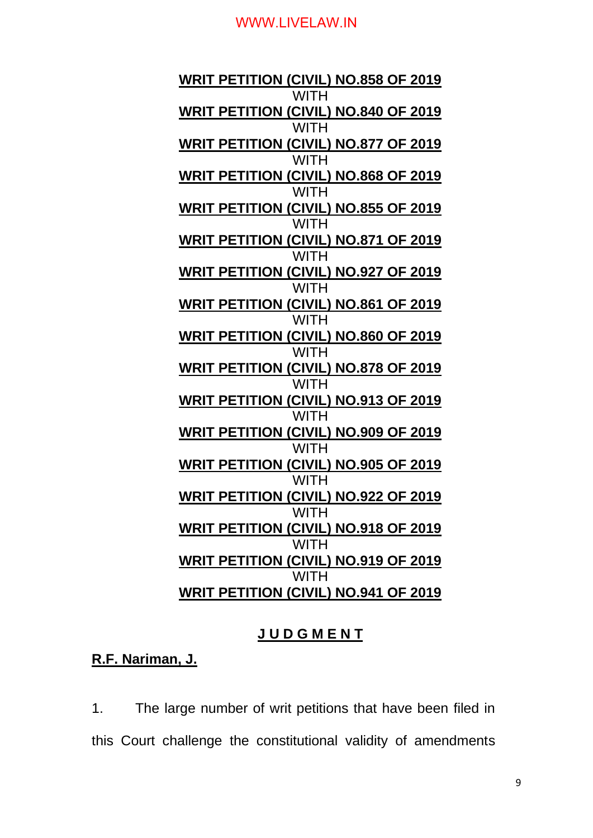**WRIT PETITION (CIVIL) NO.858 OF 2019** WITH **WRIT PETITION (CIVIL) NO.840 OF 2019 WITH WRIT PETITION (CIVIL) NO.877 OF 2019** WITH **WRIT PETITION (CIVIL) NO.868 OF 2019 WITH WRIT PETITION (CIVIL) NO.855 OF 2019 WITH WRIT PETITION (CIVIL) NO.871 OF 2019 WITH WRIT PETITION (CIVIL) NO.927 OF 2019 WITH WRIT PETITION (CIVIL) NO.861 OF 2019 WITH WRIT PETITION (CIVIL) NO.860 OF 2019 WITH WRIT PETITION (CIVIL) NO.878 OF 2019 WITH WRIT PETITION (CIVIL) NO.913 OF 2019 WITH WRIT PETITION (CIVIL) NO.909 OF 2019** WITH **WRIT PETITION (CIVIL) NO.905 OF 2019 WITH WRIT PETITION (CIVIL) NO.922 OF 2019 WITH WRIT PETITION (CIVIL) NO.918 OF 2019 WITH WRIT PETITION (CIVIL) NO.919 OF 2019 WITH WRIT PETITION (CIVIL) NO.941 OF 2019**

### **J U D G M E N T**

**R.F. Nariman, J.**

1. The large number of writ petitions that have been filed in this Court challenge the constitutional validity of amendments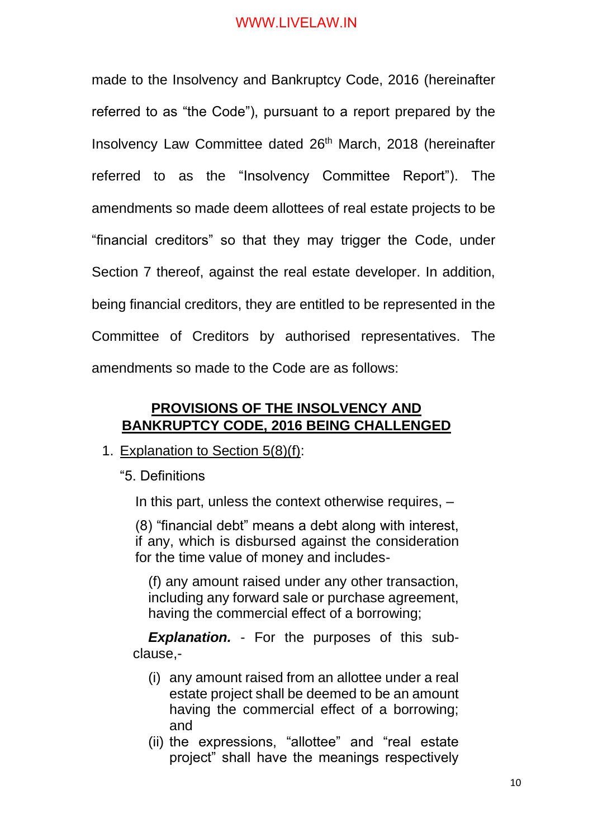made to the Insolvency and Bankruptcy Code, 2016 (hereinafter referred to as "the Code"), pursuant to a report prepared by the Insolvency Law Committee dated 26<sup>th</sup> March, 2018 (hereinafter referred to as the "Insolvency Committee Report"). The amendments so made deem allottees of real estate projects to be "financial creditors" so that they may trigger the Code, under Section 7 thereof, against the real estate developer. In addition, being financial creditors, they are entitled to be represented in the Committee of Creditors by authorised representatives. The amendments so made to the Code are as follows:

## **PROVISIONS OF THE INSOLVENCY AND BANKRUPTCY CODE, 2016 BEING CHALLENGED**

### 1. Explanation to Section 5(8)(f):

"5. Definitions

In this part, unless the context otherwise requires,  $-$ 

(8) "financial debt" means a debt along with interest, if any, which is disbursed against the consideration for the time value of money and includes-

(f) any amount raised under any other transaction, including any forward sale or purchase agreement, having the commercial effect of a borrowing;

*Explanation.* - For the purposes of this subclause,-

- (i) any amount raised from an allottee under a real estate project shall be deemed to be an amount having the commercial effect of a borrowing; and
- (ii) the expressions, "allottee" and "real estate project" shall have the meanings respectively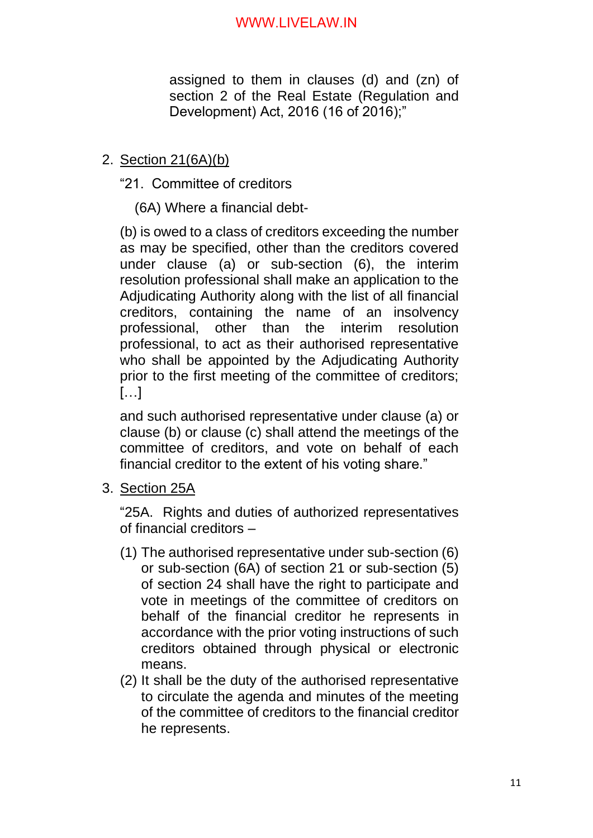assigned to them in clauses (d) and (zn) of section 2 of the Real Estate (Regulation and Development) Act, 2016 (16 of 2016);"

## 2. Section 21(6A)(b)

"21. Committee of creditors

(6A) Where a financial debt-

(b) is owed to a class of creditors exceeding the number as may be specified, other than the creditors covered under clause (a) or sub-section (6), the interim resolution professional shall make an application to the Adjudicating Authority along with the list of all financial creditors, containing the name of an insolvency professional, other than the interim resolution professional, to act as their authorised representative who shall be appointed by the Adjudicating Authority prior to the first meeting of the committee of creditors;  $[...]$ 

and such authorised representative under clause (a) or clause (b) or clause (c) shall attend the meetings of the committee of creditors, and vote on behalf of each financial creditor to the extent of his voting share."

3. Section 25A

"25A. Rights and duties of authorized representatives of financial creditors –

- (1) The authorised representative under sub-section (6) or sub-section (6A) of section 21 or sub-section (5) of section 24 shall have the right to participate and vote in meetings of the committee of creditors on behalf of the financial creditor he represents in accordance with the prior voting instructions of such creditors obtained through physical or electronic means.
- (2) It shall be the duty of the authorised representative to circulate the agenda and minutes of the meeting of the committee of creditors to the financial creditor he represents.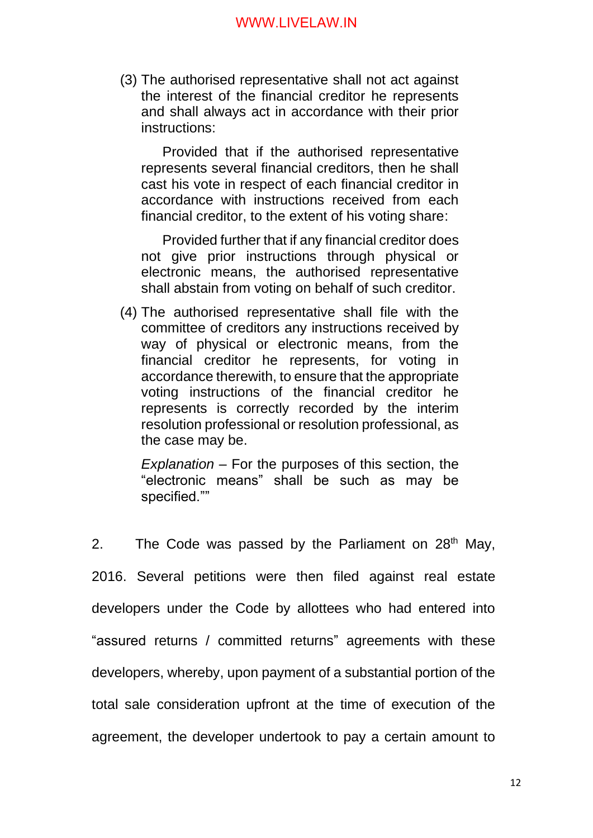(3) The authorised representative shall not act against the interest of the financial creditor he represents and shall always act in accordance with their prior instructions:

Provided that if the authorised representative represents several financial creditors, then he shall cast his vote in respect of each financial creditor in accordance with instructions received from each financial creditor, to the extent of his voting share:

Provided further that if any financial creditor does not give prior instructions through physical or electronic means, the authorised representative shall abstain from voting on behalf of such creditor.

(4) The authorised representative shall file with the committee of creditors any instructions received by way of physical or electronic means, from the financial creditor he represents, for voting in accordance therewith, to ensure that the appropriate voting instructions of the financial creditor he represents is correctly recorded by the interim resolution professional or resolution professional, as the case may be.

*Explanation* – For the purposes of this section, the "electronic means" shall be such as may be specified.""

2. The Code was passed by the Parliament on  $28<sup>th</sup>$  May, 2016. Several petitions were then filed against real estate developers under the Code by allottees who had entered into "assured returns / committed returns" agreements with these developers, whereby, upon payment of a substantial portion of the total sale consideration upfront at the time of execution of the agreement, the developer undertook to pay a certain amount to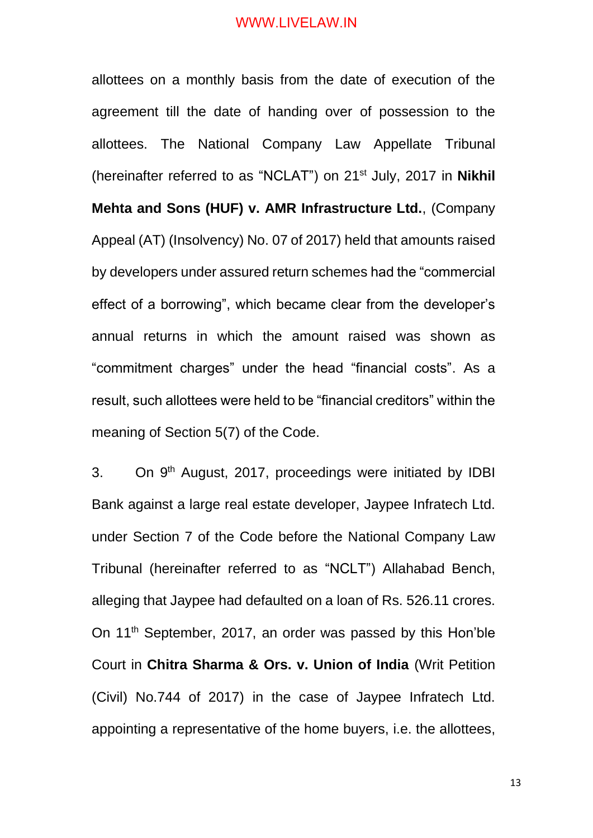allottees on a monthly basis from the date of execution of the agreement till the date of handing over of possession to the allottees. The National Company Law Appellate Tribunal (hereinafter referred to as "NCLAT") on 21st July, 2017 in **Nikhil Mehta and Sons (HUF) v. AMR Infrastructure Ltd.**, (Company Appeal (AT) (Insolvency) No. 07 of 2017) held that amounts raised by developers under assured return schemes had the "commercial effect of a borrowing", which became clear from the developer's annual returns in which the amount raised was shown as "commitment charges" under the head "financial costs". As a result, such allottees were held to be "financial creditors" within the meaning of Section 5(7) of the Code.

3. On 9<sup>th</sup> August, 2017, proceedings were initiated by IDBI Bank against a large real estate developer, Jaypee Infratech Ltd. under Section 7 of the Code before the National Company Law Tribunal (hereinafter referred to as "NCLT") Allahabad Bench, alleging that Jaypee had defaulted on a loan of Rs. 526.11 crores. On 11th September, 2017, an order was passed by this Hon'ble Court in **Chitra Sharma & Ors. v. Union of India** (Writ Petition (Civil) No.744 of 2017) in the case of Jaypee Infratech Ltd. appointing a representative of the home buyers, i.e. the allottees,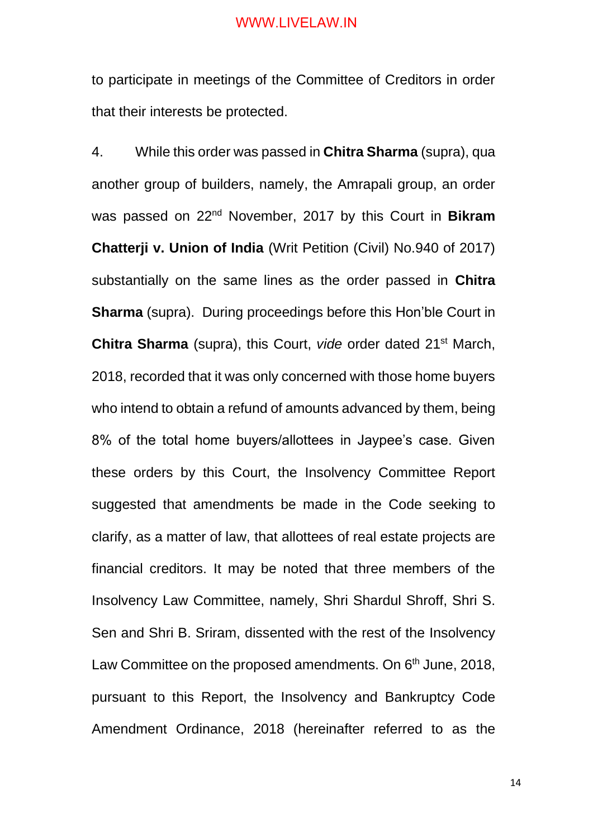to participate in meetings of the Committee of Creditors in order that their interests be protected.

4. While this order was passed in **Chitra Sharma** (supra), qua another group of builders, namely, the Amrapali group, an order was passed on 22nd November, 2017 by this Court in **Bikram Chatterji v. Union of India** (Writ Petition (Civil) No.940 of 2017) substantially on the same lines as the order passed in **Chitra Sharma** (supra). During proceedings before this Hon'ble Court in **Chitra Sharma** (supra), this Court, *vide* order dated 21st March, 2018, recorded that it was only concerned with those home buyers who intend to obtain a refund of amounts advanced by them, being 8% of the total home buyers/allottees in Jaypee's case. Given these orders by this Court, the Insolvency Committee Report suggested that amendments be made in the Code seeking to clarify, as a matter of law, that allottees of real estate projects are financial creditors. It may be noted that three members of the Insolvency Law Committee, namely, Shri Shardul Shroff, Shri S. Sen and Shri B. Sriram, dissented with the rest of the Insolvency Law Committee on the proposed amendments. On 6<sup>th</sup> June, 2018, pursuant to this Report, the Insolvency and Bankruptcy Code Amendment Ordinance, 2018 (hereinafter referred to as the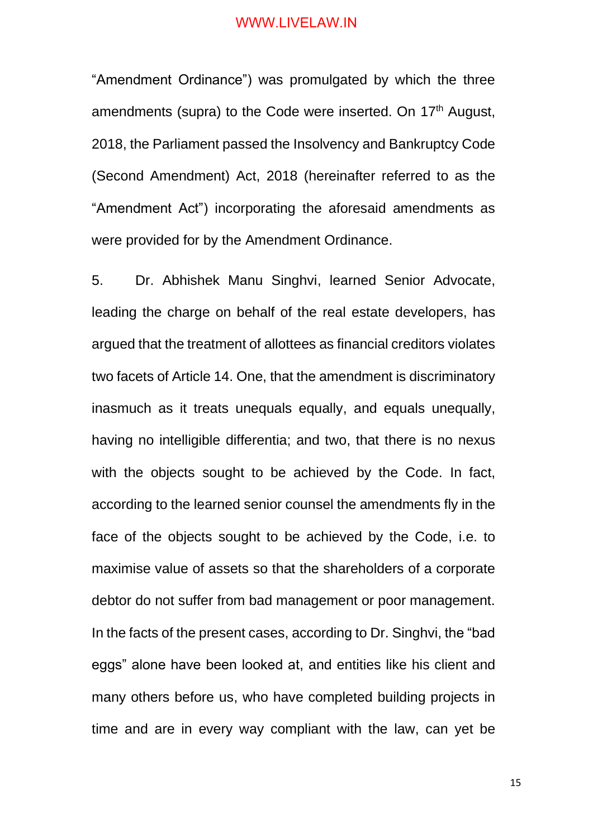"Amendment Ordinance") was promulgated by which the three amendments (supra) to the Code were inserted. On 17<sup>th</sup> August, 2018, the Parliament passed the Insolvency and Bankruptcy Code (Second Amendment) Act, 2018 (hereinafter referred to as the "Amendment Act") incorporating the aforesaid amendments as were provided for by the Amendment Ordinance.

5. Dr. Abhishek Manu Singhvi, learned Senior Advocate, leading the charge on behalf of the real estate developers, has argued that the treatment of allottees as financial creditors violates two facets of Article 14. One, that the amendment is discriminatory inasmuch as it treats unequals equally, and equals unequally, having no intelligible differentia; and two, that there is no nexus with the objects sought to be achieved by the Code. In fact, according to the learned senior counsel the amendments fly in the face of the objects sought to be achieved by the Code, i.e. to maximise value of assets so that the shareholders of a corporate debtor do not suffer from bad management or poor management. In the facts of the present cases, according to Dr. Singhvi, the "bad eggs" alone have been looked at, and entities like his client and many others before us, who have completed building projects in time and are in every way compliant with the law, can yet be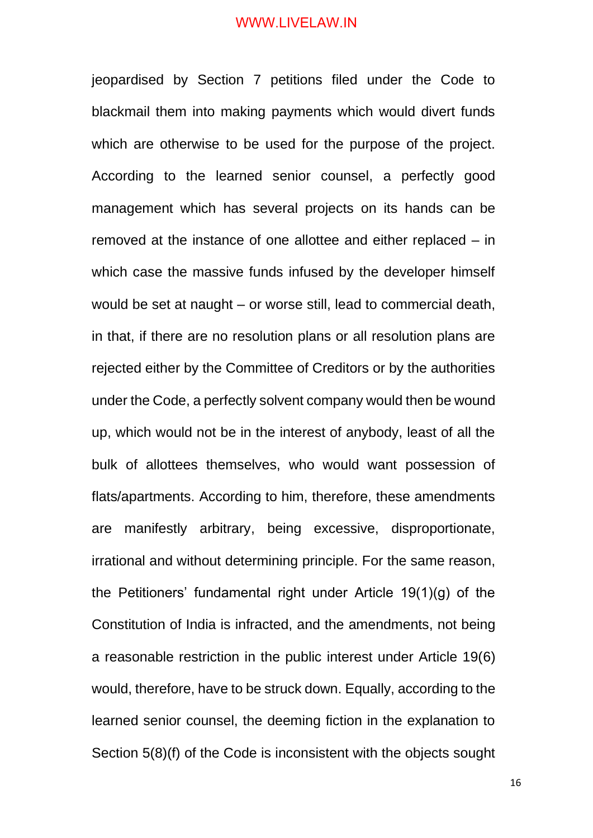jeopardised by Section 7 petitions filed under the Code to blackmail them into making payments which would divert funds which are otherwise to be used for the purpose of the project. According to the learned senior counsel, a perfectly good management which has several projects on its hands can be removed at the instance of one allottee and either replaced – in which case the massive funds infused by the developer himself would be set at naught – or worse still, lead to commercial death, in that, if there are no resolution plans or all resolution plans are rejected either by the Committee of Creditors or by the authorities under the Code, a perfectly solvent company would then be wound up, which would not be in the interest of anybody, least of all the bulk of allottees themselves, who would want possession of flats/apartments. According to him, therefore, these amendments are manifestly arbitrary, being excessive, disproportionate, irrational and without determining principle. For the same reason, the Petitioners' fundamental right under Article 19(1)(g) of the Constitution of India is infracted, and the amendments, not being a reasonable restriction in the public interest under Article 19(6) would, therefore, have to be struck down. Equally, according to the learned senior counsel, the deeming fiction in the explanation to Section 5(8)(f) of the Code is inconsistent with the objects sought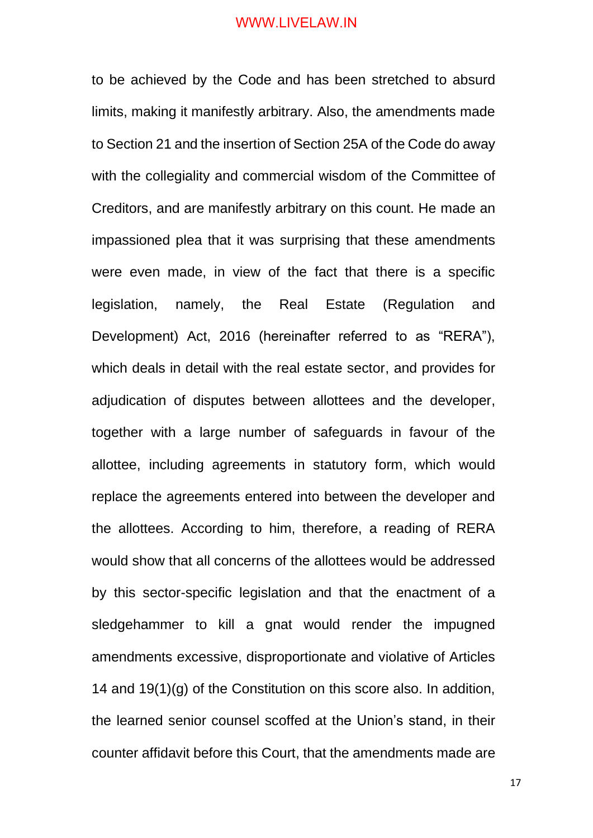to be achieved by the Code and has been stretched to absurd limits, making it manifestly arbitrary. Also, the amendments made to Section 21 and the insertion of Section 25A of the Code do away with the collegiality and commercial wisdom of the Committee of Creditors, and are manifestly arbitrary on this count. He made an impassioned plea that it was surprising that these amendments were even made, in view of the fact that there is a specific legislation, namely, the Real Estate (Regulation and Development) Act, 2016 (hereinafter referred to as "RERA"), which deals in detail with the real estate sector, and provides for adjudication of disputes between allottees and the developer, together with a large number of safeguards in favour of the allottee, including agreements in statutory form, which would replace the agreements entered into between the developer and the allottees. According to him, therefore, a reading of RERA would show that all concerns of the allottees would be addressed by this sector-specific legislation and that the enactment of a sledgehammer to kill a gnat would render the impugned amendments excessive, disproportionate and violative of Articles 14 and 19(1)(g) of the Constitution on this score also. In addition, the learned senior counsel scoffed at the Union's stand, in their counter affidavit before this Court, that the amendments made are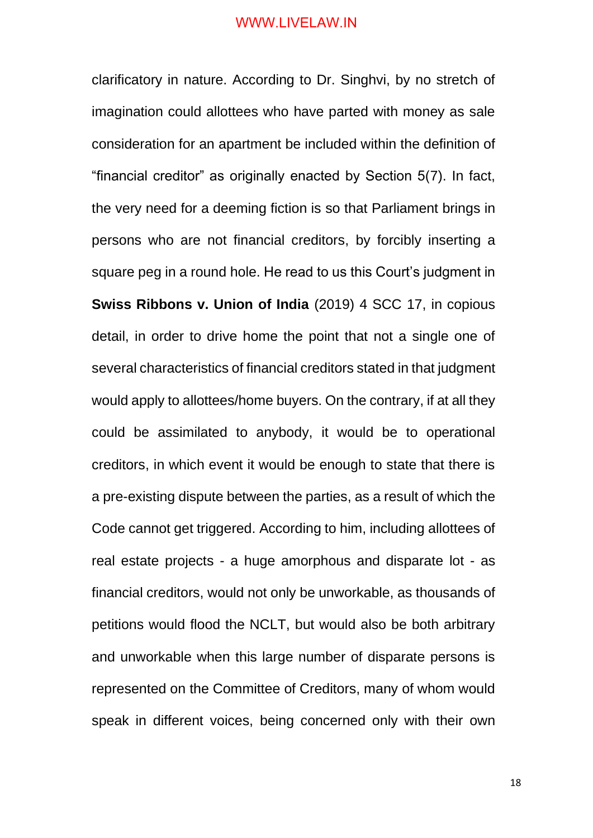clarificatory in nature. According to Dr. Singhvi, by no stretch of imagination could allottees who have parted with money as sale consideration for an apartment be included within the definition of "financial creditor" as originally enacted by Section 5(7). In fact, the very need for a deeming fiction is so that Parliament brings in persons who are not financial creditors, by forcibly inserting a square peg in a round hole. He read to us this Court's judgment in **Swiss Ribbons v. Union of India** (2019) 4 SCC 17, in copious detail, in order to drive home the point that not a single one of several characteristics of financial creditors stated in that judgment would apply to allottees/home buyers. On the contrary, if at all they could be assimilated to anybody, it would be to operational creditors, in which event it would be enough to state that there is a pre-existing dispute between the parties, as a result of which the Code cannot get triggered. According to him, including allottees of real estate projects - a huge amorphous and disparate lot - as financial creditors, would not only be unworkable, as thousands of petitions would flood the NCLT, but would also be both arbitrary and unworkable when this large number of disparate persons is represented on the Committee of Creditors, many of whom would speak in different voices, being concerned only with their own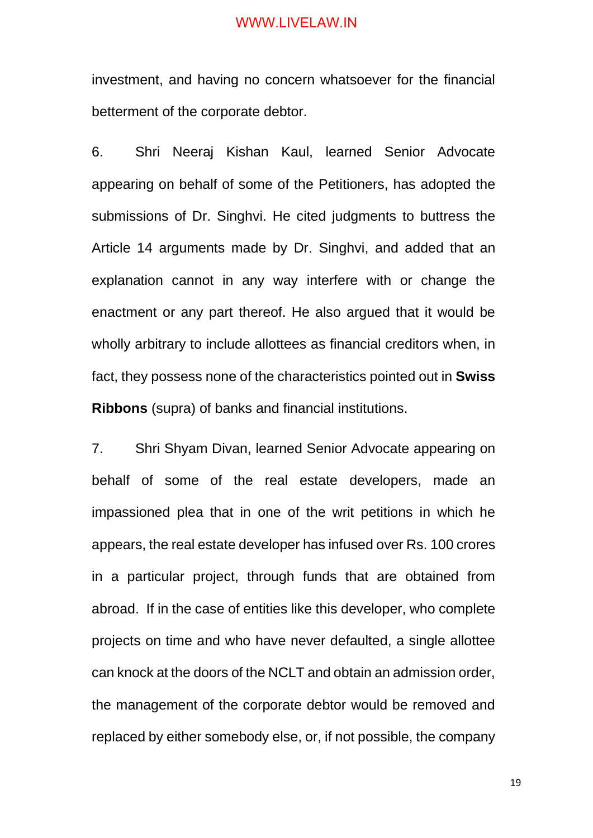investment, and having no concern whatsoever for the financial betterment of the corporate debtor.

6. Shri Neeraj Kishan Kaul, learned Senior Advocate appearing on behalf of some of the Petitioners, has adopted the submissions of Dr. Singhvi. He cited judgments to buttress the Article 14 arguments made by Dr. Singhvi, and added that an explanation cannot in any way interfere with or change the enactment or any part thereof. He also argued that it would be wholly arbitrary to include allottees as financial creditors when, in fact, they possess none of the characteristics pointed out in **Swiss Ribbons** (supra) of banks and financial institutions.

7. Shri Shyam Divan, learned Senior Advocate appearing on behalf of some of the real estate developers, made an impassioned plea that in one of the writ petitions in which he appears, the real estate developer has infused over Rs. 100 crores in a particular project, through funds that are obtained from abroad. If in the case of entities like this developer, who complete projects on time and who have never defaulted, a single allottee can knock at the doors of the NCLT and obtain an admission order, the management of the corporate debtor would be removed and replaced by either somebody else, or, if not possible, the company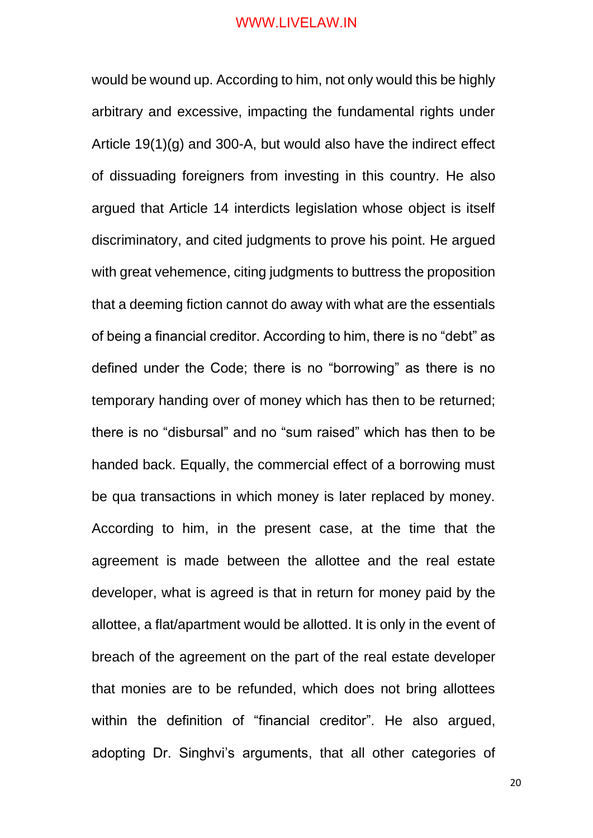would be wound up. According to him, not only would this be highly arbitrary and excessive, impacting the fundamental rights under Article 19(1)(g) and 300-A, but would also have the indirect effect of dissuading foreigners from investing in this country. He also argued that Article 14 interdicts legislation whose object is itself discriminatory, and cited judgments to prove his point. He argued with great vehemence, citing judgments to buttress the proposition that a deeming fiction cannot do away with what are the essentials of being a financial creditor. According to him, there is no "debt" as defined under the Code; there is no "borrowing" as there is no temporary handing over of money which has then to be returned; there is no "disbursal" and no "sum raised" which has then to be handed back. Equally, the commercial effect of a borrowing must be qua transactions in which money is later replaced by money. According to him, in the present case, at the time that the agreement is made between the allottee and the real estate developer, what is agreed is that in return for money paid by the allottee, a flat/apartment would be allotted. It is only in the event of breach of the agreement on the part of the real estate developer that monies are to be refunded, which does not bring allottees within the definition of "financial creditor". He also argued, adopting Dr. Singhvi's arguments, that all other categories of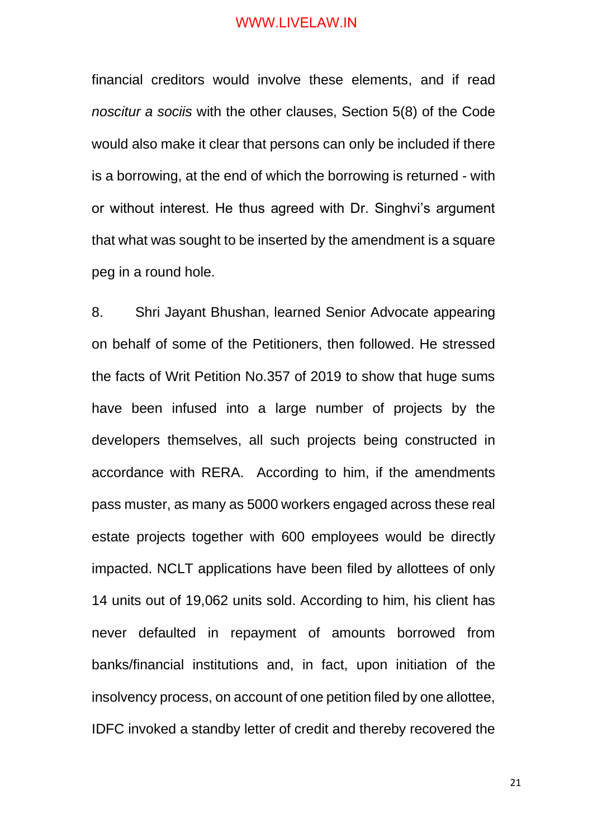financial creditors would involve these elements, and if read *noscitur a sociis* with the other clauses, Section 5(8) of the Code would also make it clear that persons can only be included if there is a borrowing, at the end of which the borrowing is returned - with or without interest. He thus agreed with Dr. Singhvi's argument that what was sought to be inserted by the amendment is a square peg in a round hole.

8. Shri Jayant Bhushan, learned Senior Advocate appearing on behalf of some of the Petitioners, then followed. He stressed the facts of Writ Petition No.357 of 2019 to show that huge sums have been infused into a large number of projects by the developers themselves, all such projects being constructed in accordance with RERA. According to him, if the amendments pass muster, as many as 5000 workers engaged across these real estate projects together with 600 employees would be directly impacted. NCLT applications have been filed by allottees of only 14 units out of 19,062 units sold. According to him, his client has never defaulted in repayment of amounts borrowed from banks/financial institutions and, in fact, upon initiation of the insolvency process, on account of one petition filed by one allottee, IDFC invoked a standby letter of credit and thereby recovered the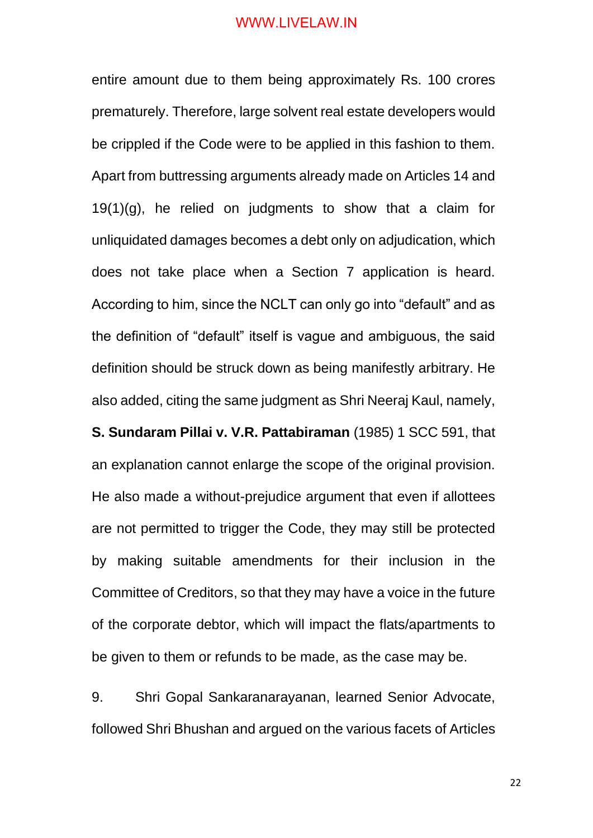entire amount due to them being approximately Rs. 100 crores prematurely. Therefore, large solvent real estate developers would be crippled if the Code were to be applied in this fashion to them. Apart from buttressing arguments already made on Articles 14 and  $19(1)(q)$ , he relied on judgments to show that a claim for unliquidated damages becomes a debt only on adjudication, which does not take place when a Section 7 application is heard. According to him, since the NCLT can only go into "default" and as the definition of "default" itself is vague and ambiguous, the said definition should be struck down as being manifestly arbitrary. He also added, citing the same judgment as Shri Neeraj Kaul, namely,

**S. Sundaram Pillai v. V.R. Pattabiraman** (1985) 1 SCC 591, that an explanation cannot enlarge the scope of the original provision. He also made a without-prejudice argument that even if allottees are not permitted to trigger the Code, they may still be protected by making suitable amendments for their inclusion in the Committee of Creditors, so that they may have a voice in the future of the corporate debtor, which will impact the flats/apartments to be given to them or refunds to be made, as the case may be.

9. Shri Gopal Sankaranarayanan, learned Senior Advocate, followed Shri Bhushan and argued on the various facets of Articles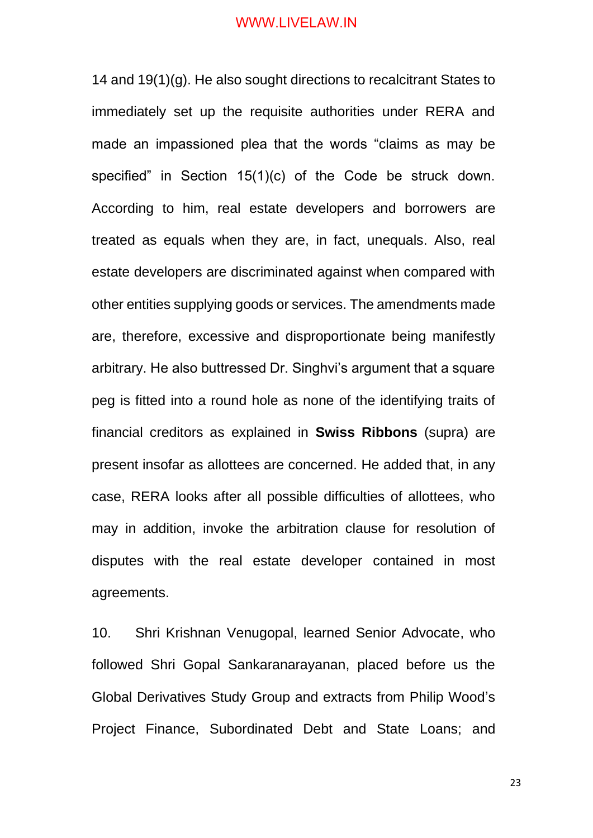14 and 19(1)(g). He also sought directions to recalcitrant States to immediately set up the requisite authorities under RERA and made an impassioned plea that the words "claims as may be specified" in Section 15(1)(c) of the Code be struck down. According to him, real estate developers and borrowers are treated as equals when they are, in fact, unequals. Also, real estate developers are discriminated against when compared with other entities supplying goods or services. The amendments made are, therefore, excessive and disproportionate being manifestly arbitrary. He also buttressed Dr. Singhvi's argument that a square peg is fitted into a round hole as none of the identifying traits of financial creditors as explained in **Swiss Ribbons** (supra) are present insofar as allottees are concerned. He added that, in any case, RERA looks after all possible difficulties of allottees, who may in addition, invoke the arbitration clause for resolution of disputes with the real estate developer contained in most agreements.

10. Shri Krishnan Venugopal, learned Senior Advocate, who followed Shri Gopal Sankaranarayanan, placed before us the Global Derivatives Study Group and extracts from Philip Wood's Project Finance, Subordinated Debt and State Loans; and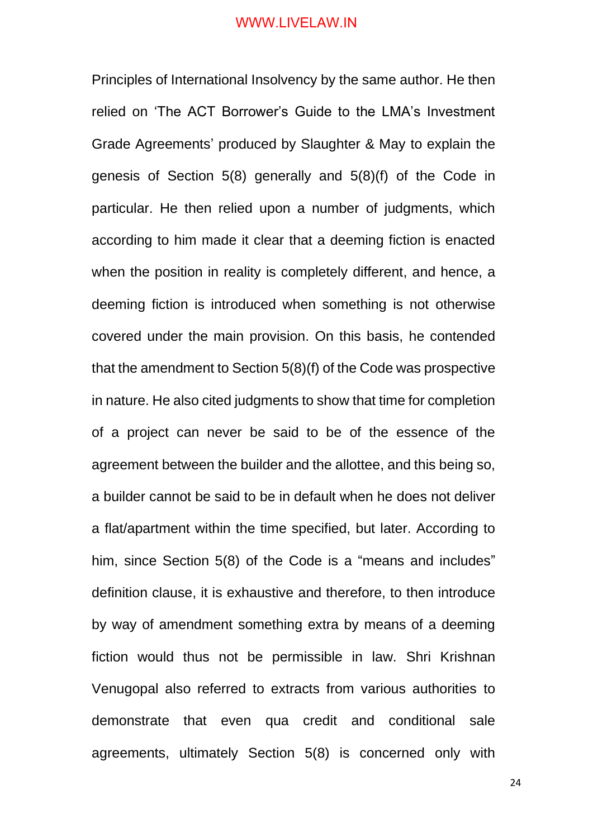Principles of International Insolvency by the same author. He then relied on 'The ACT Borrower's Guide to the LMA's Investment Grade Agreements' produced by Slaughter & May to explain the genesis of Section 5(8) generally and 5(8)(f) of the Code in particular. He then relied upon a number of judgments, which according to him made it clear that a deeming fiction is enacted when the position in reality is completely different, and hence, a deeming fiction is introduced when something is not otherwise covered under the main provision. On this basis, he contended that the amendment to Section 5(8)(f) of the Code was prospective in nature. He also cited judgments to show that time for completion of a project can never be said to be of the essence of the agreement between the builder and the allottee, and this being so, a builder cannot be said to be in default when he does not deliver a flat/apartment within the time specified, but later. According to him, since Section 5(8) of the Code is a "means and includes" definition clause, it is exhaustive and therefore, to then introduce by way of amendment something extra by means of a deeming fiction would thus not be permissible in law. Shri Krishnan Venugopal also referred to extracts from various authorities to demonstrate that even qua credit and conditional sale agreements, ultimately Section 5(8) is concerned only with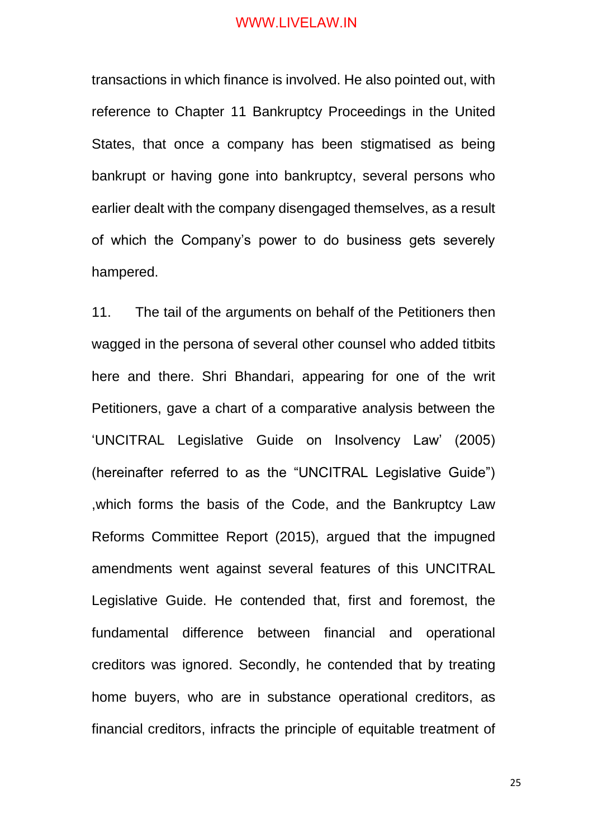transactions in which finance is involved. He also pointed out, with reference to Chapter 11 Bankruptcy Proceedings in the United States, that once a company has been stigmatised as being bankrupt or having gone into bankruptcy, several persons who earlier dealt with the company disengaged themselves, as a result of which the Company's power to do business gets severely hampered.

11. The tail of the arguments on behalf of the Petitioners then wagged in the persona of several other counsel who added titbits here and there. Shri Bhandari, appearing for one of the writ Petitioners, gave a chart of a comparative analysis between the 'UNCITRAL Legislative Guide on Insolvency Law' (2005) (hereinafter referred to as the "UNCITRAL Legislative Guide") ,which forms the basis of the Code, and the Bankruptcy Law Reforms Committee Report (2015), argued that the impugned amendments went against several features of this UNCITRAL Legislative Guide. He contended that, first and foremost, the fundamental difference between financial and operational creditors was ignored. Secondly, he contended that by treating home buyers, who are in substance operational creditors, as financial creditors, infracts the principle of equitable treatment of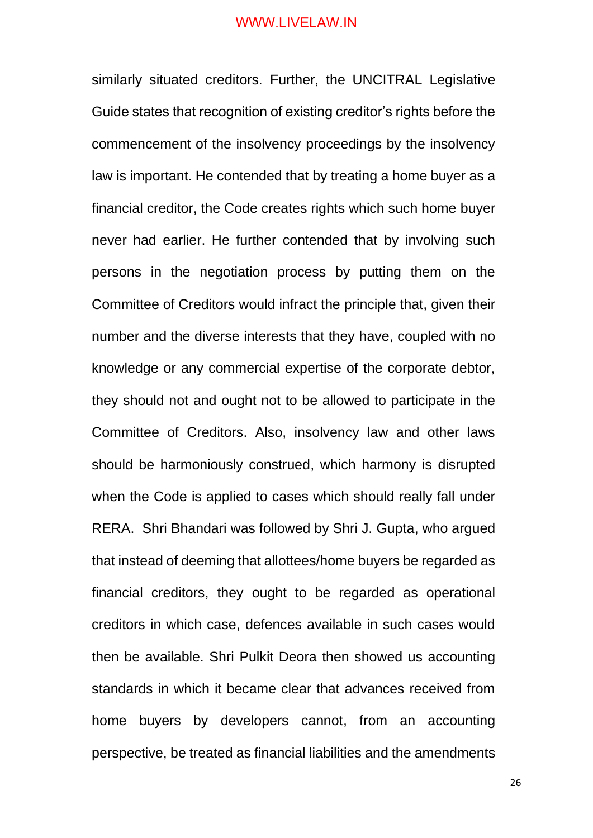similarly situated creditors. Further, the UNCITRAL Legislative Guide states that recognition of existing creditor's rights before the commencement of the insolvency proceedings by the insolvency law is important. He contended that by treating a home buyer as a financial creditor, the Code creates rights which such home buyer never had earlier. He further contended that by involving such persons in the negotiation process by putting them on the Committee of Creditors would infract the principle that, given their number and the diverse interests that they have, coupled with no knowledge or any commercial expertise of the corporate debtor, they should not and ought not to be allowed to participate in the Committee of Creditors. Also, insolvency law and other laws should be harmoniously construed, which harmony is disrupted when the Code is applied to cases which should really fall under RERA. Shri Bhandari was followed by Shri J. Gupta, who argued that instead of deeming that allottees/home buyers be regarded as financial creditors, they ought to be regarded as operational creditors in which case, defences available in such cases would then be available. Shri Pulkit Deora then showed us accounting standards in which it became clear that advances received from home buyers by developers cannot, from an accounting perspective, be treated as financial liabilities and the amendments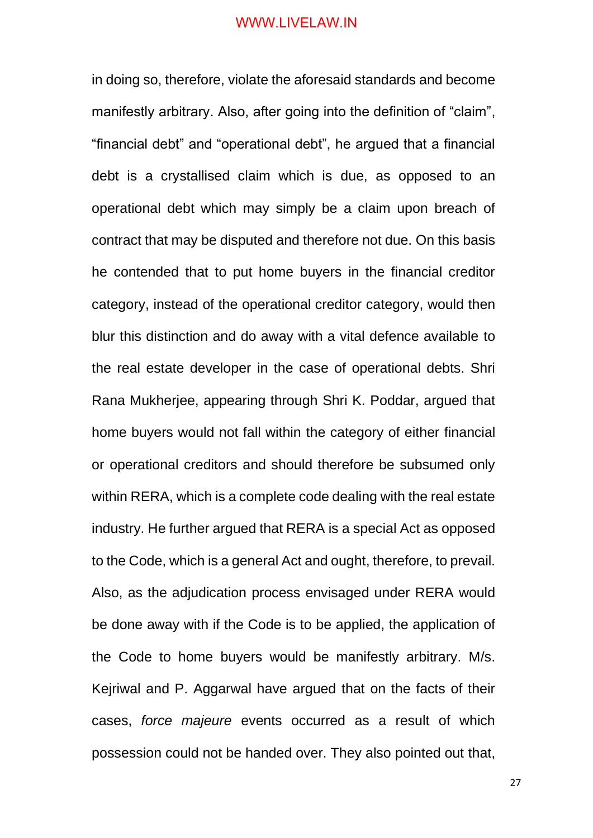in doing so, therefore, violate the aforesaid standards and become manifestly arbitrary. Also, after going into the definition of "claim", "financial debt" and "operational debt", he argued that a financial debt is a crystallised claim which is due, as opposed to an operational debt which may simply be a claim upon breach of contract that may be disputed and therefore not due. On this basis he contended that to put home buyers in the financial creditor category, instead of the operational creditor category, would then blur this distinction and do away with a vital defence available to the real estate developer in the case of operational debts. Shri Rana Mukherjee, appearing through Shri K. Poddar, argued that home buyers would not fall within the category of either financial or operational creditors and should therefore be subsumed only within RERA, which is a complete code dealing with the real estate industry. He further argued that RERA is a special Act as opposed to the Code, which is a general Act and ought, therefore, to prevail. Also, as the adjudication process envisaged under RERA would be done away with if the Code is to be applied, the application of the Code to home buyers would be manifestly arbitrary. M/s. Kejriwal and P. Aggarwal have argued that on the facts of their cases, *force majeure* events occurred as a result of which possession could not be handed over. They also pointed out that,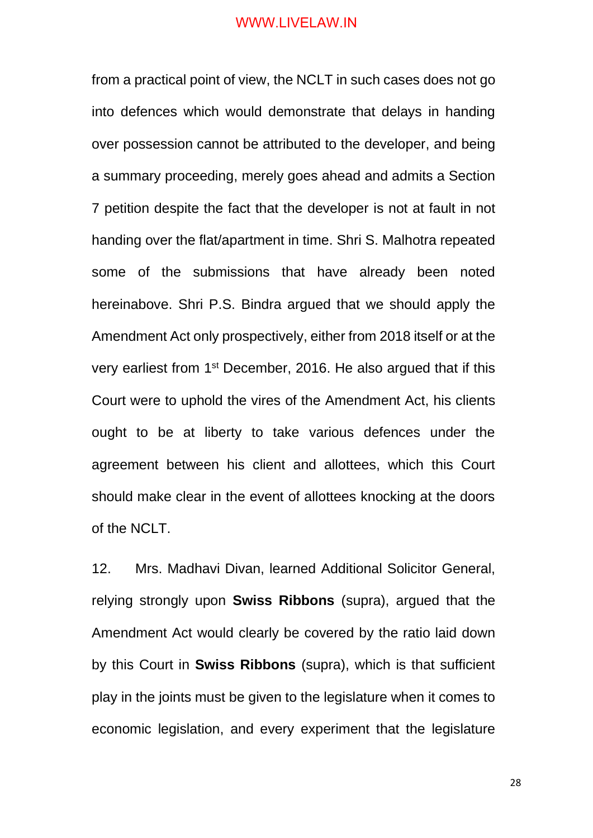from a practical point of view, the NCLT in such cases does not go into defences which would demonstrate that delays in handing over possession cannot be attributed to the developer, and being a summary proceeding, merely goes ahead and admits a Section 7 petition despite the fact that the developer is not at fault in not handing over the flat/apartment in time. Shri S. Malhotra repeated some of the submissions that have already been noted hereinabove. Shri P.S. Bindra argued that we should apply the Amendment Act only prospectively, either from 2018 itself or at the very earliest from 1st December, 2016. He also argued that if this Court were to uphold the vires of the Amendment Act, his clients ought to be at liberty to take various defences under the agreement between his client and allottees, which this Court should make clear in the event of allottees knocking at the doors of the NCLT.

12. Mrs. Madhavi Divan, learned Additional Solicitor General, relying strongly upon **Swiss Ribbons** (supra), argued that the Amendment Act would clearly be covered by the ratio laid down by this Court in **Swiss Ribbons** (supra), which is that sufficient play in the joints must be given to the legislature when it comes to economic legislation, and every experiment that the legislature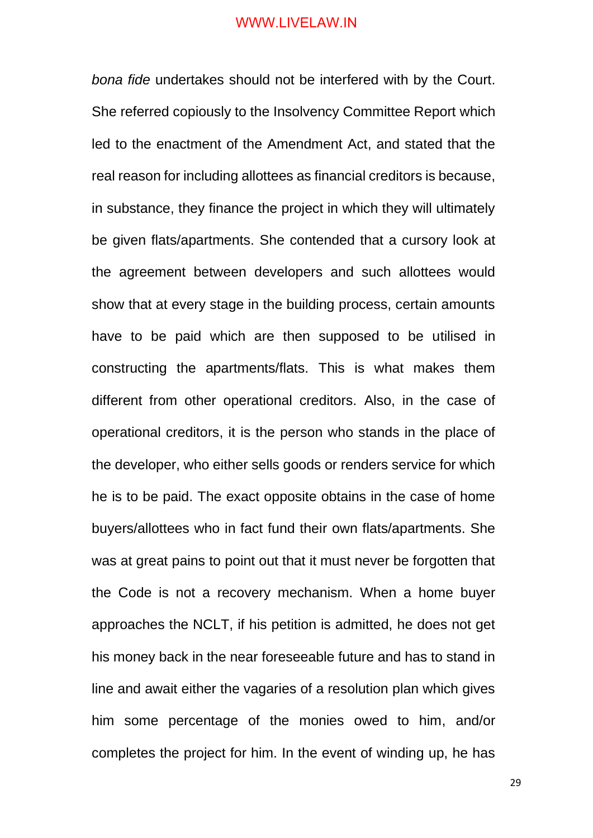*bona fide* undertakes should not be interfered with by the Court. She referred copiously to the Insolvency Committee Report which led to the enactment of the Amendment Act, and stated that the real reason for including allottees as financial creditors is because, in substance, they finance the project in which they will ultimately be given flats/apartments. She contended that a cursory look at the agreement between developers and such allottees would show that at every stage in the building process, certain amounts have to be paid which are then supposed to be utilised in constructing the apartments/flats. This is what makes them different from other operational creditors. Also, in the case of operational creditors, it is the person who stands in the place of the developer, who either sells goods or renders service for which he is to be paid. The exact opposite obtains in the case of home buyers/allottees who in fact fund their own flats/apartments. She was at great pains to point out that it must never be forgotten that the Code is not a recovery mechanism. When a home buyer approaches the NCLT, if his petition is admitted, he does not get his money back in the near foreseeable future and has to stand in line and await either the vagaries of a resolution plan which gives him some percentage of the monies owed to him, and/or completes the project for him. In the event of winding up, he has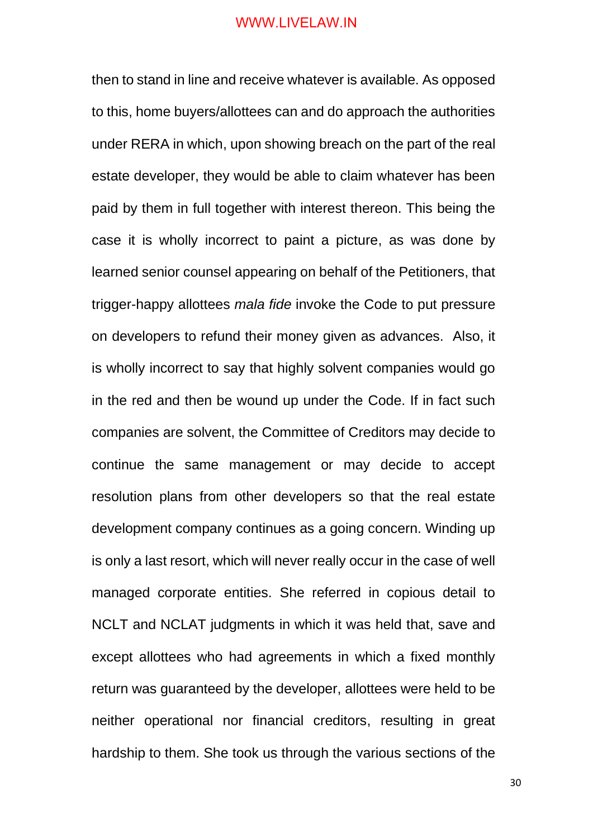then to stand in line and receive whatever is available. As opposed to this, home buyers/allottees can and do approach the authorities under RERA in which, upon showing breach on the part of the real estate developer, they would be able to claim whatever has been paid by them in full together with interest thereon. This being the case it is wholly incorrect to paint a picture, as was done by learned senior counsel appearing on behalf of the Petitioners, that trigger-happy allottees *mala fide* invoke the Code to put pressure on developers to refund their money given as advances. Also, it is wholly incorrect to say that highly solvent companies would go in the red and then be wound up under the Code. If in fact such companies are solvent, the Committee of Creditors may decide to continue the same management or may decide to accept resolution plans from other developers so that the real estate development company continues as a going concern. Winding up is only a last resort, which will never really occur in the case of well managed corporate entities. She referred in copious detail to NCLT and NCLAT judgments in which it was held that, save and except allottees who had agreements in which a fixed monthly return was guaranteed by the developer, allottees were held to be neither operational nor financial creditors, resulting in great hardship to them. She took us through the various sections of the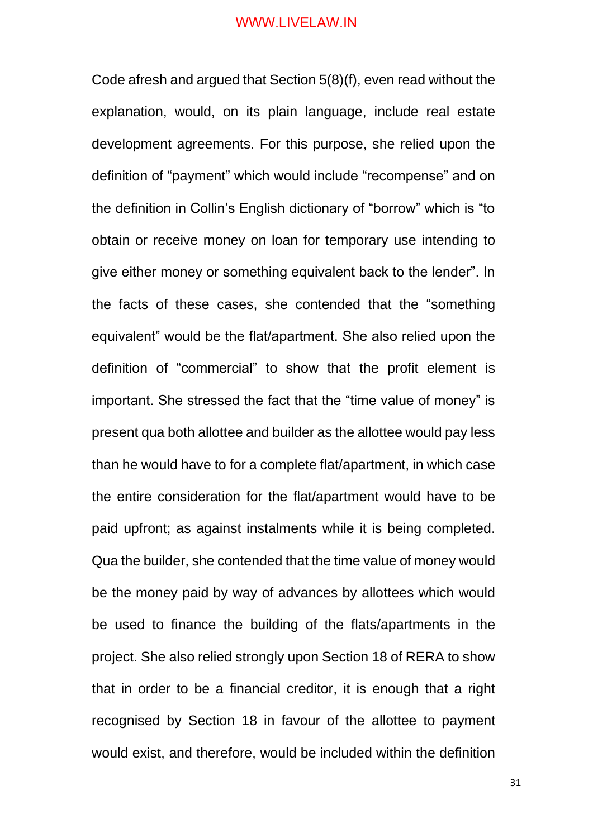Code afresh and argued that Section 5(8)(f), even read without the explanation, would, on its plain language, include real estate development agreements. For this purpose, she relied upon the definition of "payment" which would include "recompense" and on the definition in Collin's English dictionary of "borrow" which is "to obtain or receive money on loan for temporary use intending to give either money or something equivalent back to the lender". In the facts of these cases, she contended that the "something equivalent" would be the flat/apartment. She also relied upon the definition of "commercial" to show that the profit element is important. She stressed the fact that the "time value of money" is present qua both allottee and builder as the allottee would pay less than he would have to for a complete flat/apartment, in which case the entire consideration for the flat/apartment would have to be paid upfront; as against instalments while it is being completed. Qua the builder, she contended that the time value of money would be the money paid by way of advances by allottees which would be used to finance the building of the flats/apartments in the project. She also relied strongly upon Section 18 of RERA to show that in order to be a financial creditor, it is enough that a right recognised by Section 18 in favour of the allottee to payment would exist, and therefore, would be included within the definition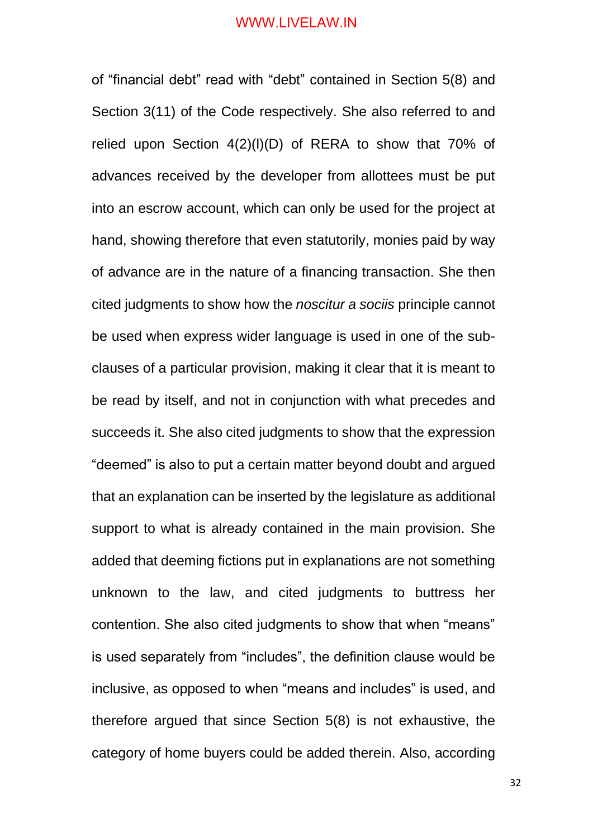of "financial debt" read with "debt" contained in Section 5(8) and Section 3(11) of the Code respectively. She also referred to and relied upon Section 4(2)(l)(D) of RERA to show that 70% of advances received by the developer from allottees must be put into an escrow account, which can only be used for the project at hand, showing therefore that even statutorily, monies paid by way of advance are in the nature of a financing transaction. She then cited judgments to show how the *noscitur a sociis* principle cannot be used when express wider language is used in one of the subclauses of a particular provision, making it clear that it is meant to be read by itself, and not in conjunction with what precedes and succeeds it. She also cited judgments to show that the expression "deemed" is also to put a certain matter beyond doubt and argued that an explanation can be inserted by the legislature as additional support to what is already contained in the main provision. She added that deeming fictions put in explanations are not something unknown to the law, and cited judgments to buttress her contention. She also cited judgments to show that when "means" is used separately from "includes", the definition clause would be inclusive, as opposed to when "means and includes" is used, and therefore argued that since Section 5(8) is not exhaustive, the category of home buyers could be added therein. Also, according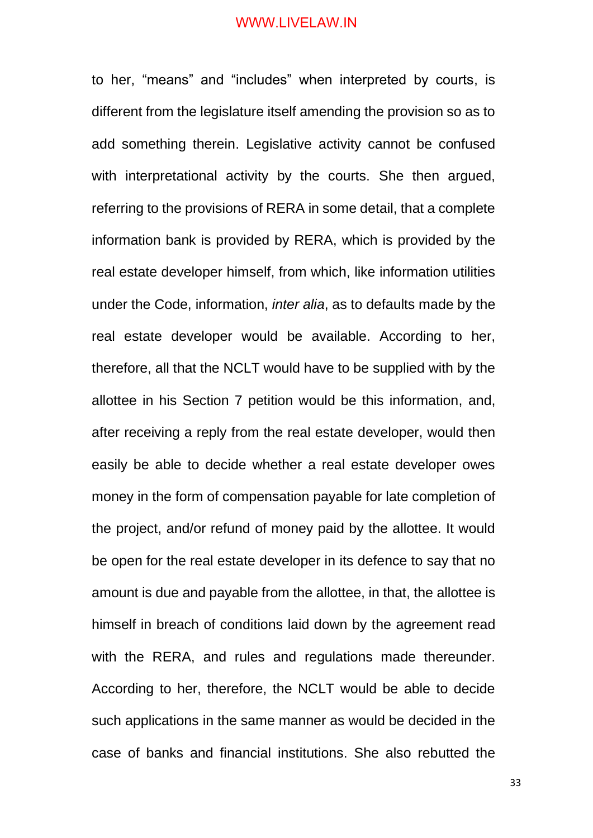to her, "means" and "includes" when interpreted by courts, is different from the legislature itself amending the provision so as to add something therein. Legislative activity cannot be confused with interpretational activity by the courts. She then argued, referring to the provisions of RERA in some detail, that a complete information bank is provided by RERA, which is provided by the real estate developer himself, from which, like information utilities under the Code, information, *inter alia*, as to defaults made by the real estate developer would be available. According to her, therefore, all that the NCLT would have to be supplied with by the allottee in his Section 7 petition would be this information, and, after receiving a reply from the real estate developer, would then easily be able to decide whether a real estate developer owes money in the form of compensation payable for late completion of the project, and/or refund of money paid by the allottee. It would be open for the real estate developer in its defence to say that no amount is due and payable from the allottee, in that, the allottee is himself in breach of conditions laid down by the agreement read with the RERA, and rules and regulations made thereunder. According to her, therefore, the NCLT would be able to decide such applications in the same manner as would be decided in the case of banks and financial institutions. She also rebutted the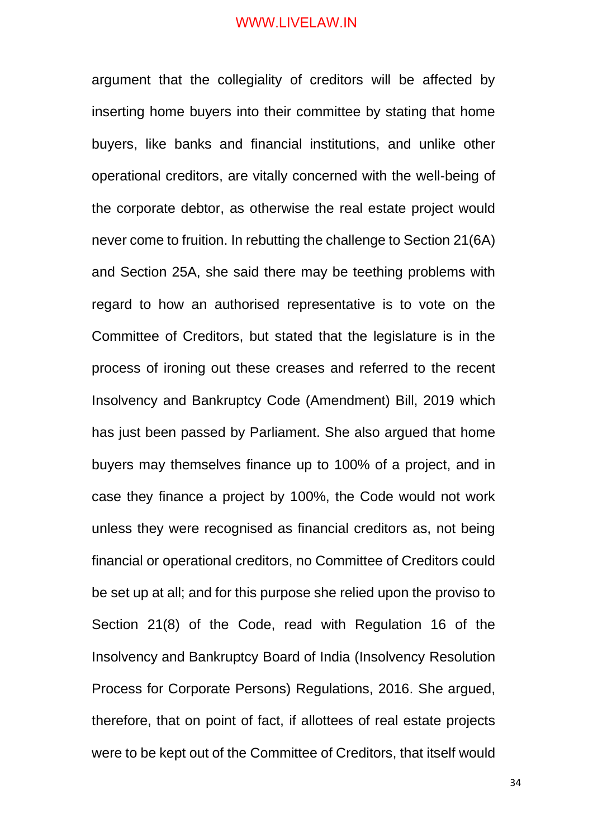argument that the collegiality of creditors will be affected by inserting home buyers into their committee by stating that home buyers, like banks and financial institutions, and unlike other operational creditors, are vitally concerned with the well-being of the corporate debtor, as otherwise the real estate project would never come to fruition. In rebutting the challenge to Section 21(6A) and Section 25A, she said there may be teething problems with regard to how an authorised representative is to vote on the Committee of Creditors, but stated that the legislature is in the process of ironing out these creases and referred to the recent Insolvency and Bankruptcy Code (Amendment) Bill, 2019 which has just been passed by Parliament. She also argued that home buyers may themselves finance up to 100% of a project, and in case they finance a project by 100%, the Code would not work unless they were recognised as financial creditors as, not being financial or operational creditors, no Committee of Creditors could be set up at all; and for this purpose she relied upon the proviso to Section 21(8) of the Code, read with Regulation 16 of the Insolvency and Bankruptcy Board of India (Insolvency Resolution Process for Corporate Persons) Regulations, 2016. She argued, therefore, that on point of fact, if allottees of real estate projects were to be kept out of the Committee of Creditors, that itself would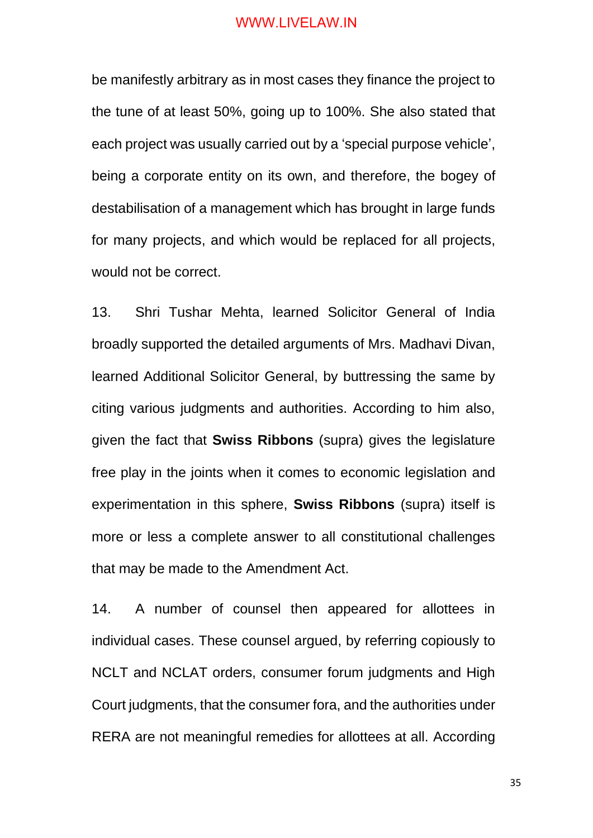be manifestly arbitrary as in most cases they finance the project to the tune of at least 50%, going up to 100%. She also stated that each project was usually carried out by a 'special purpose vehicle', being a corporate entity on its own, and therefore, the bogey of destabilisation of a management which has brought in large funds for many projects, and which would be replaced for all projects, would not be correct.

13. Shri Tushar Mehta, learned Solicitor General of India broadly supported the detailed arguments of Mrs. Madhavi Divan, learned Additional Solicitor General, by buttressing the same by citing various judgments and authorities. According to him also, given the fact that **Swiss Ribbons** (supra) gives the legislature free play in the joints when it comes to economic legislation and experimentation in this sphere, **Swiss Ribbons** (supra) itself is more or less a complete answer to all constitutional challenges that may be made to the Amendment Act.

14. A number of counsel then appeared for allottees in individual cases. These counsel argued, by referring copiously to NCLT and NCLAT orders, consumer forum judgments and High Court judgments, that the consumer fora, and the authorities under RERA are not meaningful remedies for allottees at all. According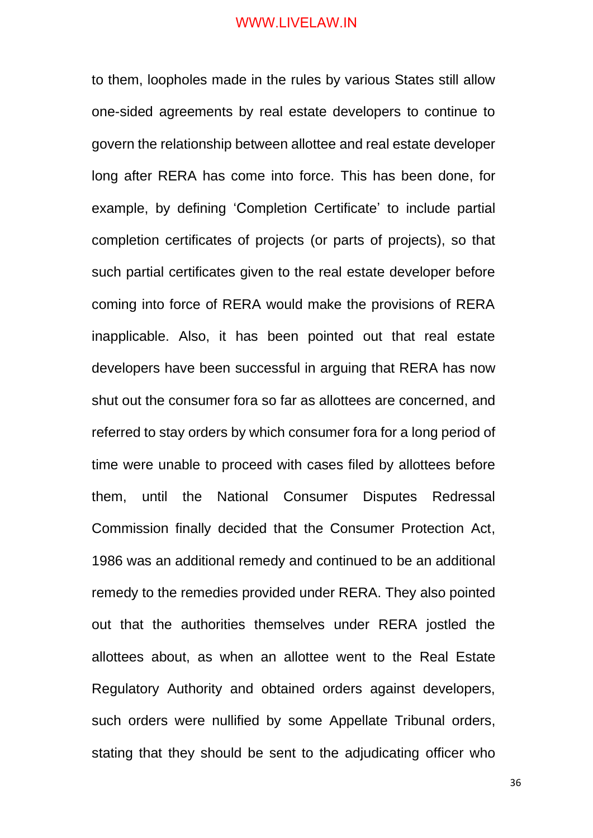to them, loopholes made in the rules by various States still allow one-sided agreements by real estate developers to continue to govern the relationship between allottee and real estate developer long after RERA has come into force. This has been done, for example, by defining 'Completion Certificate' to include partial completion certificates of projects (or parts of projects), so that such partial certificates given to the real estate developer before coming into force of RERA would make the provisions of RERA inapplicable. Also, it has been pointed out that real estate developers have been successful in arguing that RERA has now shut out the consumer fora so far as allottees are concerned, and referred to stay orders by which consumer fora for a long period of time were unable to proceed with cases filed by allottees before them, until the National Consumer Disputes Redressal Commission finally decided that the Consumer Protection Act, 1986 was an additional remedy and continued to be an additional remedy to the remedies provided under RERA. They also pointed out that the authorities themselves under RERA jostled the allottees about, as when an allottee went to the Real Estate Regulatory Authority and obtained orders against developers, such orders were nullified by some Appellate Tribunal orders, stating that they should be sent to the adjudicating officer who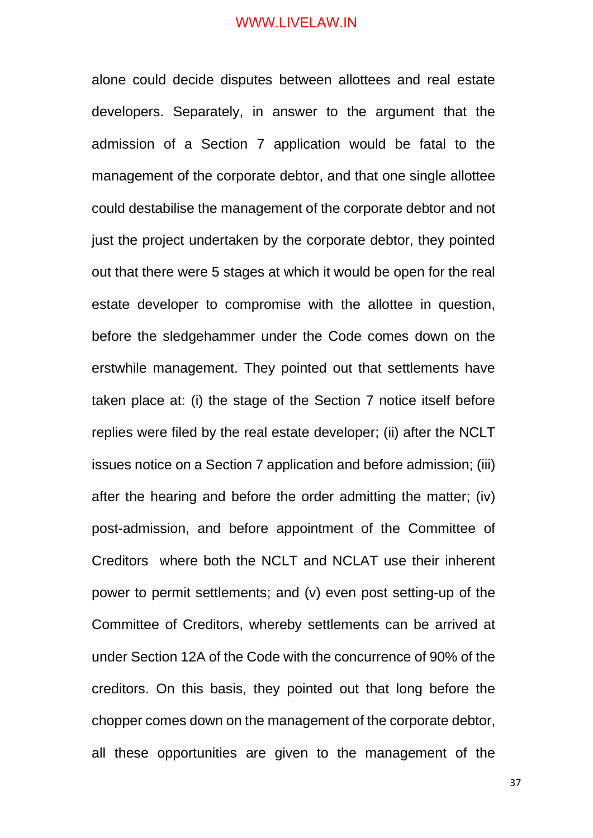alone could decide disputes between allottees and real estate developers. Separately, in answer to the argument that the admission of a Section 7 application would be fatal to the management of the corporate debtor, and that one single allottee could destabilise the management of the corporate debtor and not just the project undertaken by the corporate debtor, they pointed out that there were 5 stages at which it would be open for the real estate developer to compromise with the allottee in question, before the sledgehammer under the Code comes down on the erstwhile management. They pointed out that settlements have taken place at: (i) the stage of the Section 7 notice itself before replies were filed by the real estate developer; (ii) after the NCLT issues notice on a Section 7 application and before admission; (iii) after the hearing and before the order admitting the matter; (iv) post-admission, and before appointment of the Committee of Creditors where both the NCLT and NCLAT use their inherent power to permit settlements; and (v) even post setting-up of the Committee of Creditors, whereby settlements can be arrived at under Section 12A of the Code with the concurrence of 90% of the creditors. On this basis, they pointed out that long before the chopper comes down on the management of the corporate debtor, all these opportunities are given to the management of the

37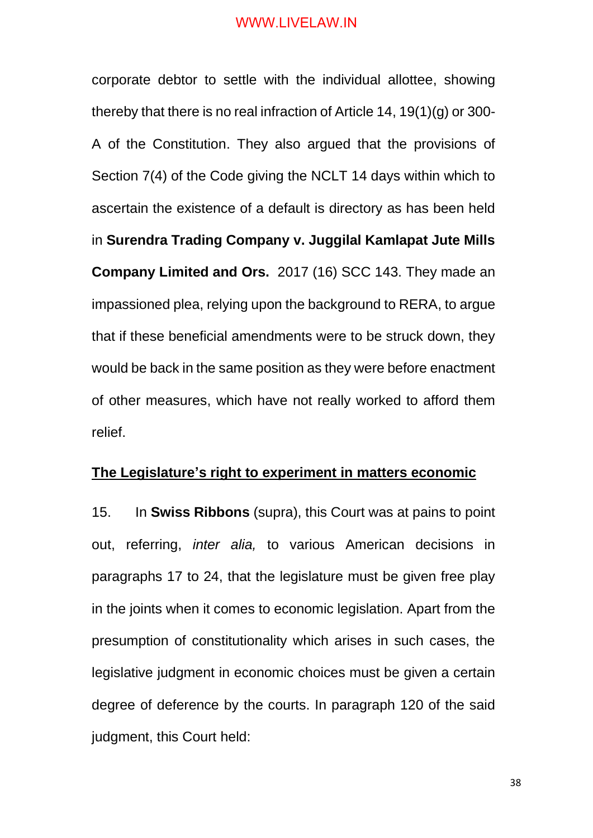corporate debtor to settle with the individual allottee, showing thereby that there is no real infraction of Article 14, 19(1)(g) or 300- A of the Constitution. They also argued that the provisions of Section 7(4) of the Code giving the NCLT 14 days within which to ascertain the existence of a default is directory as has been held in **Surendra Trading Company v. Juggilal Kamlapat Jute Mills Company Limited and Ors.** 2017 (16) SCC 143. They made an impassioned plea, relying upon the background to RERA, to argue that if these beneficial amendments were to be struck down, they would be back in the same position as they were before enactment of other measures, which have not really worked to afford them relief.

#### **The Legislature's right to experiment in matters economic**

15. In **Swiss Ribbons** (supra), this Court was at pains to point out, referring, *inter alia,* to various American decisions in paragraphs 17 to 24, that the legislature must be given free play in the joints when it comes to economic legislation. Apart from the presumption of constitutionality which arises in such cases, the legislative judgment in economic choices must be given a certain degree of deference by the courts. In paragraph 120 of the said judgment, this Court held:

38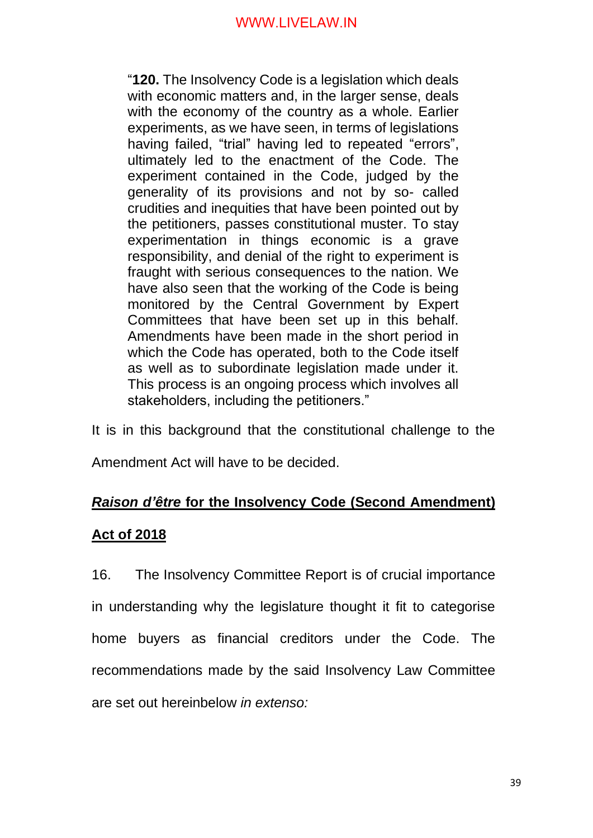"**120.** The Insolvency Code is a legislation which deals with economic matters and, in the larger sense, deals with the economy of the country as a whole. Earlier experiments, as we have seen, in terms of legislations having failed, "trial" having led to repeated "errors", ultimately led to the enactment of the Code. The experiment contained in the Code, judged by the generality of its provisions and not by so- called crudities and inequities that have been pointed out by the petitioners, passes constitutional muster. To stay experimentation in things economic is a grave responsibility, and denial of the right to experiment is fraught with serious consequences to the nation. We have also seen that the working of the Code is being monitored by the Central Government by Expert Committees that have been set up in this behalf. Amendments have been made in the short period in which the Code has operated, both to the Code itself as well as to subordinate legislation made under it. This process is an ongoing process which involves all stakeholders, including the petitioners."

It is in this background that the constitutional challenge to the

Amendment Act will have to be decided.

# *Raison d'être* **for the Insolvency Code (Second Amendment)**

# **Act of 2018**

16. The Insolvency Committee Report is of crucial importance in understanding why the legislature thought it fit to categorise home buyers as financial creditors under the Code. The recommendations made by the said Insolvency Law Committee are set out hereinbelow *in extenso:*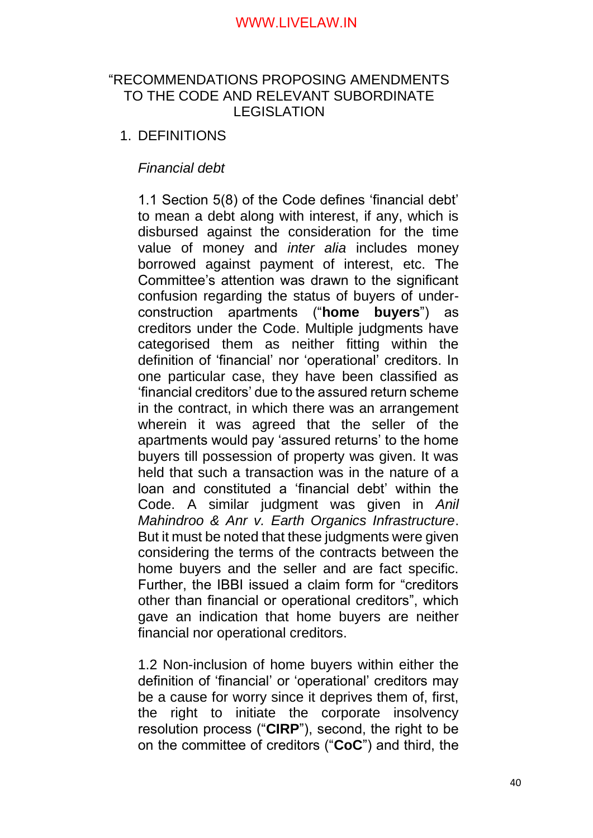# "RECOMMENDATIONS PROPOSING AMENDMENTS TO THE CODE AND RELEVANT SUBORDINATE LEGISLATION

# 1. DEFINITIONS

# *Financial debt*

1.1 Section 5(8) of the Code defines 'financial debt' to mean a debt along with interest, if any, which is disbursed against the consideration for the time value of money and *inter alia* includes money borrowed against payment of interest, etc. The Committee's attention was drawn to the significant confusion regarding the status of buyers of underconstruction apartments ("**home buyers**") as creditors under the Code. Multiple judgments have categorised them as neither fitting within the definition of 'financial' nor 'operational' creditors. In one particular case, they have been classified as 'financial creditors' due to the assured return scheme in the contract, in which there was an arrangement wherein it was agreed that the seller of the apartments would pay 'assured returns' to the home buyers till possession of property was given. It was held that such a transaction was in the nature of a loan and constituted a 'financial debt' within the Code. A similar judgment was given in *Anil Mahindroo & Anr v. Earth Organics Infrastructure*. But it must be noted that these judgments were given considering the terms of the contracts between the home buyers and the seller and are fact specific. Further, the IBBI issued a claim form for "creditors other than financial or operational creditors", which gave an indication that home buyers are neither financial nor operational creditors.

1.2 Non-inclusion of home buyers within either the definition of 'financial' or 'operational' creditors may be a cause for worry since it deprives them of, first, the right to initiate the corporate insolvency resolution process ("**CIRP**"), second, the right to be on the committee of creditors ("**CoC**") and third, the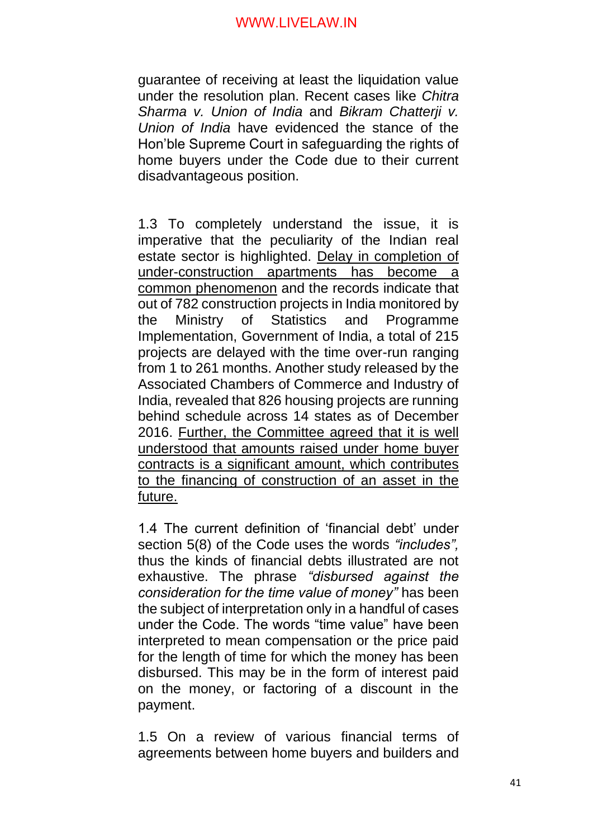guarantee of receiving at least the liquidation value under the resolution plan. Recent cases like *Chitra Sharma v. Union of India* and *Bikram Chatterji v. Union of India* have evidenced the stance of the Hon'ble Supreme Court in safeguarding the rights of home buyers under the Code due to their current disadvantageous position.

1.3 To completely understand the issue, it is imperative that the peculiarity of the Indian real estate sector is highlighted. Delay in completion of under-construction apartments has become a common phenomenon and the records indicate that out of 782 construction projects in India monitored by the Ministry of Statistics and Programme Implementation, Government of India, a total of 215 projects are delayed with the time over-run ranging from 1 to 261 months. Another study released by the Associated Chambers of Commerce and Industry of India, revealed that 826 housing projects are running behind schedule across 14 states as of December 2016. Further, the Committee agreed that it is well understood that amounts raised under home buyer contracts is a significant amount, which contributes to the financing of construction of an asset in the future.

1.4 The current definition of 'financial debt' under section 5(8) of the Code uses the words *"includes",* thus the kinds of financial debts illustrated are not exhaustive. The phrase *"disbursed against the consideration for the time value of money"* has been the subject of interpretation only in a handful of cases under the Code. The words "time value" have been interpreted to mean compensation or the price paid for the length of time for which the money has been disbursed. This may be in the form of interest paid on the money, or factoring of a discount in the payment.

1.5 On a review of various financial terms of agreements between home buyers and builders and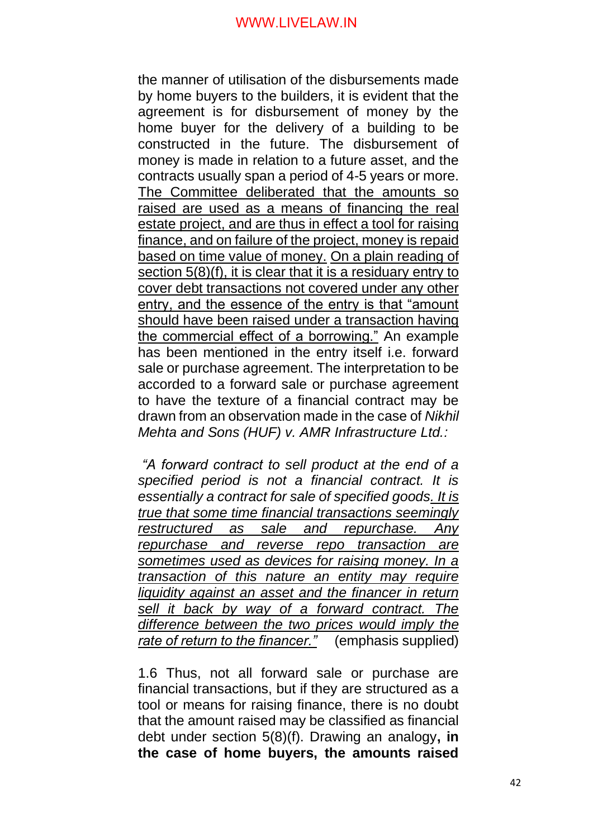the manner of utilisation of the disbursements made by home buyers to the builders, it is evident that the agreement is for disbursement of money by the home buyer for the delivery of a building to be constructed in the future. The disbursement of money is made in relation to a future asset, and the contracts usually span a period of 4-5 years or more. The Committee deliberated that the amounts so raised are used as a means of financing the real estate project, and are thus in effect a tool for raising finance, and on failure of the project, money is repaid based on time value of money. On a plain reading of section 5(8)(f), it is clear that it is a residuary entry to cover debt transactions not covered under any other entry, and the essence of the entry is that "amount should have been raised under a transaction having the commercial effect of a borrowing." An example has been mentioned in the entry itself i.e. forward sale or purchase agreement. The interpretation to be accorded to a forward sale or purchase agreement to have the texture of a financial contract may be drawn from an observation made in the case of *Nikhil Mehta and Sons (HUF) v. AMR Infrastructure Ltd.:*

*"A forward contract to sell product at the end of a specified period is not a financial contract. It is essentially a contract for sale of specified goods. It is true that some time financial transactions seemingly restructured as sale and repurchase. Any repurchase and reverse repo transaction are sometimes used as devices for raising money. In a transaction of this nature an entity may require liquidity against an asset and the financer in return sell it back by way of a forward contract. The difference between the two prices would imply the rate of return to the financer."* (emphasis supplied)

1.6 Thus, not all forward sale or purchase are financial transactions, but if they are structured as a tool or means for raising finance, there is no doubt that the amount raised may be classified as financial debt under section 5(8)(f). Drawing an analogy**, in the case of home buyers, the amounts raised**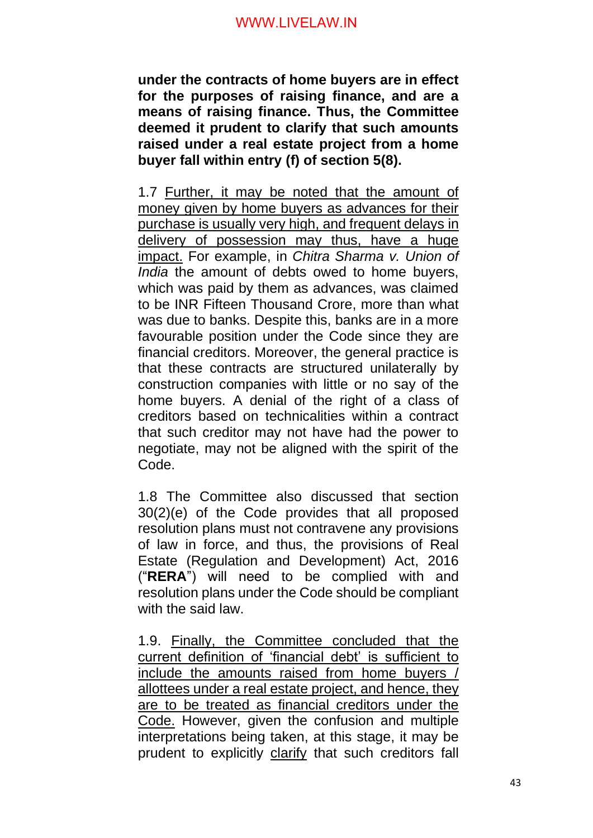**under the contracts of home buyers are in effect for the purposes of raising finance, and are a means of raising finance. Thus, the Committee deemed it prudent to clarify that such amounts raised under a real estate project from a home buyer fall within entry (f) of section 5(8).**

1.7 Further, it may be noted that the amount of money given by home buyers as advances for their purchase is usually very high, and frequent delays in delivery of possession may thus, have a huge impact. For example, in *Chitra Sharma v. Union of India* the amount of debts owed to home buyers, which was paid by them as advances, was claimed to be INR Fifteen Thousand Crore, more than what was due to banks. Despite this, banks are in a more favourable position under the Code since they are financial creditors. Moreover, the general practice is that these contracts are structured unilaterally by construction companies with little or no say of the home buyers. A denial of the right of a class of creditors based on technicalities within a contract that such creditor may not have had the power to negotiate, may not be aligned with the spirit of the Code.

1.8 The Committee also discussed that section 30(2)(e) of the Code provides that all proposed resolution plans must not contravene any provisions of law in force, and thus, the provisions of Real Estate (Regulation and Development) Act, 2016 ("**RERA**") will need to be complied with and resolution plans under the Code should be compliant with the said law.

1.9. Finally, the Committee concluded that the current definition of 'financial debt' is sufficient to include the amounts raised from home buyers / allottees under a real estate project, and hence, they are to be treated as financial creditors under the Code. However, given the confusion and multiple interpretations being taken, at this stage, it may be prudent to explicitly clarify that such creditors fall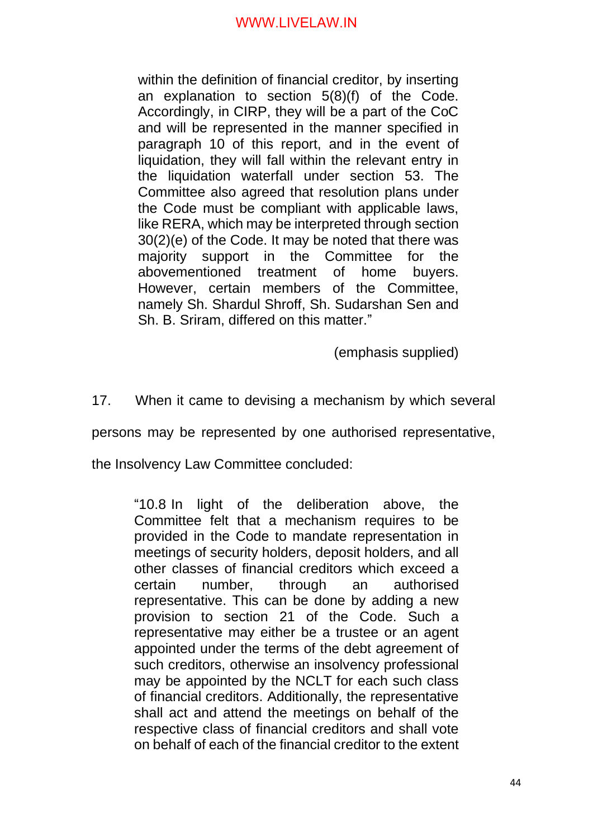within the definition of financial creditor, by inserting an explanation to section 5(8)(f) of the Code. Accordingly, in CIRP, they will be a part of the CoC and will be represented in the manner specified in paragraph 10 of this report, and in the event of liquidation, they will fall within the relevant entry in the liquidation waterfall under section 53. The Committee also agreed that resolution plans under the Code must be compliant with applicable laws, like RERA, which may be interpreted through section 30(2)(e) of the Code. It may be noted that there was majority support in the Committee for the abovementioned treatment of home buyers. However, certain members of the Committee, namely Sh. Shardul Shroff, Sh. Sudarshan Sen and Sh. B. Sriram, differed on this matter."

(emphasis supplied)

17. When it came to devising a mechanism by which several

persons may be represented by one authorised representative,

the Insolvency Law Committee concluded:

"10.8 In light of the deliberation above, the Committee felt that a mechanism requires to be provided in the Code to mandate representation in meetings of security holders, deposit holders, and all other classes of financial creditors which exceed a certain number, through an authorised representative. This can be done by adding a new provision to section 21 of the Code. Such a representative may either be a trustee or an agent appointed under the terms of the debt agreement of such creditors, otherwise an insolvency professional may be appointed by the NCLT for each such class of financial creditors. Additionally, the representative shall act and attend the meetings on behalf of the respective class of financial creditors and shall vote on behalf of each of the financial creditor to the extent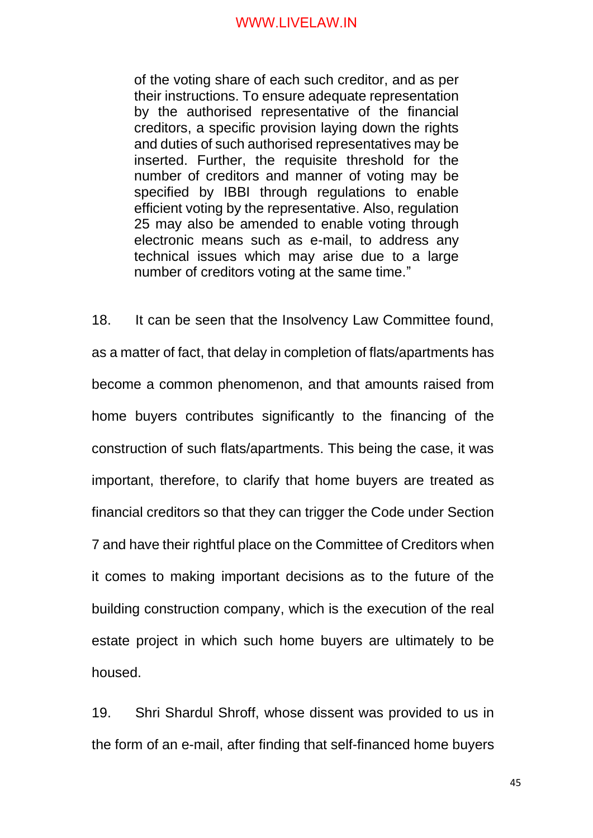of the voting share of each such creditor, and as per their instructions. To ensure adequate representation by the authorised representative of the financial creditors, a specific provision laying down the rights and duties of such authorised representatives may be inserted. Further, the requisite threshold for the number of creditors and manner of voting may be specified by IBBI through regulations to enable efficient voting by the representative. Also, regulation 25 may also be amended to enable voting through electronic means such as e-mail, to address any technical issues which may arise due to a large number of creditors voting at the same time."

18. It can be seen that the Insolvency Law Committee found, as a matter of fact, that delay in completion of flats/apartments has become a common phenomenon, and that amounts raised from home buyers contributes significantly to the financing of the construction of such flats/apartments. This being the case, it was important, therefore, to clarify that home buyers are treated as financial creditors so that they can trigger the Code under Section 7 and have their rightful place on the Committee of Creditors when it comes to making important decisions as to the future of the building construction company, which is the execution of the real estate project in which such home buyers are ultimately to be housed.

19. Shri Shardul Shroff, whose dissent was provided to us in the form of an e-mail, after finding that self-financed home buyers

45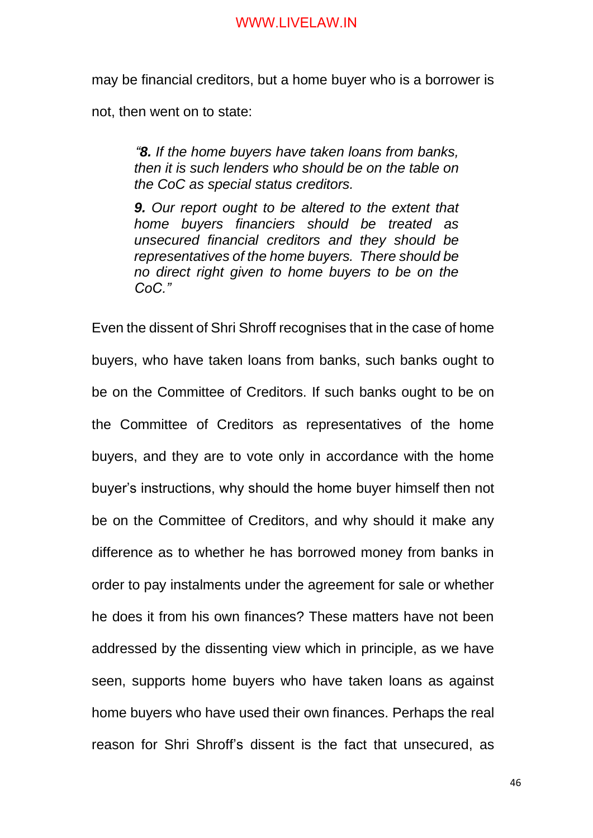may be financial creditors, but a home buyer who is a borrower is

not, then went on to state:

*"8. If the home buyers have taken loans from banks, then it is such lenders who should be on the table on the CoC as special status creditors.*

*9. Our report ought to be altered to the extent that home buyers financiers should be treated as unsecured financial creditors and they should be representatives of the home buyers. There should be no direct right given to home buyers to be on the CoC."*

Even the dissent of Shri Shroff recognises that in the case of home buyers, who have taken loans from banks, such banks ought to be on the Committee of Creditors. If such banks ought to be on the Committee of Creditors as representatives of the home buyers, and they are to vote only in accordance with the home buyer's instructions, why should the home buyer himself then not be on the Committee of Creditors, and why should it make any difference as to whether he has borrowed money from banks in order to pay instalments under the agreement for sale or whether he does it from his own finances? These matters have not been addressed by the dissenting view which in principle, as we have seen, supports home buyers who have taken loans as against home buyers who have used their own finances. Perhaps the real reason for Shri Shroff's dissent is the fact that unsecured, as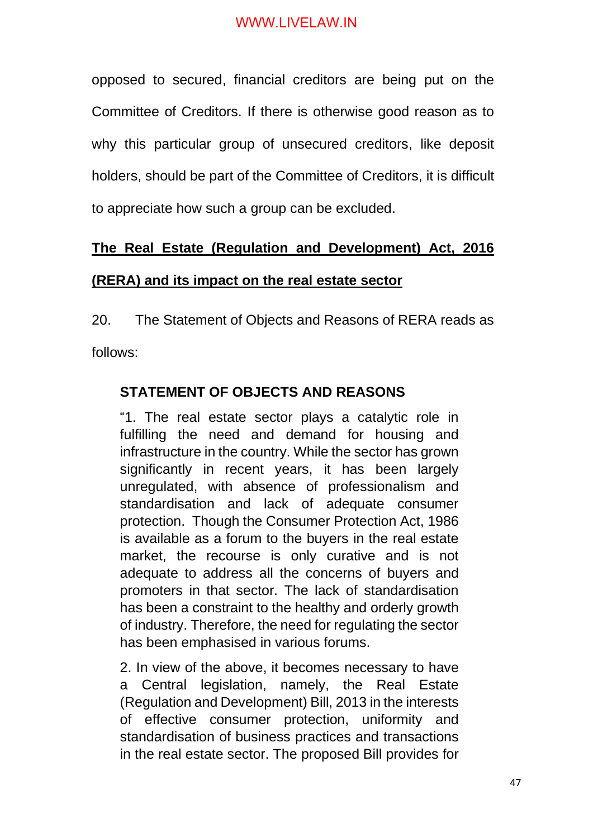opposed to secured, financial creditors are being put on the Committee of Creditors. If there is otherwise good reason as to why this particular group of unsecured creditors, like deposit holders, should be part of the Committee of Creditors, it is difficult to appreciate how such a group can be excluded.

# **The Real Estate (Regulation and Development) Act, 2016 (RERA) and its impact on the real estate sector**

20. The Statement of Objects and Reasons of RERA reads as

follows:

# **STATEMENT OF OBJECTS AND REASONS**

"1. The real estate sector plays a catalytic role in fulfilling the need and demand for housing and infrastructure in the country. While the sector has grown significantly in recent years, it has been largely unregulated, with absence of professionalism and standardisation and lack of adequate consumer protection. Though the Consumer Protection Act, 1986 is available as a forum to the buyers in the real estate market, the recourse is only curative and is not adequate to address all the concerns of buyers and promoters in that sector. The lack of standardisation has been a constraint to the healthy and orderly growth of industry. Therefore, the need for regulating the sector has been emphasised in various forums.

2. In view of the above, it becomes necessary to have a Central legislation, namely, the Real Estate (Regulation and Development) Bill, 2013 in the interests of effective consumer protection, uniformity and standardisation of business practices and transactions in the real estate sector. The proposed Bill provides for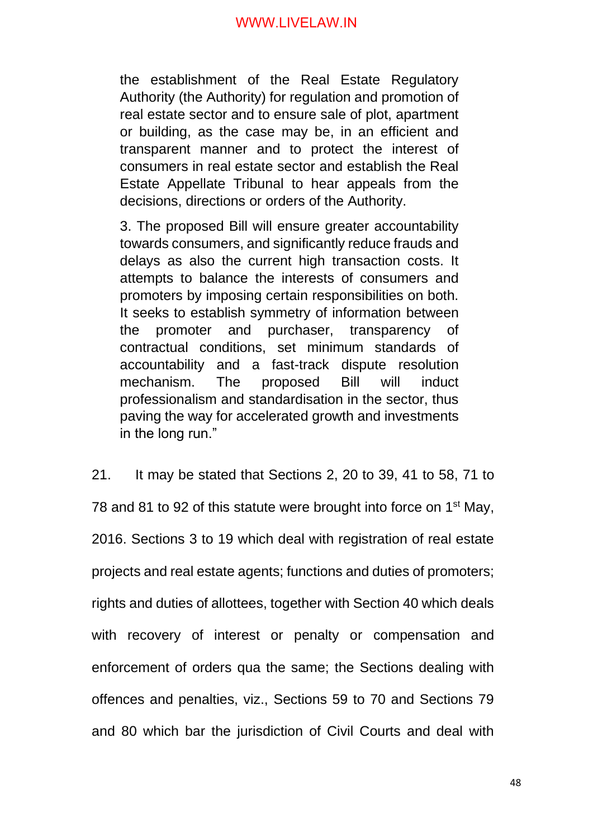the establishment of the Real Estate Regulatory Authority (the Authority) for regulation and promotion of real estate sector and to ensure sale of plot, apartment or building, as the case may be, in an efficient and transparent manner and to protect the interest of consumers in real estate sector and establish the Real Estate Appellate Tribunal to hear appeals from the decisions, directions or orders of the Authority.

3. The proposed Bill will ensure greater accountability towards consumers, and significantly reduce frauds and delays as also the current high transaction costs. It attempts to balance the interests of consumers and promoters by imposing certain responsibilities on both. It seeks to establish symmetry of information between the promoter and purchaser, transparency of contractual conditions, set minimum standards of accountability and a fast-track dispute resolution mechanism. The proposed Bill will induct professionalism and standardisation in the sector, thus paving the way for accelerated growth and investments in the long run."

21. It may be stated that Sections 2, 20 to 39, 41 to 58, 71 to 78 and 81 to 92 of this statute were brought into force on 1<sup>st</sup> May, 2016. Sections 3 to 19 which deal with registration of real estate projects and real estate agents; functions and duties of promoters; rights and duties of allottees, together with Section 40 which deals with recovery of interest or penalty or compensation and enforcement of orders qua the same; the Sections dealing with offences and penalties, viz., Sections 59 to 70 and Sections 79 and 80 which bar the jurisdiction of Civil Courts and deal with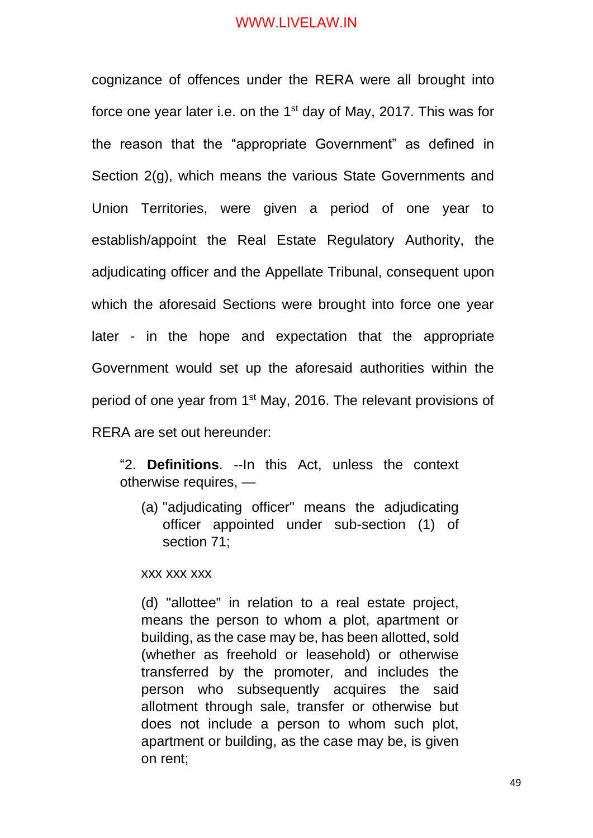cognizance of offences under the RERA were all brought into force one year later i.e. on the 1<sup>st</sup> day of May, 2017. This was for the reason that the "appropriate Government" as defined in Section 2(g), which means the various State Governments and Union Territories, were given a period of one year to establish/appoint the Real Estate Regulatory Authority, the adjudicating officer and the Appellate Tribunal, consequent upon which the aforesaid Sections were brought into force one year later - in the hope and expectation that the appropriate Government would set up the aforesaid authorities within the period of one year from 1<sup>st</sup> May, 2016. The relevant provisions of RERA are set out hereunder:

"2. **Definitions**. --In this Act, unless the context otherwise requires, —

(a) "adjudicating officer" means the adjudicating officer appointed under sub-section (1) of section 71;

xxx xxx xxx

(d) "allottee" in relation to a real estate project, means the person to whom a plot, apartment or building, as the case may be, has been allotted, sold (whether as freehold or leasehold) or otherwise transferred by the promoter, and includes the person who subsequently acquires the said allotment through sale, transfer or otherwise but does not include a person to whom such plot, apartment or building, as the case may be, is given on rent;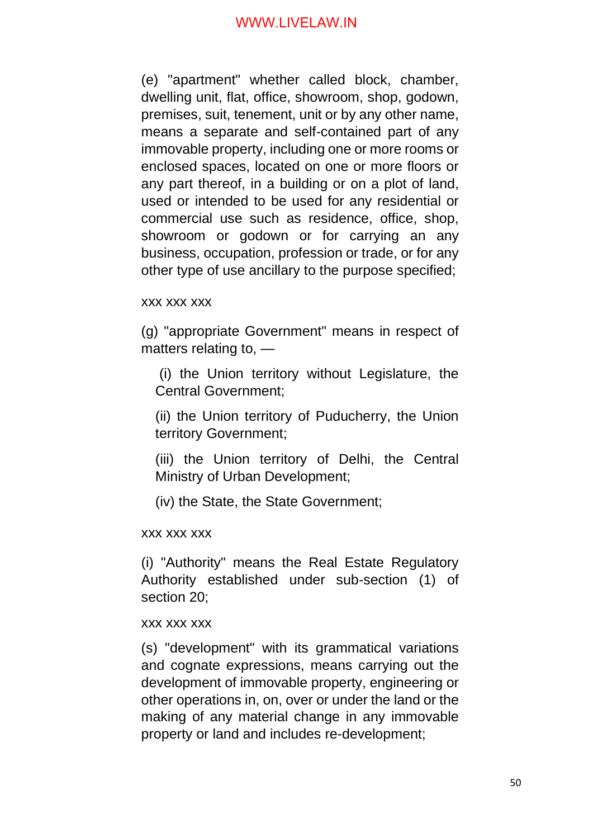(e) "apartment" whether called block, chamber, dwelling unit, flat, office, showroom, shop, godown, premises, suit, tenement, unit or by any other name, means a separate and self-contained part of any immovable property, including one or more rooms or enclosed spaces, located on one or more floors or any part thereof, in a building or on a plot of land, used or intended to be used for any residential or commercial use such as residence, office, shop, showroom or godown or for carrying an any business, occupation, profession or trade, or for any other type of use ancillary to the purpose specified;

#### xxx xxx xxx

(g) "appropriate Government" means in respect of matters relating to, —

(i) the Union territory without Legislature, the Central Government;

(ii) the Union territory of Puducherry, the Union territory Government;

(iii) the Union territory of Delhi, the Central Ministry of Urban Development;

(iv) the State, the State Government;

#### xxx xxx xxx

(i) "Authority" means the Real Estate Regulatory Authority established under sub-section (1) of section 20;

#### xxx xxx xxx

(s) "development" with its grammatical variations and cognate expressions, means carrying out the development of immovable property, engineering or other operations in, on, over or under the land or the making of any material change in any immovable property or land and includes re-development;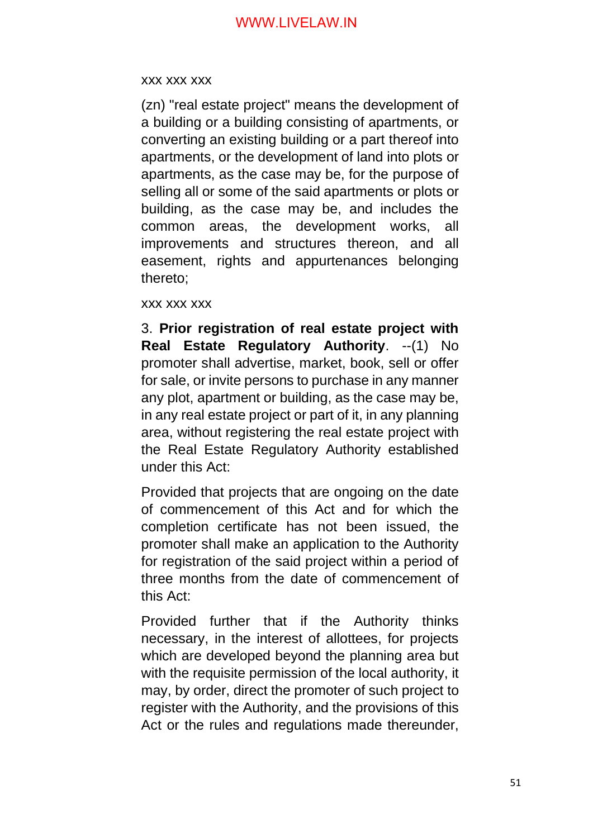#### xxx xxx xxx

(zn) "real estate project" means the development of a building or a building consisting of apartments, or converting an existing building or a part thereof into apartments, or the development of land into plots or apartments, as the case may be, for the purpose of selling all or some of the said apartments or plots or building, as the case may be, and includes the common areas, the development works, all improvements and structures thereon, and all easement, rights and appurtenances belonging thereto;

xxx xxx xxx

3. **Prior registration of real estate project with**  Real Estate Regulatory Authority. -- (1) No promoter shall advertise, market, book, sell or offer for sale, or invite persons to purchase in any manner any plot, apartment or building, as the case may be, in any real estate project or part of it, in any planning area, without registering the real estate project with the Real Estate Regulatory Authority established under this Act:

Provided that projects that are ongoing on the date of commencement of this Act and for which the completion certificate has not been issued, the promoter shall make an application to the Authority for registration of the said project within a period of three months from the date of commencement of this Act:

Provided further that if the Authority thinks necessary, in the interest of allottees, for projects which are developed beyond the planning area but with the requisite permission of the local authority, it may, by order, direct the promoter of such project to register with the Authority, and the provisions of this Act or the rules and regulations made thereunder,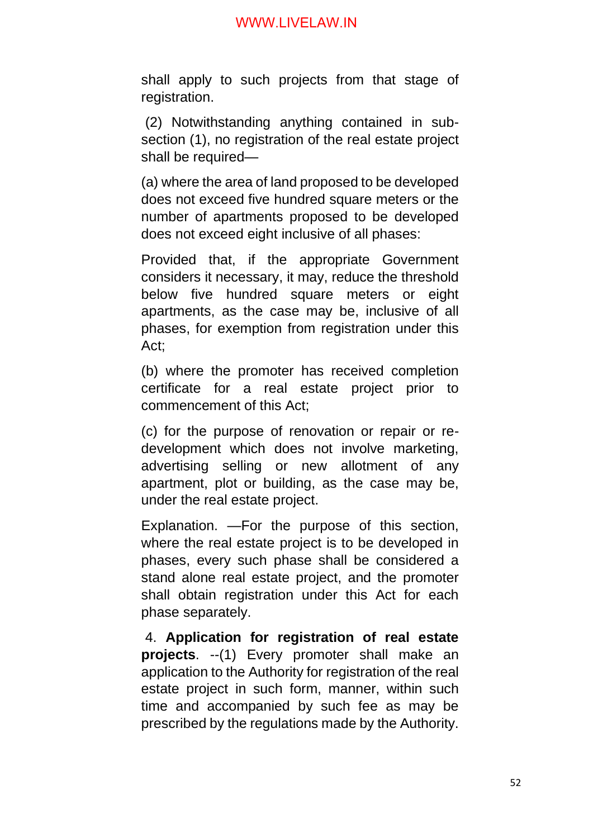shall apply to such projects from that stage of registration.

(2) Notwithstanding anything contained in subsection (1), no registration of the real estate project shall be required—

(a) where the area of land proposed to be developed does not exceed five hundred square meters or the number of apartments proposed to be developed does not exceed eight inclusive of all phases:

Provided that, if the appropriate Government considers it necessary, it may, reduce the threshold below five hundred square meters or eight apartments, as the case may be, inclusive of all phases, for exemption from registration under this Act;

(b) where the promoter has received completion certificate for a real estate project prior to commencement of this Act;

(c) for the purpose of renovation or repair or redevelopment which does not involve marketing, advertising selling or new allotment of any apartment, plot or building, as the case may be, under the real estate project.

Explanation. —For the purpose of this section, where the real estate project is to be developed in phases, every such phase shall be considered a stand alone real estate project, and the promoter shall obtain registration under this Act for each phase separately.

4. **Application for registration of real estate projects**. --(1) Every promoter shall make an application to the Authority for registration of the real estate project in such form, manner, within such time and accompanied by such fee as may be prescribed by the regulations made by the Authority.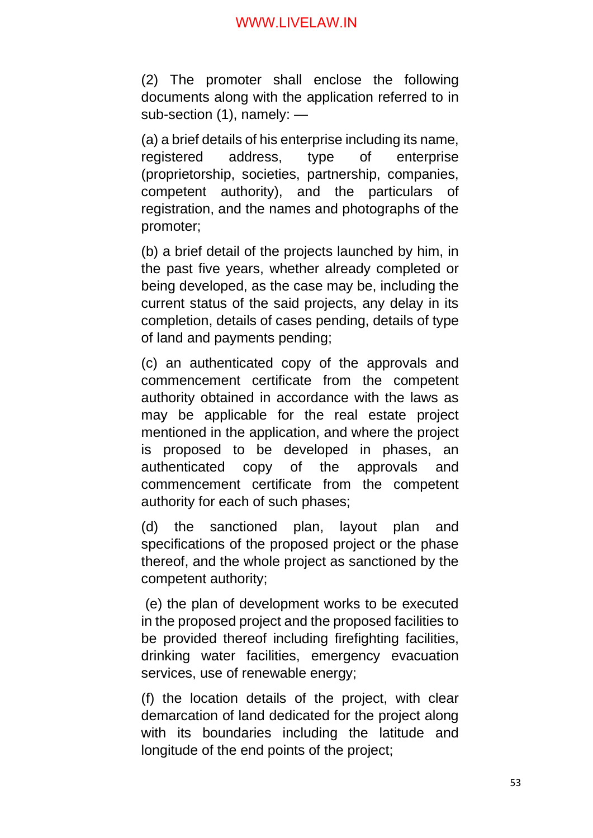(2) The promoter shall enclose the following documents along with the application referred to in sub-section (1), namely: —

(a) a brief details of his enterprise including its name, registered address, type of enterprise (proprietorship, societies, partnership, companies, competent authority), and the particulars of registration, and the names and photographs of the promoter;

(b) a brief detail of the projects launched by him, in the past five years, whether already completed or being developed, as the case may be, including the current status of the said projects, any delay in its completion, details of cases pending, details of type of land and payments pending;

(c) an authenticated copy of the approvals and commencement certificate from the competent authority obtained in accordance with the laws as may be applicable for the real estate project mentioned in the application, and where the project is proposed to be developed in phases, an authenticated copy of the approvals and commencement certificate from the competent authority for each of such phases;

(d) the sanctioned plan, layout plan and specifications of the proposed project or the phase thereof, and the whole project as sanctioned by the competent authority;

(e) the plan of development works to be executed in the proposed project and the proposed facilities to be provided thereof including firefighting facilities, drinking water facilities, emergency evacuation services, use of renewable energy;

(f) the location details of the project, with clear demarcation of land dedicated for the project along with its boundaries including the latitude and longitude of the end points of the project;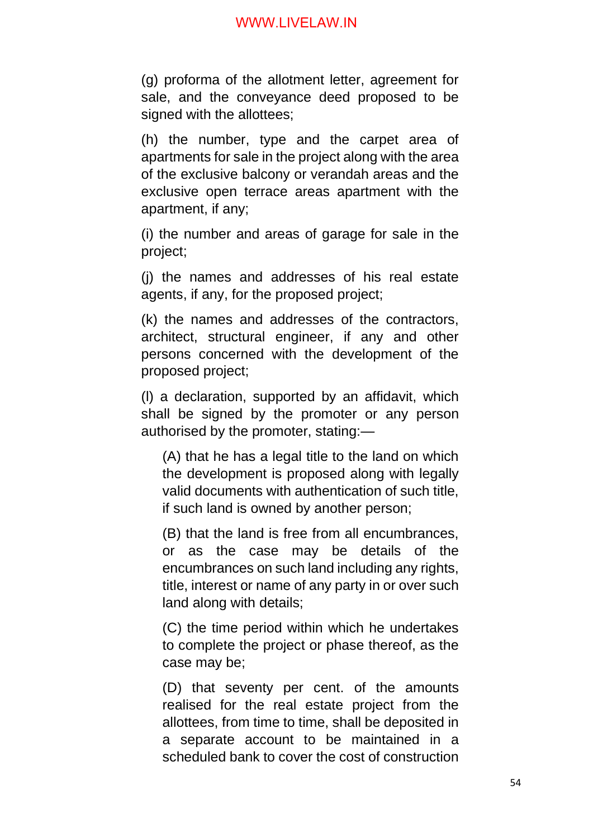(g) proforma of the allotment letter, agreement for sale, and the conveyance deed proposed to be signed with the allottees;

(h) the number, type and the carpet area of apartments for sale in the project along with the area of the exclusive balcony or verandah areas and the exclusive open terrace areas apartment with the apartment, if any;

(i) the number and areas of garage for sale in the project;

(j) the names and addresses of his real estate agents, if any, for the proposed project;

(k) the names and addresses of the contractors, architect, structural engineer, if any and other persons concerned with the development of the proposed project;

(l) a declaration, supported by an affidavit, which shall be signed by the promoter or any person authorised by the promoter, stating:—

(A) that he has a legal title to the land on which the development is proposed along with legally valid documents with authentication of such title, if such land is owned by another person;

(B) that the land is free from all encumbrances, or as the case may be details of the encumbrances on such land including any rights, title, interest or name of any party in or over such land along with details;

(C) the time period within which he undertakes to complete the project or phase thereof, as the case may be;

(D) that seventy per cent. of the amounts realised for the real estate project from the allottees, from time to time, shall be deposited in a separate account to be maintained in a scheduled bank to cover the cost of construction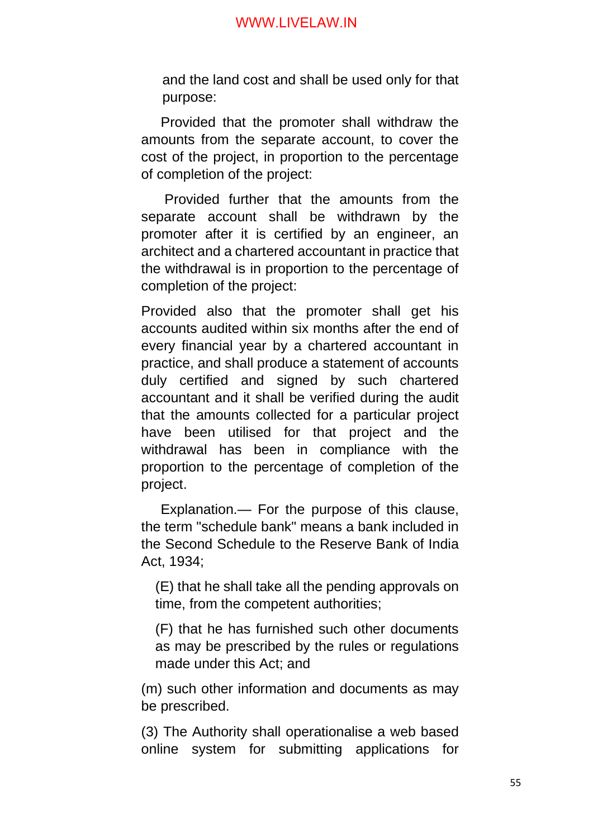and the land cost and shall be used only for that purpose:

 Provided that the promoter shall withdraw the amounts from the separate account, to cover the cost of the project, in proportion to the percentage of completion of the project:

 Provided further that the amounts from the separate account shall be withdrawn by the promoter after it is certified by an engineer, an architect and a chartered accountant in practice that the withdrawal is in proportion to the percentage of completion of the project:

Provided also that the promoter shall get his accounts audited within six months after the end of every financial year by a chartered accountant in practice, and shall produce a statement of accounts duly certified and signed by such chartered accountant and it shall be verified during the audit that the amounts collected for a particular project have been utilised for that project and the withdrawal has been in compliance with the proportion to the percentage of completion of the project.

 Explanation.— For the purpose of this clause, the term "schedule bank" means a bank included in the Second Schedule to the Reserve Bank of India Act, 1934;

(E) that he shall take all the pending approvals on time, from the competent authorities;

(F) that he has furnished such other documents as may be prescribed by the rules or regulations made under this Act; and

(m) such other information and documents as may be prescribed.

(3) The Authority shall operationalise a web based online system for submitting applications for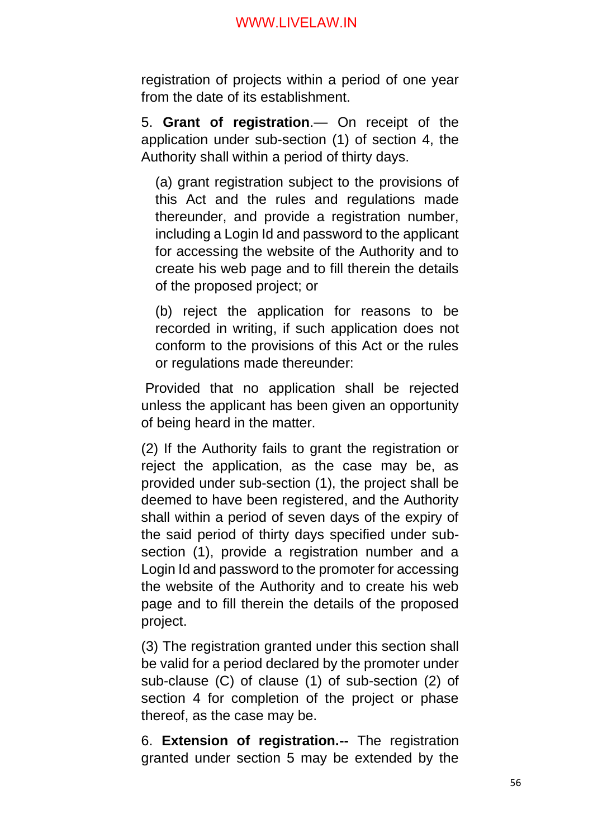registration of projects within a period of one year from the date of its establishment.

5. **Grant of registration**.— On receipt of the application under sub-section (1) of section 4, the Authority shall within a period of thirty days.

(a) grant registration subject to the provisions of this Act and the rules and regulations made thereunder, and provide a registration number, including a Login Id and password to the applicant for accessing the website of the Authority and to create his web page and to fill therein the details of the proposed project; or

(b) reject the application for reasons to be recorded in writing, if such application does not conform to the provisions of this Act or the rules or regulations made thereunder:

Provided that no application shall be rejected unless the applicant has been given an opportunity of being heard in the matter.

(2) If the Authority fails to grant the registration or reject the application, as the case may be, as provided under sub-section (1), the project shall be deemed to have been registered, and the Authority shall within a period of seven days of the expiry of the said period of thirty days specified under subsection (1), provide a registration number and a Login Id and password to the promoter for accessing the website of the Authority and to create his web page and to fill therein the details of the proposed project.

(3) The registration granted under this section shall be valid for a period declared by the promoter under sub-clause (C) of clause (1) of sub-section (2) of section 4 for completion of the project or phase thereof, as the case may be.

6. **Extension of registration.--** The registration granted under section 5 may be extended by the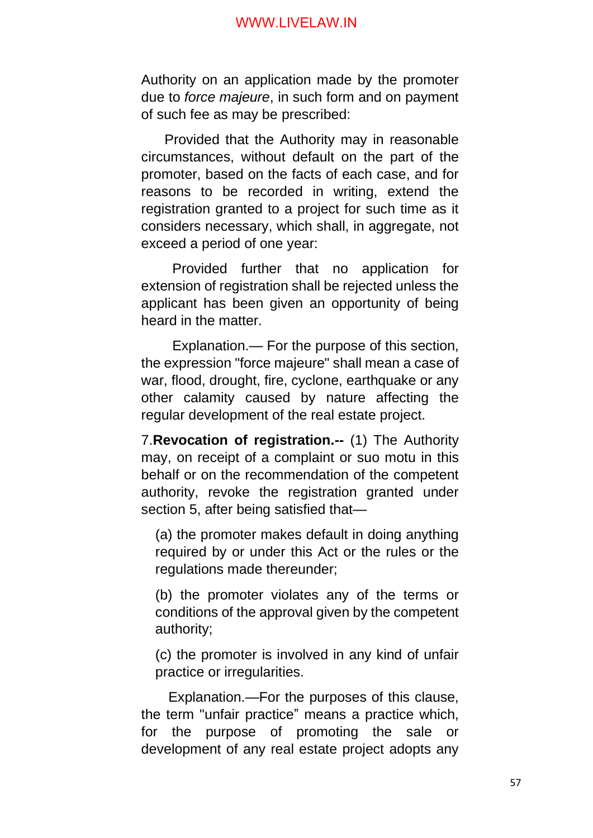Authority on an application made by the promoter due to *force majeure*, in such form and on payment of such fee as may be prescribed:

 Provided that the Authority may in reasonable circumstances, without default on the part of the promoter, based on the facts of each case, and for reasons to be recorded in writing, extend the registration granted to a project for such time as it considers necessary, which shall, in aggregate, not exceed a period of one year:

 Provided further that no application for extension of registration shall be rejected unless the applicant has been given an opportunity of being heard in the matter.

 Explanation.— For the purpose of this section, the expression "force majeure" shall mean a case of war, flood, drought, fire, cyclone, earthquake or any other calamity caused by nature affecting the regular development of the real estate project.

7.**Revocation of registration.--** (1) The Authority may, on receipt of a complaint or suo motu in this behalf or on the recommendation of the competent authority, revoke the registration granted under section 5, after being satisfied that—

(a) the promoter makes default in doing anything required by or under this Act or the rules or the regulations made thereunder;

(b) the promoter violates any of the terms or conditions of the approval given by the competent authority;

(c) the promoter is involved in any kind of unfair practice or irregularities.

 Explanation.—For the purposes of this clause, the term "unfair practice" means a practice which, for the purpose of promoting the sale or development of any real estate project adopts any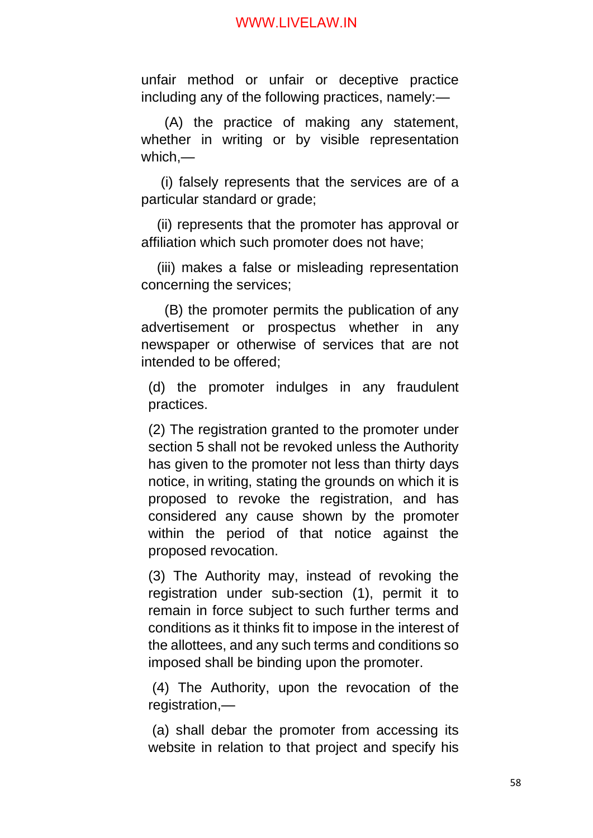unfair method or unfair or deceptive practice including any of the following practices, namely:—

 (A) the practice of making any statement, whether in writing or by visible representation which,—

 (i) falsely represents that the services are of a particular standard or grade;

 (ii) represents that the promoter has approval or affiliation which such promoter does not have;

 (iii) makes a false or misleading representation concerning the services;

 (B) the promoter permits the publication of any advertisement or prospectus whether in any newspaper or otherwise of services that are not intended to be offered;

(d) the promoter indulges in any fraudulent practices.

(2) The registration granted to the promoter under section 5 shall not be revoked unless the Authority has given to the promoter not less than thirty days notice, in writing, stating the grounds on which it is proposed to revoke the registration, and has considered any cause shown by the promoter within the period of that notice against the proposed revocation.

(3) The Authority may, instead of revoking the registration under sub-section (1), permit it to remain in force subject to such further terms and conditions as it thinks fit to impose in the interest of the allottees, and any such terms and conditions so imposed shall be binding upon the promoter.

(4) The Authority, upon the revocation of the registration,—

(a) shall debar the promoter from accessing its website in relation to that project and specify his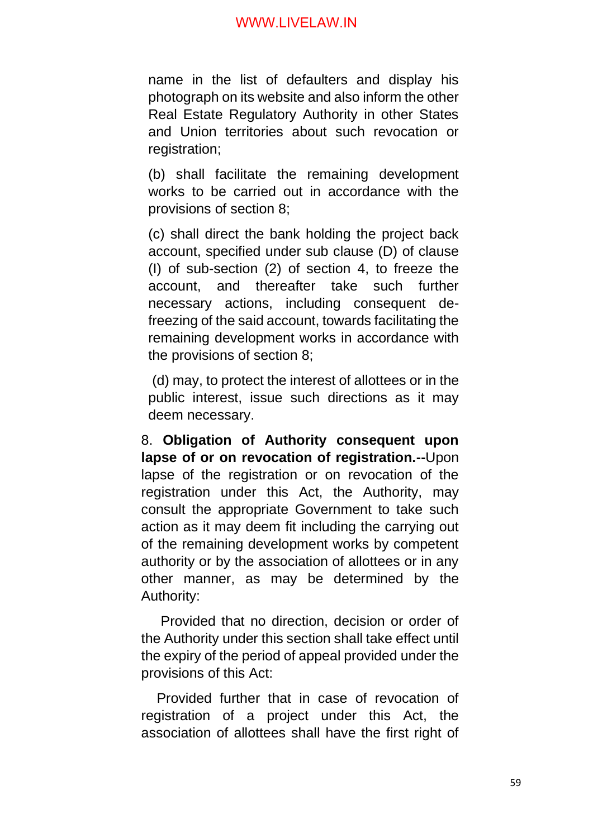name in the list of defaulters and display his photograph on its website and also inform the other Real Estate Regulatory Authority in other States and Union territories about such revocation or registration;

(b) shall facilitate the remaining development works to be carried out in accordance with the provisions of section 8;

(c) shall direct the bank holding the project back account, specified under sub clause (D) of clause (I) of sub-section (2) of section 4, to freeze the account, and thereafter take such further necessary actions, including consequent defreezing of the said account, towards facilitating the remaining development works in accordance with the provisions of section 8;

(d) may, to protect the interest of allottees or in the public interest, issue such directions as it may deem necessary.

8. **Obligation of Authority consequent upon lapse of or on revocation of registration.--**Upon lapse of the registration or on revocation of the registration under this Act, the Authority, may consult the appropriate Government to take such action as it may deem fit including the carrying out of the remaining development works by competent authority or by the association of allottees or in any other manner, as may be determined by the Authority:

 Provided that no direction, decision or order of the Authority under this section shall take effect until the expiry of the period of appeal provided under the provisions of this Act:

 Provided further that in case of revocation of registration of a project under this Act, the association of allottees shall have the first right of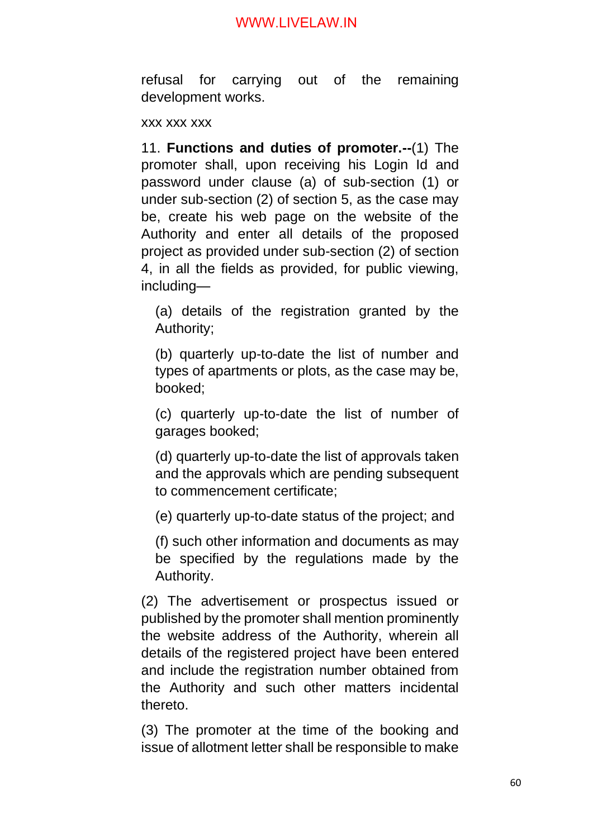refusal for carrying out of the remaining development works.

#### xxx xxx xxx

11. **Functions and duties of promoter.--**(1) The promoter shall, upon receiving his Login Id and password under clause (a) of sub-section (1) or under sub-section (2) of section 5, as the case may be, create his web page on the website of the Authority and enter all details of the proposed project as provided under sub-section (2) of section 4, in all the fields as provided, for public viewing, including—

(a) details of the registration granted by the Authority;

(b) quarterly up-to-date the list of number and types of apartments or plots, as the case may be, booked;

(c) quarterly up-to-date the list of number of garages booked;

(d) quarterly up-to-date the list of approvals taken and the approvals which are pending subsequent to commencement certificate;

(e) quarterly up-to-date status of the project; and

(f) such other information and documents as may be specified by the regulations made by the Authority.

(2) The advertisement or prospectus issued or published by the promoter shall mention prominently the website address of the Authority, wherein all details of the registered project have been entered and include the registration number obtained from the Authority and such other matters incidental thereto.

(3) The promoter at the time of the booking and issue of allotment letter shall be responsible to make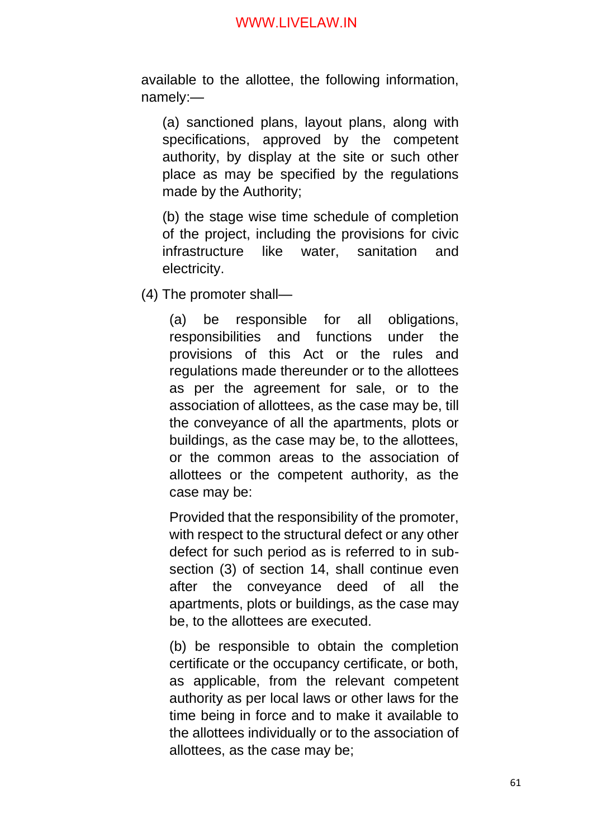available to the allottee, the following information, namely:—

(a) sanctioned plans, layout plans, along with specifications, approved by the competent authority, by display at the site or such other place as may be specified by the regulations made by the Authority;

(b) the stage wise time schedule of completion of the project, including the provisions for civic infrastructure like water, sanitation and electricity.

(4) The promoter shall—

(a) be responsible for all obligations, responsibilities and functions under the provisions of this Act or the rules and regulations made thereunder or to the allottees as per the agreement for sale, or to the association of allottees, as the case may be, till the conveyance of all the apartments, plots or buildings, as the case may be, to the allottees, or the common areas to the association of allottees or the competent authority, as the case may be:

Provided that the responsibility of the promoter, with respect to the structural defect or any other defect for such period as is referred to in subsection (3) of section 14, shall continue even after the conveyance deed of all the apartments, plots or buildings, as the case may be, to the allottees are executed.

(b) be responsible to obtain the completion certificate or the occupancy certificate, or both, as applicable, from the relevant competent authority as per local laws or other laws for the time being in force and to make it available to the allottees individually or to the association of allottees, as the case may be;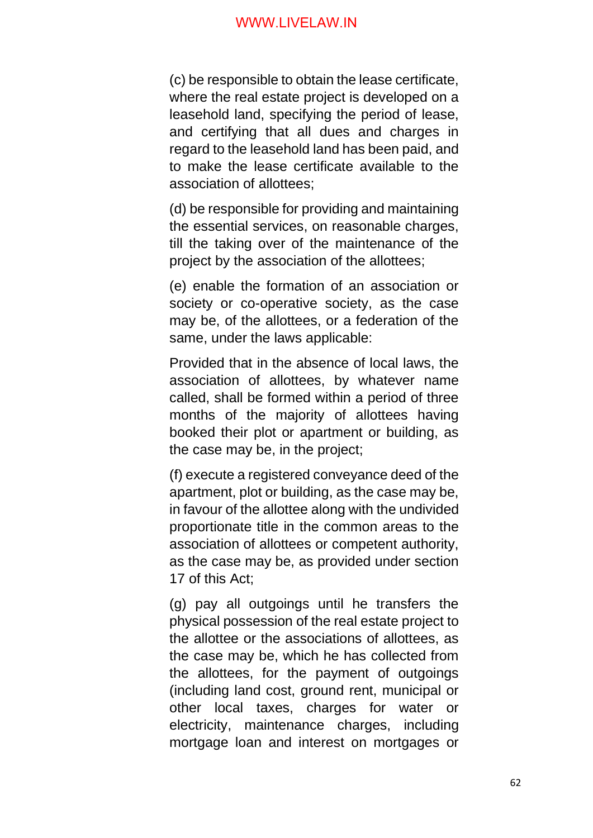(c) be responsible to obtain the lease certificate, where the real estate project is developed on a leasehold land, specifying the period of lease, and certifying that all dues and charges in regard to the leasehold land has been paid, and to make the lease certificate available to the association of allottees;

(d) be responsible for providing and maintaining the essential services, on reasonable charges, till the taking over of the maintenance of the project by the association of the allottees;

(e) enable the formation of an association or society or co-operative society, as the case may be, of the allottees, or a federation of the same, under the laws applicable:

Provided that in the absence of local laws, the association of allottees, by whatever name called, shall be formed within a period of three months of the majority of allottees having booked their plot or apartment or building, as the case may be, in the project;

(f) execute a registered conveyance deed of the apartment, plot or building, as the case may be, in favour of the allottee along with the undivided proportionate title in the common areas to the association of allottees or competent authority, as the case may be, as provided under section 17 of this Act;

(g) pay all outgoings until he transfers the physical possession of the real estate project to the allottee or the associations of allottees, as the case may be, which he has collected from the allottees, for the payment of outgoings (including land cost, ground rent, municipal or other local taxes, charges for water or electricity, maintenance charges, including mortgage loan and interest on mortgages or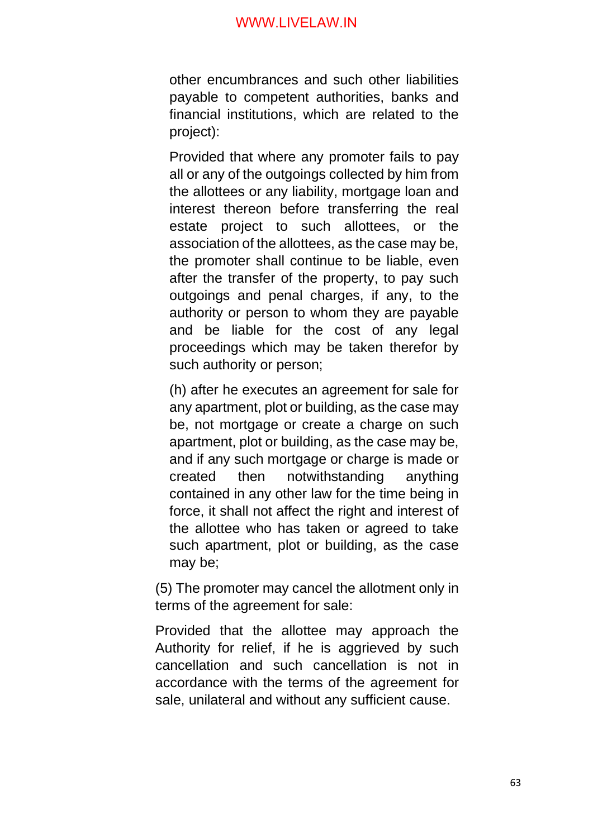other encumbrances and such other liabilities payable to competent authorities, banks and financial institutions, which are related to the project):

Provided that where any promoter fails to pay all or any of the outgoings collected by him from the allottees or any liability, mortgage loan and interest thereon before transferring the real estate project to such allottees, or the association of the allottees, as the case may be, the promoter shall continue to be liable, even after the transfer of the property, to pay such outgoings and penal charges, if any, to the authority or person to whom they are payable and be liable for the cost of any legal proceedings which may be taken therefor by such authority or person;

(h) after he executes an agreement for sale for any apartment, plot or building, as the case may be, not mortgage or create a charge on such apartment, plot or building, as the case may be, and if any such mortgage or charge is made or created then notwithstanding anything contained in any other law for the time being in force, it shall not affect the right and interest of the allottee who has taken or agreed to take such apartment, plot or building, as the case may be;

(5) The promoter may cancel the allotment only in terms of the agreement for sale:

Provided that the allottee may approach the Authority for relief, if he is aggrieved by such cancellation and such cancellation is not in accordance with the terms of the agreement for sale, unilateral and without any sufficient cause.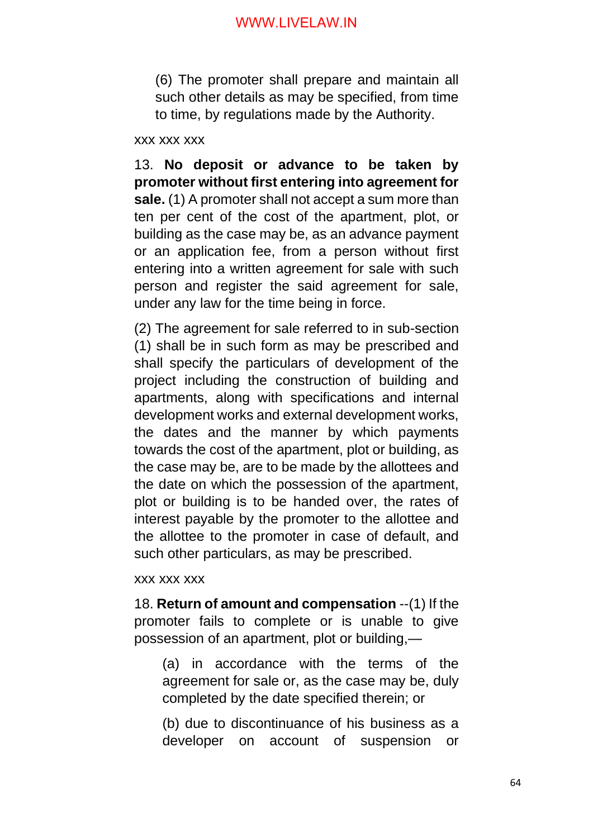(6) The promoter shall prepare and maintain all such other details as may be specified, from time to time, by regulations made by the Authority.

#### xxx xxx xxx

13. **No deposit or advance to be taken by promoter without first entering into agreement for sale.** (1) A promoter shall not accept a sum more than ten per cent of the cost of the apartment, plot, or building as the case may be, as an advance payment or an application fee, from a person without first entering into a written agreement for sale with such person and register the said agreement for sale, under any law for the time being in force.

(2) The agreement for sale referred to in sub-section (1) shall be in such form as may be prescribed and shall specify the particulars of development of the project including the construction of building and apartments, along with specifications and internal development works and external development works, the dates and the manner by which payments towards the cost of the apartment, plot or building, as the case may be, are to be made by the allottees and the date on which the possession of the apartment, plot or building is to be handed over, the rates of interest payable by the promoter to the allottee and the allottee to the promoter in case of default, and such other particulars, as may be prescribed.

#### xxx xxx xxx

18. **Return of amount and compensation** --(1) If the promoter fails to complete or is unable to give possession of an apartment, plot or building,—

(a) in accordance with the terms of the agreement for sale or, as the case may be, duly completed by the date specified therein; or

(b) due to discontinuance of his business as a developer on account of suspension or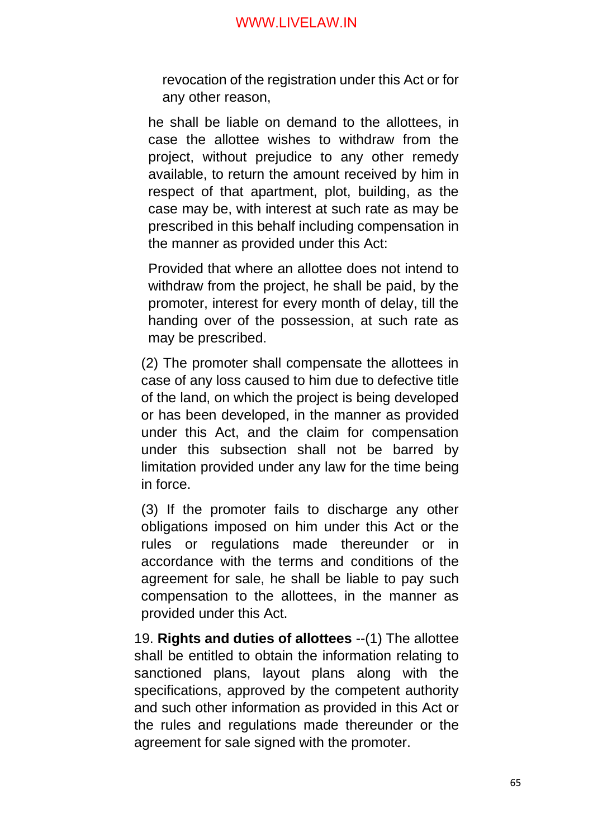revocation of the registration under this Act or for any other reason,

he shall be liable on demand to the allottees, in case the allottee wishes to withdraw from the project, without prejudice to any other remedy available, to return the amount received by him in respect of that apartment, plot, building, as the case may be, with interest at such rate as may be prescribed in this behalf including compensation in the manner as provided under this Act:

Provided that where an allottee does not intend to withdraw from the project, he shall be paid, by the promoter, interest for every month of delay, till the handing over of the possession, at such rate as may be prescribed.

(2) The promoter shall compensate the allottees in case of any loss caused to him due to defective title of the land, on which the project is being developed or has been developed, in the manner as provided under this Act, and the claim for compensation under this subsection shall not be barred by limitation provided under any law for the time being in force.

(3) If the promoter fails to discharge any other obligations imposed on him under this Act or the rules or regulations made thereunder or in accordance with the terms and conditions of the agreement for sale, he shall be liable to pay such compensation to the allottees, in the manner as provided under this Act.

19. **Rights and duties of allottees** --(1) The allottee shall be entitled to obtain the information relating to sanctioned plans, layout plans along with the specifications, approved by the competent authority and such other information as provided in this Act or the rules and regulations made thereunder or the agreement for sale signed with the promoter.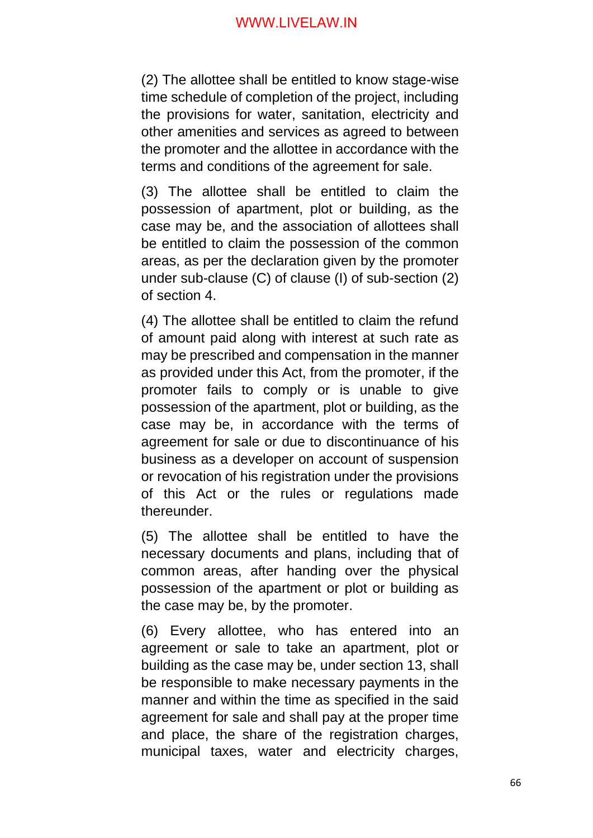(2) The allottee shall be entitled to know stage-wise time schedule of completion of the project, including the provisions for water, sanitation, electricity and other amenities and services as agreed to between the promoter and the allottee in accordance with the terms and conditions of the agreement for sale.

(3) The allottee shall be entitled to claim the possession of apartment, plot or building, as the case may be, and the association of allottees shall be entitled to claim the possession of the common areas, as per the declaration given by the promoter under sub-clause (C) of clause (I) of sub-section (2) of section 4.

(4) The allottee shall be entitled to claim the refund of amount paid along with interest at such rate as may be prescribed and compensation in the manner as provided under this Act, from the promoter, if the promoter fails to comply or is unable to give possession of the apartment, plot or building, as the case may be, in accordance with the terms of agreement for sale or due to discontinuance of his business as a developer on account of suspension or revocation of his registration under the provisions of this Act or the rules or regulations made thereunder.

(5) The allottee shall be entitled to have the necessary documents and plans, including that of common areas, after handing over the physical possession of the apartment or plot or building as the case may be, by the promoter.

(6) Every allottee, who has entered into an agreement or sale to take an apartment, plot or building as the case may be, under section 13, shall be responsible to make necessary payments in the manner and within the time as specified in the said agreement for sale and shall pay at the proper time and place, the share of the registration charges, municipal taxes, water and electricity charges,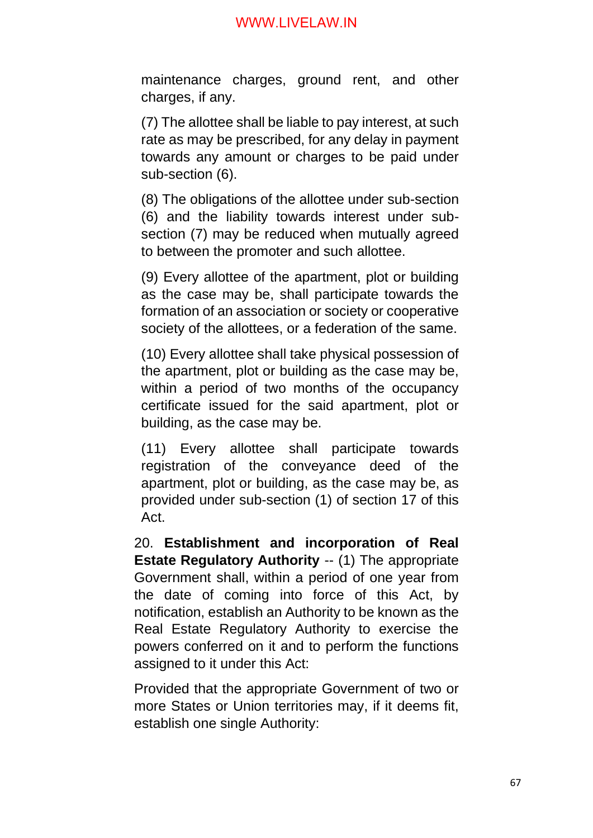maintenance charges, ground rent, and other charges, if any.

(7) The allottee shall be liable to pay interest, at such rate as may be prescribed, for any delay in payment towards any amount or charges to be paid under sub-section (6).

(8) The obligations of the allottee under sub-section (6) and the liability towards interest under subsection (7) may be reduced when mutually agreed to between the promoter and such allottee.

(9) Every allottee of the apartment, plot or building as the case may be, shall participate towards the formation of an association or society or cooperative society of the allottees, or a federation of the same.

(10) Every allottee shall take physical possession of the apartment, plot or building as the case may be, within a period of two months of the occupancy certificate issued for the said apartment, plot or building, as the case may be.

(11) Every allottee shall participate towards registration of the conveyance deed of the apartment, plot or building, as the case may be, as provided under sub-section (1) of section 17 of this Act.

20. **Establishment and incorporation of Real Estate Regulatory Authority** -- (1) The appropriate Government shall, within a period of one year from the date of coming into force of this Act, by notification, establish an Authority to be known as the Real Estate Regulatory Authority to exercise the powers conferred on it and to perform the functions assigned to it under this Act:

Provided that the appropriate Government of two or more States or Union territories may, if it deems fit, establish one single Authority: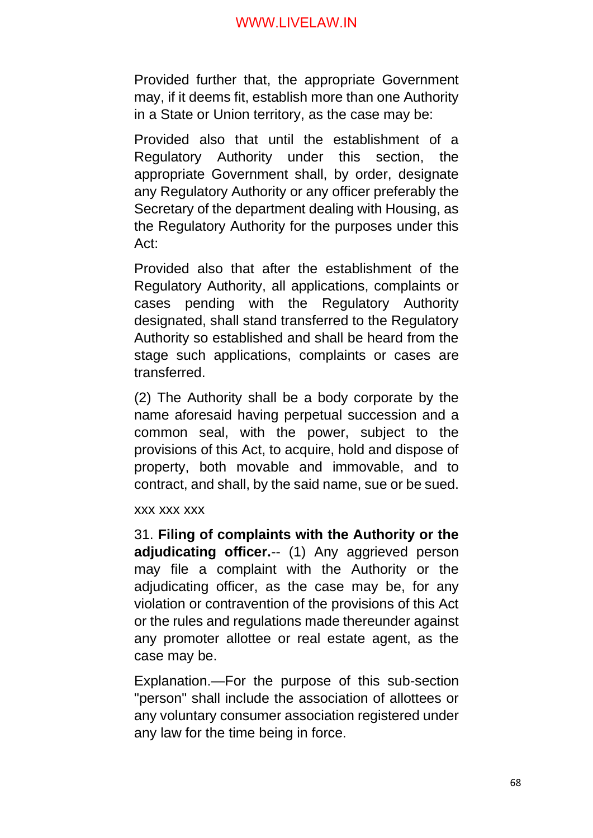Provided further that, the appropriate Government may, if it deems fit, establish more than one Authority in a State or Union territory, as the case may be:

Provided also that until the establishment of a Regulatory Authority under this section, the appropriate Government shall, by order, designate any Regulatory Authority or any officer preferably the Secretary of the department dealing with Housing, as the Regulatory Authority for the purposes under this Act:

Provided also that after the establishment of the Regulatory Authority, all applications, complaints or cases pending with the Regulatory Authority designated, shall stand transferred to the Regulatory Authority so established and shall be heard from the stage such applications, complaints or cases are transferred.

(2) The Authority shall be a body corporate by the name aforesaid having perpetual succession and a common seal, with the power, subject to the provisions of this Act, to acquire, hold and dispose of property, both movable and immovable, and to contract, and shall, by the said name, sue or be sued.

xxx xxx xxx

31. **Filing of complaints with the Authority or the**  adjudicating officer.-- (1) Any aggrieved person may file a complaint with the Authority or the adjudicating officer, as the case may be, for any violation or contravention of the provisions of this Act or the rules and regulations made thereunder against any promoter allottee or real estate agent, as the case may be.

Explanation.—For the purpose of this sub-section "person" shall include the association of allottees or any voluntary consumer association registered under any law for the time being in force.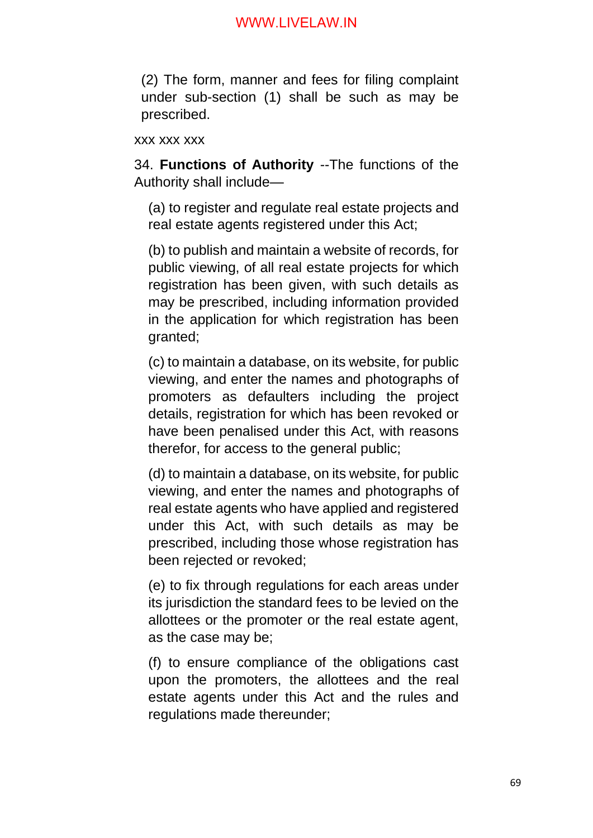(2) The form, manner and fees for filing complaint under sub-section (1) shall be such as may be prescribed.

#### xxx xxx xxx

34. **Functions of Authority** --The functions of the Authority shall include—

(a) to register and regulate real estate projects and real estate agents registered under this Act;

(b) to publish and maintain a website of records, for public viewing, of all real estate projects for which registration has been given, with such details as may be prescribed, including information provided in the application for which registration has been granted;

(c) to maintain a database, on its website, for public viewing, and enter the names and photographs of promoters as defaulters including the project details, registration for which has been revoked or have been penalised under this Act, with reasons therefor, for access to the general public;

(d) to maintain a database, on its website, for public viewing, and enter the names and photographs of real estate agents who have applied and registered under this Act, with such details as may be prescribed, including those whose registration has been rejected or revoked;

(e) to fix through regulations for each areas under its jurisdiction the standard fees to be levied on the allottees or the promoter or the real estate agent, as the case may be;

(f) to ensure compliance of the obligations cast upon the promoters, the allottees and the real estate agents under this Act and the rules and regulations made thereunder;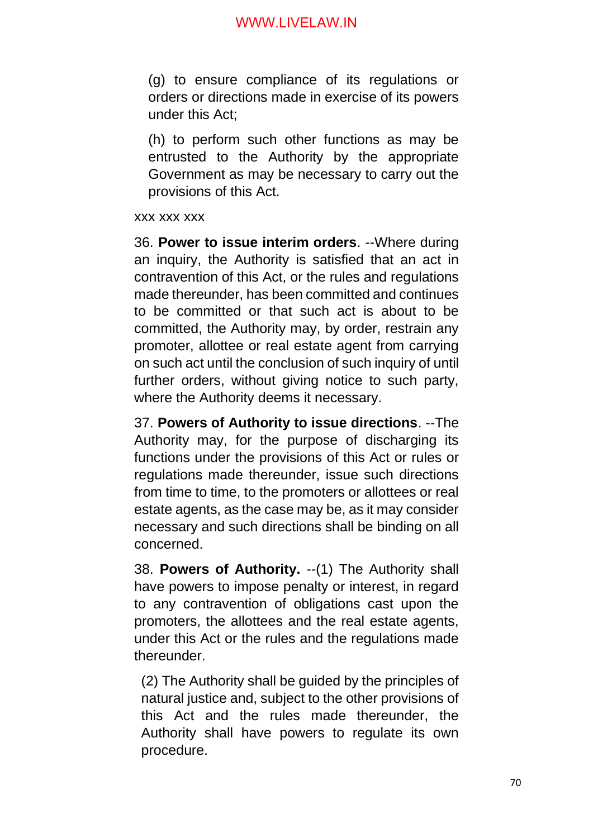(g) to ensure compliance of its regulations or orders or directions made in exercise of its powers under this Act;

(h) to perform such other functions as may be entrusted to the Authority by the appropriate Government as may be necessary to carry out the provisions of this Act.

xxx xxx xxx

36. **Power to issue interim orders**. --Where during an inquiry, the Authority is satisfied that an act in contravention of this Act, or the rules and regulations made thereunder, has been committed and continues to be committed or that such act is about to be committed, the Authority may, by order, restrain any promoter, allottee or real estate agent from carrying on such act until the conclusion of such inquiry of until further orders, without giving notice to such party, where the Authority deems it necessary.

37. **Powers of Authority to issue directions**. --The Authority may, for the purpose of discharging its functions under the provisions of this Act or rules or regulations made thereunder, issue such directions from time to time, to the promoters or allottees or real estate agents, as the case may be, as it may consider necessary and such directions shall be binding on all concerned.

38. **Powers of Authority.** --(1) The Authority shall have powers to impose penalty or interest, in regard to any contravention of obligations cast upon the promoters, the allottees and the real estate agents, under this Act or the rules and the regulations made thereunder.

(2) The Authority shall be guided by the principles of natural justice and, subject to the other provisions of this Act and the rules made thereunder, the Authority shall have powers to regulate its own procedure.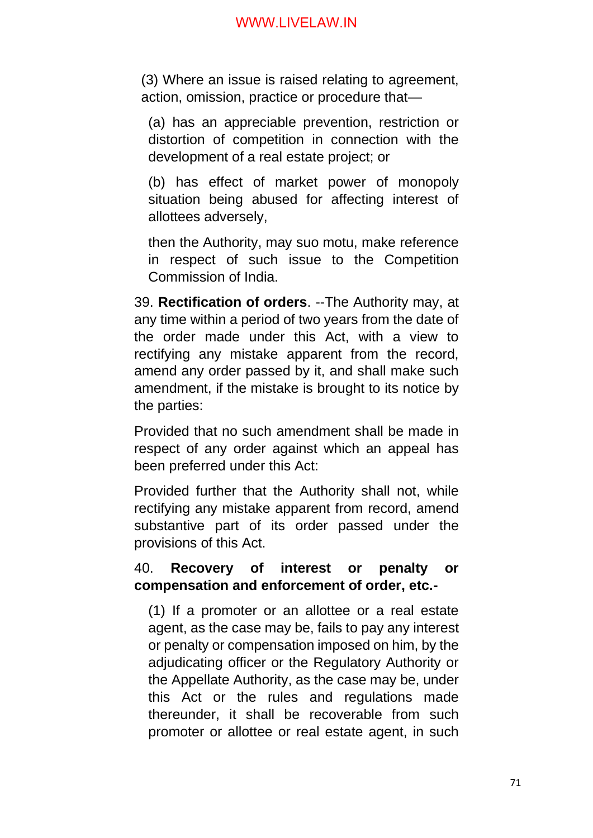(3) Where an issue is raised relating to agreement, action, omission, practice or procedure that—

(a) has an appreciable prevention, restriction or distortion of competition in connection with the development of a real estate project; or

(b) has effect of market power of monopoly situation being abused for affecting interest of allottees adversely,

then the Authority, may suo motu, make reference in respect of such issue to the Competition Commission of India.

39. **Rectification of orders**. --The Authority may, at any time within a period of two years from the date of the order made under this Act, with a view to rectifying any mistake apparent from the record, amend any order passed by it, and shall make such amendment, if the mistake is brought to its notice by the parties:

Provided that no such amendment shall be made in respect of any order against which an appeal has been preferred under this Act:

Provided further that the Authority shall not, while rectifying any mistake apparent from record, amend substantive part of its order passed under the provisions of this Act.

# 40. **Recovery of interest or penalty or compensation and enforcement of order, etc.-**

(1) If a promoter or an allottee or a real estate agent, as the case may be, fails to pay any interest or penalty or compensation imposed on him, by the adjudicating officer or the Regulatory Authority or the Appellate Authority, as the case may be, under this Act or the rules and regulations made thereunder, it shall be recoverable from such promoter or allottee or real estate agent, in such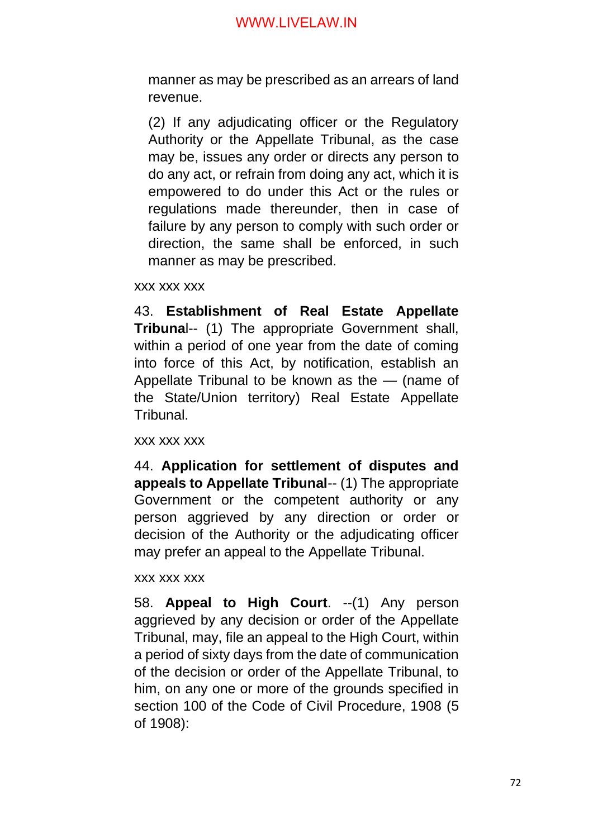manner as may be prescribed as an arrears of land revenue.

(2) If any adjudicating officer or the Regulatory Authority or the Appellate Tribunal, as the case may be, issues any order or directs any person to do any act, or refrain from doing any act, which it is empowered to do under this Act or the rules or regulations made thereunder, then in case of failure by any person to comply with such order or direction, the same shall be enforced, in such manner as may be prescribed.

xxx xxx xxx

43. **Establishment of Real Estate Appellate Tribuna**l-- (1) The appropriate Government shall, within a period of one year from the date of coming into force of this Act, by notification, establish an Appellate Tribunal to be known as the — (name of the State/Union territory) Real Estate Appellate Tribunal.

xxx xxx xxx

44. **Application for settlement of disputes and appeals to Appellate Tribunal**-- (1) The appropriate Government or the competent authority or any person aggrieved by any direction or order or decision of the Authority or the adjudicating officer may prefer an appeal to the Appellate Tribunal.

xxx xxx xxx

58. **Appeal to High Court**. --(1) Any person aggrieved by any decision or order of the Appellate Tribunal, may, file an appeal to the High Court, within a period of sixty days from the date of communication of the decision or order of the Appellate Tribunal, to him, on any one or more of the grounds specified in section 100 of the Code of Civil Procedure, 1908 (5 of 1908):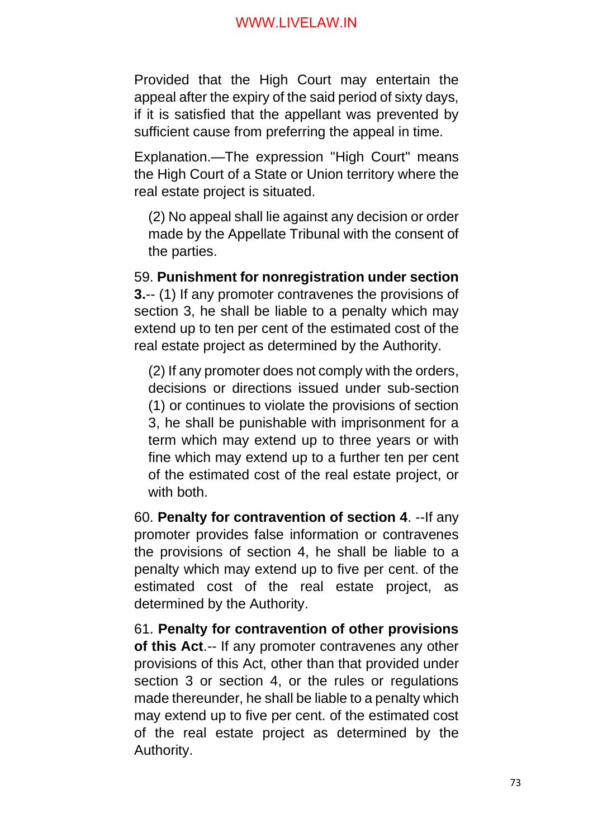Provided that the High Court may entertain the appeal after the expiry of the said period of sixty days, if it is satisfied that the appellant was prevented by sufficient cause from preferring the appeal in time.

Explanation.—The expression "High Court" means the High Court of a State or Union territory where the real estate project is situated.

(2) No appeal shall lie against any decision or order made by the Appellate Tribunal with the consent of the parties.

59. **Punishment for nonregistration under section 3.**-- (1) If any promoter contravenes the provisions of section 3, he shall be liable to a penalty which may extend up to ten per cent of the estimated cost of the real estate project as determined by the Authority.

(2) If any promoter does not comply with the orders, decisions or directions issued under sub-section (1) or continues to violate the provisions of section 3, he shall be punishable with imprisonment for a term which may extend up to three years or with fine which may extend up to a further ten per cent of the estimated cost of the real estate project, or with both.

60. **Penalty for contravention of section 4**. --If any promoter provides false information or contravenes the provisions of section 4, he shall be liable to a penalty which may extend up to five per cent. of the estimated cost of the real estate project, as determined by the Authority.

61. **Penalty for contravention of other provisions of this Act**.-- If any promoter contravenes any other provisions of this Act, other than that provided under section 3 or section 4, or the rules or regulations made thereunder, he shall be liable to a penalty which may extend up to five per cent. of the estimated cost of the real estate project as determined by the Authority.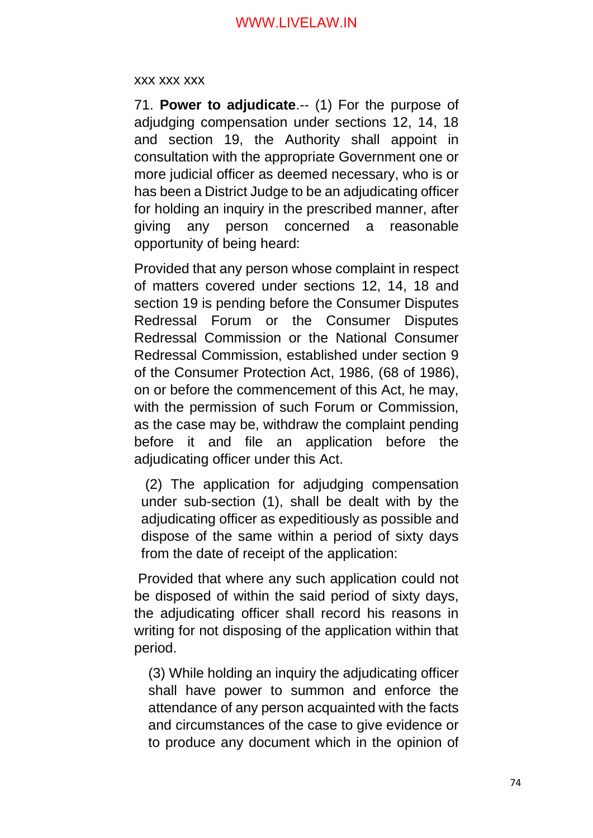#### xxx xxx xxx

71. **Power to adjudicate**.-- (1) For the purpose of adjudging compensation under sections 12, 14, 18 and section 19, the Authority shall appoint in consultation with the appropriate Government one or more judicial officer as deemed necessary, who is or has been a District Judge to be an adjudicating officer for holding an inquiry in the prescribed manner, after giving any person concerned a reasonable opportunity of being heard:

Provided that any person whose complaint in respect of matters covered under sections 12, 14, 18 and section 19 is pending before the Consumer Disputes Redressal Forum or the Consumer Disputes Redressal Commission or the National Consumer Redressal Commission, established under section 9 of the Consumer Protection Act, 1986, (68 of 1986), on or before the commencement of this Act, he may, with the permission of such Forum or Commission, as the case may be, withdraw the complaint pending before it and file an application before the adjudicating officer under this Act.

(2) The application for adjudging compensation under sub-section (1), shall be dealt with by the adjudicating officer as expeditiously as possible and dispose of the same within a period of sixty days from the date of receipt of the application:

Provided that where any such application could not be disposed of within the said period of sixty days, the adjudicating officer shall record his reasons in writing for not disposing of the application within that period.

(3) While holding an inquiry the adjudicating officer shall have power to summon and enforce the attendance of any person acquainted with the facts and circumstances of the case to give evidence or to produce any document which in the opinion of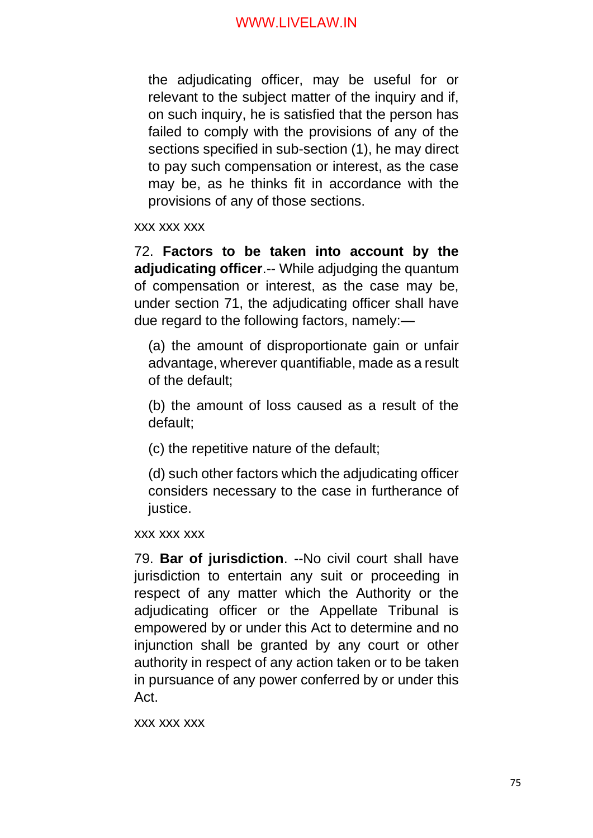the adjudicating officer, may be useful for or relevant to the subject matter of the inquiry and if, on such inquiry, he is satisfied that the person has failed to comply with the provisions of any of the sections specified in sub-section (1), he may direct to pay such compensation or interest, as the case may be, as he thinks fit in accordance with the provisions of any of those sections.

xxx xxx xxx

72. **Factors to be taken into account by the adjudicating officer**.-- While adjudging the quantum of compensation or interest, as the case may be, under section 71, the adjudicating officer shall have due regard to the following factors, namely:—

(a) the amount of disproportionate gain or unfair advantage, wherever quantifiable, made as a result of the default;

(b) the amount of loss caused as a result of the default;

(c) the repetitive nature of the default;

(d) such other factors which the adjudicating officer considers necessary to the case in furtherance of justice.

xxx xxx xxx

79. **Bar of jurisdiction**. --No civil court shall have jurisdiction to entertain any suit or proceeding in respect of any matter which the Authority or the adjudicating officer or the Appellate Tribunal is empowered by or under this Act to determine and no injunction shall be granted by any court or other authority in respect of any action taken or to be taken in pursuance of any power conferred by or under this Act.

xxx xxx xxx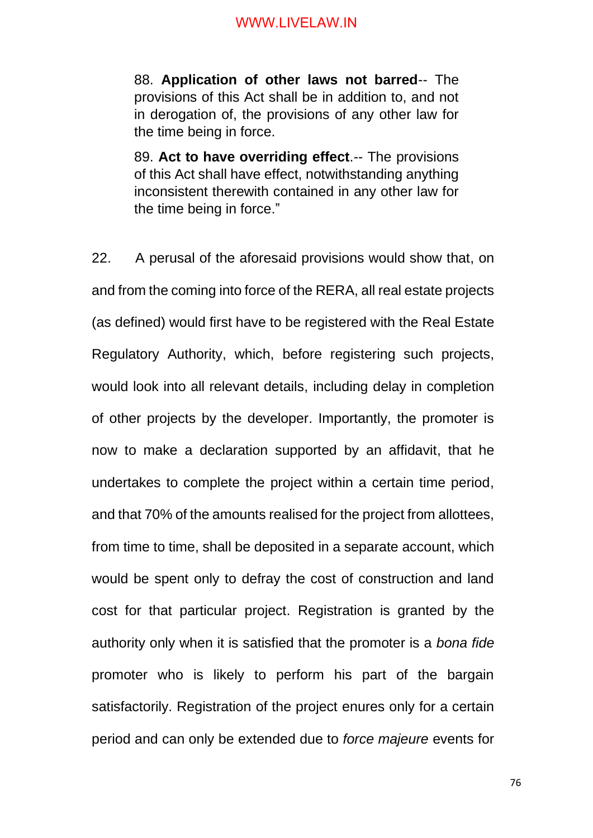88. **Application of other laws not barred**-- The provisions of this Act shall be in addition to, and not in derogation of, the provisions of any other law for the time being in force.

89. **Act to have overriding effect**.-- The provisions of this Act shall have effect, notwithstanding anything inconsistent therewith contained in any other law for the time being in force."

22. A perusal of the aforesaid provisions would show that, on and from the coming into force of the RERA, all real estate projects (as defined) would first have to be registered with the Real Estate Regulatory Authority, which, before registering such projects, would look into all relevant details, including delay in completion of other projects by the developer. Importantly, the promoter is now to make a declaration supported by an affidavit, that he undertakes to complete the project within a certain time period, and that 70% of the amounts realised for the project from allottees, from time to time, shall be deposited in a separate account, which would be spent only to defray the cost of construction and land cost for that particular project. Registration is granted by the authority only when it is satisfied that the promoter is a *bona fide* promoter who is likely to perform his part of the bargain satisfactorily. Registration of the project enures only for a certain period and can only be extended due to *force majeure* events for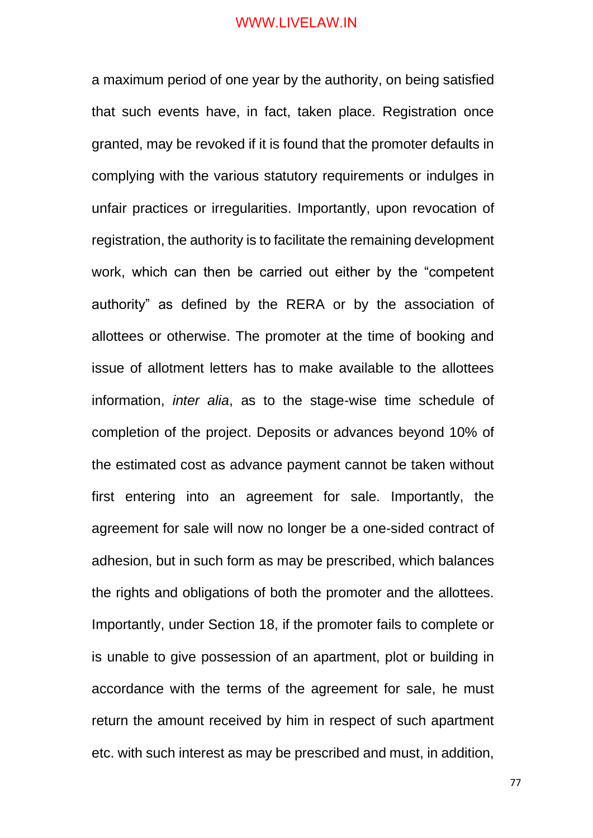a maximum period of one year by the authority, on being satisfied that such events have, in fact, taken place. Registration once granted, may be revoked if it is found that the promoter defaults in complying with the various statutory requirements or indulges in unfair practices or irregularities. Importantly, upon revocation of registration, the authority is to facilitate the remaining development work, which can then be carried out either by the "competent authority" as defined by the RERA or by the association of allottees or otherwise. The promoter at the time of booking and issue of allotment letters has to make available to the allottees information, *inter alia*, as to the stage-wise time schedule of completion of the project. Deposits or advances beyond 10% of the estimated cost as advance payment cannot be taken without first entering into an agreement for sale. Importantly, the agreement for sale will now no longer be a one-sided contract of adhesion, but in such form as may be prescribed, which balances the rights and obligations of both the promoter and the allottees. Importantly, under Section 18, if the promoter fails to complete or is unable to give possession of an apartment, plot or building in accordance with the terms of the agreement for sale, he must return the amount received by him in respect of such apartment etc. with such interest as may be prescribed and must, in addition,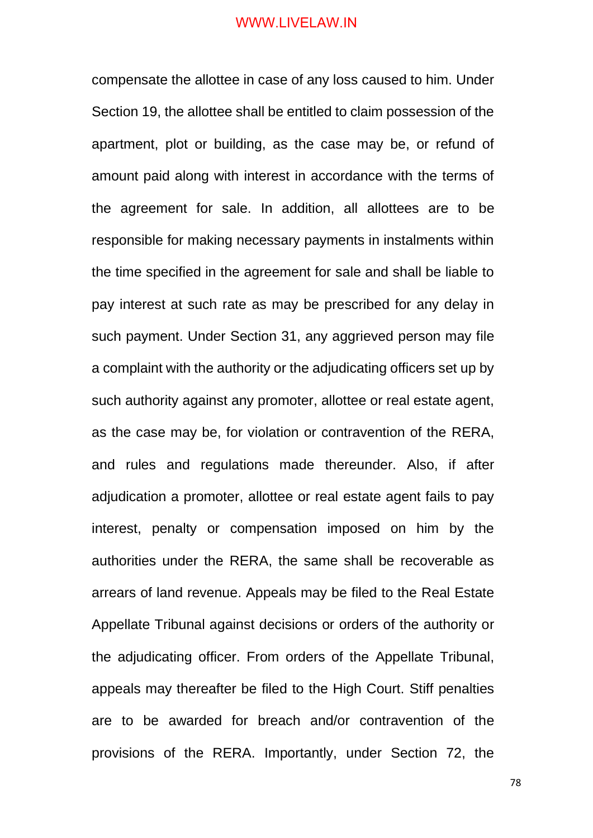compensate the allottee in case of any loss caused to him. Under Section 19, the allottee shall be entitled to claim possession of the apartment, plot or building, as the case may be, or refund of amount paid along with interest in accordance with the terms of the agreement for sale. In addition, all allottees are to be responsible for making necessary payments in instalments within the time specified in the agreement for sale and shall be liable to pay interest at such rate as may be prescribed for any delay in such payment. Under Section 31, any aggrieved person may file a complaint with the authority or the adjudicating officers set up by such authority against any promoter, allottee or real estate agent, as the case may be, for violation or contravention of the RERA, and rules and regulations made thereunder. Also, if after adjudication a promoter, allottee or real estate agent fails to pay interest, penalty or compensation imposed on him by the authorities under the RERA, the same shall be recoverable as arrears of land revenue. Appeals may be filed to the Real Estate Appellate Tribunal against decisions or orders of the authority or the adjudicating officer. From orders of the Appellate Tribunal, appeals may thereafter be filed to the High Court. Stiff penalties are to be awarded for breach and/or contravention of the provisions of the RERA. Importantly, under Section 72, the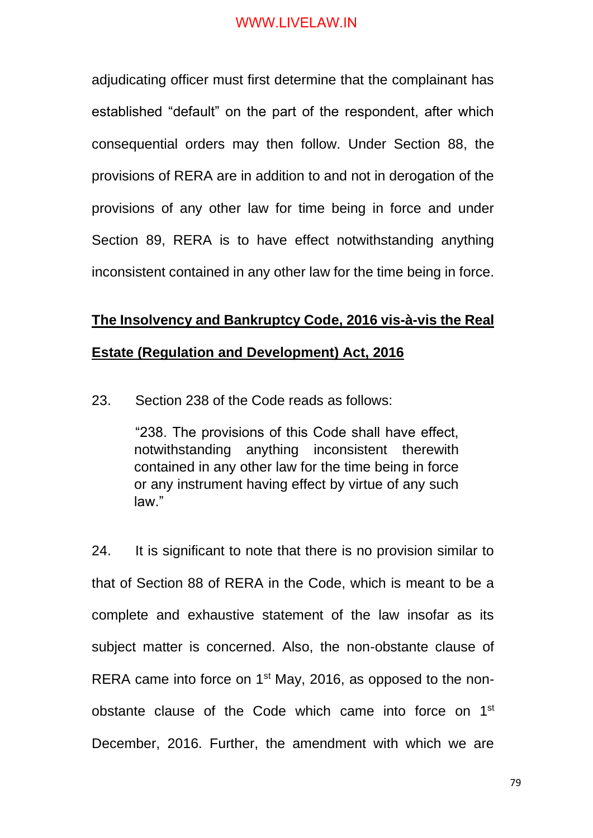adjudicating officer must first determine that the complainant has established "default" on the part of the respondent, after which consequential orders may then follow. Under Section 88, the provisions of RERA are in addition to and not in derogation of the provisions of any other law for time being in force and under Section 89, RERA is to have effect notwithstanding anything inconsistent contained in any other law for the time being in force.

## **The Insolvency and Bankruptcy Code, 2016 vis-à-vis the Real**

#### **Estate (Regulation and Development) Act, 2016**

23. Section 238 of the Code reads as follows:

"238. The provisions of this Code shall have effect, notwithstanding anything inconsistent therewith contained in any other law for the time being in force or any instrument having effect by virtue of any such law."

24. It is significant to note that there is no provision similar to that of Section 88 of RERA in the Code, which is meant to be a complete and exhaustive statement of the law insofar as its subject matter is concerned. Also, the non-obstante clause of RERA came into force on 1<sup>st</sup> May, 2016, as opposed to the nonobstante clause of the Code which came into force on 1<sup>st</sup> December, 2016. Further, the amendment with which we are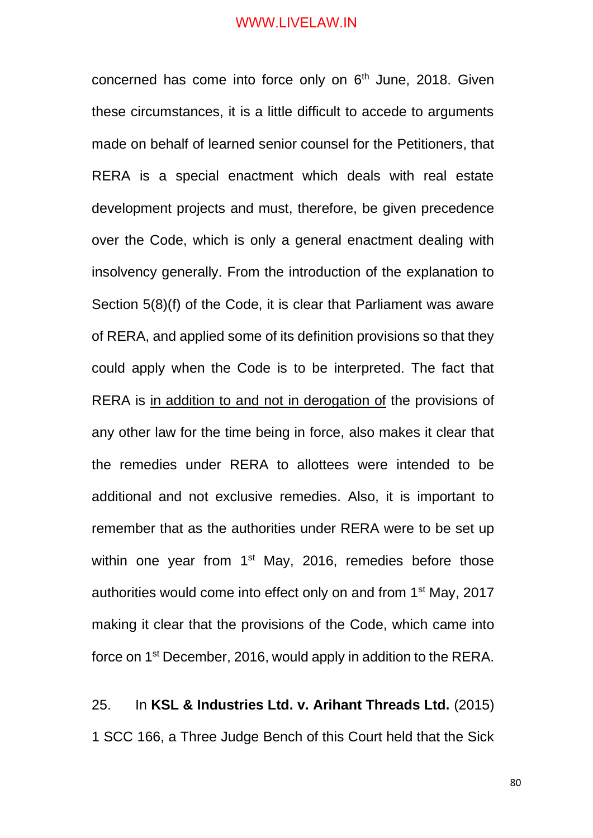concerned has come into force only on 6<sup>th</sup> June, 2018. Given these circumstances, it is a little difficult to accede to arguments made on behalf of learned senior counsel for the Petitioners, that RERA is a special enactment which deals with real estate development projects and must, therefore, be given precedence over the Code, which is only a general enactment dealing with insolvency generally. From the introduction of the explanation to Section 5(8)(f) of the Code, it is clear that Parliament was aware of RERA, and applied some of its definition provisions so that they could apply when the Code is to be interpreted. The fact that RERA is in addition to and not in derogation of the provisions of any other law for the time being in force, also makes it clear that the remedies under RERA to allottees were intended to be additional and not exclusive remedies. Also, it is important to remember that as the authorities under RERA were to be set up within one year from 1<sup>st</sup> May, 2016, remedies before those authorities would come into effect only on and from 1st May, 2017 making it clear that the provisions of the Code, which came into force on 1st December, 2016, would apply in addition to the RERA.

25. In **KSL & Industries Ltd. v. Arihant Threads Ltd.** (2015) 1 SCC 166, a Three Judge Bench of this Court held that the Sick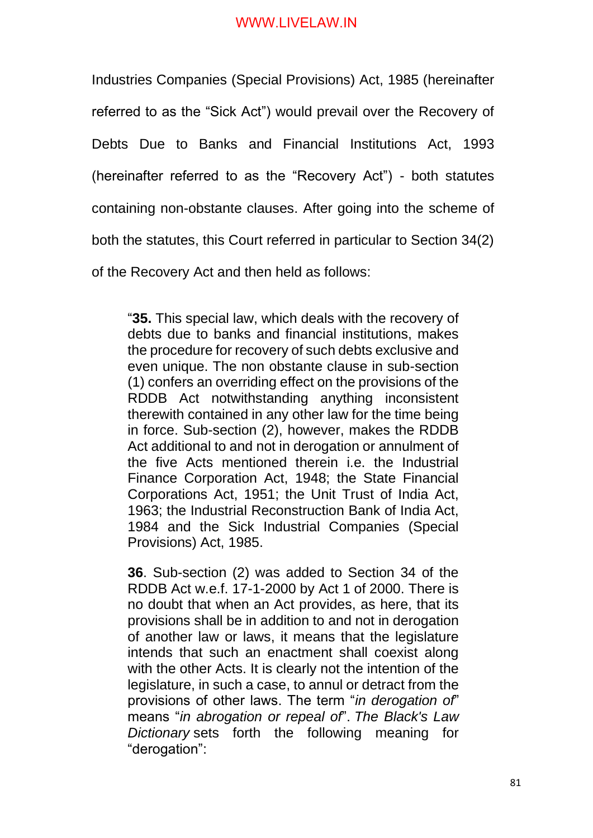Industries Companies (Special Provisions) Act, 1985 (hereinafter referred to as the "Sick Act") would prevail over the Recovery of Debts Due to Banks and Financial Institutions Act, 1993 (hereinafter referred to as the "Recovery Act") - both statutes containing non-obstante clauses. After going into the scheme of both the statutes, this Court referred in particular to Section 34(2) of the Recovery Act and then held as follows:

"**35.** This special law, which deals with the recovery of debts due to banks and financial institutions, makes the procedure for recovery of such debts exclusive and even unique. The non obstante clause in sub-section (1) confers an overriding effect on the provisions of the RDDB Act notwithstanding anything inconsistent therewith contained in any other law for the time being in force. Sub-section (2), however, makes the RDDB Act additional to and not in derogation or annulment of the five Acts mentioned therein i.e. the Industrial Finance Corporation Act, 1948; the State Financial Corporations Act, 1951; the Unit Trust of India Act, 1963; the Industrial Reconstruction Bank of India Act, 1984 and the Sick Industrial Companies (Special Provisions) Act, 1985.

**36**. Sub-section (2) was added to Section 34 of the RDDB Act w.e.f. 17-1-2000 by Act 1 of 2000. There is no doubt that when an Act provides, as here, that its provisions shall be in addition to and not in derogation of another law or laws, it means that the legislature intends that such an enactment shall coexist along with the other Acts. It is clearly not the intention of the legislature, in such a case, to annul or detract from the provisions of other laws. The term "*in derogation of*" means "*in abrogation or repeal of*". *The Black's Law Dictionary* sets forth the following meaning for "derogation":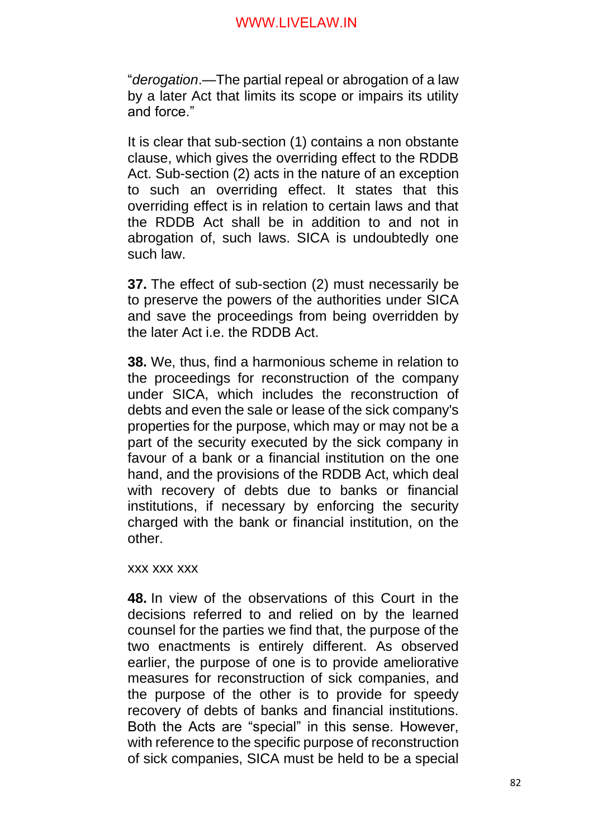"*derogation*.—The partial repeal or abrogation of a law by a later Act that limits its scope or impairs its utility and force."

It is clear that sub-section (1) contains a non obstante clause, which gives the overriding effect to the RDDB Act. Sub-section (2) acts in the nature of an exception to such an overriding effect. It states that this overriding effect is in relation to certain laws and that the RDDB Act shall be in addition to and not in abrogation of, such laws. SICA is undoubtedly one such law.

**37.** The effect of sub-section (2) must necessarily be to preserve the powers of the authorities under SICA and save the proceedings from being overridden by the later Act i.e. the RDDB Act.

**38.** We, thus, find a harmonious scheme in relation to the proceedings for reconstruction of the company under SICA, which includes the reconstruction of debts and even the sale or lease of the sick company's properties for the purpose, which may or may not be a part of the security executed by the sick company in favour of a bank or a financial institution on the one hand, and the provisions of the RDDB Act, which deal with recovery of debts due to banks or financial institutions, if necessary by enforcing the security charged with the bank or financial institution, on the other.

xxx xxx xxx

**48.** In view of the observations of this Court in the decisions referred to and relied on by the learned counsel for the parties we find that, the purpose of the two enactments is entirely different. As observed earlier, the purpose of one is to provide ameliorative measures for reconstruction of sick companies, and the purpose of the other is to provide for speedy recovery of debts of banks and financial institutions. Both the Acts are "special" in this sense. However, with reference to the specific purpose of reconstruction of sick companies, SICA must be held to be a special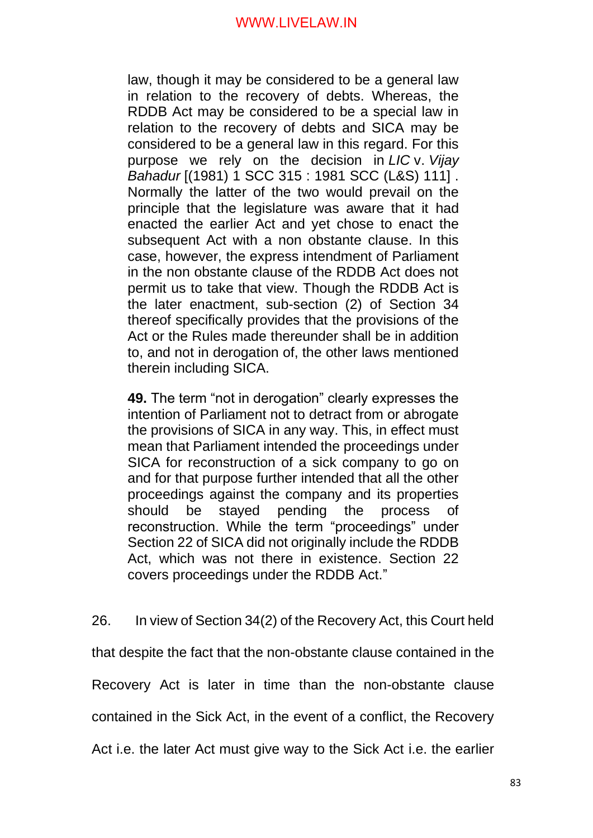law, though it may be considered to be a general law in relation to the recovery of debts. Whereas, the RDDB Act may be considered to be a special law in relation to the recovery of debts and SICA may be considered to be a general law in this regard. For this purpose we rely on the decision in *LIC* v. *Vijay Bahadur* [(1981) 1 SCC 315 : 1981 SCC (L&S) 111] . Normally the latter of the two would prevail on the principle that the legislature was aware that it had enacted the earlier Act and yet chose to enact the subsequent Act with a non obstante clause. In this case, however, the express intendment of Parliament in the non obstante clause of the RDDB Act does not permit us to take that view. Though the RDDB Act is the later enactment, sub-section (2) of Section 34 thereof specifically provides that the provisions of the Act or the Rules made thereunder shall be in addition to, and not in derogation of, the other laws mentioned therein including SICA.

**49.** The term "not in derogation" clearly expresses the intention of Parliament not to detract from or abrogate the provisions of SICA in any way. This, in effect must mean that Parliament intended the proceedings under SICA for reconstruction of a sick company to go on and for that purpose further intended that all the other proceedings against the company and its properties should be stayed pending the process of reconstruction. While the term "proceedings" under Section 22 of SICA did not originally include the RDDB Act, which was not there in existence. Section 22 covers proceedings under the RDDB Act."

26. In view of Section 34(2) of the Recovery Act, this Court held that despite the fact that the non-obstante clause contained in the Recovery Act is later in time than the non-obstante clause contained in the Sick Act, in the event of a conflict, the Recovery Act i.e. the later Act must give way to the Sick Act i.e. the earlier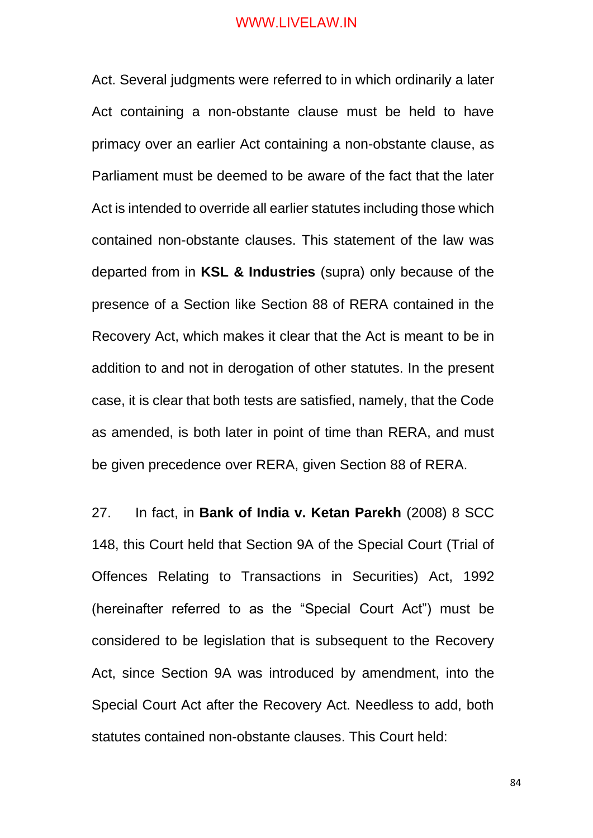Act. Several judgments were referred to in which ordinarily a later Act containing a non-obstante clause must be held to have primacy over an earlier Act containing a non-obstante clause, as Parliament must be deemed to be aware of the fact that the later Act is intended to override all earlier statutes including those which contained non-obstante clauses. This statement of the law was departed from in **KSL & Industries** (supra) only because of the presence of a Section like Section 88 of RERA contained in the Recovery Act, which makes it clear that the Act is meant to be in addition to and not in derogation of other statutes. In the present case, it is clear that both tests are satisfied, namely, that the Code as amended, is both later in point of time than RERA, and must be given precedence over RERA, given Section 88 of RERA.

27. In fact, in **Bank of India v. Ketan Parekh** (2008) 8 SCC 148, this Court held that Section 9A of the Special Court (Trial of Offences Relating to Transactions in Securities) Act, 1992 (hereinafter referred to as the "Special Court Act") must be considered to be legislation that is subsequent to the Recovery Act, since Section 9A was introduced by amendment, into the Special Court Act after the Recovery Act. Needless to add, both statutes contained non-obstante clauses. This Court held: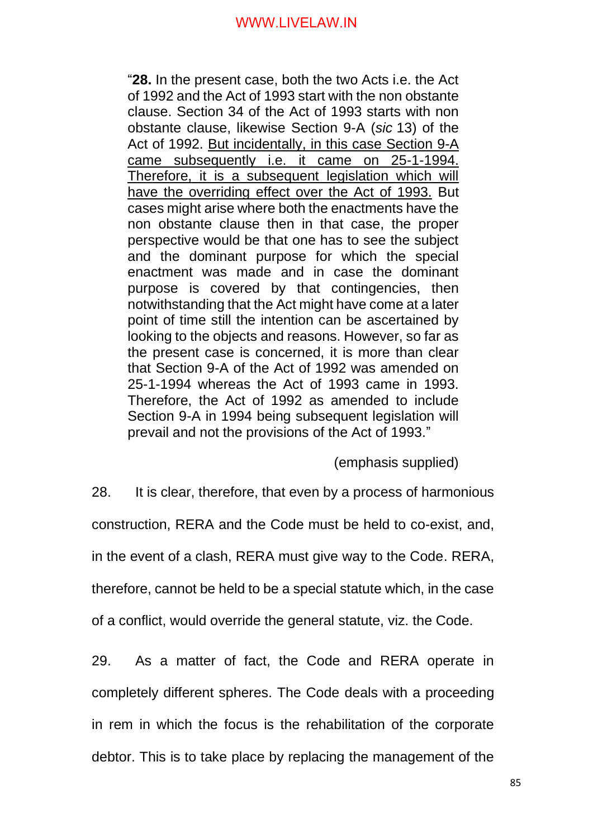"**28.** In the present case, both the two Acts i.e. the Act of 1992 and the Act of 1993 start with the non obstante clause. Section 34 of the Act of 1993 starts with non obstante clause, likewise Section 9-A (*sic* 13) of the Act of 1992. But incidentally, in this case Section 9-A came subsequently i.e. it came on 25-1-1994. Therefore, it is a subsequent legislation which will have the overriding effect over the Act of 1993. But cases might arise where both the enactments have the non obstante clause then in that case, the proper perspective would be that one has to see the subject and the dominant purpose for which the special enactment was made and in case the dominant purpose is covered by that contingencies, then notwithstanding that the Act might have come at a later point of time still the intention can be ascertained by looking to the objects and reasons. However, so far as the present case is concerned, it is more than clear that Section 9-A of the Act of 1992 was amended on 25-1-1994 whereas the Act of 1993 came in 1993. Therefore, the Act of 1992 as amended to include Section 9-A in 1994 being subsequent legislation will prevail and not the provisions of the Act of 1993."

(emphasis supplied)

28. It is clear, therefore, that even by a process of harmonious

construction, RERA and the Code must be held to co-exist, and,

in the event of a clash, RERA must give way to the Code. RERA,

therefore, cannot be held to be a special statute which, in the case

of a conflict, would override the general statute, viz. the Code.

29. As a matter of fact, the Code and RERA operate in completely different spheres. The Code deals with a proceeding in rem in which the focus is the rehabilitation of the corporate debtor. This is to take place by replacing the management of the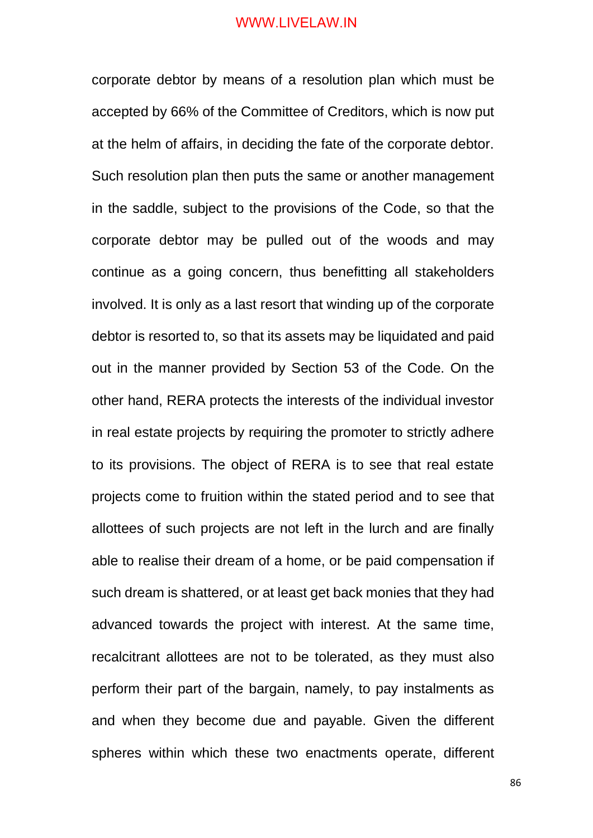corporate debtor by means of a resolution plan which must be accepted by 66% of the Committee of Creditors, which is now put at the helm of affairs, in deciding the fate of the corporate debtor. Such resolution plan then puts the same or another management in the saddle, subject to the provisions of the Code, so that the corporate debtor may be pulled out of the woods and may continue as a going concern, thus benefitting all stakeholders involved. It is only as a last resort that winding up of the corporate debtor is resorted to, so that its assets may be liquidated and paid out in the manner provided by Section 53 of the Code. On the other hand, RERA protects the interests of the individual investor in real estate projects by requiring the promoter to strictly adhere to its provisions. The object of RERA is to see that real estate projects come to fruition within the stated period and to see that allottees of such projects are not left in the lurch and are finally able to realise their dream of a home, or be paid compensation if such dream is shattered, or at least get back monies that they had advanced towards the project with interest. At the same time, recalcitrant allottees are not to be tolerated, as they must also perform their part of the bargain, namely, to pay instalments as and when they become due and payable. Given the different spheres within which these two enactments operate, different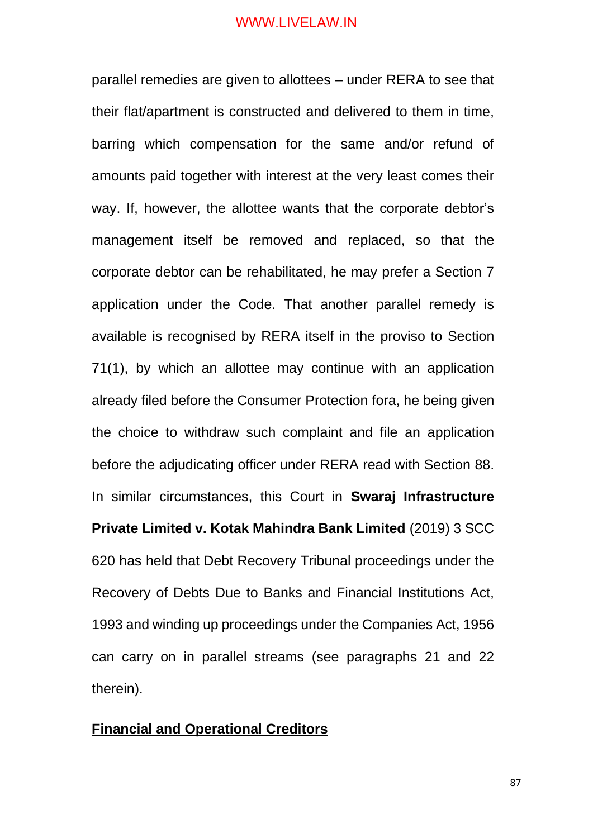parallel remedies are given to allottees – under RERA to see that their flat/apartment is constructed and delivered to them in time, barring which compensation for the same and/or refund of amounts paid together with interest at the very least comes their way. If, however, the allottee wants that the corporate debtor's management itself be removed and replaced, so that the corporate debtor can be rehabilitated, he may prefer a Section 7 application under the Code. That another parallel remedy is available is recognised by RERA itself in the proviso to Section 71(1), by which an allottee may continue with an application already filed before the Consumer Protection fora, he being given the choice to withdraw such complaint and file an application before the adjudicating officer under RERA read with Section 88. In similar circumstances, this Court in **Swaraj Infrastructure Private Limited v. Kotak Mahindra Bank Limited** (2019) 3 SCC 620 has held that Debt Recovery Tribunal proceedings under the Recovery of Debts Due to Banks and Financial Institutions Act, 1993 and winding up proceedings under the Companies Act, 1956 can carry on in parallel streams (see paragraphs 21 and 22 therein).

## **Financial and Operational Creditors**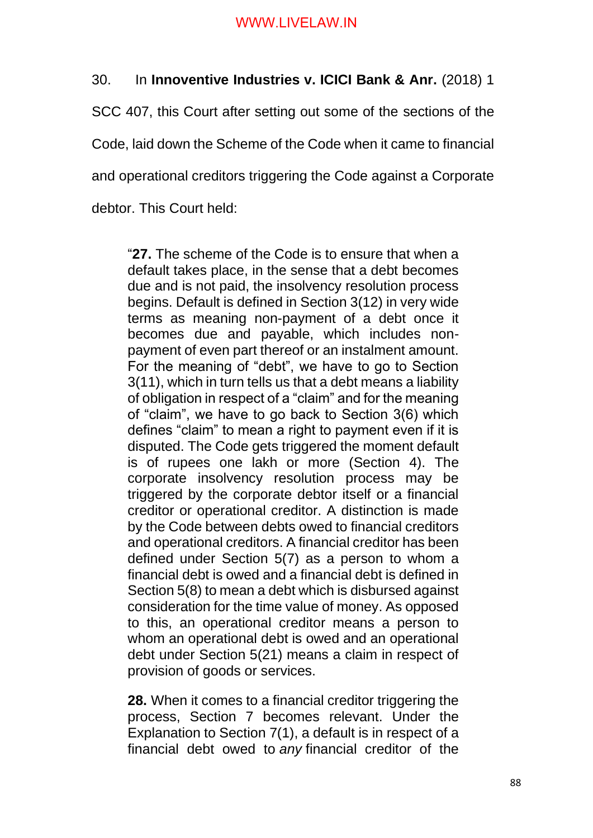# 30. In **Innoventive Industries v. ICICI Bank & Anr.** (2018) 1

SCC 407, this Court after setting out some of the sections of the

Code, laid down the Scheme of the Code when it came to financial

and operational creditors triggering the Code against a Corporate

debtor. This Court held:

"**27.** The scheme of the Code is to ensure that when a default takes place, in the sense that a debt becomes due and is not paid, the insolvency resolution process begins. Default is defined in Section 3(12) in very wide terms as meaning non-payment of a debt once it becomes due and payable, which includes nonpayment of even part thereof or an instalment amount. For the meaning of "debt", we have to go to Section 3(11), which in turn tells us that a debt means a liability of obligation in respect of a "claim" and for the meaning of "claim", we have to go back to Section 3(6) which defines "claim" to mean a right to payment even if it is disputed. The Code gets triggered the moment default is of rupees one lakh or more (Section 4). The corporate insolvency resolution process may be triggered by the corporate debtor itself or a financial creditor or operational creditor. A distinction is made by the Code between debts owed to financial creditors and operational creditors. A financial creditor has been defined under Section 5(7) as a person to whom a financial debt is owed and a financial debt is defined in Section 5(8) to mean a debt which is disbursed against consideration for the time value of money. As opposed to this, an operational creditor means a person to whom an operational debt is owed and an operational debt under Section 5(21) means a claim in respect of provision of goods or services.

**28.** When it comes to a financial creditor triggering the process, Section 7 becomes relevant. Under the Explanation to Section 7(1), a default is in respect of a financial debt owed to *any* financial creditor of the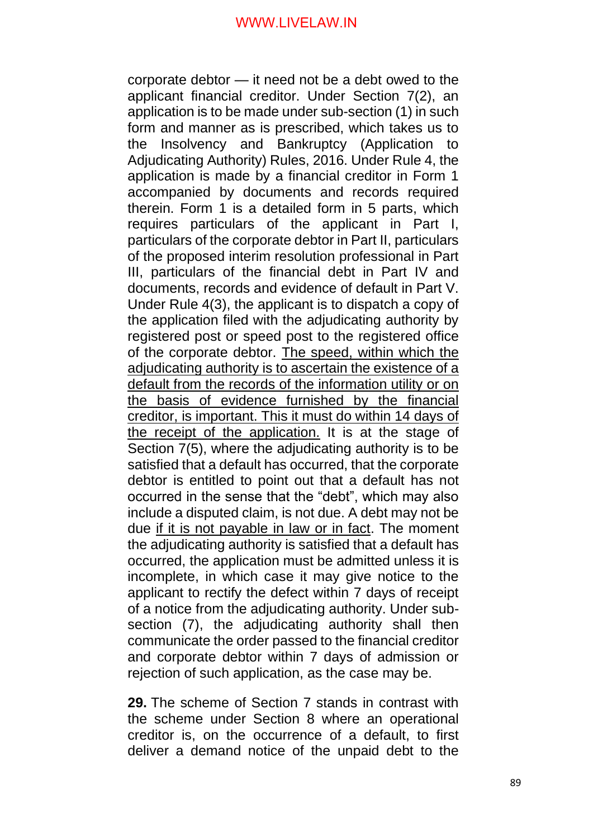corporate debtor — it need not be a debt owed to the applicant financial creditor. Under Section 7(2), an application is to be made under sub-section (1) in such form and manner as is prescribed, which takes us to the Insolvency and Bankruptcy (Application to Adjudicating Authority) Rules, 2016. Under Rule 4, the application is made by a financial creditor in Form 1 accompanied by documents and records required therein. Form 1 is a detailed form in 5 parts, which requires particulars of the applicant in Part I, particulars of the corporate debtor in Part II, particulars of the proposed interim resolution professional in Part III, particulars of the financial debt in Part IV and documents, records and evidence of default in Part V. Under Rule 4(3), the applicant is to dispatch a copy of the application filed with the adjudicating authority by registered post or speed post to the registered office of the corporate debtor. The speed, within which the adjudicating authority is to ascertain the existence of a default from the records of the information utility or on the basis of evidence furnished by the financial creditor, is important. This it must do within 14 days of the receipt of the application. It is at the stage of Section 7(5), where the adjudicating authority is to be satisfied that a default has occurred, that the corporate debtor is entitled to point out that a default has not occurred in the sense that the "debt", which may also include a disputed claim, is not due. A debt may not be due if it is not payable in law or in fact. The moment the adjudicating authority is satisfied that a default has occurred, the application must be admitted unless it is incomplete, in which case it may give notice to the applicant to rectify the defect within 7 days of receipt of a notice from the adjudicating authority. Under subsection (7), the adjudicating authority shall then communicate the order passed to the financial creditor and corporate debtor within 7 days of admission or rejection of such application, as the case may be.

**29.** The scheme of Section 7 stands in contrast with the scheme under Section 8 where an operational creditor is, on the occurrence of a default, to first deliver a demand notice of the unpaid debt to the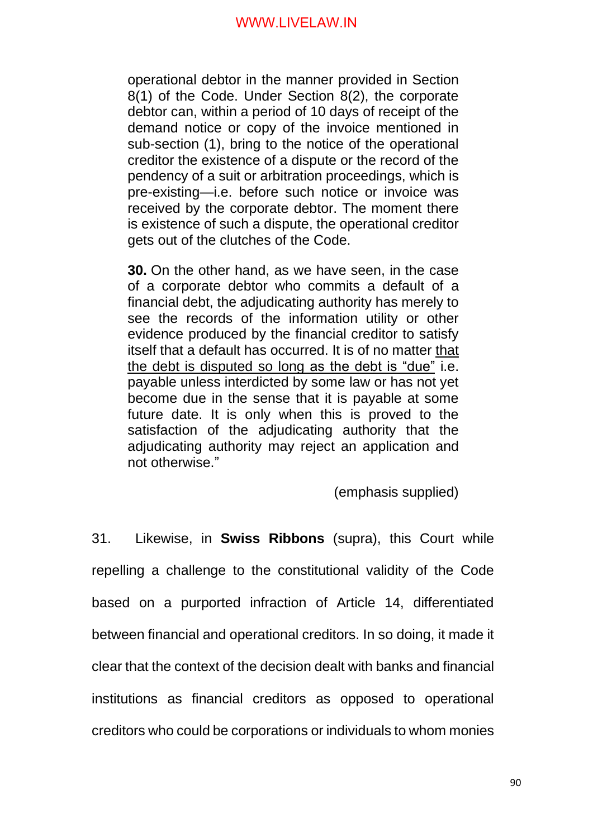operational debtor in the manner provided in Section 8(1) of the Code. Under Section 8(2), the corporate debtor can, within a period of 10 days of receipt of the demand notice or copy of the invoice mentioned in sub-section (1), bring to the notice of the operational creditor the existence of a dispute or the record of the pendency of a suit or arbitration proceedings, which is pre-existing—i.e. before such notice or invoice was received by the corporate debtor. The moment there is existence of such a dispute, the operational creditor gets out of the clutches of the Code.

**30.** On the other hand, as we have seen, in the case of a corporate debtor who commits a default of a financial debt, the adjudicating authority has merely to see the records of the information utility or other evidence produced by the financial creditor to satisfy itself that a default has occurred. It is of no matter that the debt is disputed so long as the debt is "due" i.e. payable unless interdicted by some law or has not yet become due in the sense that it is payable at some future date. It is only when this is proved to the satisfaction of the adjudicating authority that the adjudicating authority may reject an application and not otherwise."

(emphasis supplied)

31. Likewise, in **Swiss Ribbons** (supra), this Court while repelling a challenge to the constitutional validity of the Code based on a purported infraction of Article 14, differentiated between financial and operational creditors. In so doing, it made it clear that the context of the decision dealt with banks and financial institutions as financial creditors as opposed to operational creditors who could be corporations or individuals to whom monies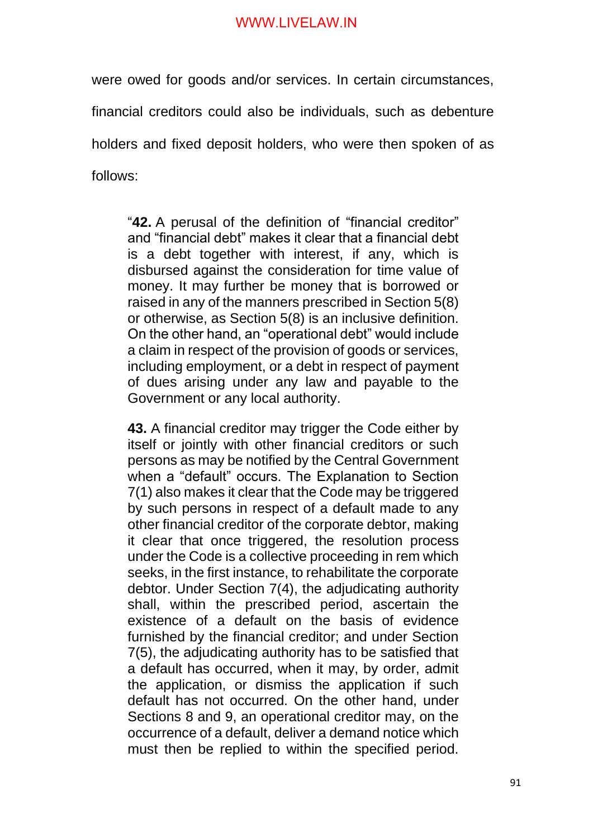were owed for goods and/or services. In certain circumstances,

financial creditors could also be individuals, such as debenture

holders and fixed deposit holders, who were then spoken of as

follows:

"**42.** A perusal of the definition of "financial creditor" and "financial debt" makes it clear that a financial debt is a debt together with interest, if any, which is disbursed against the consideration for time value of money. It may further be money that is borrowed or raised in any of the manners prescribed in Section 5(8) or otherwise, as Section 5(8) is an inclusive definition. On the other hand, an "operational debt" would include a claim in respect of the provision of goods or services, including employment, or a debt in respect of payment of dues arising under any law and payable to the Government or any local authority.

**43.** A financial creditor may trigger the Code either by itself or jointly with other financial creditors or such persons as may be notified by the Central Government when a "default" occurs. The Explanation to Section 7(1) also makes it clear that the Code may be triggered by such persons in respect of a default made to any other financial creditor of the corporate debtor, making it clear that once triggered, the resolution process under the Code is a collective proceeding in rem which seeks, in the first instance, to rehabilitate the corporate debtor. Under Section 7(4), the adjudicating authority shall, within the prescribed period, ascertain the existence of a default on the basis of evidence furnished by the financial creditor; and under Section 7(5), the adjudicating authority has to be satisfied that a default has occurred, when it may, by order, admit the application, or dismiss the application if such default has not occurred. On the other hand, under Sections 8 and 9, an operational creditor may, on the occurrence of a default, deliver a demand notice which must then be replied to within the specified period.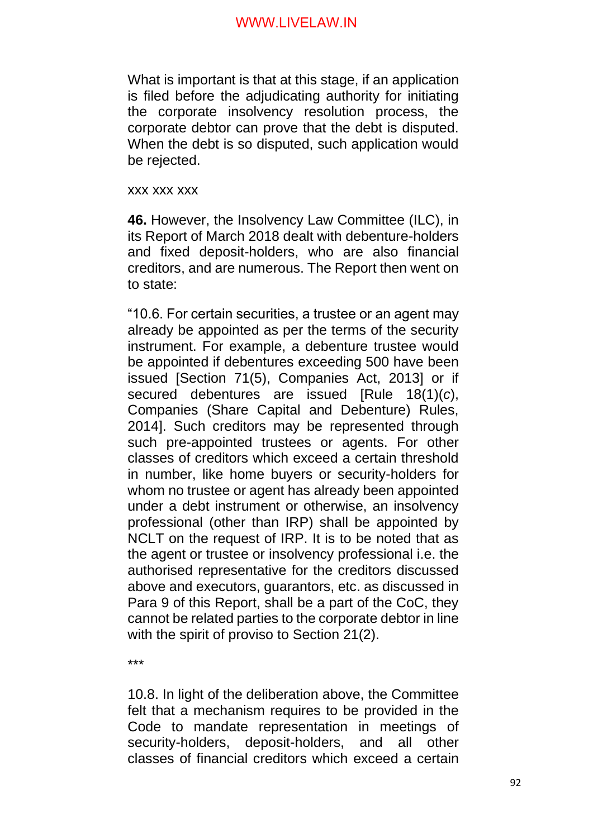What is important is that at this stage, if an application is filed before the adjudicating authority for initiating the corporate insolvency resolution process, the corporate debtor can prove that the debt is disputed. When the debt is so disputed, such application would be rejected.

xxx xxx xxx

**46.** However, the Insolvency Law Committee (ILC), in its Report of March 2018 dealt with debenture-holders and fixed deposit-holders, who are also financial creditors, and are numerous. The Report then went on to state:

"10.6. For certain securities, a trustee or an agent may already be appointed as per the terms of the security instrument. For example, a debenture trustee would be appointed if debentures exceeding 500 have been issued [Section 71(5), Companies Act, 2013] or if secured debentures are issued [Rule 18(1)(*c*), Companies (Share Capital and Debenture) Rules, 2014]. Such creditors may be represented through such pre-appointed trustees or agents. For other classes of creditors which exceed a certain threshold in number, like home buyers or security-holders for whom no trustee or agent has already been appointed under a debt instrument or otherwise, an insolvency professional (other than IRP) shall be appointed by NCLT on the request of IRP. It is to be noted that as the agent or trustee or insolvency professional i.e. the authorised representative for the creditors discussed above and executors, guarantors, etc. as discussed in Para 9 of this Report, shall be a part of the CoC, they cannot be related parties to the corporate debtor in line with the spirit of proviso to Section 21(2).

\*\*\*

10.8. In light of the deliberation above, the Committee felt that a mechanism requires to be provided in the Code to mandate representation in meetings of security-holders, deposit-holders, and all other classes of financial creditors which exceed a certain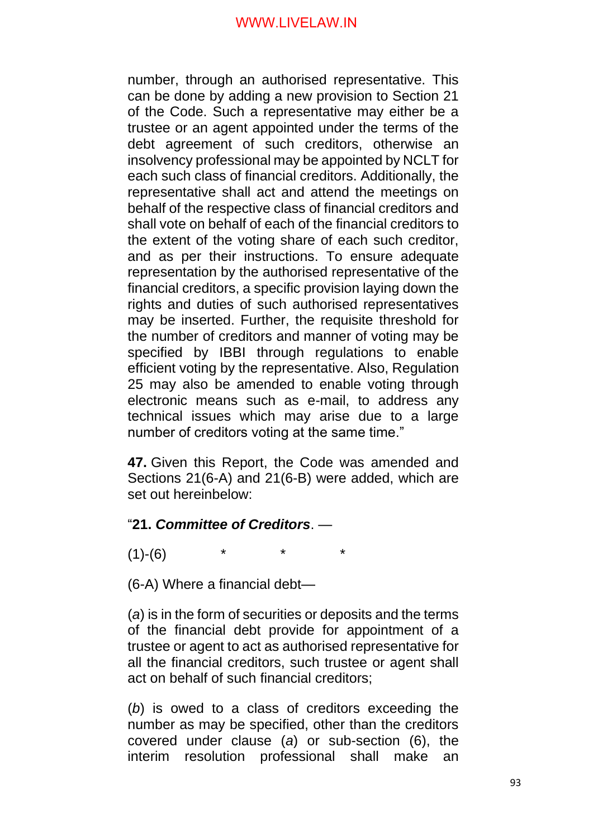number, through an authorised representative. This can be done by adding a new provision to Section 21 of the Code. Such a representative may either be a trustee or an agent appointed under the terms of the debt agreement of such creditors, otherwise an insolvency professional may be appointed by NCLT for each such class of financial creditors. Additionally, the representative shall act and attend the meetings on behalf of the respective class of financial creditors and shall vote on behalf of each of the financial creditors to the extent of the voting share of each such creditor, and as per their instructions. To ensure adequate representation by the authorised representative of the financial creditors, a specific provision laying down the rights and duties of such authorised representatives may be inserted. Further, the requisite threshold for the number of creditors and manner of voting may be specified by IBBI through regulations to enable efficient voting by the representative. Also, Regulation 25 may also be amended to enable voting through electronic means such as e-mail, to address any technical issues which may arise due to a large number of creditors voting at the same time."

**47.** Given this Report, the Code was amended and Sections 21(6-A) and 21(6-B) were added, which are set out hereinbelow:

## "**21.** *Committee of Creditors*. —

 $(1)-(6)$ 

(6-A) Where a financial debt—

(*a*) is in the form of securities or deposits and the terms of the financial debt provide for appointment of a trustee or agent to act as authorised representative for all the financial creditors, such trustee or agent shall act on behalf of such financial creditors;

(*b*) is owed to a class of creditors exceeding the number as may be specified, other than the creditors covered under clause (*a*) or sub-section (6), the interim resolution professional shall make an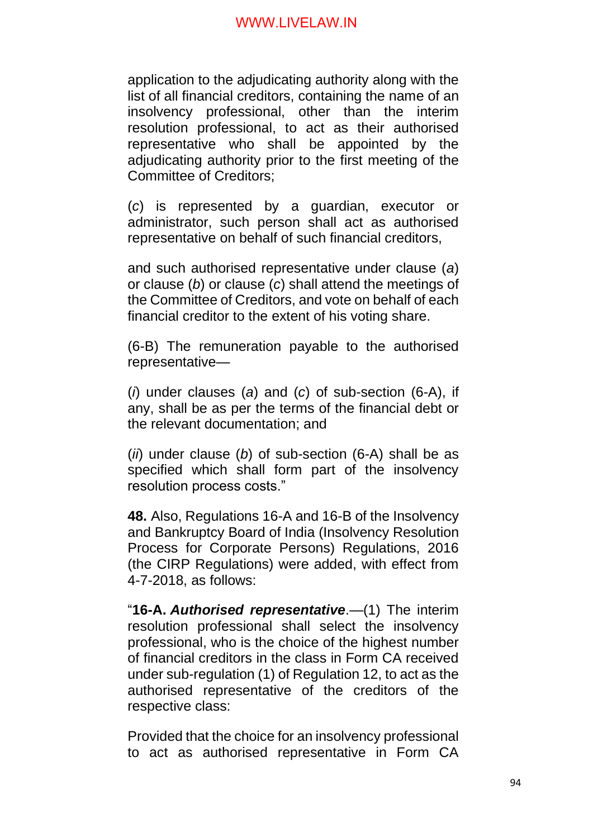application to the adjudicating authority along with the list of all financial creditors, containing the name of an insolvency professional, other than the interim resolution professional, to act as their authorised representative who shall be appointed by the adjudicating authority prior to the first meeting of the Committee of Creditors;

(*c*) is represented by a guardian, executor or administrator, such person shall act as authorised representative on behalf of such financial creditors,

and such authorised representative under clause (*a*) or clause (*b*) or clause (*c*) shall attend the meetings of the Committee of Creditors, and vote on behalf of each financial creditor to the extent of his voting share.

(6-B) The remuneration payable to the authorised representative—

(*i*) under clauses (*a*) and (*c*) of sub-section (6-A), if any, shall be as per the terms of the financial debt or the relevant documentation; and

(*ii*) under clause (*b*) of sub-section (6-A) shall be as specified which shall form part of the insolvency resolution process costs."

**48.** Also, Regulations 16-A and 16-B of the Insolvency and Bankruptcy Board of India (Insolvency Resolution Process for Corporate Persons) Regulations, 2016 (the CIRP Regulations) were added, with effect from 4-7-2018, as follows:

"**16-A.** *Authorised representative*.—(1) The interim resolution professional shall select the insolvency professional, who is the choice of the highest number of financial creditors in the class in Form CA received under sub-regulation (1) of Regulation 12, to act as the authorised representative of the creditors of the respective class:

Provided that the choice for an insolvency professional to act as authorised representative in Form CA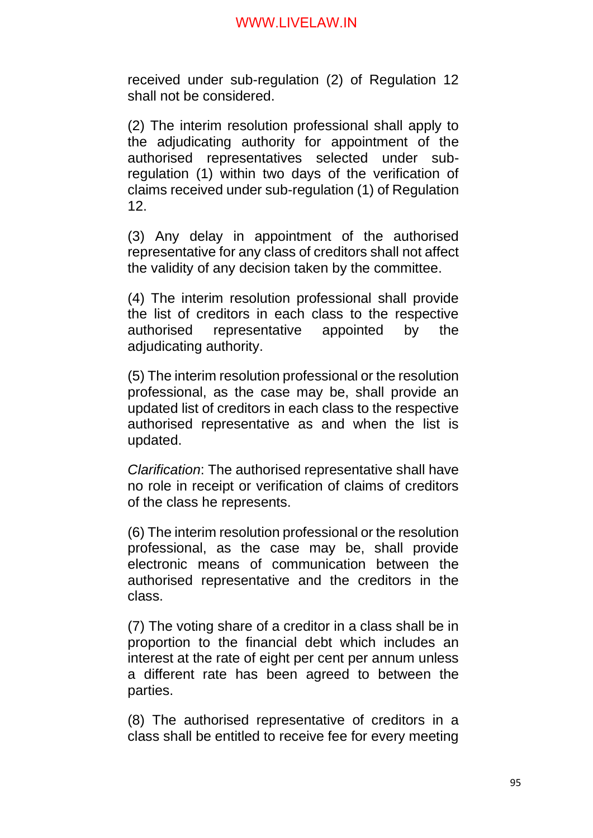received under sub-regulation (2) of Regulation 12 shall not be considered.

(2) The interim resolution professional shall apply to the adjudicating authority for appointment of the authorised representatives selected under subregulation (1) within two days of the verification of claims received under sub-regulation (1) of Regulation 12.

(3) Any delay in appointment of the authorised representative for any class of creditors shall not affect the validity of any decision taken by the committee.

(4) The interim resolution professional shall provide the list of creditors in each class to the respective authorised representative appointed by the adjudicating authority.

(5) The interim resolution professional or the resolution professional, as the case may be, shall provide an updated list of creditors in each class to the respective authorised representative as and when the list is updated.

*Clarification*: The authorised representative shall have no role in receipt or verification of claims of creditors of the class he represents.

(6) The interim resolution professional or the resolution professional, as the case may be, shall provide electronic means of communication between the authorised representative and the creditors in the class.

(7) The voting share of a creditor in a class shall be in proportion to the financial debt which includes an interest at the rate of eight per cent per annum unless a different rate has been agreed to between the parties.

(8) The authorised representative of creditors in a class shall be entitled to receive fee for every meeting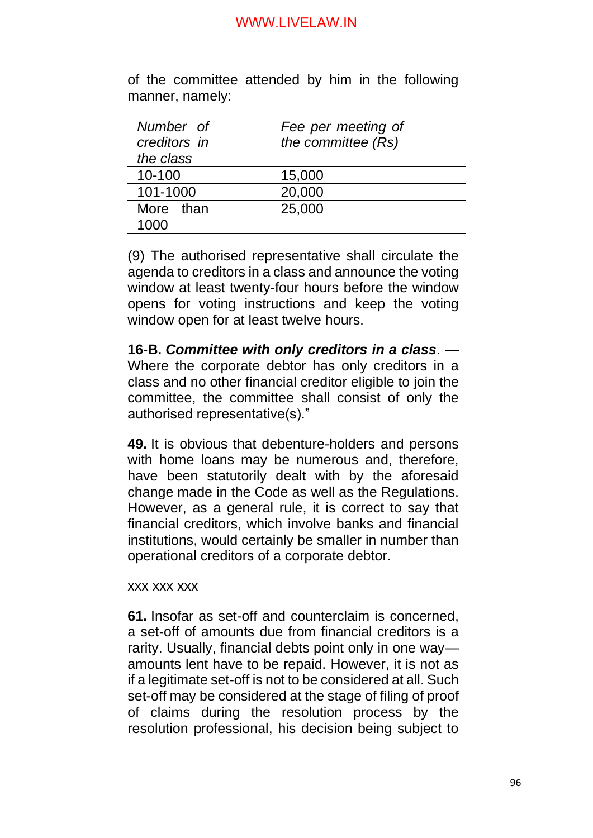of the committee attended by him in the following manner, namely:

| Number of<br>creditors in | Fee per meeting of<br>the committee (Rs) |
|---------------------------|------------------------------------------|
| the class                 |                                          |
| 10-100                    | 15,000                                   |
| 101-1000                  | 20,000                                   |
| More than                 | 25,000                                   |
| 1000                      |                                          |

(9) The authorised representative shall circulate the agenda to creditors in a class and announce the voting window at least twenty-four hours before the window opens for voting instructions and keep the voting window open for at least twelve hours.

**16-B.** *Committee with only creditors in a class*. — Where the corporate debtor has only creditors in a class and no other financial creditor eligible to join the committee, the committee shall consist of only the authorised representative(s)."

**49.** It is obvious that debenture-holders and persons with home loans may be numerous and, therefore, have been statutorily dealt with by the aforesaid change made in the Code as well as the Regulations. However, as a general rule, it is correct to say that financial creditors, which involve banks and financial institutions, would certainly be smaller in number than operational creditors of a corporate debtor.

xxx xxx xxx

**61.** Insofar as set-off and counterclaim is concerned, a set-off of amounts due from financial creditors is a rarity. Usually, financial debts point only in one way amounts lent have to be repaid. However, it is not as if a legitimate set-off is not to be considered at all. Such set-off may be considered at the stage of filing of proof of claims during the resolution process by the resolution professional, his decision being subject to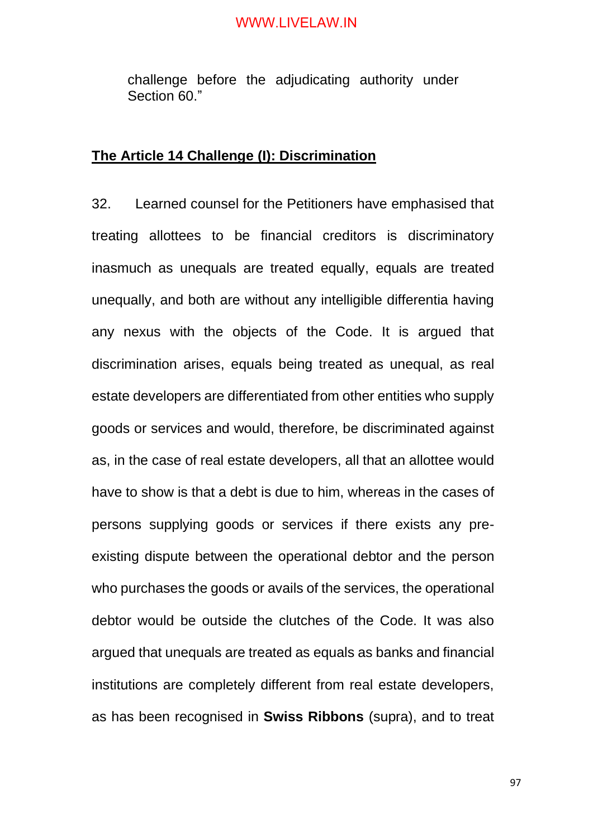challenge before the adjudicating authority under Section 60."

#### **The Article 14 Challenge (I): Discrimination**

32. Learned counsel for the Petitioners have emphasised that treating allottees to be financial creditors is discriminatory inasmuch as unequals are treated equally, equals are treated unequally, and both are without any intelligible differentia having any nexus with the objects of the Code. It is argued that discrimination arises, equals being treated as unequal, as real estate developers are differentiated from other entities who supply goods or services and would, therefore, be discriminated against as, in the case of real estate developers, all that an allottee would have to show is that a debt is due to him, whereas in the cases of persons supplying goods or services if there exists any preexisting dispute between the operational debtor and the person who purchases the goods or avails of the services, the operational debtor would be outside the clutches of the Code. It was also argued that unequals are treated as equals as banks and financial institutions are completely different from real estate developers, as has been recognised in **Swiss Ribbons** (supra), and to treat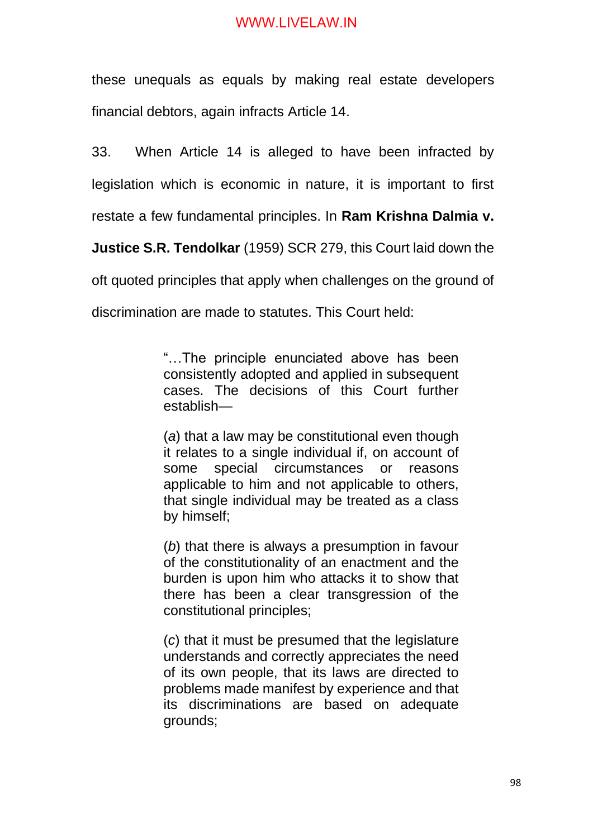these unequals as equals by making real estate developers financial debtors, again infracts Article 14.

33. When Article 14 is alleged to have been infracted by legislation which is economic in nature, it is important to first restate a few fundamental principles. In **Ram Krishna Dalmia v.** 

**Justice S.R. Tendolkar** (1959) SCR 279, this Court laid down the

oft quoted principles that apply when challenges on the ground of

discrimination are made to statutes. This Court held:

"…The principle enunciated above has been consistently adopted and applied in subsequent cases. The decisions of this Court further establish—

(*a*) that a law may be constitutional even though it relates to a single individual if, on account of some special circumstances or reasons applicable to him and not applicable to others, that single individual may be treated as a class by himself;

(*b*) that there is always a presumption in favour of the constitutionality of an enactment and the burden is upon him who attacks it to show that there has been a clear transgression of the constitutional principles;

(*c*) that it must be presumed that the legislature understands and correctly appreciates the need of its own people, that its laws are directed to problems made manifest by experience and that its discriminations are based on adequate grounds;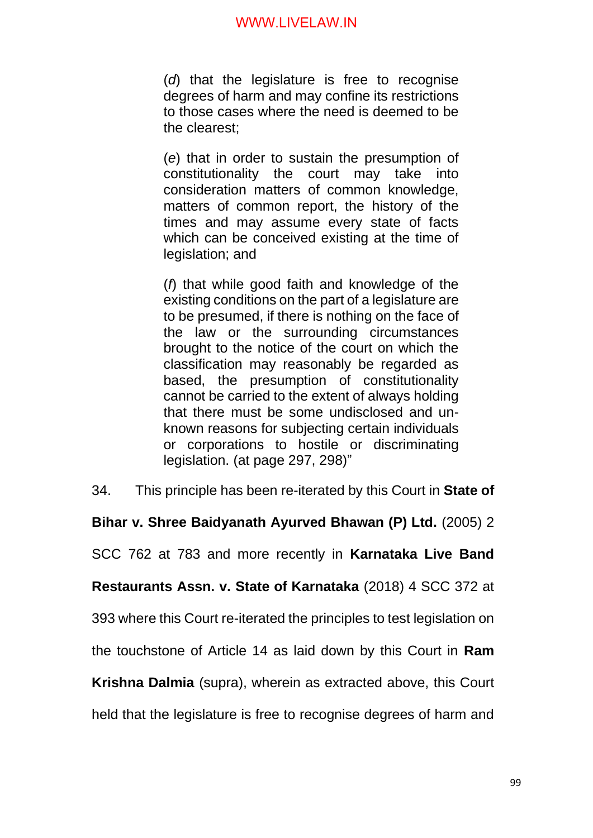(*d*) that the legislature is free to recognise degrees of harm and may confine its restrictions to those cases where the need is deemed to be the clearest;

(*e*) that in order to sustain the presumption of constitutionality the court may take into consideration matters of common knowledge, matters of common report, the history of the times and may assume every state of facts which can be conceived existing at the time of legislation; and

(*f*) that while good faith and knowledge of the existing conditions on the part of a legislature are to be presumed, if there is nothing on the face of the law or the surrounding circumstances brought to the notice of the court on which the classification may reasonably be regarded as based, the presumption of constitutionality cannot be carried to the extent of always holding that there must be some undisclosed and unknown reasons for subjecting certain individuals or corporations to hostile or discriminating legislation. (at page 297, 298)"

34. This principle has been re-iterated by this Court in **State of** 

**Bihar v. Shree Baidyanath Ayurved Bhawan (P) Ltd.** (2005) 2

SCC 762 at 783 and more recently in **Karnataka Live Band** 

**Restaurants Assn. v. State of Karnataka** (2018) 4 SCC 372 at

393 where this Court re-iterated the principles to test legislation on

the touchstone of Article 14 as laid down by this Court in **Ram** 

**Krishna Dalmia** (supra), wherein as extracted above, this Court

held that the legislature is free to recognise degrees of harm and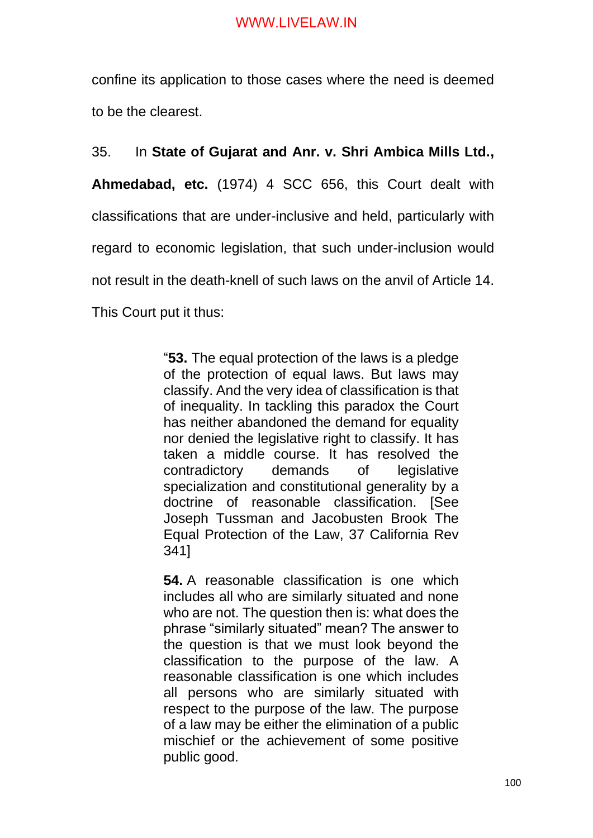confine its application to those cases where the need is deemed to be the clearest.

35. In **State of Gujarat and Anr. v. Shri Ambica Mills Ltd.,**

**Ahmedabad, etc.** (1974) 4 SCC 656, this Court dealt with classifications that are under-inclusive and held, particularly with regard to economic legislation, that such under-inclusion would not result in the death-knell of such laws on the anvil of Article 14. This Court put it thus:

> "**53.** The equal protection of the laws is a pledge of the protection of equal laws. But laws may classify. And the very idea of classification is that of inequality. In tackling this paradox the Court has neither abandoned the demand for equality nor denied the legislative right to classify. It has taken a middle course. It has resolved the contradictory demands of legislative specialization and constitutional generality by a doctrine of reasonable classification. [See Joseph Tussman and Jacobusten Brook The Equal Protection of the Law, 37 California Rev 341]

> **54.** A reasonable classification is one which includes all who are similarly situated and none who are not. The question then is: what does the phrase "similarly situated" mean? The answer to the question is that we must look beyond the classification to the purpose of the law. A reasonable classification is one which includes all persons who are similarly situated with respect to the purpose of the law. The purpose of a law may be either the elimination of a public mischief or the achievement of some positive public good.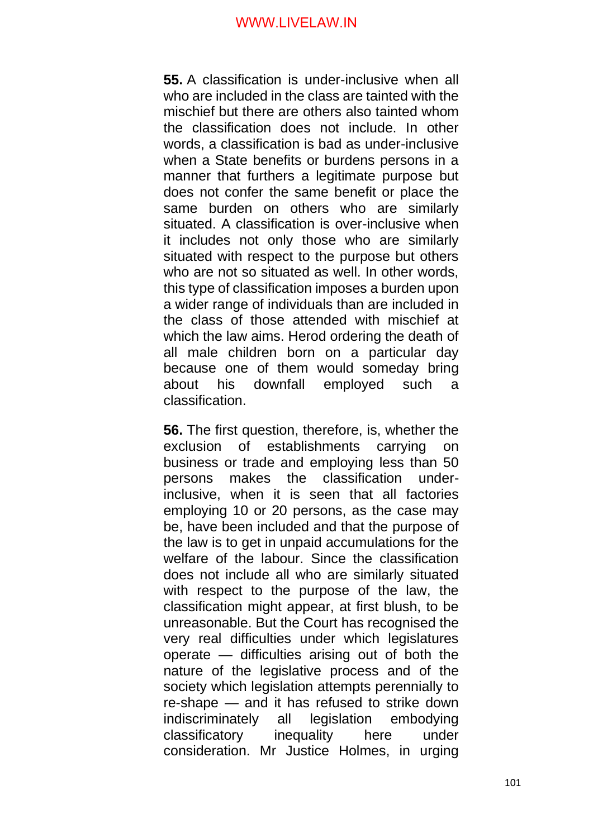**55.** A classification is under-inclusive when all who are included in the class are tainted with the mischief but there are others also tainted whom the classification does not include. In other words, a classification is bad as under-inclusive when a State benefits or burdens persons in a manner that furthers a legitimate purpose but does not confer the same benefit or place the same burden on others who are similarly situated. A classification is over-inclusive when it includes not only those who are similarly situated with respect to the purpose but others who are not so situated as well. In other words, this type of classification imposes a burden upon a wider range of individuals than are included in the class of those attended with mischief at which the law aims. Herod ordering the death of all male children born on a particular day because one of them would someday bring about his downfall employed such a classification.

**56.** The first question, therefore, is, whether the exclusion of establishments carrying on business or trade and employing less than 50 persons makes the classification underinclusive, when it is seen that all factories employing 10 or 20 persons, as the case may be, have been included and that the purpose of the law is to get in unpaid accumulations for the welfare of the labour. Since the classification does not include all who are similarly situated with respect to the purpose of the law, the classification might appear, at first blush, to be unreasonable. But the Court has recognised the very real difficulties under which legislatures operate — difficulties arising out of both the nature of the legislative process and of the society which legislation attempts perennially to re-shape — and it has refused to strike down indiscriminately all legislation embodying classificatory inequality here under consideration. Mr Justice Holmes, in urging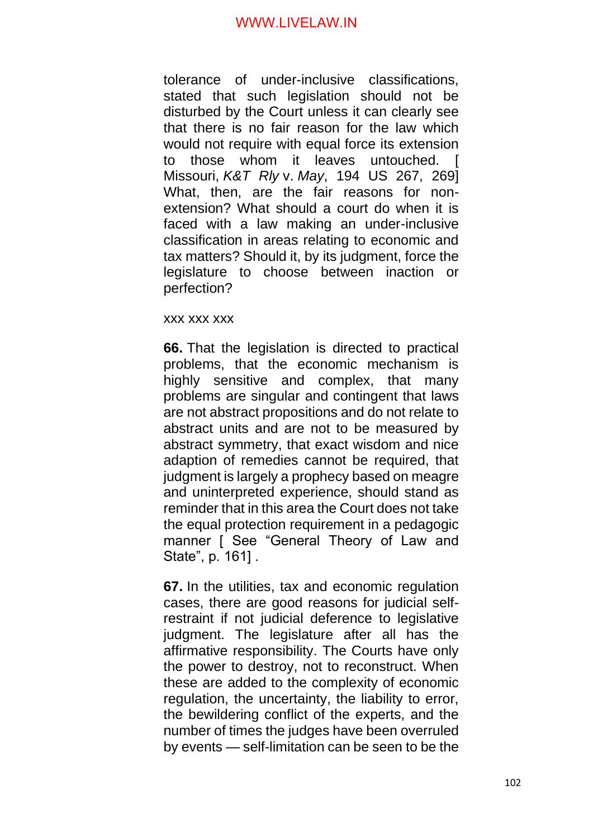tolerance of under-inclusive classifications, stated that such legislation should not be disturbed by the Court unless it can clearly see that there is no fair reason for the law which would not require with equal force its extension to those whom it leaves untouched. Missouri, *K&T Rly* v. *May*, 194 US 267, 269] What, then, are the fair reasons for nonextension? What should a court do when it is faced with a law making an under-inclusive classification in areas relating to economic and tax matters? Should it, by its judgment, force the legislature to choose between inaction or perfection?

#### xxx xxx xxx

**66.** That the legislation is directed to practical problems, that the economic mechanism is highly sensitive and complex, that many problems are singular and contingent that laws are not abstract propositions and do not relate to abstract units and are not to be measured by abstract symmetry, that exact wisdom and nice adaption of remedies cannot be required, that judgment is largely a prophecy based on meagre and uninterpreted experience, should stand as reminder that in this area the Court does not take the equal protection requirement in a pedagogic manner [ See "General Theory of Law and State", p. 161] .

**67.** In the utilities, tax and economic regulation cases, there are good reasons for judicial selfrestraint if not judicial deference to legislative judgment. The legislature after all has the affirmative responsibility. The Courts have only the power to destroy, not to reconstruct. When these are added to the complexity of economic regulation, the uncertainty, the liability to error, the bewildering conflict of the experts, and the number of times the judges have been overruled by events — self-limitation can be seen to be the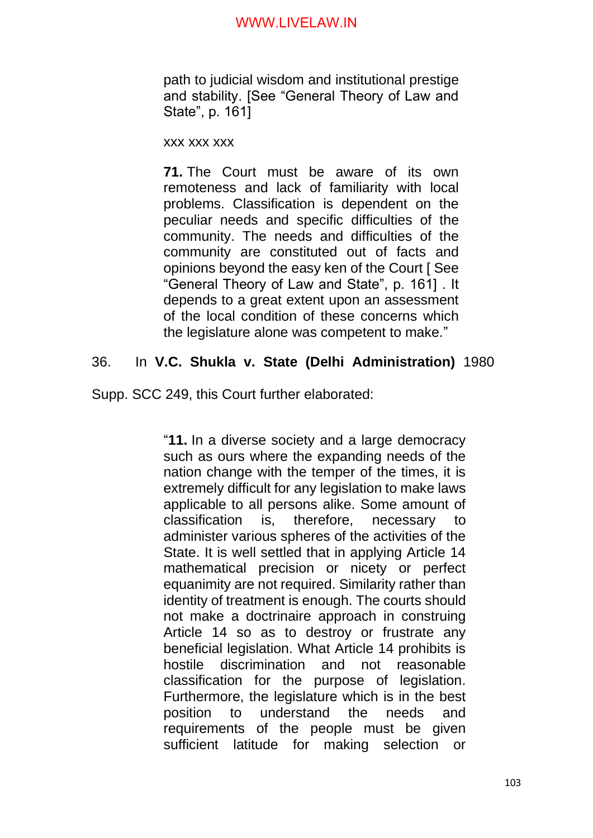path to judicial wisdom and institutional prestige and stability. [See "General Theory of Law and State", p. 161]

xxx xxx xxx

**71.** The Court must be aware of its own remoteness and lack of familiarity with local problems. Classification is dependent on the peculiar needs and specific difficulties of the community. The needs and difficulties of the community are constituted out of facts and opinions beyond the easy ken of the Court [ See "General Theory of Law and State", p. 161] . It depends to a great extent upon an assessment of the local condition of these concerns which the legislature alone was competent to make."

## 36. In **V.C. Shukla v. State (Delhi Administration)** 1980

Supp. SCC 249, this Court further elaborated:

"**11.** In a diverse society and a large democracy such as ours where the expanding needs of the nation change with the temper of the times, it is extremely difficult for any legislation to make laws applicable to all persons alike. Some amount of classification is, therefore, necessary to administer various spheres of the activities of the State. It is well settled that in applying Article 14 mathematical precision or nicety or perfect equanimity are not required. Similarity rather than identity of treatment is enough. The courts should not make a doctrinaire approach in construing Article 14 so as to destroy or frustrate any beneficial legislation. What Article 14 prohibits is hostile discrimination and not reasonable classification for the purpose of legislation. Furthermore, the legislature which is in the best position to understand the needs and requirements of the people must be given sufficient latitude for making selection or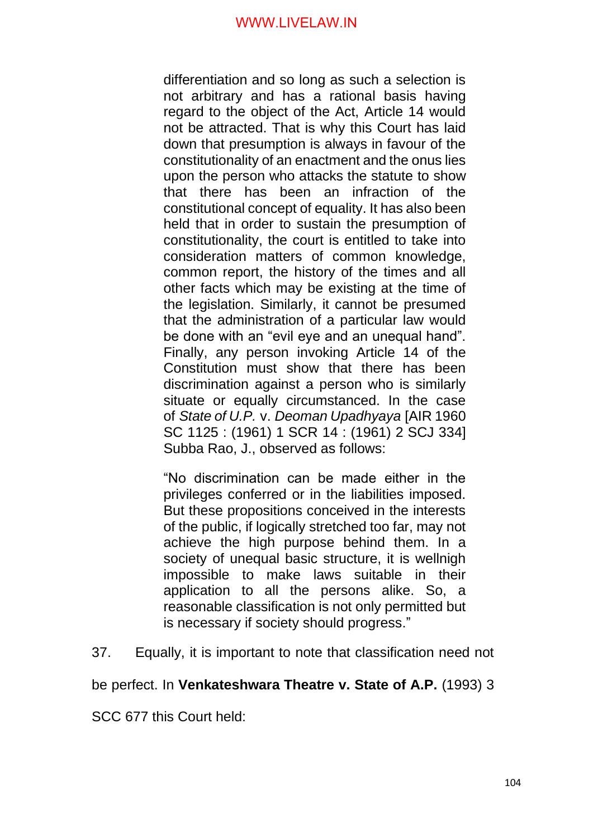differentiation and so long as such a selection is not arbitrary and has a rational basis having regard to the object of the Act, Article 14 would not be attracted. That is why this Court has laid down that presumption is always in favour of the constitutionality of an enactment and the onus lies upon the person who attacks the statute to show that there has been an infraction of the constitutional concept of equality. It has also been held that in order to sustain the presumption of constitutionality, the court is entitled to take into consideration matters of common knowledge, common report, the history of the times and all other facts which may be existing at the time of the legislation. Similarly, it cannot be presumed that the administration of a particular law would be done with an "evil eye and an unequal hand". Finally, any person invoking Article 14 of the Constitution must show that there has been discrimination against a person who is similarly situate or equally circumstanced. In the case of *State of U.P.* v. *Deoman Upadhyaya* [AIR 1960 SC 1125 : (1961) 1 SCR 14 : (1961) 2 SCJ 334] Subba Rao, J., observed as follows:

"No discrimination can be made either in the privileges conferred or in the liabilities imposed. But these propositions conceived in the interests of the public, if logically stretched too far, may not achieve the high purpose behind them. In a society of unequal basic structure, it is wellnigh impossible to make laws suitable in their application to all the persons alike. So, a reasonable classification is not only permitted but is necessary if society should progress."

37. Equally, it is important to note that classification need not

be perfect. In **Venkateshwara Theatre v. State of A.P.** (1993) 3

SCC 677 this Court held: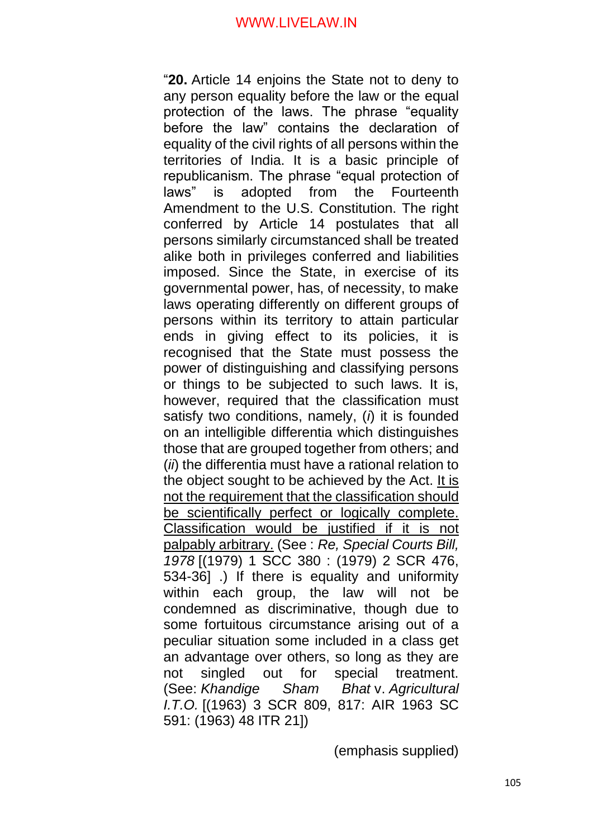"**20.** Article 14 enjoins the State not to deny to any person equality before the law or the equal protection of the laws. The phrase "equality before the law" contains the declaration of equality of the civil rights of all persons within the territories of India. It is a basic principle of republicanism. The phrase "equal protection of laws" is adopted from the Fourteenth Amendment to the U.S. Constitution. The right conferred by Article 14 postulates that all persons similarly circumstanced shall be treated alike both in privileges conferred and liabilities imposed. Since the State, in exercise of its governmental power, has, of necessity, to make laws operating differently on different groups of persons within its territory to attain particular ends in giving effect to its policies, it is recognised that the State must possess the power of distinguishing and classifying persons or things to be subjected to such laws. It is, however, required that the classification must satisfy two conditions, namely, (*i*) it is founded on an intelligible differentia which distinguishes those that are grouped together from others; and (*ii*) the differentia must have a rational relation to the object sought to be achieved by the Act. It is not the requirement that the classification should be scientifically perfect or logically complete. Classification would be justified if it is not palpably arbitrary. (See : *Re, Special Courts Bill, 1978* [(1979) 1 SCC 380 : (1979) 2 SCR 476, 534-36] .) If there is equality and uniformity within each group, the law will not be condemned as discriminative, though due to some fortuitous circumstance arising out of a peculiar situation some included in a class get an advantage over others, so long as they are not singled out for special treatment. (See: *Khandige Sham Bhat* v. *Agricultural I.T.O.* [(1963) 3 SCR 809, 817: AIR 1963 SC 591: (1963) 48 ITR 21])

(emphasis supplied)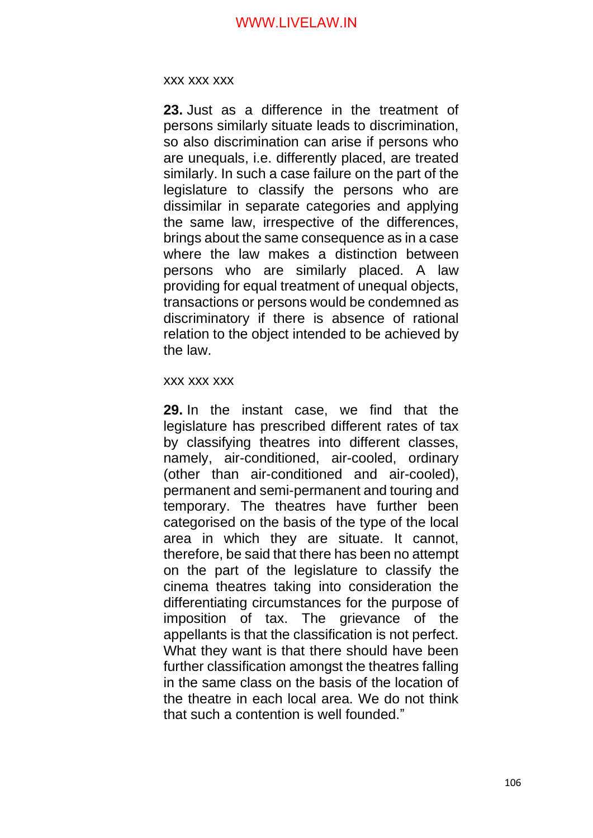#### xxx xxx xxx

**23.** Just as a difference in the treatment of persons similarly situate leads to discrimination, so also discrimination can arise if persons who are unequals, i.e. differently placed, are treated similarly. In such a case failure on the part of the legislature to classify the persons who are dissimilar in separate categories and applying the same law, irrespective of the differences, brings about the same consequence as in a case where the law makes a distinction between persons who are similarly placed. A law providing for equal treatment of unequal objects, transactions or persons would be condemned as discriminatory if there is absence of rational relation to the object intended to be achieved by the law.

#### xxx xxx xxx

**29.** In the instant case, we find that the legislature has prescribed different rates of tax by classifying theatres into different classes, namely, air-conditioned, air-cooled, ordinary (other than air-conditioned and air-cooled), permanent and semi-permanent and touring and temporary. The theatres have further been categorised on the basis of the type of the local area in which they are situate. It cannot, therefore, be said that there has been no attempt on the part of the legislature to classify the cinema theatres taking into consideration the differentiating circumstances for the purpose of imposition of tax. The grievance of the appellants is that the classification is not perfect. What they want is that there should have been further classification amongst the theatres falling in the same class on the basis of the location of the theatre in each local area. We do not think that such a contention is well founded."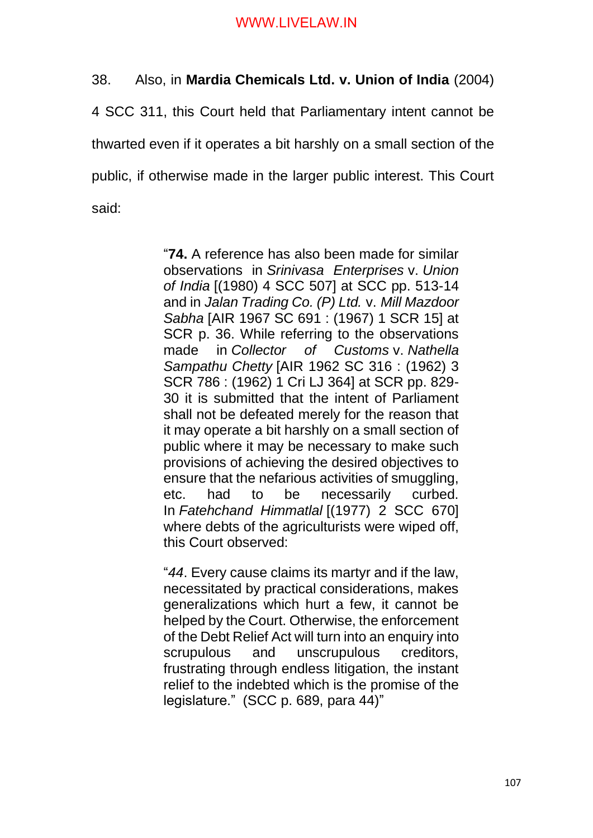38. Also, in **Mardia Chemicals Ltd. v. Union of India** (2004)

4 SCC 311, this Court held that Parliamentary intent cannot be thwarted even if it operates a bit harshly on a small section of the public, if otherwise made in the larger public interest. This Court said:

> "**74.** A reference has also been made for similar observations in *Srinivasa Enterprises* v. *Union of India* [(1980) 4 SCC 507] at SCC pp. 513-14 and in *Jalan Trading Co. (P) Ltd.* v. *Mill Mazdoor Sabha* [AIR 1967 SC 691 : (1967) 1 SCR 15] at SCR p. 36. While referring to the observations made in *Collector of Customs* v. *Nathella Sampathu Chetty* [AIR 1962 SC 316 : (1962) 3 SCR 786 : (1962) 1 Cri LJ 364] at SCR pp. 829- 30 it is submitted that the intent of Parliament shall not be defeated merely for the reason that it may operate a bit harshly on a small section of public where it may be necessary to make such provisions of achieving the desired objectives to ensure that the nefarious activities of smuggling, etc. had to be necessarily curbed. In *Fatehchand Himmatlal* [(1977) 2 SCC 670] where debts of the agriculturists were wiped off, this Court observed:

> "*44*. Every cause claims its martyr and if the law, necessitated by practical considerations, makes generalizations which hurt a few, it cannot be helped by the Court. Otherwise, the enforcement of the Debt Relief Act will turn into an enquiry into scrupulous and unscrupulous creditors, frustrating through endless litigation, the instant relief to the indebted which is the promise of the legislature." (SCC p. 689, para 44)"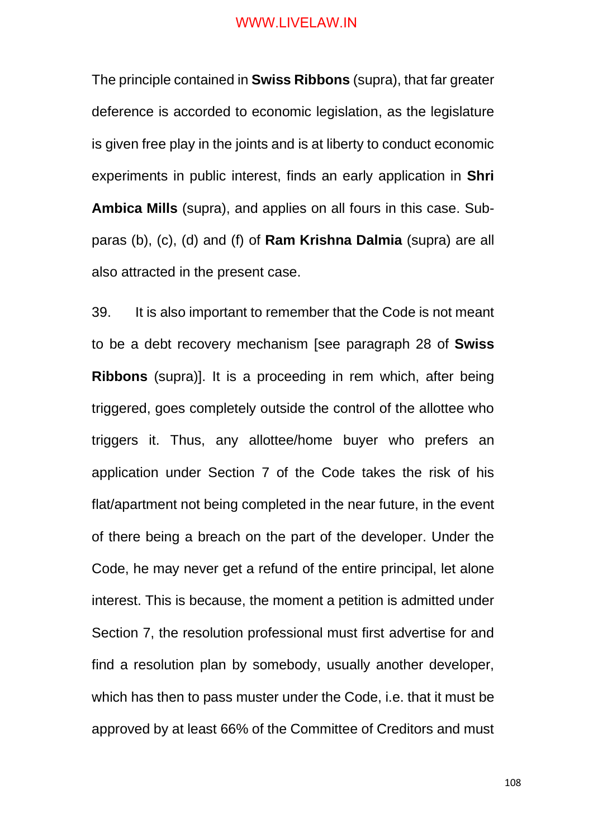The principle contained in **Swiss Ribbons** (supra), that far greater deference is accorded to economic legislation, as the legislature is given free play in the joints and is at liberty to conduct economic experiments in public interest, finds an early application in **Shri Ambica Mills** (supra), and applies on all fours in this case. Subparas (b), (c), (d) and (f) of **Ram Krishna Dalmia** (supra) are all also attracted in the present case.

39. It is also important to remember that the Code is not meant to be a debt recovery mechanism [see paragraph 28 of **Swiss Ribbons** (supra)]. It is a proceeding in rem which, after being triggered, goes completely outside the control of the allottee who triggers it. Thus, any allottee/home buyer who prefers an application under Section 7 of the Code takes the risk of his flat/apartment not being completed in the near future, in the event of there being a breach on the part of the developer. Under the Code, he may never get a refund of the entire principal, let alone interest. This is because, the moment a petition is admitted under Section 7, the resolution professional must first advertise for and find a resolution plan by somebody, usually another developer, which has then to pass muster under the Code, i.e. that it must be approved by at least 66% of the Committee of Creditors and must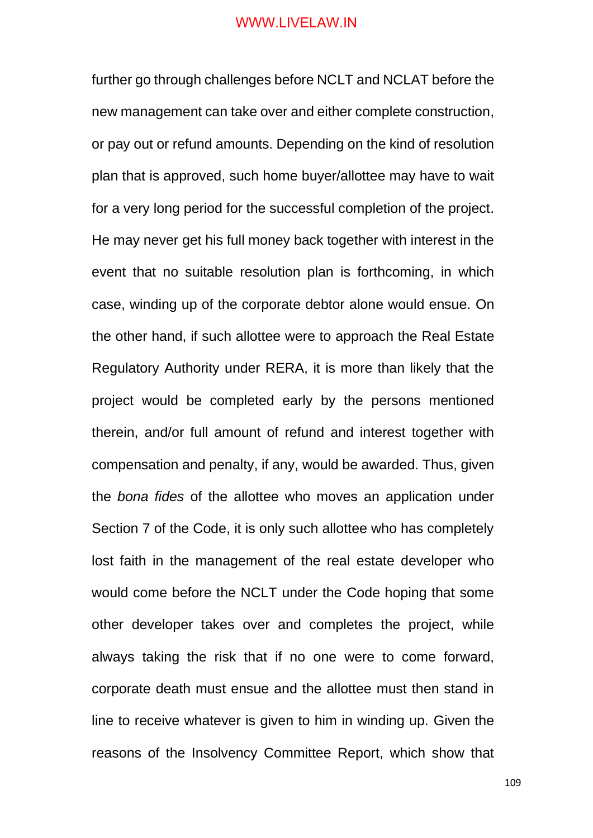further go through challenges before NCLT and NCLAT before the new management can take over and either complete construction, or pay out or refund amounts. Depending on the kind of resolution plan that is approved, such home buyer/allottee may have to wait for a very long period for the successful completion of the project. He may never get his full money back together with interest in the event that no suitable resolution plan is forthcoming, in which case, winding up of the corporate debtor alone would ensue. On the other hand, if such allottee were to approach the Real Estate Regulatory Authority under RERA, it is more than likely that the project would be completed early by the persons mentioned therein, and/or full amount of refund and interest together with compensation and penalty, if any, would be awarded. Thus, given the *bona fides* of the allottee who moves an application under Section 7 of the Code, it is only such allottee who has completely lost faith in the management of the real estate developer who would come before the NCLT under the Code hoping that some other developer takes over and completes the project, while always taking the risk that if no one were to come forward, corporate death must ensue and the allottee must then stand in line to receive whatever is given to him in winding up. Given the reasons of the Insolvency Committee Report, which show that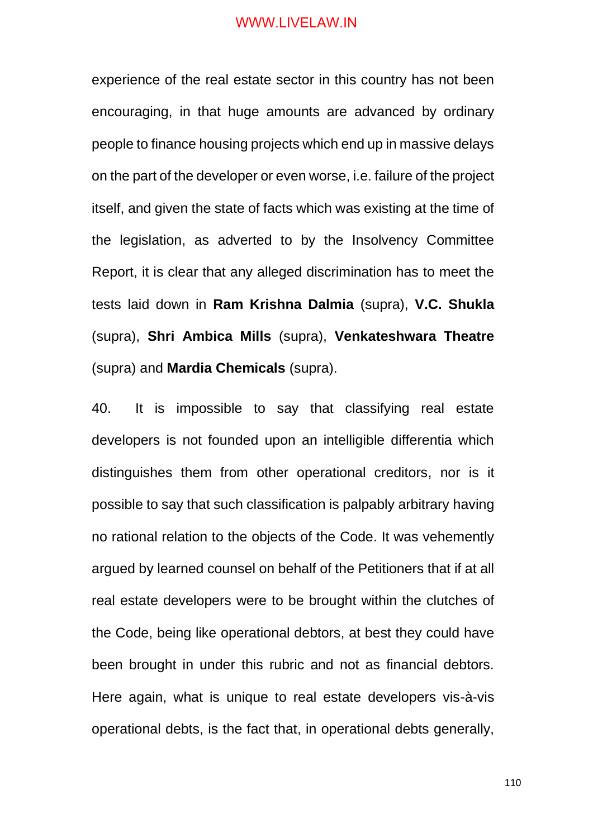experience of the real estate sector in this country has not been encouraging, in that huge amounts are advanced by ordinary people to finance housing projects which end up in massive delays on the part of the developer or even worse, i.e. failure of the project itself, and given the state of facts which was existing at the time of the legislation, as adverted to by the Insolvency Committee Report, it is clear that any alleged discrimination has to meet the tests laid down in **Ram Krishna Dalmia** (supra), **V.C. Shukla**  (supra), **Shri Ambica Mills** (supra), **Venkateshwara Theatre** (supra) and **Mardia Chemicals** (supra).

40. It is impossible to say that classifying real estate developers is not founded upon an intelligible differentia which distinguishes them from other operational creditors, nor is it possible to say that such classification is palpably arbitrary having no rational relation to the objects of the Code. It was vehemently argued by learned counsel on behalf of the Petitioners that if at all real estate developers were to be brought within the clutches of the Code, being like operational debtors, at best they could have been brought in under this rubric and not as financial debtors. Here again, what is unique to real estate developers vis-à-vis operational debts, is the fact that, in operational debts generally,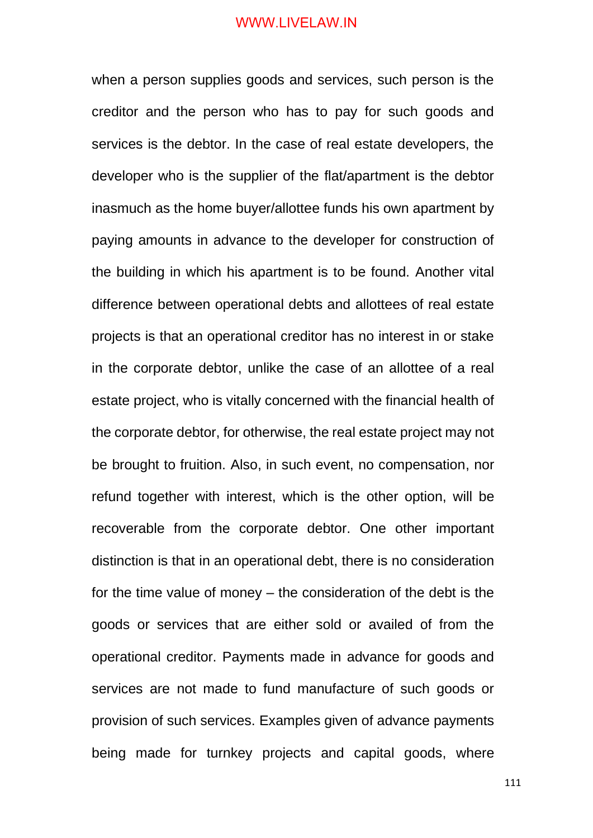when a person supplies goods and services, such person is the creditor and the person who has to pay for such goods and services is the debtor. In the case of real estate developers, the developer who is the supplier of the flat/apartment is the debtor inasmuch as the home buyer/allottee funds his own apartment by paying amounts in advance to the developer for construction of the building in which his apartment is to be found. Another vital difference between operational debts and allottees of real estate projects is that an operational creditor has no interest in or stake in the corporate debtor, unlike the case of an allottee of a real estate project, who is vitally concerned with the financial health of the corporate debtor, for otherwise, the real estate project may not be brought to fruition. Also, in such event, no compensation, nor refund together with interest, which is the other option, will be recoverable from the corporate debtor. One other important distinction is that in an operational debt, there is no consideration for the time value of money – the consideration of the debt is the goods or services that are either sold or availed of from the operational creditor. Payments made in advance for goods and services are not made to fund manufacture of such goods or provision of such services. Examples given of advance payments being made for turnkey projects and capital goods, where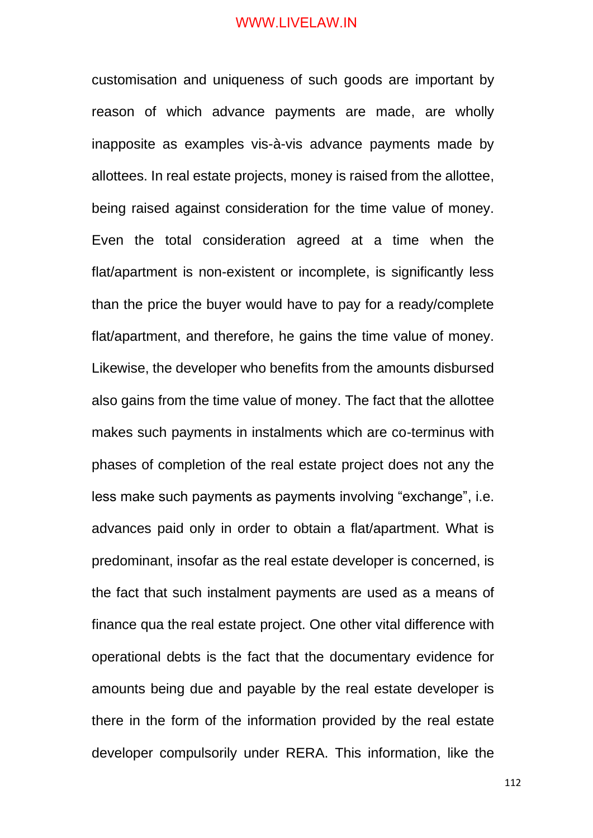customisation and uniqueness of such goods are important by reason of which advance payments are made, are wholly inapposite as examples vis-à-vis advance payments made by allottees. In real estate projects, money is raised from the allottee, being raised against consideration for the time value of money. Even the total consideration agreed at a time when the flat/apartment is non-existent or incomplete, is significantly less than the price the buyer would have to pay for a ready/complete flat/apartment, and therefore, he gains the time value of money. Likewise, the developer who benefits from the amounts disbursed also gains from the time value of money. The fact that the allottee makes such payments in instalments which are co-terminus with phases of completion of the real estate project does not any the less make such payments as payments involving "exchange", i.e. advances paid only in order to obtain a flat/apartment. What is predominant, insofar as the real estate developer is concerned, is the fact that such instalment payments are used as a means of finance qua the real estate project. One other vital difference with operational debts is the fact that the documentary evidence for amounts being due and payable by the real estate developer is there in the form of the information provided by the real estate developer compulsorily under RERA. This information, like the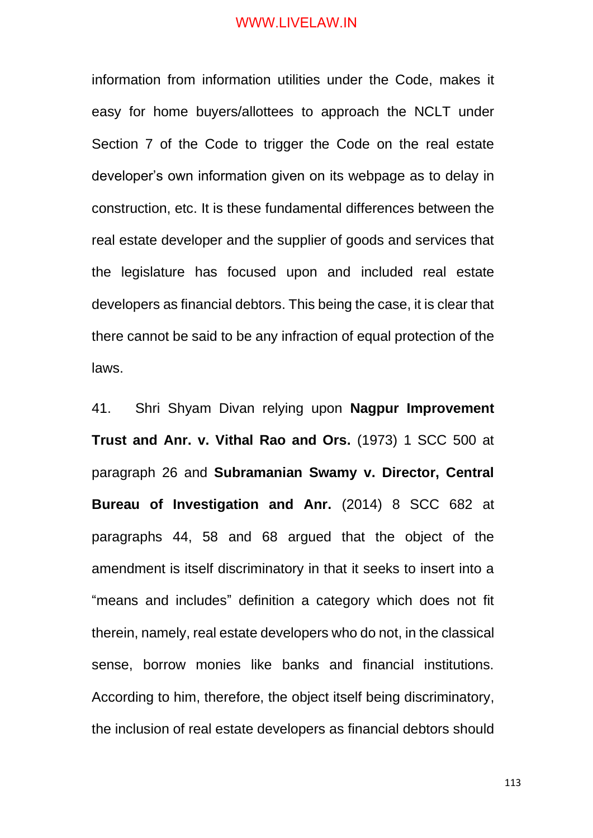information from information utilities under the Code, makes it easy for home buyers/allottees to approach the NCLT under Section 7 of the Code to trigger the Code on the real estate developer's own information given on its webpage as to delay in construction, etc. It is these fundamental differences between the real estate developer and the supplier of goods and services that the legislature has focused upon and included real estate developers as financial debtors. This being the case, it is clear that there cannot be said to be any infraction of equal protection of the laws.

41. Shri Shyam Divan relying upon **Nagpur Improvement Trust and Anr. v. Vithal Rao and Ors.** (1973) 1 SCC 500 at paragraph 26 and **Subramanian Swamy v. Director, Central Bureau of Investigation and Anr.** (2014) 8 SCC 682 at paragraphs 44, 58 and 68 argued that the object of the amendment is itself discriminatory in that it seeks to insert into a "means and includes" definition a category which does not fit therein, namely, real estate developers who do not, in the classical sense, borrow monies like banks and financial institutions. According to him, therefore, the object itself being discriminatory, the inclusion of real estate developers as financial debtors should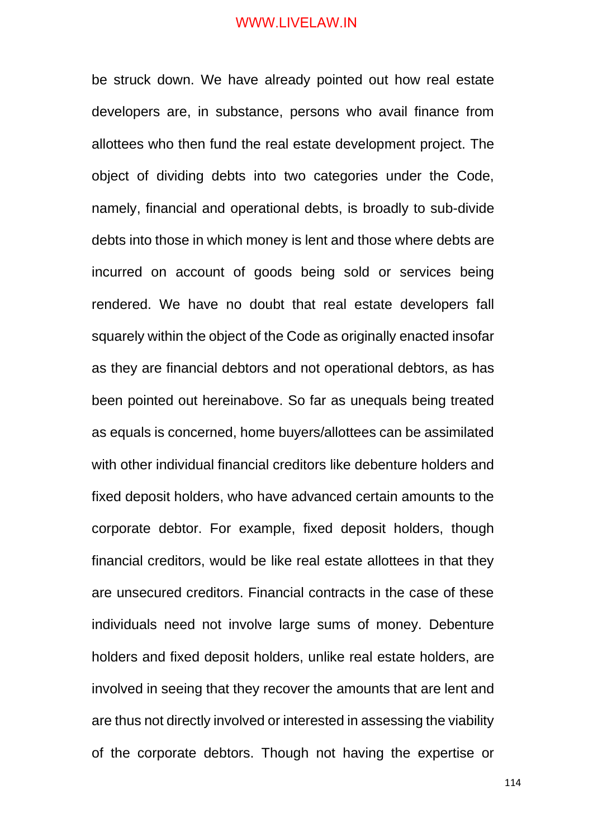be struck down. We have already pointed out how real estate developers are, in substance, persons who avail finance from allottees who then fund the real estate development project. The object of dividing debts into two categories under the Code, namely, financial and operational debts, is broadly to sub-divide debts into those in which money is lent and those where debts are incurred on account of goods being sold or services being rendered. We have no doubt that real estate developers fall squarely within the object of the Code as originally enacted insofar as they are financial debtors and not operational debtors, as has been pointed out hereinabove. So far as unequals being treated as equals is concerned, home buyers/allottees can be assimilated with other individual financial creditors like debenture holders and fixed deposit holders, who have advanced certain amounts to the corporate debtor. For example, fixed deposit holders, though financial creditors, would be like real estate allottees in that they are unsecured creditors. Financial contracts in the case of these individuals need not involve large sums of money. Debenture holders and fixed deposit holders, unlike real estate holders, are involved in seeing that they recover the amounts that are lent and are thus not directly involved or interested in assessing the viability of the corporate debtors. Though not having the expertise or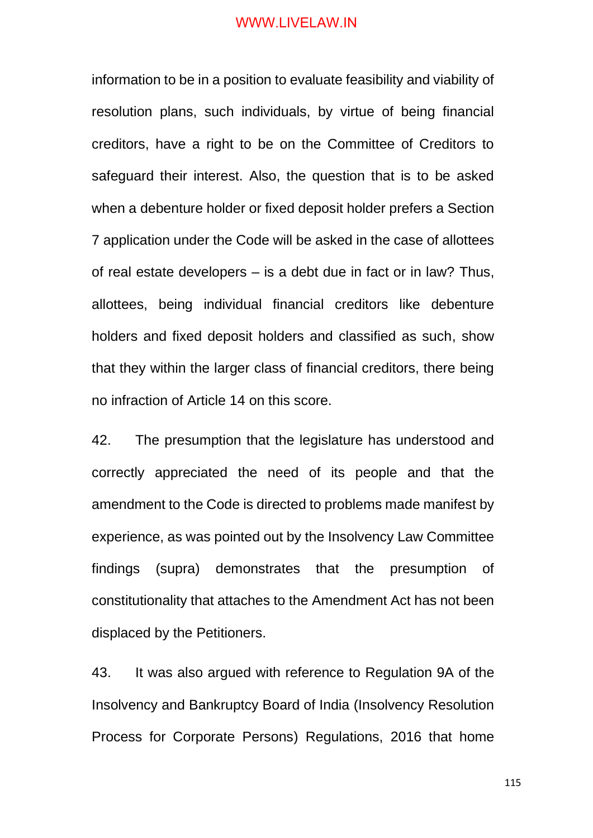information to be in a position to evaluate feasibility and viability of resolution plans, such individuals, by virtue of being financial creditors, have a right to be on the Committee of Creditors to safeguard their interest. Also, the question that is to be asked when a debenture holder or fixed deposit holder prefers a Section 7 application under the Code will be asked in the case of allottees of real estate developers – is a debt due in fact or in law? Thus, allottees, being individual financial creditors like debenture holders and fixed deposit holders and classified as such, show that they within the larger class of financial creditors, there being no infraction of Article 14 on this score.

42. The presumption that the legislature has understood and correctly appreciated the need of its people and that the amendment to the Code is directed to problems made manifest by experience, as was pointed out by the Insolvency Law Committee findings (supra) demonstrates that the presumption of constitutionality that attaches to the Amendment Act has not been displaced by the Petitioners.

43. It was also argued with reference to Regulation 9A of the Insolvency and Bankruptcy Board of India (Insolvency Resolution Process for Corporate Persons) Regulations, 2016 that home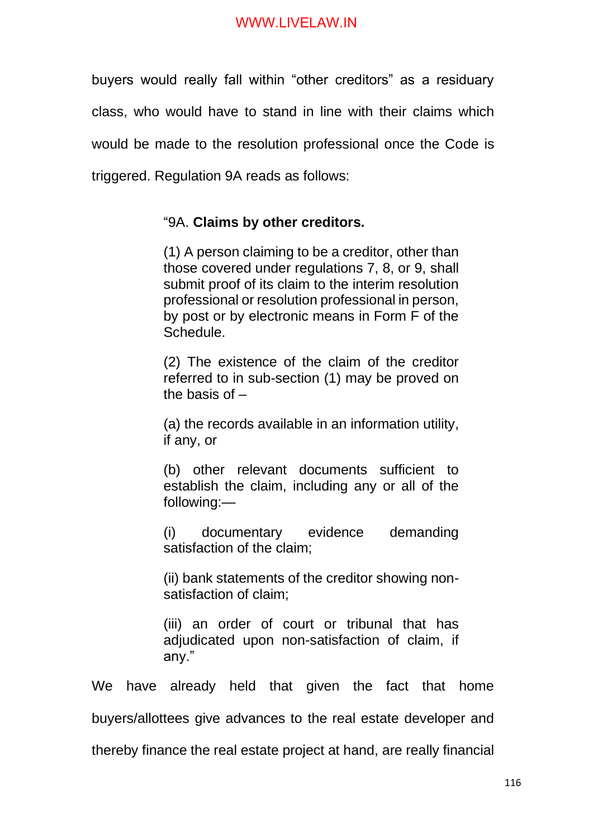buyers would really fall within "other creditors" as a residuary class, who would have to stand in line with their claims which would be made to the resolution professional once the Code is triggered. Regulation 9A reads as follows:

# "9A. **Claims by other creditors.**

(1) A person claiming to be a creditor, other than those covered under regulations 7, 8, or 9, shall submit proof of its claim to the interim resolution professional or resolution professional in person, by post or by electronic means in Form F of the Schedule.

(2) The existence of the claim of the creditor referred to in sub-section (1) may be proved on the basis of –

(a) the records available in an information utility, if any, or

(b) other relevant documents sufficient to establish the claim, including any or all of the following:—

(i) documentary evidence demanding satisfaction of the claim;

(ii) bank statements of the creditor showing nonsatisfaction of claim;

(iii) an order of court or tribunal that has adjudicated upon non-satisfaction of claim, if any."

We have already held that given the fact that home

buyers/allottees give advances to the real estate developer and

thereby finance the real estate project at hand, are really financial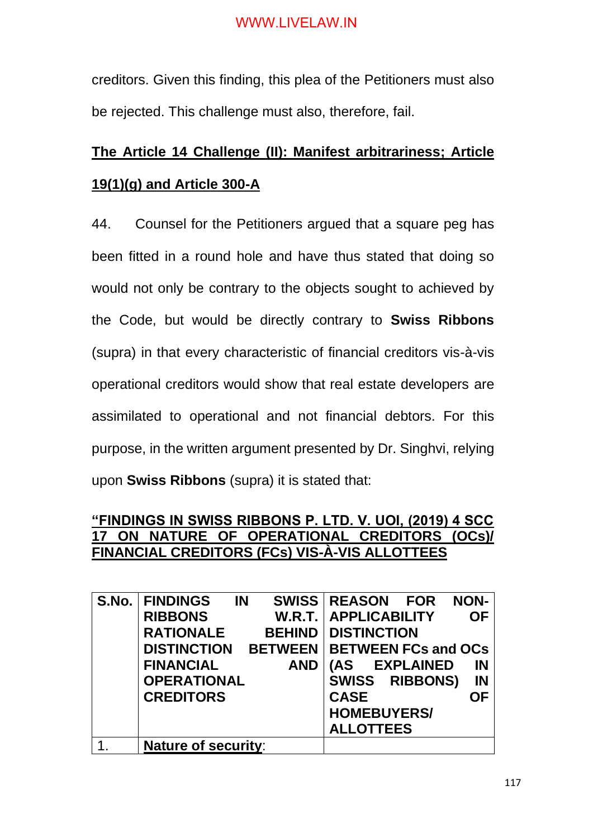creditors. Given this finding, this plea of the Petitioners must also be rejected. This challenge must also, therefore, fail.

# **The Article 14 Challenge (II): Manifest arbitrariness; Article 19(1)(g) and Article 300-A**

44. Counsel for the Petitioners argued that a square peg has been fitted in a round hole and have thus stated that doing so would not only be contrary to the objects sought to achieved by the Code, but would be directly contrary to **Swiss Ribbons** (supra) in that every characteristic of financial creditors vis-à-vis operational creditors would show that real estate developers are assimilated to operational and not financial debtors. For this purpose, in the written argument presented by Dr. Singhvi, relying upon **Swiss Ribbons** (supra) it is stated that:

# **"FINDINGS IN SWISS RIBBONS P. LTD. V. UOI, (2019) 4 SCC 17 ON NATURE OF OPERATIONAL CREDITORS (OCs)/ FINANCIAL CREDITORS (FCs) VIS-À-VIS ALLOTTEES**

| S.No. FINDINGS                          | IN | SWISS REASON FOR              |                  |                    | <b>NON-</b> |
|-----------------------------------------|----|-------------------------------|------------------|--------------------|-------------|
|                                         |    |                               |                  |                    |             |
| <b>RIBBONS</b>                          |    | <b>W.R.T.   APPLICABILITY</b> |                  |                    | <b>OF</b>   |
| <b>RATIONALE</b>                        |    | <b>BEHIND   DISTINCTION</b>   |                  |                    |             |
| DISTINCTION BETWEEN BETWEEN FCs and OCs |    |                               |                  |                    |             |
| <b>FINANCIAL</b>                        |    | <b>AND</b>                    | (AS              | <b>EXPLAINED</b>   | IN          |
| <b>OPERATIONAL</b>                      |    |                               |                  | SWISS RIBBONS)     | <b>IN</b>   |
| <b>CREDITORS</b>                        |    |                               | <b>CASE</b>      |                    | <b>OF</b>   |
|                                         |    |                               |                  | <b>HOMEBUYERS/</b> |             |
|                                         |    |                               | <b>ALLOTTEES</b> |                    |             |
| <b>Nature of security:</b>              |    |                               |                  |                    |             |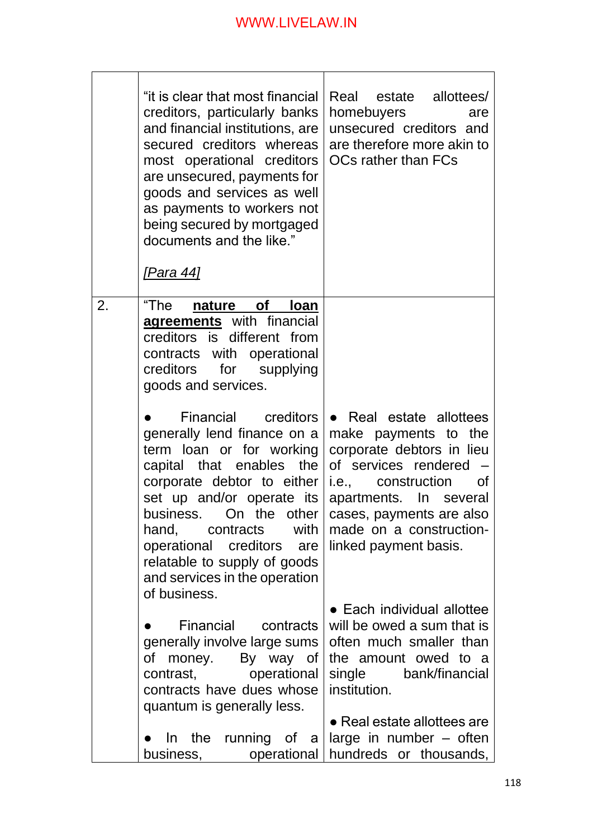|    | "it is clear that most financial<br>creditors, particularly banks<br>and financial institutions, are<br>secured creditors whereas<br>most operational creditors<br>are unsecured, payments for<br>goods and services as well<br>as payments to workers not<br>being secured by mortgaged<br>documents and the like."                        | Real estate allottees/<br>homebuyers<br>are<br>unsecured creditors and<br>are therefore more akin to<br>OCs rather than FCs                                                                                                                |
|----|---------------------------------------------------------------------------------------------------------------------------------------------------------------------------------------------------------------------------------------------------------------------------------------------------------------------------------------------|--------------------------------------------------------------------------------------------------------------------------------------------------------------------------------------------------------------------------------------------|
|    | <u>[Para 44]</u>                                                                                                                                                                                                                                                                                                                            |                                                                                                                                                                                                                                            |
| 2. | "The<br>nature of<br>loan<br>agreements with financial<br>creditors is different from<br>contracts with operational<br>creditors for supplying<br>goods and services.                                                                                                                                                                       |                                                                                                                                                                                                                                            |
|    | Financial creditors<br>generally lend finance on a<br>term loan or for working<br>capital that enables the<br>corporate debtor to either<br>set up and/or operate its<br>business. On the other<br>with<br>hand,<br>contracts<br>operational creditors are<br>relatable to supply of goods<br>and services in the operation<br>of business. | • Real estate allottees<br>make payments to the<br>corporate debtors in lieu<br>of services rendered<br>i.e., construction<br>0f<br>apartments. In several<br>cases, payments are also<br>made on a construction-<br>linked payment basis. |
|    | Financial<br>contracts<br>generally involve large sums<br>money. By way of<br>of<br>contrast, operational<br>contracts have dues whose                                                                                                                                                                                                      | • Each individual allottee<br>will be owed a sum that is<br>often much smaller than<br>the amount owed to a<br>single bank/financial<br>institution.                                                                                       |
|    | quantum is generally less.<br>running of a<br>In the<br>business, operational                                                                                                                                                                                                                                                               | • Real estate allottees are<br>large in number – often<br>hundreds or thousands,                                                                                                                                                           |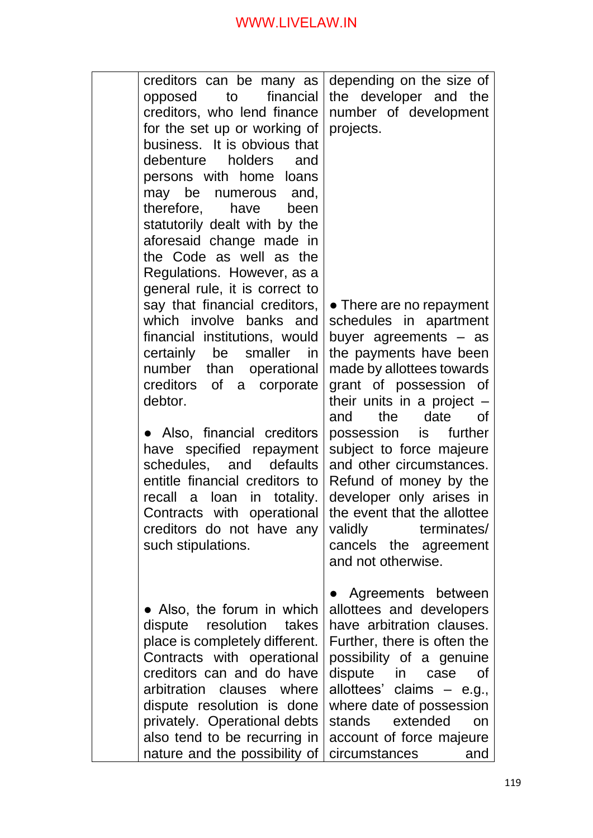| opposed<br>may be<br>therefore,<br>certainly be<br>debtor.<br>recall | creditors can be many as  <br>financial<br>to<br>creditors, who lend finance<br>for the set up or working of<br>business. It is obvious that<br>debenture holders<br>and<br>persons with home loans<br>numerous and,<br>have<br>been<br>statutorily dealt with by the<br>aforesaid change made in<br>the Code as well as the<br>Regulations. However, as a<br>general rule, it is correct to<br>say that financial creditors,<br>which involve banks and<br>financial institutions, would<br>smaller in<br>number than operational<br>creditors of a corporate<br>• Also, financial creditors<br>have specified repayment<br>schedules, and defaults<br>entitle financial creditors to<br>loan in totality.<br>a<br>Contracts with operational<br>creditors do not have any<br>such stipulations. | depending on the size of<br>the developer and the<br>number of development<br>projects.<br>• There are no repayment<br>schedules in apartment<br>buyer agreements - as<br>the payments have been<br>made by allottees towards<br>grant of possession of<br>their units in a project $-$<br>the date of<br>and<br>possession is further<br>subject to force majeure<br>and other circumstances.<br>Refund of money by the<br>developer only arises in<br>the event that the allottee<br>validly<br>terminates/<br>cancels the agreement |
|----------------------------------------------------------------------|---------------------------------------------------------------------------------------------------------------------------------------------------------------------------------------------------------------------------------------------------------------------------------------------------------------------------------------------------------------------------------------------------------------------------------------------------------------------------------------------------------------------------------------------------------------------------------------------------------------------------------------------------------------------------------------------------------------------------------------------------------------------------------------------------|----------------------------------------------------------------------------------------------------------------------------------------------------------------------------------------------------------------------------------------------------------------------------------------------------------------------------------------------------------------------------------------------------------------------------------------------------------------------------------------------------------------------------------------|
|                                                                      | • Also, the forum in which<br>dispute resolution<br>takes<br>place is completely different.<br>Contracts with operational<br>creditors can and do have<br>arbitration clauses where<br>dispute resolution is done<br>privately. Operational debts<br>also tend to be recurring in<br>nature and the possibility of                                                                                                                                                                                                                                                                                                                                                                                                                                                                                | and not otherwise.<br>Agreements between<br>allottees and developers<br>have arbitration clauses.<br>Further, there is often the<br>possibility of a genuine<br>dispute<br>in case<br><b>of</b><br>allottees'<br>claims $-$ e.g.,<br>where date of possession<br>stands<br>extended<br>on<br>account of force majeure<br>circumstances<br>and                                                                                                                                                                                          |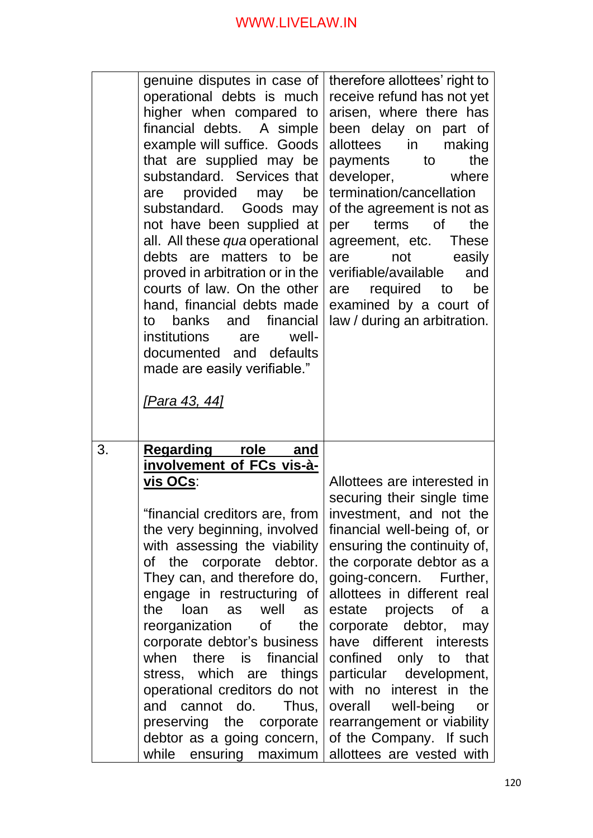|    | genuine disputes in case of  <br>operational debts is much<br>higher when compared to<br>financial debts. A simple<br>example will suffice. Goods<br>that are supplied may be<br>substandard. Services that<br>provided may<br>be<br>are<br>substandard. Goods may<br>not have been supplied at<br>all. All these qua operational<br>debts are matters to be<br>proved in arbitration or in the<br>courts of law. On the other<br>hand, financial debts made<br>banks and financial<br>to<br>institutions<br>well-<br>are<br>documented and defaults<br>made are easily verifiable."<br><u>[Para 43, 44]</u> | therefore allottees' right to<br>receive refund has not yet<br>arisen, where there has<br>been delay on part of<br>allottees in<br>making<br>the<br>payments to<br>developer, where<br>termination/cancellation<br>of the agreement is not as<br>per terms of<br>the<br>agreement, etc. These<br>are<br>not<br>easily<br>verifiable/available<br>and<br>are required to<br>be<br>examined by a court of<br>law / during an arbitration.                                                                                    |
|----|--------------------------------------------------------------------------------------------------------------------------------------------------------------------------------------------------------------------------------------------------------------------------------------------------------------------------------------------------------------------------------------------------------------------------------------------------------------------------------------------------------------------------------------------------------------------------------------------------------------|----------------------------------------------------------------------------------------------------------------------------------------------------------------------------------------------------------------------------------------------------------------------------------------------------------------------------------------------------------------------------------------------------------------------------------------------------------------------------------------------------------------------------|
| 3. | <u>Regarding</u><br><u>role</u><br><u>and</u><br>involvement of FCs vis-à-<br><u>vis OCs:</u><br>"financial creditors are, from<br>the very beginning, involved<br>with assessing the viability<br>of the corporate debtor.<br>They can, and therefore do,<br>engage in restructuring of<br>loan as well as<br>the<br>reorganization of the<br>corporate debtor's business<br>when there is financial<br>stress, which are things<br>operational creditors do not<br>and cannot do. Thus,<br>preserving the corporate<br>debtor as a going concern,<br>while ensuring maximum                                | Allottees are interested in<br>securing their single time<br>investment, and not the<br>financial well-being of, or<br>ensuring the continuity of,<br>the corporate debtor as a<br>going-concern. Further,<br>allottees in different real<br>estate projects of a<br>corporate debtor, may<br>have different interests<br>confined only to<br>that<br>particular development,<br>with no interest in the<br>overall well-being<br>or<br>rearrangement or viability<br>of the Company. If such<br>allottees are vested with |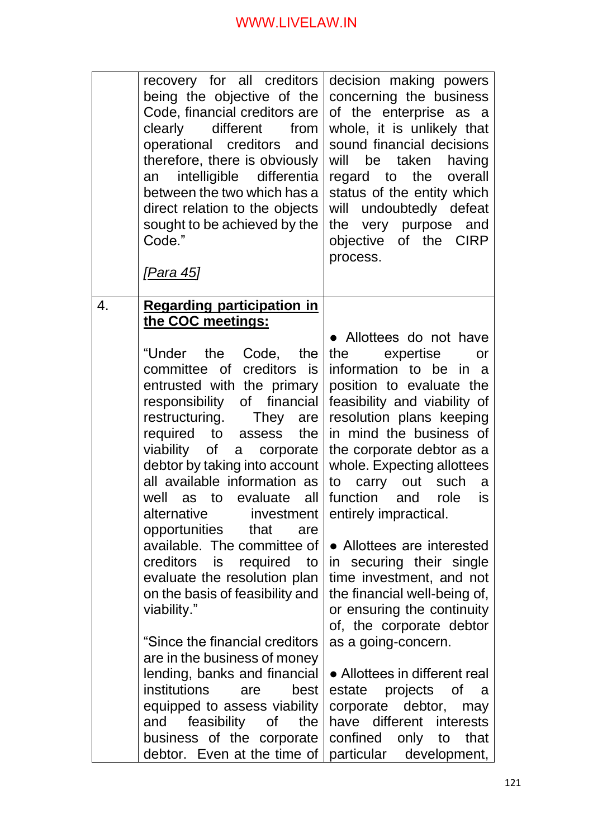|    | recovery for all creditors<br>being the objective of the<br>Code, financial creditors are<br>clearly different from<br>operational creditors and<br>therefore, there is obviously<br>an intelligible differentia<br>between the two which has a<br>direct relation to the objects<br>sought to be achieved by the<br>Code."<br><u>[Para 45]</u> | decision making powers<br>concerning the business<br>of the enterprise as a<br>whole, it is unlikely that<br>sound financial decisions<br>will be taken having<br>regard to the overall<br>status of the entity which<br>will undoubtedly defeat<br>the very purpose and<br>objective of the CIRP<br>process. |
|----|-------------------------------------------------------------------------------------------------------------------------------------------------------------------------------------------------------------------------------------------------------------------------------------------------------------------------------------------------|---------------------------------------------------------------------------------------------------------------------------------------------------------------------------------------------------------------------------------------------------------------------------------------------------------------|
| 4. | <b>Regarding participation in</b>                                                                                                                                                                                                                                                                                                               |                                                                                                                                                                                                                                                                                                               |
|    | the COC meetings:<br>"Under the Code, the                                                                                                                                                                                                                                                                                                       | • Allottees do not have<br>the expertise<br>or                                                                                                                                                                                                                                                                |
|    | committee of creditors is                                                                                                                                                                                                                                                                                                                       | information to be in a                                                                                                                                                                                                                                                                                        |
|    | entrusted with the primary                                                                                                                                                                                                                                                                                                                      | position to evaluate the                                                                                                                                                                                                                                                                                      |
|    | responsibility of financial<br>restructuring. They are                                                                                                                                                                                                                                                                                          | feasibility and viability of<br>resolution plans keeping                                                                                                                                                                                                                                                      |
|    | required to assess<br>the                                                                                                                                                                                                                                                                                                                       | in mind the business of                                                                                                                                                                                                                                                                                       |
|    | viability of a corporate                                                                                                                                                                                                                                                                                                                        | the corporate debtor as a                                                                                                                                                                                                                                                                                     |
|    | debtor by taking into account<br>all available information as                                                                                                                                                                                                                                                                                   | whole. Expecting allottees<br>to carry out such a                                                                                                                                                                                                                                                             |
|    | well as to evaluate all                                                                                                                                                                                                                                                                                                                         | function and role<br>is                                                                                                                                                                                                                                                                                       |
|    | alternative investment   entirely impractical.                                                                                                                                                                                                                                                                                                  |                                                                                                                                                                                                                                                                                                               |
|    | opportunities that are                                                                                                                                                                                                                                                                                                                          |                                                                                                                                                                                                                                                                                                               |
|    | available. The committee of<br>creditors is required to                                                                                                                                                                                                                                                                                         | • Allottees are interested<br>in securing their single                                                                                                                                                                                                                                                        |
|    | evaluate the resolution plan                                                                                                                                                                                                                                                                                                                    | time investment, and not                                                                                                                                                                                                                                                                                      |
|    | on the basis of feasibility and                                                                                                                                                                                                                                                                                                                 | the financial well-being of,                                                                                                                                                                                                                                                                                  |
|    | viability."                                                                                                                                                                                                                                                                                                                                     | or ensuring the continuity                                                                                                                                                                                                                                                                                    |
|    | "Since the financial creditors                                                                                                                                                                                                                                                                                                                  | of, the corporate debtor<br>as a going-concern.                                                                                                                                                                                                                                                               |
|    | are in the business of money                                                                                                                                                                                                                                                                                                                    |                                                                                                                                                                                                                                                                                                               |
|    | lending, banks and financial                                                                                                                                                                                                                                                                                                                    | • Allottees in different real                                                                                                                                                                                                                                                                                 |
|    | institutions<br>best<br>are                                                                                                                                                                                                                                                                                                                     | estate projects of a                                                                                                                                                                                                                                                                                          |
|    | equipped to assess viability                                                                                                                                                                                                                                                                                                                    | corporate debtor, may                                                                                                                                                                                                                                                                                         |
|    | feasibility of<br>and<br>the<br>business of the corporate                                                                                                                                                                                                                                                                                       | have different interests<br>confined only to<br>that                                                                                                                                                                                                                                                          |
|    | debtor. Even at the time of                                                                                                                                                                                                                                                                                                                     | particular development,                                                                                                                                                                                                                                                                                       |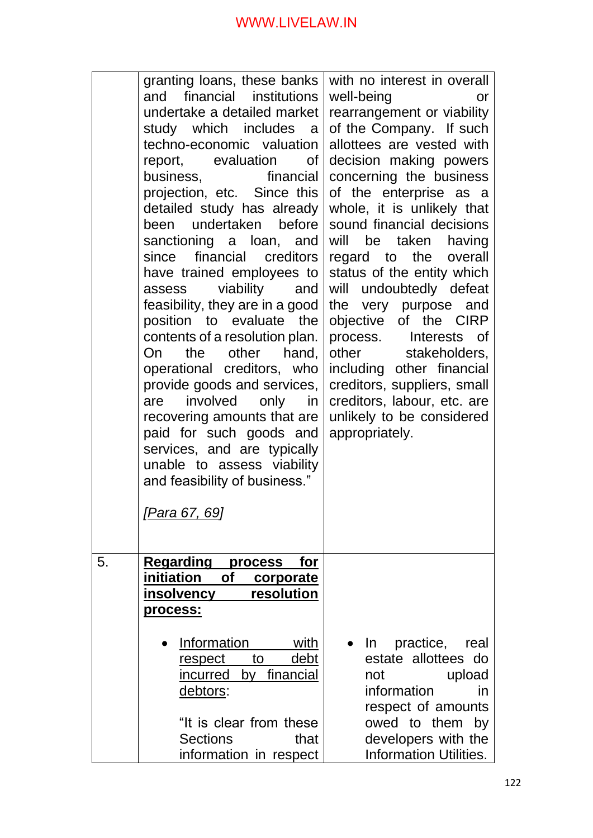|    | granting loans, these banks                           | with no interest in overall                                                                                                                                                                                                              |
|----|-------------------------------------------------------|------------------------------------------------------------------------------------------------------------------------------------------------------------------------------------------------------------------------------------------|
|    | financial institutions<br>and                         | well-being<br>or                                                                                                                                                                                                                         |
|    | undertake a detailed market<br>study which includes a | rearrangement or viability<br>of the Company. If such                                                                                                                                                                                    |
|    | techno-economic valuation                             | allottees are vested with                                                                                                                                                                                                                |
|    | report, evaluation of                                 | decision making powers                                                                                                                                                                                                                   |
|    | financial<br>business,                                | concerning the business                                                                                                                                                                                                                  |
|    | projection, etc. Since this                           | of the enterprise as a                                                                                                                                                                                                                   |
|    | detailed study has already                            | whole, it is unlikely that                                                                                                                                                                                                               |
|    | been undertaken before                                | sound financial decisions                                                                                                                                                                                                                |
|    | sanctioning a loan, and                               | will<br>be<br>taken<br>having                                                                                                                                                                                                            |
|    | since financial creditors                             | regard to the overall                                                                                                                                                                                                                    |
|    | have trained employees to                             | status of the entity which                                                                                                                                                                                                               |
|    | viability<br>and<br>assess                            | undoubtedly defeat<br>will                                                                                                                                                                                                               |
|    | feasibility, they are in a good                       | the very purpose and                                                                                                                                                                                                                     |
|    | position to evaluate the                              | objective of the CIRP                                                                                                                                                                                                                    |
|    | contents of a resolution plan.                        | process. Interests<br>_of                                                                                                                                                                                                                |
|    | other<br>the<br>hand,<br>On.                          | other<br>stakeholders,                                                                                                                                                                                                                   |
|    | operational creditors, who                            | including other financial                                                                                                                                                                                                                |
|    | provide goods and services,                           | creditors, suppliers, small                                                                                                                                                                                                              |
|    | involved<br>only<br>in<br>are                         | creditors, labour, etc. are                                                                                                                                                                                                              |
|    | recovering amounts that are                           | unlikely to be considered                                                                                                                                                                                                                |
|    | paid for such goods and                               | appropriately.                                                                                                                                                                                                                           |
|    | services, and are typically                           |                                                                                                                                                                                                                                          |
|    | unable to assess viability                            |                                                                                                                                                                                                                                          |
|    | and feasibility of business."                         |                                                                                                                                                                                                                                          |
|    | <u>[Para 67, 69]</u>                                  |                                                                                                                                                                                                                                          |
|    |                                                       |                                                                                                                                                                                                                                          |
|    |                                                       |                                                                                                                                                                                                                                          |
| 5. | <b>Regarding process</b><br>for                       |                                                                                                                                                                                                                                          |
|    | initiation of corporate<br>resolution<br>insolvency   |                                                                                                                                                                                                                                          |
|    | <u>process:</u>                                       |                                                                                                                                                                                                                                          |
|    |                                                       |                                                                                                                                                                                                                                          |
|    | <b>Information</b><br>with                            | practice, real<br>In.<br>$\bullet$                                                                                                                                                                                                       |
|    | <u>debt</u><br>to to<br><u>respect</u>                | estate allottees do                                                                                                                                                                                                                      |
|    | incurred by financial                                 | upload<br>not a control of the control of the control of the control of the control of the control of the control of the control of the control of the control of the control of the control of the control of the control of the contro |
|    | <u>debtors:</u>                                       | information<br>in                                                                                                                                                                                                                        |
|    |                                                       | respect of amounts                                                                                                                                                                                                                       |
|    | "It is clear from these                               | owed to them by                                                                                                                                                                                                                          |
|    | <b>Sections</b><br>that                               | developers with the                                                                                                                                                                                                                      |
|    | information in respect                                | <b>Information Utilities.</b>                                                                                                                                                                                                            |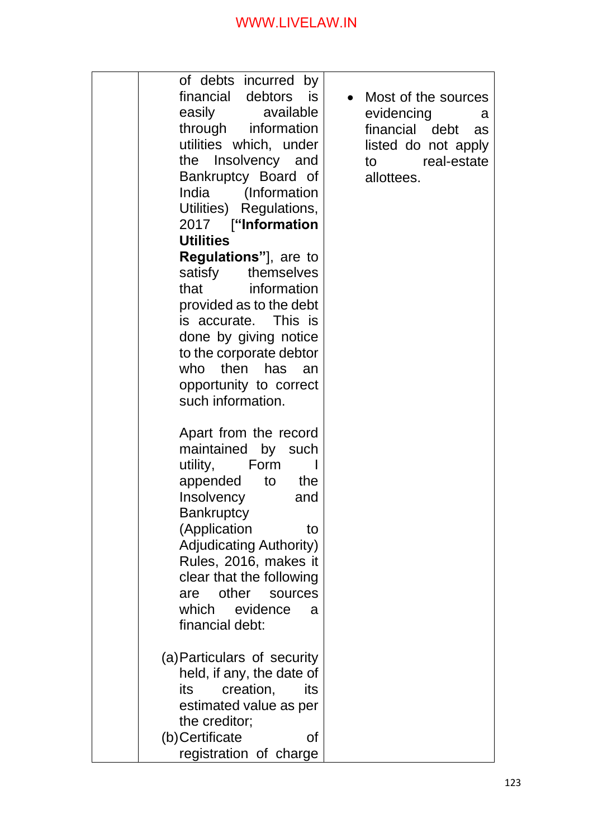|  | of debts incurred by           |                      |
|--|--------------------------------|----------------------|
|  | financial debtors is           | Most of the sources  |
|  | easily available               | evidencing<br>a      |
|  | through information            | financial debt<br>as |
|  | utilities which, under         | listed do not apply  |
|  | the Insolvency and             | to real-estate       |
|  | Bankruptcy Board of            | allottees.           |
|  | India (Information             |                      |
|  | Utilities) Regulations,        |                      |
|  | 2017 ["Information             |                      |
|  | <b>Utilities</b>               |                      |
|  | <b>Regulations"</b> ], are to  |                      |
|  | satisfy themselves             |                      |
|  | that information               |                      |
|  | provided as to the debt        |                      |
|  | is accurate. This is           |                      |
|  | done by giving notice          |                      |
|  | to the corporate debtor        |                      |
|  | who then has an                |                      |
|  | opportunity to correct         |                      |
|  | such information.              |                      |
|  |                                |                      |
|  | Apart from the record          |                      |
|  | maintained by such             |                      |
|  | utility,<br>Form<br>L          |                      |
|  | appended<br>to<br>the          |                      |
|  | Insolvency<br>and              |                      |
|  | <b>Bankruptcy</b>              |                      |
|  | (Application<br>to             |                      |
|  | <b>Adjudicating Authority)</b> |                      |
|  | Rules, 2016, makes it          |                      |
|  | clear that the following       |                      |
|  | other<br>sources<br>are        |                      |
|  | which evidence<br>a            |                      |
|  | financial debt:                |                      |
|  |                                |                      |
|  | (a) Particulars of security    |                      |
|  | held, if any, the date of      |                      |
|  | creation,<br>its<br>its        |                      |
|  | estimated value as per         |                      |
|  | the creditor;                  |                      |
|  | (b) Certificate<br>οf          |                      |
|  | registration of charge         |                      |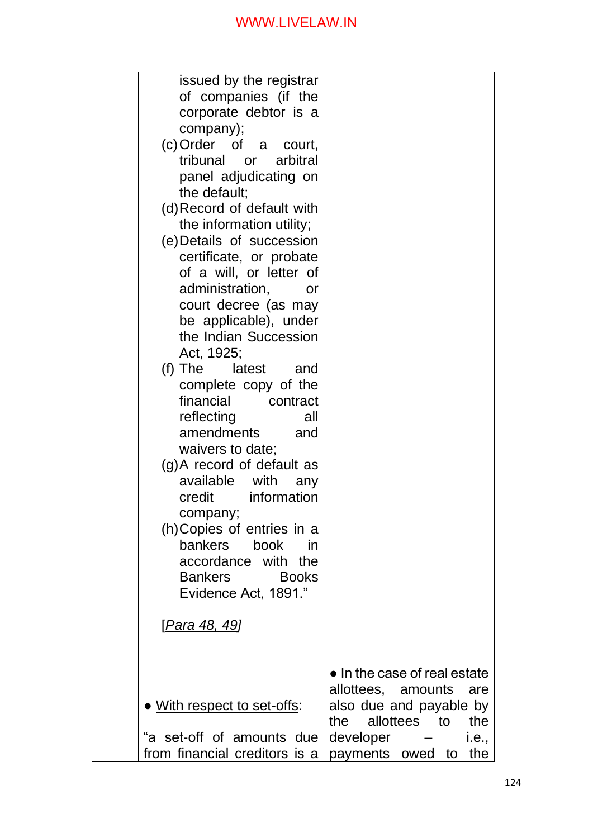| issued by the registrar                                |                                                                |
|--------------------------------------------------------|----------------------------------------------------------------|
| of companies (if the<br>corporate debtor is a          |                                                                |
| company);                                              |                                                                |
| (c) Order of a court,                                  |                                                                |
| tribunal or<br>arbitral                                |                                                                |
| panel adjudicating on                                  |                                                                |
| the default;                                           |                                                                |
| (d) Record of default with<br>the information utility; |                                                                |
| (e) Details of succession                              |                                                                |
| certificate, or probate                                |                                                                |
| of a will, or letter of                                |                                                                |
| administration,<br><b>or</b>                           |                                                                |
| court decree (as may                                   |                                                                |
| be applicable), under                                  |                                                                |
| the Indian Succession<br>Act, 1925;                    |                                                                |
| $(f)$ The<br>latest<br>and                             |                                                                |
| complete copy of the                                   |                                                                |
| financial<br>contract                                  |                                                                |
| reflecting<br>all                                      |                                                                |
| amendments<br>and                                      |                                                                |
| waivers to date;                                       |                                                                |
| (g)A record of default as<br>available with<br>any     |                                                                |
| credit information                                     |                                                                |
| company;                                               |                                                                |
| (h) Copies of entries in a                             |                                                                |
| bankers<br>book<br>in                                  |                                                                |
| accordance with the                                    |                                                                |
| <b>Bankers</b><br><b>Books</b><br>Evidence Act, 1891." |                                                                |
|                                                        |                                                                |
| <u>[Para 48, 49]</u>                                   |                                                                |
|                                                        |                                                                |
|                                                        |                                                                |
|                                                        | $\bullet$ In the case of real estate<br>allottees, amounts are |
| • With respect to set-offs:                            | also due and payable by                                        |
|                                                        | allottees to<br>the<br>the                                     |
| "a set-off of amounts due                              | developer –<br><i>i.e.,</i>                                    |
| from financial creditors is a                          | payments owed to<br>the                                        |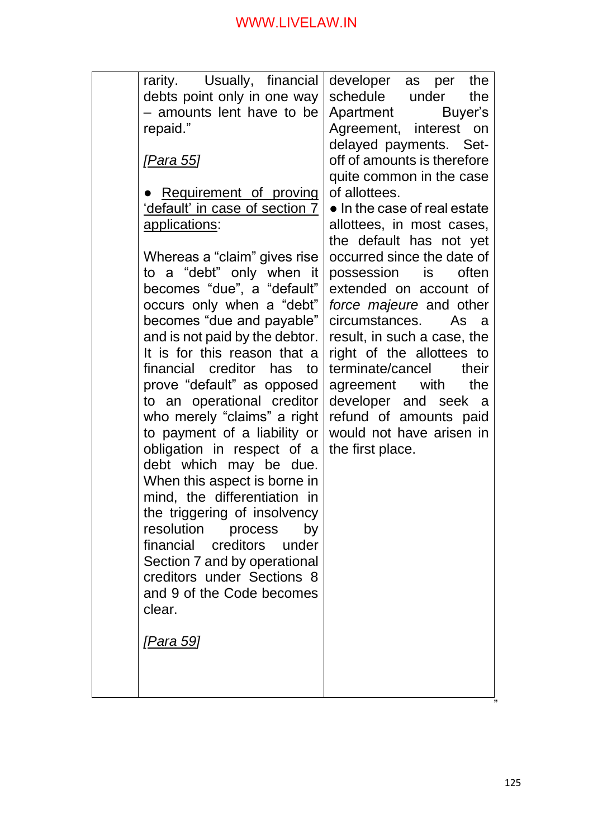| - amounts lent have to be<br>repaid."<br><u>[Para 55]</u><br>Requirement of proving<br><u>'default' in case of section 7</u><br><u>applications:</u><br>Whereas a "claim" gives rise<br>to a "debt" only when it<br>becomes "due", a "default"<br>occurs only when a "debt"<br>becomes "due and payable"<br>and is not paid by the debtor.<br>It is for this reason that a<br>financial creditor has<br>to<br>prove "default" as opposed<br>to an operational creditor<br>who merely "claims" a right<br>to payment of a liability or<br>obligation in respect of a<br>debt which may be due.<br>When this aspect is borne in<br>mind, the differentiation in<br>the triggering of insolvency<br>resolution<br>process<br>by<br>financial creditors under<br>Section 7 and by operational<br>creditors under Sections 8<br>and 9 of the Code becomes<br>clear.<br><u>[Para 59]</u> | Apartment<br>Buyer's<br>Agreement, interest on<br>delayed payments. Set-<br>off of amounts is therefore<br>quite common in the case<br>of allottees.<br>• In the case of real estate<br>allottees, in most cases,<br>the default has not yet<br>occurred since the date of<br>possession is<br>often<br>extended on account of<br>force majeure and other<br>circumstances.<br>As<br>- a<br>result, in such a case, the<br>right of the allottees to<br>terminate/cancel<br>their<br>agreement with<br>the<br>developer and seek<br><sub>a</sub><br>refund of amounts paid<br>would not have arisen in<br>the first place. |
|------------------------------------------------------------------------------------------------------------------------------------------------------------------------------------------------------------------------------------------------------------------------------------------------------------------------------------------------------------------------------------------------------------------------------------------------------------------------------------------------------------------------------------------------------------------------------------------------------------------------------------------------------------------------------------------------------------------------------------------------------------------------------------------------------------------------------------------------------------------------------------|----------------------------------------------------------------------------------------------------------------------------------------------------------------------------------------------------------------------------------------------------------------------------------------------------------------------------------------------------------------------------------------------------------------------------------------------------------------------------------------------------------------------------------------------------------------------------------------------------------------------------|
| rarity. Usually, financial<br>debts point only in one way                                                                                                                                                                                                                                                                                                                                                                                                                                                                                                                                                                                                                                                                                                                                                                                                                          | developer as per<br>the<br>schedule<br>under<br>the                                                                                                                                                                                                                                                                                                                                                                                                                                                                                                                                                                        |
|                                                                                                                                                                                                                                                                                                                                                                                                                                                                                                                                                                                                                                                                                                                                                                                                                                                                                    |                                                                                                                                                                                                                                                                                                                                                                                                                                                                                                                                                                                                                            |
|                                                                                                                                                                                                                                                                                                                                                                                                                                                                                                                                                                                                                                                                                                                                                                                                                                                                                    |                                                                                                                                                                                                                                                                                                                                                                                                                                                                                                                                                                                                                            |
|                                                                                                                                                                                                                                                                                                                                                                                                                                                                                                                                                                                                                                                                                                                                                                                                                                                                                    |                                                                                                                                                                                                                                                                                                                                                                                                                                                                                                                                                                                                                            |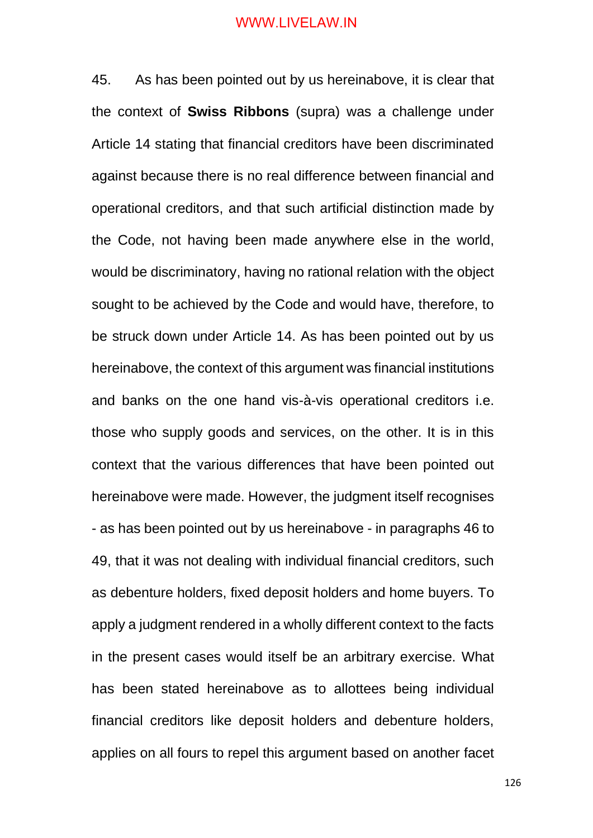45. As has been pointed out by us hereinabove, it is clear that the context of **Swiss Ribbons** (supra) was a challenge under Article 14 stating that financial creditors have been discriminated against because there is no real difference between financial and operational creditors, and that such artificial distinction made by the Code, not having been made anywhere else in the world, would be discriminatory, having no rational relation with the object sought to be achieved by the Code and would have, therefore, to be struck down under Article 14. As has been pointed out by us hereinabove, the context of this argument was financial institutions and banks on the one hand vis-à-vis operational creditors i.e. those who supply goods and services, on the other. It is in this context that the various differences that have been pointed out hereinabove were made. However, the judgment itself recognises - as has been pointed out by us hereinabove - in paragraphs 46 to 49, that it was not dealing with individual financial creditors, such as debenture holders, fixed deposit holders and home buyers. To apply a judgment rendered in a wholly different context to the facts in the present cases would itself be an arbitrary exercise. What has been stated hereinabove as to allottees being individual financial creditors like deposit holders and debenture holders, applies on all fours to repel this argument based on another facet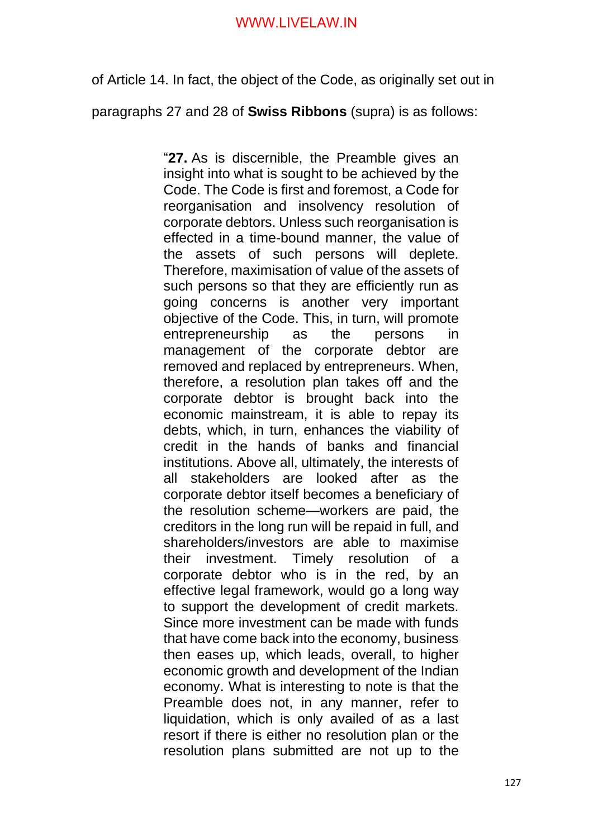of Article 14. In fact, the object of the Code, as originally set out in

paragraphs 27 and 28 of **Swiss Ribbons** (supra) is as follows:

"**27.** As is discernible, the Preamble gives an insight into what is sought to be achieved by the Code. The Code is first and foremost, a Code for reorganisation and insolvency resolution of corporate debtors. Unless such reorganisation is effected in a time-bound manner, the value of the assets of such persons will deplete. Therefore, maximisation of value of the assets of such persons so that they are efficiently run as going concerns is another very important objective of the Code. This, in turn, will promote entrepreneurship as the persons in management of the corporate debtor are removed and replaced by entrepreneurs. When, therefore, a resolution plan takes off and the corporate debtor is brought back into the economic mainstream, it is able to repay its debts, which, in turn, enhances the viability of credit in the hands of banks and financial institutions. Above all, ultimately, the interests of all stakeholders are looked after as the corporate debtor itself becomes a beneficiary of the resolution scheme—workers are paid, the creditors in the long run will be repaid in full, and shareholders/investors are able to maximise their investment. Timely resolution of a corporate debtor who is in the red, by an effective legal framework, would go a long way to support the development of credit markets. Since more investment can be made with funds that have come back into the economy, business then eases up, which leads, overall, to higher economic growth and development of the Indian economy. What is interesting to note is that the Preamble does not, in any manner, refer to liquidation, which is only availed of as a last resort if there is either no resolution plan or the resolution plans submitted are not up to the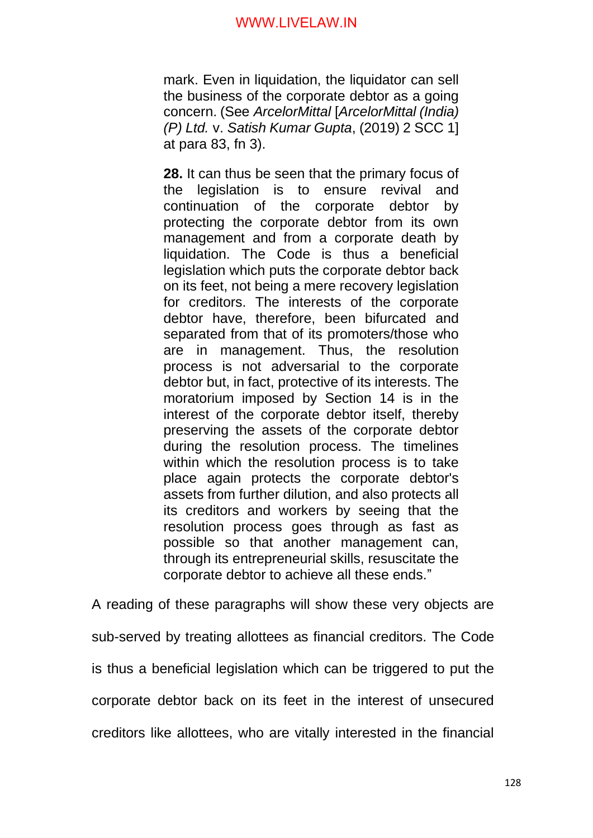mark. Even in liquidation, the liquidator can sell the business of the corporate debtor as a going concern. (See *ArcelorMittal* [*ArcelorMittal (India) (P) Ltd.* v. *Satish Kumar Gupta*, (2019) 2 SCC 1] at para 83, fn 3).

**28.** It can thus be seen that the primary focus of the legislation is to ensure revival and continuation of the corporate debtor by protecting the corporate debtor from its own management and from a corporate death by liquidation. The Code is thus a beneficial legislation which puts the corporate debtor back on its feet, not being a mere recovery legislation for creditors. The interests of the corporate debtor have, therefore, been bifurcated and separated from that of its promoters/those who are in management. Thus, the resolution process is not adversarial to the corporate debtor but, in fact, protective of its interests. The moratorium imposed by Section 14 is in the interest of the corporate debtor itself, thereby preserving the assets of the corporate debtor during the resolution process. The timelines within which the resolution process is to take place again protects the corporate debtor's assets from further dilution, and also protects all its creditors and workers by seeing that the resolution process goes through as fast as possible so that another management can, through its entrepreneurial skills, resuscitate the corporate debtor to achieve all these ends."

A reading of these paragraphs will show these very objects are sub-served by treating allottees as financial creditors. The Code is thus a beneficial legislation which can be triggered to put the corporate debtor back on its feet in the interest of unsecured creditors like allottees, who are vitally interested in the financial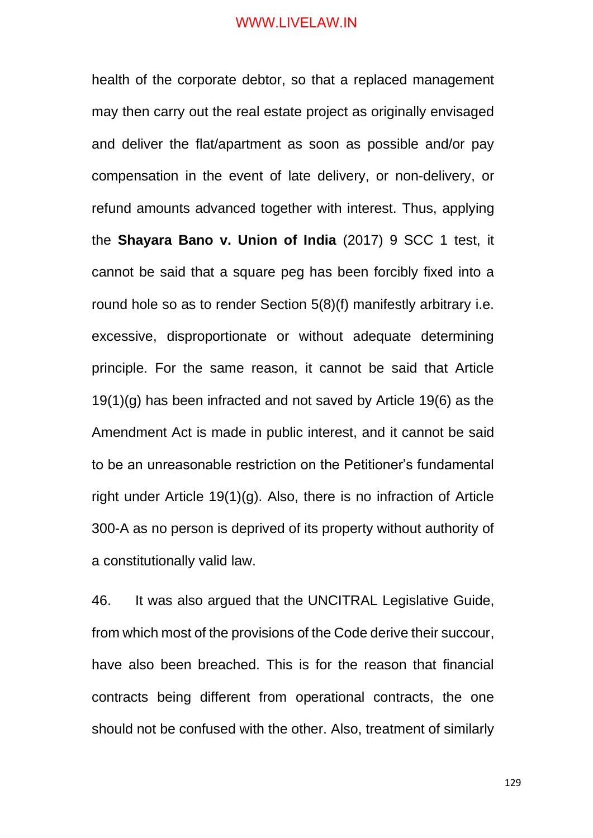health of the corporate debtor, so that a replaced management may then carry out the real estate project as originally envisaged and deliver the flat/apartment as soon as possible and/or pay compensation in the event of late delivery, or non-delivery, or refund amounts advanced together with interest. Thus, applying the **Shayara Bano v. Union of India** (2017) 9 SCC 1 test, it cannot be said that a square peg has been forcibly fixed into a round hole so as to render Section 5(8)(f) manifestly arbitrary i.e. excessive, disproportionate or without adequate determining principle. For the same reason, it cannot be said that Article 19(1)(g) has been infracted and not saved by Article 19(6) as the Amendment Act is made in public interest, and it cannot be said to be an unreasonable restriction on the Petitioner's fundamental right under Article 19(1)(g). Also, there is no infraction of Article 300-A as no person is deprived of its property without authority of a constitutionally valid law.

46. It was also argued that the UNCITRAL Legislative Guide, from which most of the provisions of the Code derive their succour, have also been breached. This is for the reason that financial contracts being different from operational contracts, the one should not be confused with the other. Also, treatment of similarly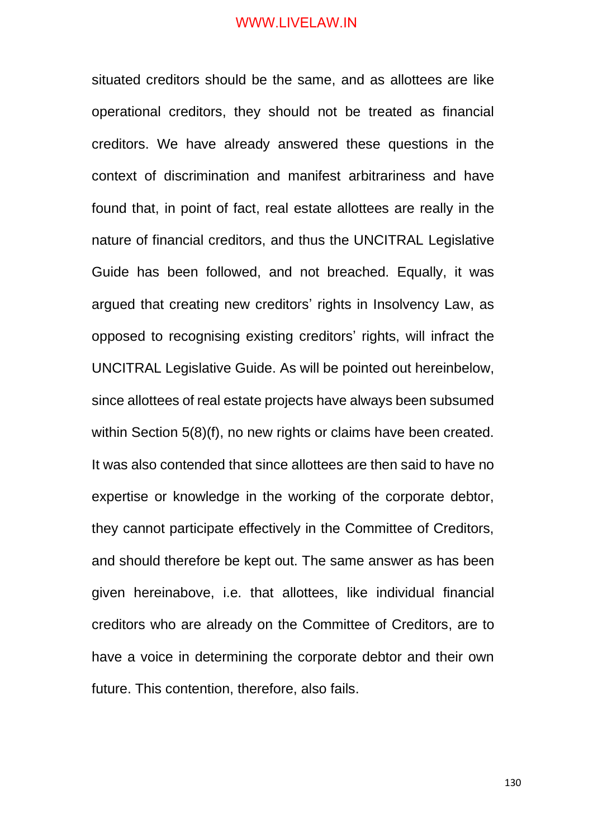situated creditors should be the same, and as allottees are like operational creditors, they should not be treated as financial creditors. We have already answered these questions in the context of discrimination and manifest arbitrariness and have found that, in point of fact, real estate allottees are really in the nature of financial creditors, and thus the UNCITRAL Legislative Guide has been followed, and not breached. Equally, it was argued that creating new creditors' rights in Insolvency Law, as opposed to recognising existing creditors' rights, will infract the UNCITRAL Legislative Guide. As will be pointed out hereinbelow, since allottees of real estate projects have always been subsumed within Section 5(8)(f), no new rights or claims have been created. It was also contended that since allottees are then said to have no expertise or knowledge in the working of the corporate debtor, they cannot participate effectively in the Committee of Creditors, and should therefore be kept out. The same answer as has been given hereinabove, i.e. that allottees, like individual financial creditors who are already on the Committee of Creditors, are to have a voice in determining the corporate debtor and their own future. This contention, therefore, also fails.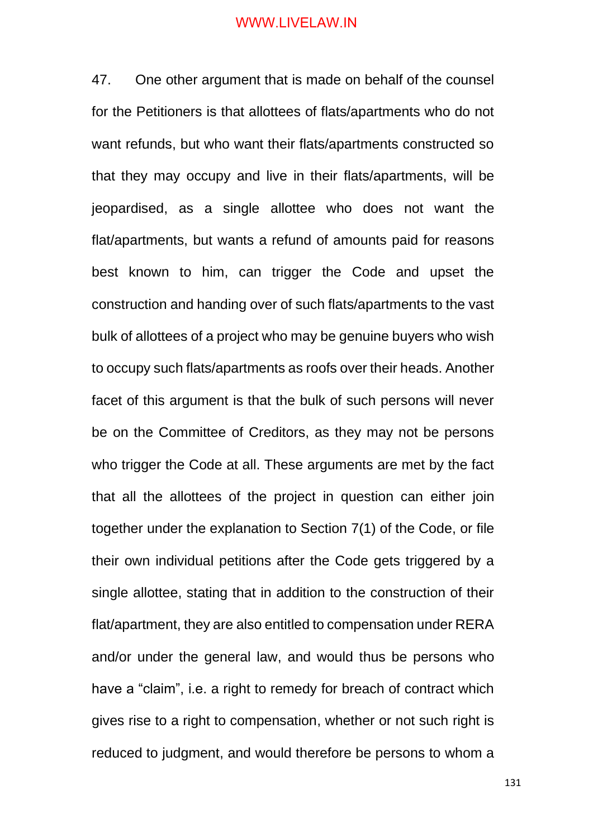47. One other argument that is made on behalf of the counsel for the Petitioners is that allottees of flats/apartments who do not want refunds, but who want their flats/apartments constructed so that they may occupy and live in their flats/apartments, will be jeopardised, as a single allottee who does not want the flat/apartments, but wants a refund of amounts paid for reasons best known to him, can trigger the Code and upset the construction and handing over of such flats/apartments to the vast bulk of allottees of a project who may be genuine buyers who wish to occupy such flats/apartments as roofs over their heads. Another facet of this argument is that the bulk of such persons will never be on the Committee of Creditors, as they may not be persons who trigger the Code at all. These arguments are met by the fact that all the allottees of the project in question can either join together under the explanation to Section 7(1) of the Code, or file their own individual petitions after the Code gets triggered by a single allottee, stating that in addition to the construction of their flat/apartment, they are also entitled to compensation under RERA and/or under the general law, and would thus be persons who have a "claim", i.e. a right to remedy for breach of contract which gives rise to a right to compensation, whether or not such right is reduced to judgment, and would therefore be persons to whom a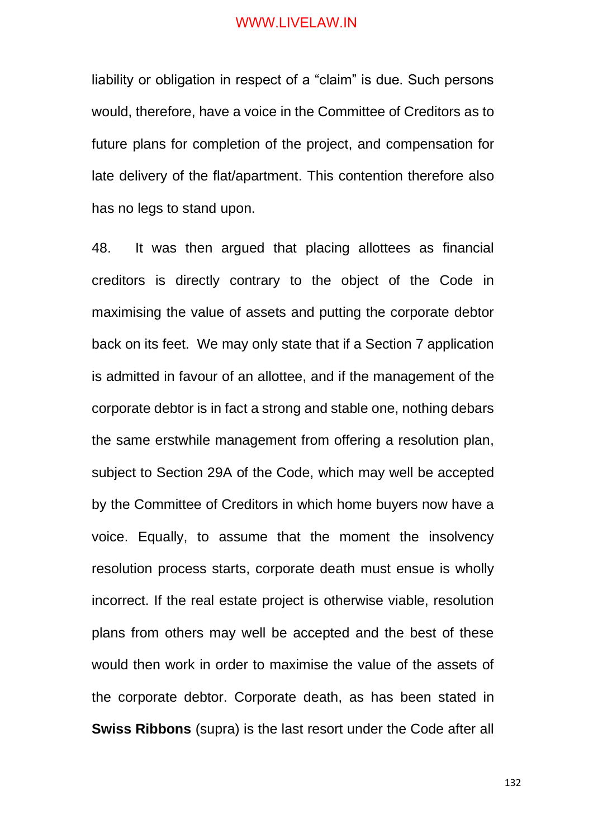liability or obligation in respect of a "claim" is due. Such persons would, therefore, have a voice in the Committee of Creditors as to future plans for completion of the project, and compensation for late delivery of the flat/apartment. This contention therefore also has no legs to stand upon.

48. It was then argued that placing allottees as financial creditors is directly contrary to the object of the Code in maximising the value of assets and putting the corporate debtor back on its feet. We may only state that if a Section 7 application is admitted in favour of an allottee, and if the management of the corporate debtor is in fact a strong and stable one, nothing debars the same erstwhile management from offering a resolution plan, subject to Section 29A of the Code, which may well be accepted by the Committee of Creditors in which home buyers now have a voice. Equally, to assume that the moment the insolvency resolution process starts, corporate death must ensue is wholly incorrect. If the real estate project is otherwise viable, resolution plans from others may well be accepted and the best of these would then work in order to maximise the value of the assets of the corporate debtor. Corporate death, as has been stated in **Swiss Ribbons** (supra) is the last resort under the Code after all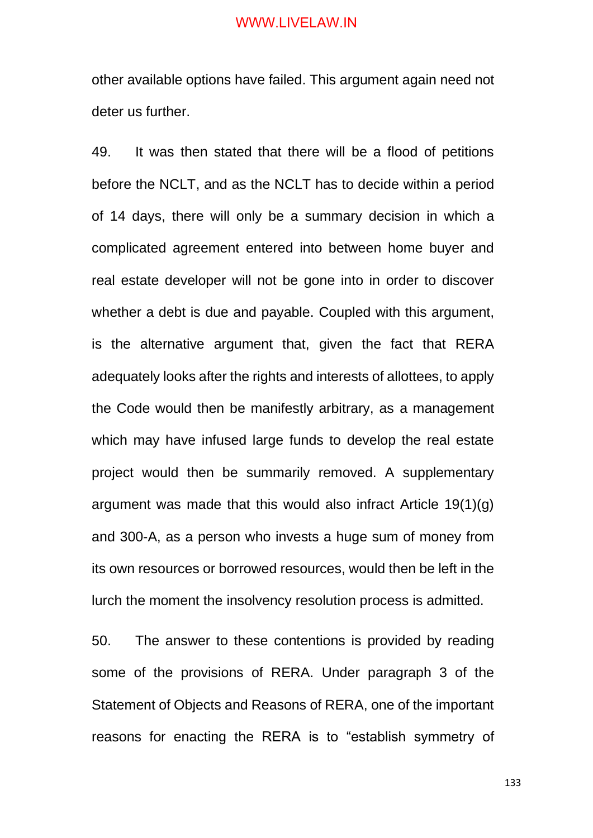other available options have failed. This argument again need not deter us further.

49. It was then stated that there will be a flood of petitions before the NCLT, and as the NCLT has to decide within a period of 14 days, there will only be a summary decision in which a complicated agreement entered into between home buyer and real estate developer will not be gone into in order to discover whether a debt is due and payable. Coupled with this argument, is the alternative argument that, given the fact that RERA adequately looks after the rights and interests of allottees, to apply the Code would then be manifestly arbitrary, as a management which may have infused large funds to develop the real estate project would then be summarily removed. A supplementary argument was made that this would also infract Article 19(1)(g) and 300-A, as a person who invests a huge sum of money from its own resources or borrowed resources, would then be left in the lurch the moment the insolvency resolution process is admitted.

50. The answer to these contentions is provided by reading some of the provisions of RERA. Under paragraph 3 of the Statement of Objects and Reasons of RERA, one of the important reasons for enacting the RERA is to "establish symmetry of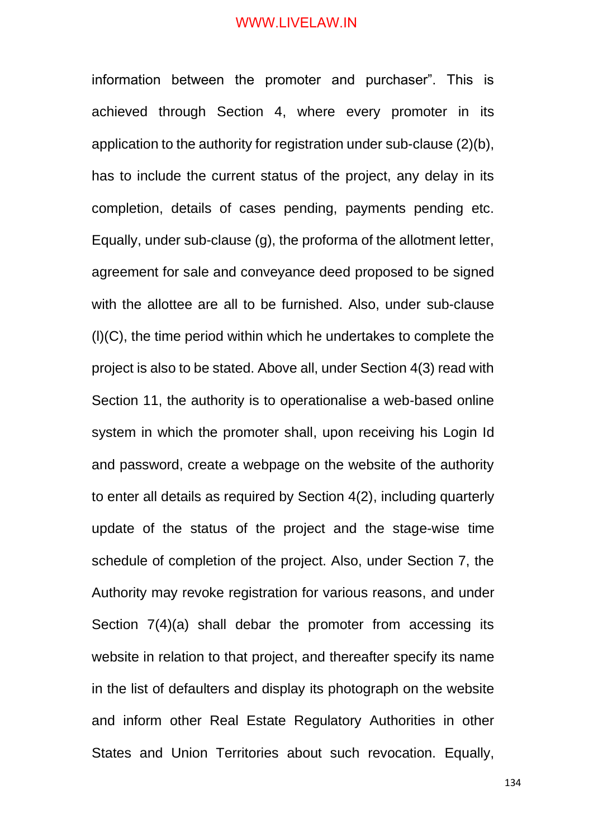information between the promoter and purchaser". This is achieved through Section 4, where every promoter in its application to the authority for registration under sub-clause (2)(b), has to include the current status of the project, any delay in its completion, details of cases pending, payments pending etc. Equally, under sub-clause (g), the proforma of the allotment letter, agreement for sale and conveyance deed proposed to be signed with the allottee are all to be furnished. Also, under sub-clause (l)(C), the time period within which he undertakes to complete the project is also to be stated. Above all, under Section 4(3) read with Section 11, the authority is to operationalise a web-based online system in which the promoter shall, upon receiving his Login Id and password, create a webpage on the website of the authority to enter all details as required by Section 4(2), including quarterly update of the status of the project and the stage-wise time schedule of completion of the project. Also, under Section 7, the Authority may revoke registration for various reasons, and under Section 7(4)(a) shall debar the promoter from accessing its website in relation to that project, and thereafter specify its name in the list of defaulters and display its photograph on the website and inform other Real Estate Regulatory Authorities in other States and Union Territories about such revocation. Equally,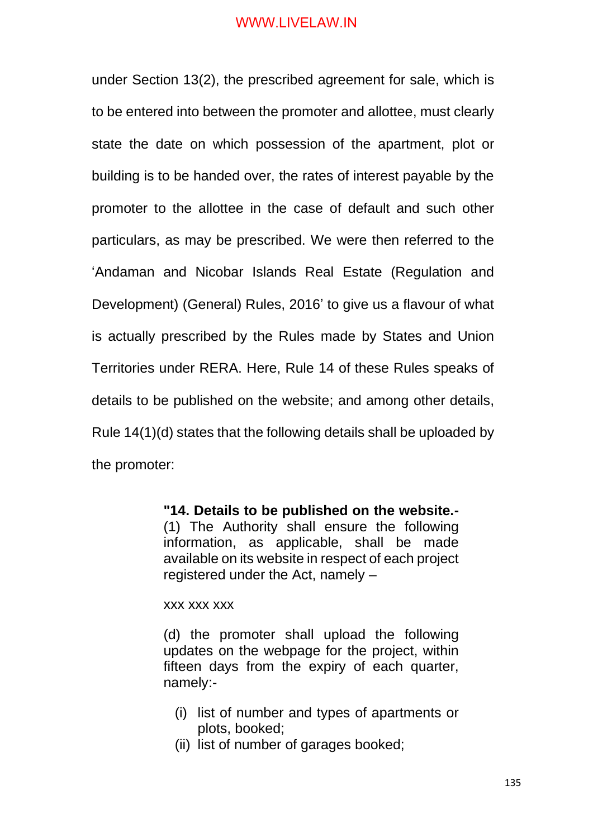under Section 13(2), the prescribed agreement for sale, which is to be entered into between the promoter and allottee, must clearly state the date on which possession of the apartment, plot or building is to be handed over, the rates of interest payable by the promoter to the allottee in the case of default and such other particulars, as may be prescribed. We were then referred to the 'Andaman and Nicobar Islands Real Estate (Regulation and Development) (General) Rules, 2016' to give us a flavour of what is actually prescribed by the Rules made by States and Union Territories under RERA. Here, Rule 14 of these Rules speaks of details to be published on the website; and among other details, Rule 14(1)(d) states that the following details shall be uploaded by the promoter:

> **"14. Details to be published on the website.-** (1) The Authority shall ensure the following information, as applicable, shall be made available on its website in respect of each project registered under the Act, namely –

xxx xxx xxx

(d) the promoter shall upload the following updates on the webpage for the project, within fifteen days from the expiry of each quarter, namely:-

- (i) list of number and types of apartments or plots, booked;
- (ii) list of number of garages booked;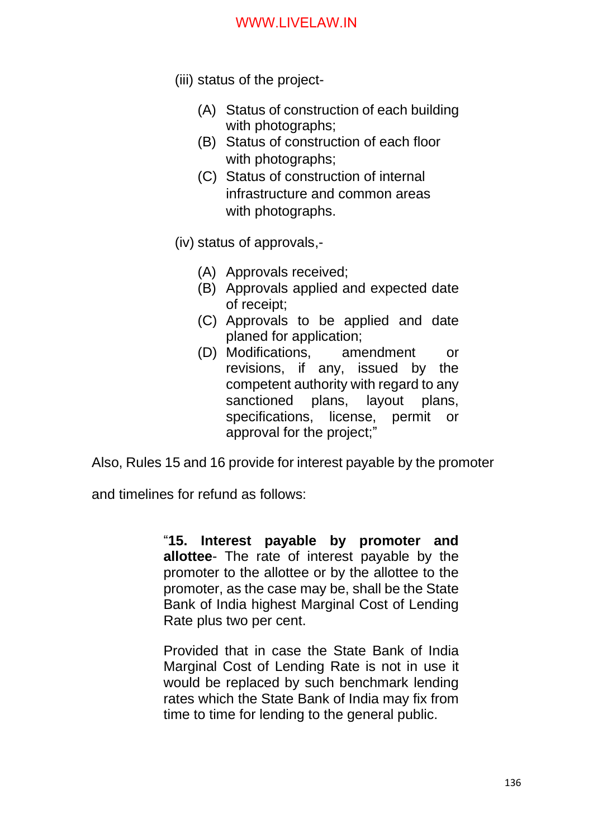- (iii) status of the project-
	- (A) Status of construction of each building with photographs;
	- (B) Status of construction of each floor with photographs;
	- (C) Status of construction of internal infrastructure and common areas with photographs.
- (iv) status of approvals,-
	- (A) Approvals received;
	- (B) Approvals applied and expected date of receipt;
	- (C) Approvals to be applied and date planed for application;
	- (D) Modifications, amendment or revisions, if any, issued by the competent authority with regard to any sanctioned plans, layout plans, specifications, license, permit or approval for the project;"

Also, Rules 15 and 16 provide for interest payable by the promoter

and timelines for refund as follows:

"**15. Interest payable by promoter and allottee**- The rate of interest payable by the promoter to the allottee or by the allottee to the promoter, as the case may be, shall be the State Bank of India highest Marginal Cost of Lending Rate plus two per cent.

Provided that in case the State Bank of India Marginal Cost of Lending Rate is not in use it would be replaced by such benchmark lending rates which the State Bank of India may fix from time to time for lending to the general public.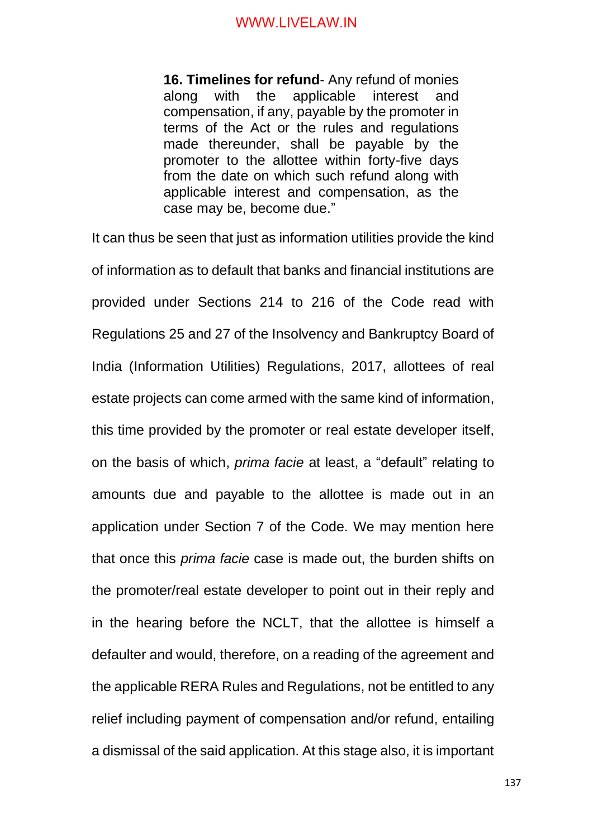**16. Timelines for refund**- Any refund of monies along with the applicable interest and compensation, if any, payable by the promoter in terms of the Act or the rules and regulations made thereunder, shall be payable by the promoter to the allottee within forty-five days from the date on which such refund along with applicable interest and compensation, as the case may be, become due."

It can thus be seen that just as information utilities provide the kind of information as to default that banks and financial institutions are provided under Sections 214 to 216 of the Code read with Regulations 25 and 27 of the Insolvency and Bankruptcy Board of India (Information Utilities) Regulations, 2017, allottees of real estate projects can come armed with the same kind of information, this time provided by the promoter or real estate developer itself, on the basis of which, *prima facie* at least, a "default" relating to amounts due and payable to the allottee is made out in an application under Section 7 of the Code. We may mention here that once this *prima facie* case is made out, the burden shifts on the promoter/real estate developer to point out in their reply and in the hearing before the NCLT, that the allottee is himself a defaulter and would, therefore, on a reading of the agreement and the applicable RERA Rules and Regulations, not be entitled to any relief including payment of compensation and/or refund, entailing a dismissal of the said application. At this stage also, it is important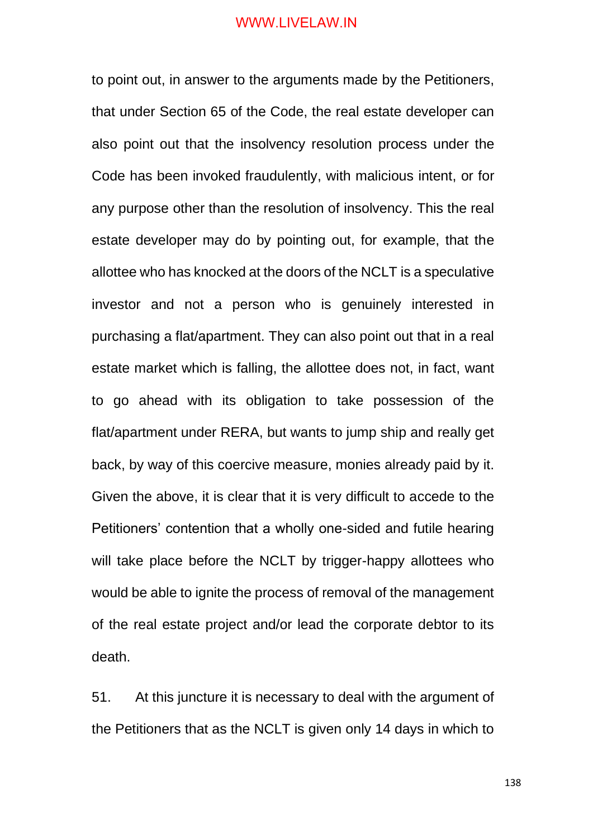to point out, in answer to the arguments made by the Petitioners, that under Section 65 of the Code, the real estate developer can also point out that the insolvency resolution process under the Code has been invoked fraudulently, with malicious intent, or for any purpose other than the resolution of insolvency. This the real estate developer may do by pointing out, for example, that the allottee who has knocked at the doors of the NCLT is a speculative investor and not a person who is genuinely interested in purchasing a flat/apartment. They can also point out that in a real estate market which is falling, the allottee does not, in fact, want to go ahead with its obligation to take possession of the flat/apartment under RERA, but wants to jump ship and really get back, by way of this coercive measure, monies already paid by it. Given the above, it is clear that it is very difficult to accede to the Petitioners' contention that a wholly one-sided and futile hearing will take place before the NCLT by trigger-happy allottees who would be able to ignite the process of removal of the management of the real estate project and/or lead the corporate debtor to its death.

51. At this juncture it is necessary to deal with the argument of the Petitioners that as the NCLT is given only 14 days in which to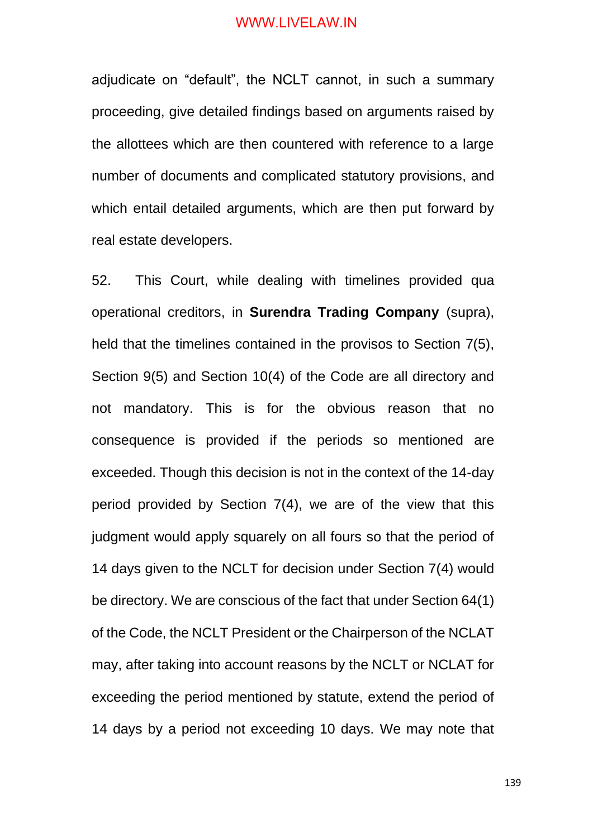adjudicate on "default", the NCLT cannot, in such a summary proceeding, give detailed findings based on arguments raised by the allottees which are then countered with reference to a large number of documents and complicated statutory provisions, and which entail detailed arguments, which are then put forward by real estate developers.

52. This Court, while dealing with timelines provided qua operational creditors, in **Surendra Trading Company** (supra), held that the timelines contained in the provisos to Section 7(5), Section 9(5) and Section 10(4) of the Code are all directory and not mandatory. This is for the obvious reason that no consequence is provided if the periods so mentioned are exceeded. Though this decision is not in the context of the 14-day period provided by Section 7(4), we are of the view that this judgment would apply squarely on all fours so that the period of 14 days given to the NCLT for decision under Section 7(4) would be directory. We are conscious of the fact that under Section 64(1) of the Code, the NCLT President or the Chairperson of the NCLAT may, after taking into account reasons by the NCLT or NCLAT for exceeding the period mentioned by statute, extend the period of 14 days by a period not exceeding 10 days. We may note that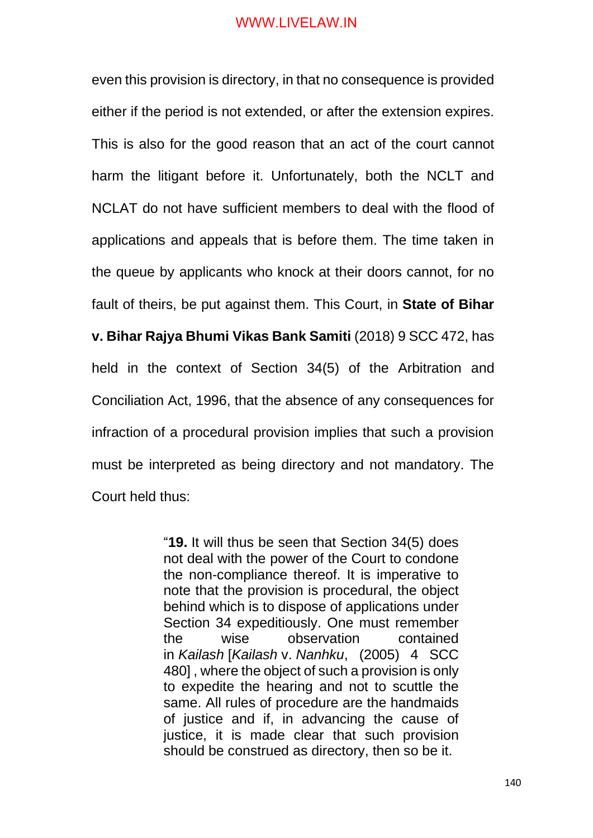even this provision is directory, in that no consequence is provided either if the period is not extended, or after the extension expires. This is also for the good reason that an act of the court cannot harm the litigant before it. Unfortunately, both the NCLT and NCLAT do not have sufficient members to deal with the flood of applications and appeals that is before them. The time taken in the queue by applicants who knock at their doors cannot, for no fault of theirs, be put against them. This Court, in **State of Bihar v. Bihar Rajya Bhumi Vikas Bank Samiti** (2018) 9 SCC 472, has held in the context of Section 34(5) of the Arbitration and Conciliation Act, 1996, that the absence of any consequences for infraction of a procedural provision implies that such a provision must be interpreted as being directory and not mandatory. The Court held thus:

> "**19.** It will thus be seen that Section 34(5) does not deal with the power of the Court to condone the non-compliance thereof. It is imperative to note that the provision is procedural, the object behind which is to dispose of applications under Section 34 expeditiously. One must remember the wise observation contained in *Kailash* [*Kailash* v. *Nanhku*, (2005) 4 SCC 480] , where the object of such a provision is only to expedite the hearing and not to scuttle the same. All rules of procedure are the handmaids of justice and if, in advancing the cause of justice, it is made clear that such provision should be construed as directory, then so be it.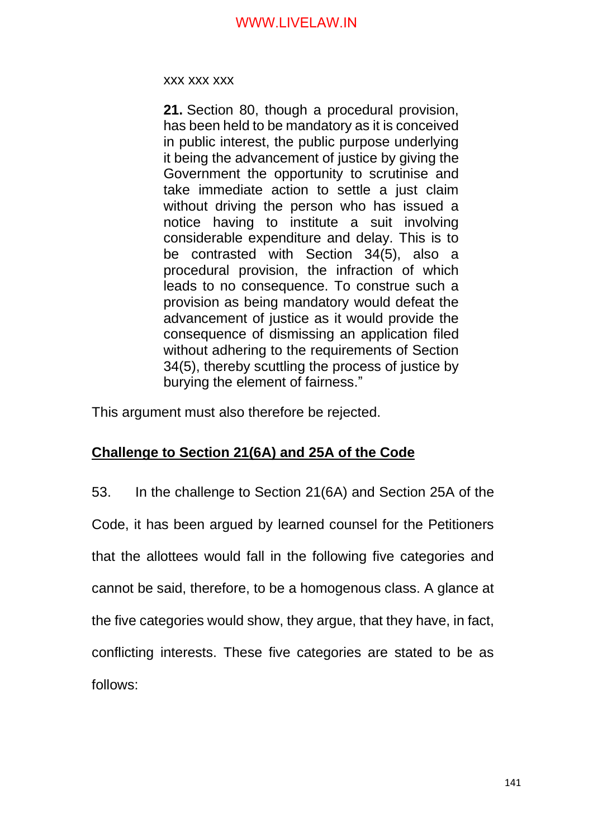xxx xxx xxx

**21.** Section 80, though a procedural provision, has been held to be mandatory as it is conceived in public interest, the public purpose underlying it being the advancement of justice by giving the Government the opportunity to scrutinise and take immediate action to settle a just claim without driving the person who has issued a notice having to institute a suit involving considerable expenditure and delay. This is to be contrasted with Section 34(5), also a procedural provision, the infraction of which leads to no consequence. To construe such a provision as being mandatory would defeat the advancement of justice as it would provide the consequence of dismissing an application filed without adhering to the requirements of Section 34(5), thereby scuttling the process of justice by burying the element of fairness."

This argument must also therefore be rejected.

# **Challenge to Section 21(6A) and 25A of the Code**

53. In the challenge to Section 21(6A) and Section 25A of the Code, it has been argued by learned counsel for the Petitioners that the allottees would fall in the following five categories and cannot be said, therefore, to be a homogenous class. A glance at the five categories would show, they argue, that they have, in fact, conflicting interests. These five categories are stated to be as follows: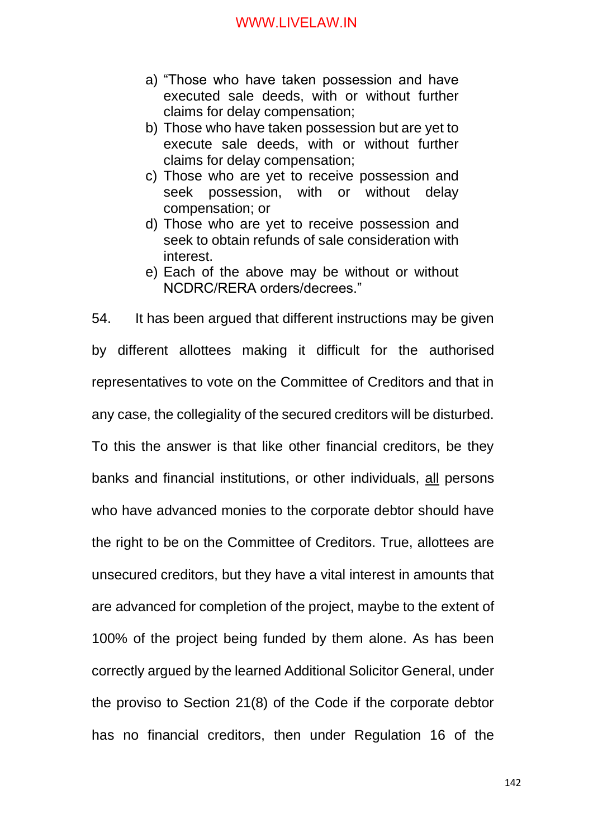- a) "Those who have taken possession and have executed sale deeds, with or without further claims for delay compensation;
- b) Those who have taken possession but are yet to execute sale deeds, with or without further claims for delay compensation;
- c) Those who are yet to receive possession and seek possession, with or without delay compensation; or
- d) Those who are yet to receive possession and seek to obtain refunds of sale consideration with interest.
- e) Each of the above may be without or without NCDRC/RERA orders/decrees."

54. It has been argued that different instructions may be given by different allottees making it difficult for the authorised representatives to vote on the Committee of Creditors and that in any case, the collegiality of the secured creditors will be disturbed. To this the answer is that like other financial creditors, be they banks and financial institutions, or other individuals, all persons who have advanced monies to the corporate debtor should have the right to be on the Committee of Creditors. True, allottees are unsecured creditors, but they have a vital interest in amounts that are advanced for completion of the project, maybe to the extent of 100% of the project being funded by them alone. As has been correctly argued by the learned Additional Solicitor General, under the proviso to Section 21(8) of the Code if the corporate debtor has no financial creditors, then under Regulation 16 of the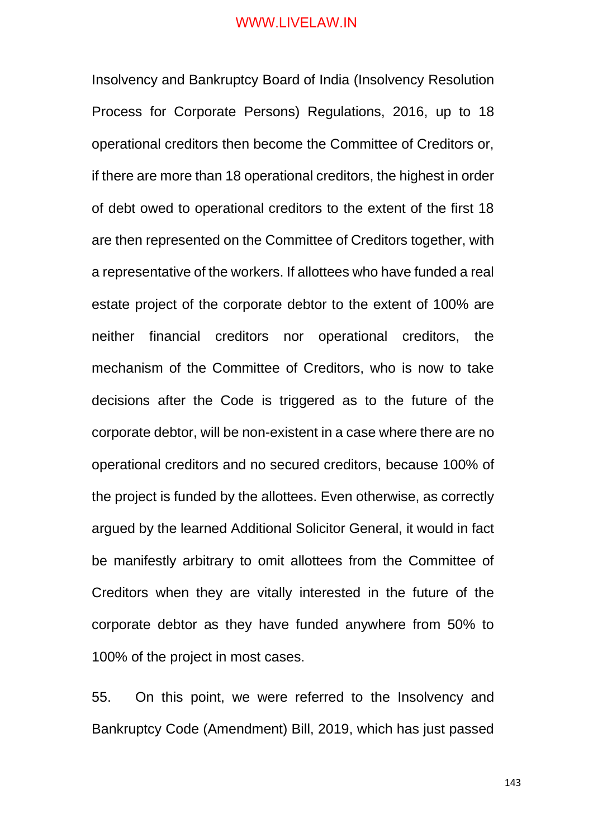Insolvency and Bankruptcy Board of India (Insolvency Resolution Process for Corporate Persons) Regulations, 2016, up to 18 operational creditors then become the Committee of Creditors or, if there are more than 18 operational creditors, the highest in order of debt owed to operational creditors to the extent of the first 18 are then represented on the Committee of Creditors together, with a representative of the workers. If allottees who have funded a real estate project of the corporate debtor to the extent of 100% are neither financial creditors nor operational creditors, the mechanism of the Committee of Creditors, who is now to take decisions after the Code is triggered as to the future of the corporate debtor, will be non-existent in a case where there are no operational creditors and no secured creditors, because 100% of the project is funded by the allottees. Even otherwise, as correctly argued by the learned Additional Solicitor General, it would in fact be manifestly arbitrary to omit allottees from the Committee of Creditors when they are vitally interested in the future of the corporate debtor as they have funded anywhere from 50% to 100% of the project in most cases.

55. On this point, we were referred to the Insolvency and Bankruptcy Code (Amendment) Bill, 2019, which has just passed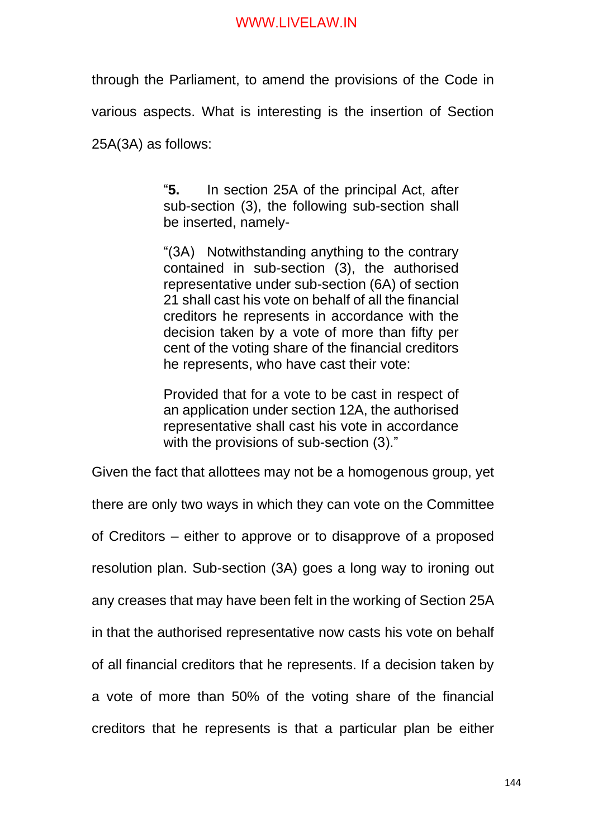through the Parliament, to amend the provisions of the Code in various aspects. What is interesting is the insertion of Section 25A(3A) as follows:

> "**5.** In section 25A of the principal Act, after sub-section (3), the following sub-section shall be inserted, namely-

> "(3A) Notwithstanding anything to the contrary contained in sub-section (3), the authorised representative under sub-section (6A) of section 21 shall cast his vote on behalf of all the financial creditors he represents in accordance with the decision taken by a vote of more than fifty per cent of the voting share of the financial creditors he represents, who have cast their vote:

> Provided that for a vote to be cast in respect of an application under section 12A, the authorised representative shall cast his vote in accordance with the provisions of sub-section (3)."

Given the fact that allottees may not be a homogenous group, yet there are only two ways in which they can vote on the Committee of Creditors – either to approve or to disapprove of a proposed resolution plan. Sub-section (3A) goes a long way to ironing out any creases that may have been felt in the working of Section 25A in that the authorised representative now casts his vote on behalf of all financial creditors that he represents. If a decision taken by a vote of more than 50% of the voting share of the financial creditors that he represents is that a particular plan be either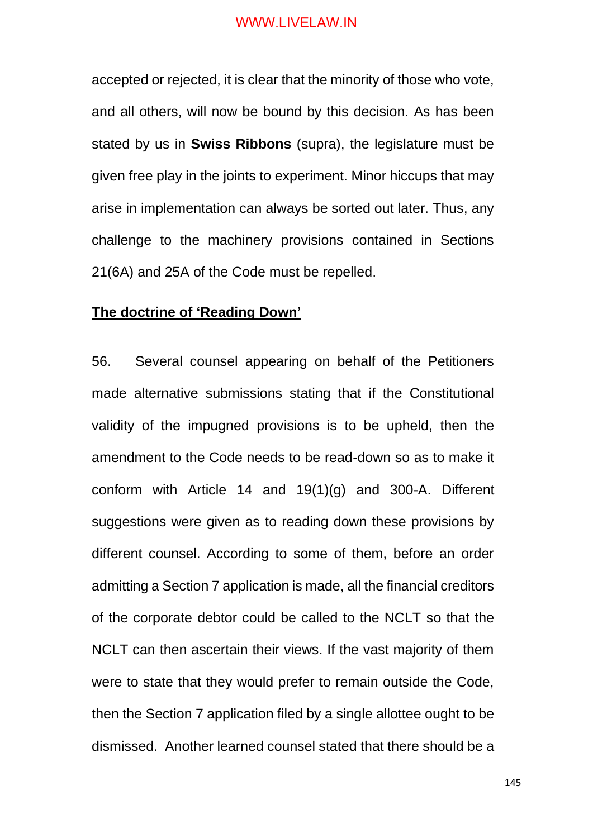accepted or rejected, it is clear that the minority of those who vote, and all others, will now be bound by this decision. As has been stated by us in **Swiss Ribbons** (supra), the legislature must be given free play in the joints to experiment. Minor hiccups that may arise in implementation can always be sorted out later. Thus, any challenge to the machinery provisions contained in Sections 21(6A) and 25A of the Code must be repelled.

# **The doctrine of 'Reading Down'**

56. Several counsel appearing on behalf of the Petitioners made alternative submissions stating that if the Constitutional validity of the impugned provisions is to be upheld, then the amendment to the Code needs to be read-down so as to make it conform with Article 14 and 19(1)(g) and 300-A. Different suggestions were given as to reading down these provisions by different counsel. According to some of them, before an order admitting a Section 7 application is made, all the financial creditors of the corporate debtor could be called to the NCLT so that the NCLT can then ascertain their views. If the vast majority of them were to state that they would prefer to remain outside the Code, then the Section 7 application filed by a single allottee ought to be dismissed. Another learned counsel stated that there should be a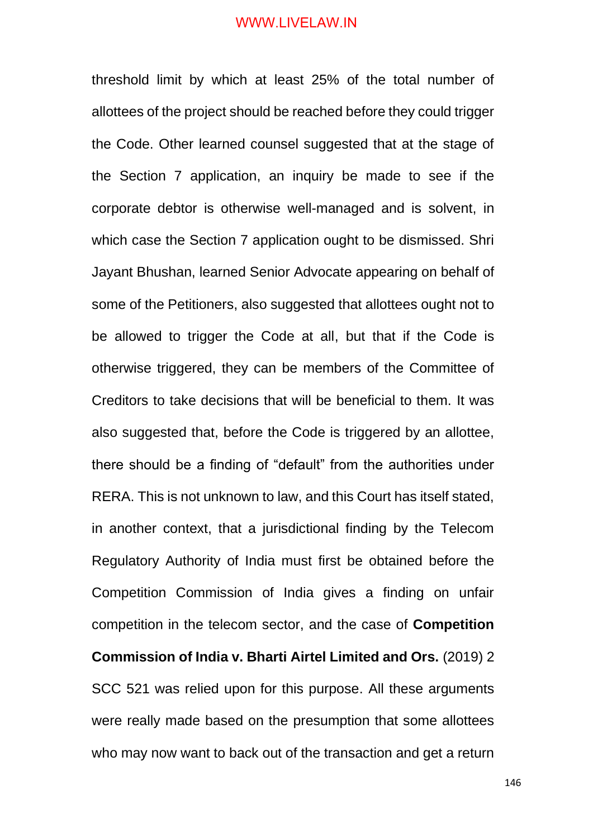threshold limit by which at least 25% of the total number of allottees of the project should be reached before they could trigger the Code. Other learned counsel suggested that at the stage of the Section 7 application, an inquiry be made to see if the corporate debtor is otherwise well-managed and is solvent, in which case the Section 7 application ought to be dismissed. Shri Jayant Bhushan, learned Senior Advocate appearing on behalf of some of the Petitioners, also suggested that allottees ought not to be allowed to trigger the Code at all, but that if the Code is otherwise triggered, they can be members of the Committee of Creditors to take decisions that will be beneficial to them. It was also suggested that, before the Code is triggered by an allottee, there should be a finding of "default" from the authorities under RERA. This is not unknown to law, and this Court has itself stated, in another context, that a jurisdictional finding by the Telecom Regulatory Authority of India must first be obtained before the Competition Commission of India gives a finding on unfair competition in the telecom sector, and the case of **Competition Commission of India v. Bharti Airtel Limited and Ors.** (2019) 2 SCC 521 was relied upon for this purpose. All these arguments were really made based on the presumption that some allottees who may now want to back out of the transaction and get a return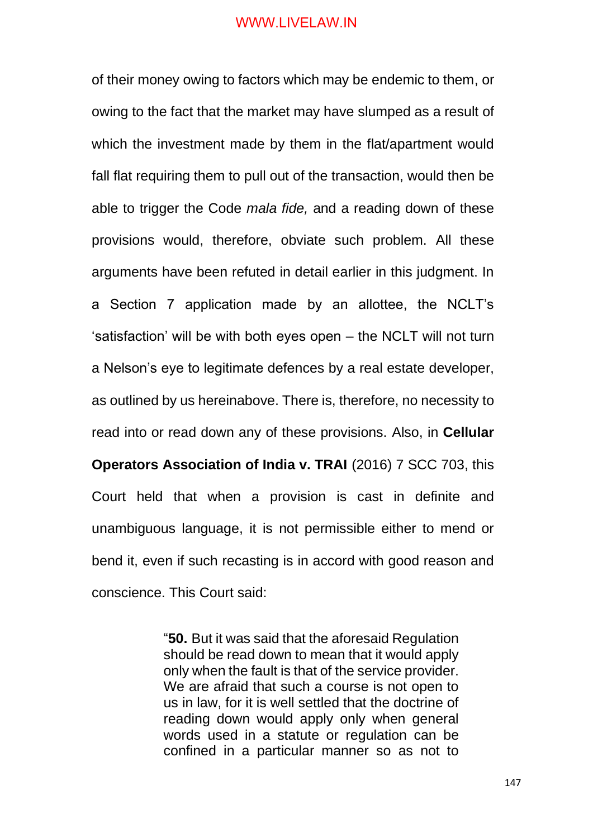of their money owing to factors which may be endemic to them, or owing to the fact that the market may have slumped as a result of which the investment made by them in the flat/apartment would fall flat requiring them to pull out of the transaction, would then be able to trigger the Code *mala fide,* and a reading down of these provisions would, therefore, obviate such problem. All these arguments have been refuted in detail earlier in this judgment. In a Section 7 application made by an allottee, the NCLT's 'satisfaction' will be with both eyes open – the NCLT will not turn a Nelson's eye to legitimate defences by a real estate developer, as outlined by us hereinabove. There is, therefore, no necessity to read into or read down any of these provisions. Also, in **Cellular Operators Association of India v. TRAI** (2016) 7 SCC 703, this Court held that when a provision is cast in definite and unambiguous language, it is not permissible either to mend or bend it, even if such recasting is in accord with good reason and conscience. This Court said:

> "**50.** But it was said that the aforesaid Regulation should be read down to mean that it would apply only when the fault is that of the service provider. We are afraid that such a course is not open to us in law, for it is well settled that the doctrine of reading down would apply only when general words used in a statute or regulation can be confined in a particular manner so as not to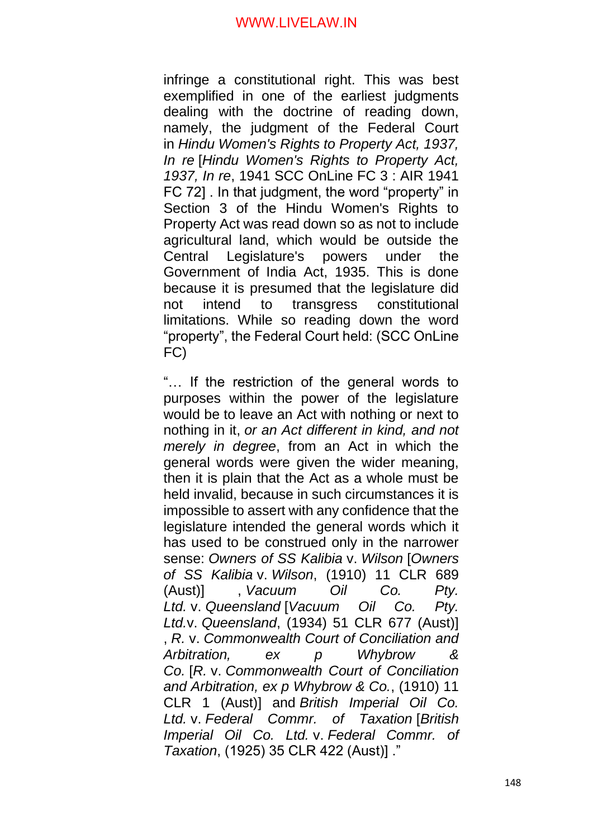infringe a constitutional right. This was best exemplified in one of the earliest judgments dealing with the doctrine of reading down, namely, the judgment of the Federal Court in *Hindu Women's Rights to Property Act, 1937, In re* [*Hindu Women's Rights to Property Act, 1937, In re*, 1941 SCC OnLine FC 3 : AIR 1941 FC 72] . In that judgment, the word "property" in Section 3 of the Hindu Women's Rights to Property Act was read down so as not to include agricultural land, which would be outside the Central Legislature's powers under the Government of India Act, 1935. This is done because it is presumed that the legislature did not intend to transgress constitutional limitations. While so reading down the word "property", the Federal Court held: (SCC OnLine FC)

"… If the restriction of the general words to purposes within the power of the legislature would be to leave an Act with nothing or next to nothing in it, *or an Act different in kind, and not merely in degree*, from an Act in which the general words were given the wider meaning, then it is plain that the Act as a whole must be held invalid, because in such circumstances it is impossible to assert with any confidence that the legislature intended the general words which it has used to be construed only in the narrower sense: *Owners of SS Kalibia* v. *Wilson* [*Owners of SS Kalibia* v. *Wilson*, (1910) 11 CLR 689 (Aust)] , *Vacuum Oil Co. Pty. Ltd.* v. *Queensland* [*Vacuum Oil Co. Pty. Ltd.*v. *Queensland*, (1934) 51 CLR 677 (Aust)] , *R.* v. *Commonwealth Court of Conciliation and Arbitration, ex p Whybrow & Co.* [*R.* v. *Commonwealth Court of Conciliation and Arbitration, ex p Whybrow & Co.*, (1910) 11 CLR 1 (Aust)] and *British Imperial Oil Co. Ltd.* v. *Federal Commr. of Taxation* [*British Imperial Oil Co. Ltd.* v. *Federal Commr. of Taxation*, (1925) 35 CLR 422 (Aust)] ."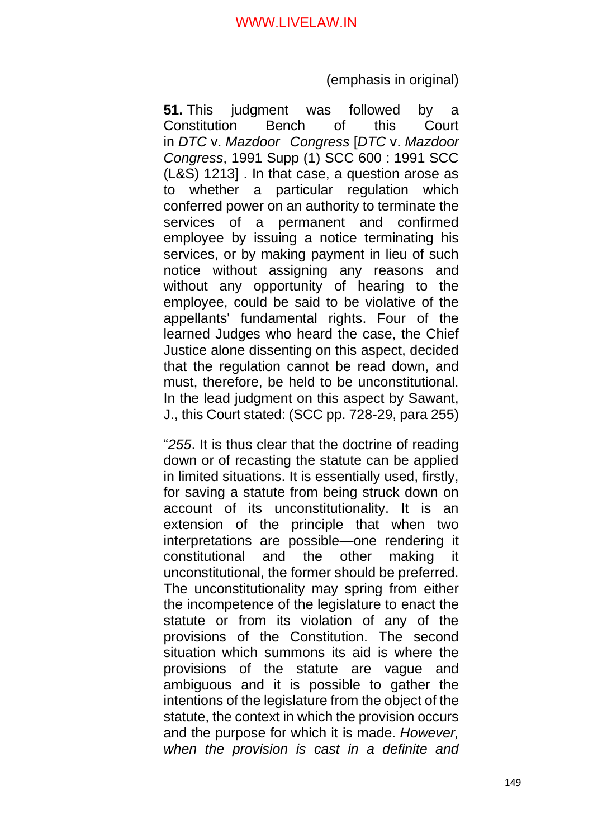(emphasis in original)

**51.** This judgment was followed by a Constitution Bench of this Court in *DTC* v. *Mazdoor Congress* [*DTC* v. *Mazdoor Congress*, 1991 Supp (1) SCC 600 : 1991 SCC (L&S) 1213] . In that case, a question arose as to whether a particular regulation which conferred power on an authority to terminate the services of a permanent and confirmed employee by issuing a notice terminating his services, or by making payment in lieu of such notice without assigning any reasons and without any opportunity of hearing to the employee, could be said to be violative of the appellants' fundamental rights. Four of the learned Judges who heard the case, the Chief Justice alone dissenting on this aspect, decided that the regulation cannot be read down, and must, therefore, be held to be unconstitutional. In the lead judgment on this aspect by Sawant, J., this Court stated: (SCC pp. 728-29, para 255)

"*255*. It is thus clear that the doctrine of reading down or of recasting the statute can be applied in limited situations. It is essentially used, firstly, for saving a statute from being struck down on account of its unconstitutionality. It is an extension of the principle that when two interpretations are possible—one rendering it constitutional and the other making it unconstitutional, the former should be preferred. The unconstitutionality may spring from either the incompetence of the legislature to enact the statute or from its violation of any of the provisions of the Constitution. The second situation which summons its aid is where the provisions of the statute are vague and ambiguous and it is possible to gather the intentions of the legislature from the object of the statute, the context in which the provision occurs and the purpose for which it is made. *However, when the provision is cast in a definite and*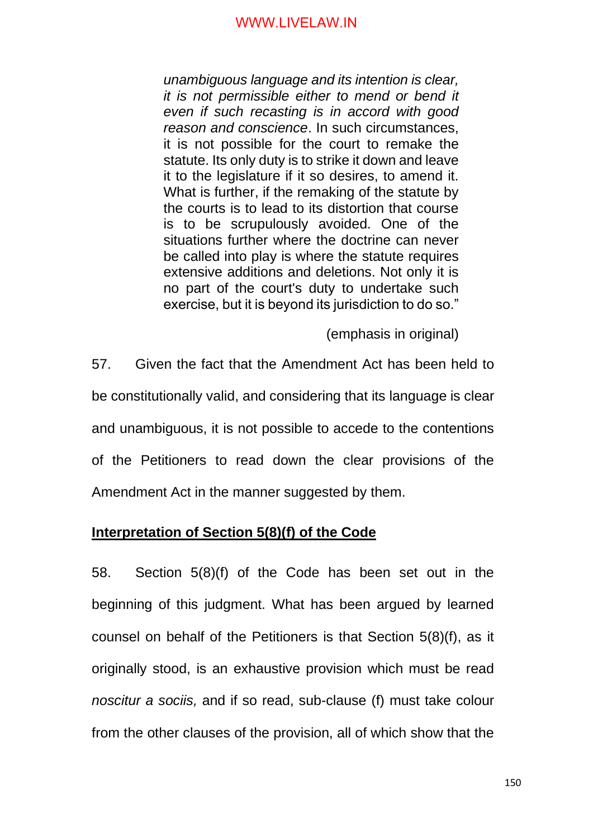*unambiguous language and its intention is clear, it is not permissible either to mend or bend it even if such recasting is in accord with good reason and conscience*. In such circumstances, it is not possible for the court to remake the statute. Its only duty is to strike it down and leave it to the legislature if it so desires, to amend it. What is further, if the remaking of the statute by the courts is to lead to its distortion that course is to be scrupulously avoided. One of the situations further where the doctrine can never be called into play is where the statute requires extensive additions and deletions. Not only it is no part of the court's duty to undertake such exercise, but it is beyond its jurisdiction to do so."

(emphasis in original)

57. Given the fact that the Amendment Act has been held to be constitutionally valid, and considering that its language is clear and unambiguous, it is not possible to accede to the contentions of the Petitioners to read down the clear provisions of the Amendment Act in the manner suggested by them.

### **Interpretation of Section 5(8)(f) of the Code**

58. Section 5(8)(f) of the Code has been set out in the beginning of this judgment. What has been argued by learned counsel on behalf of the Petitioners is that Section 5(8)(f), as it originally stood, is an exhaustive provision which must be read *noscitur a sociis,* and if so read, sub-clause (f) must take colour from the other clauses of the provision, all of which show that the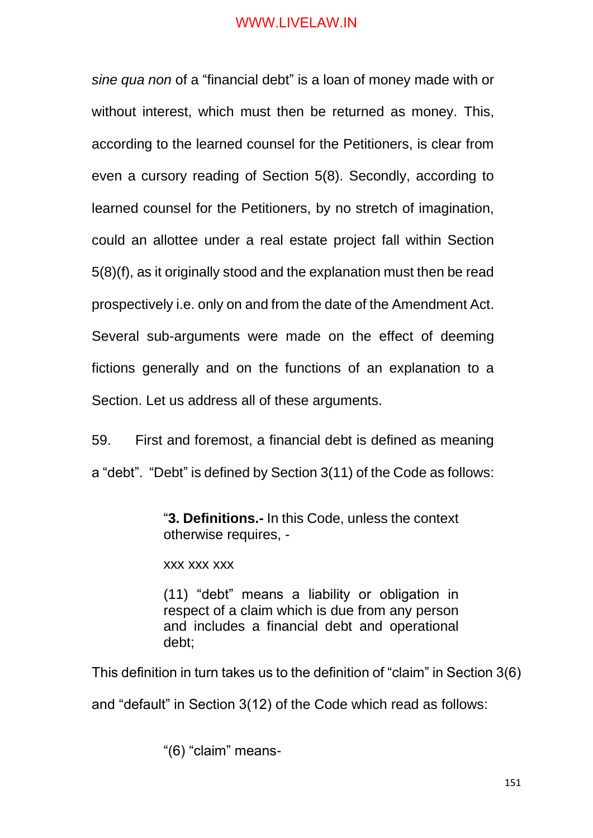*sine qua non* of a "financial debt" is a loan of money made with or without interest, which must then be returned as money. This, according to the learned counsel for the Petitioners, is clear from even a cursory reading of Section 5(8). Secondly, according to learned counsel for the Petitioners, by no stretch of imagination, could an allottee under a real estate project fall within Section 5(8)(f), as it originally stood and the explanation must then be read prospectively i.e. only on and from the date of the Amendment Act. Several sub-arguments were made on the effect of deeming fictions generally and on the functions of an explanation to a Section. Let us address all of these arguments.

59. First and foremost, a financial debt is defined as meaning a "debt". "Debt" is defined by Section 3(11) of the Code as follows:

> "**3. Definitions.-** In this Code, unless the context otherwise requires, -

xxx xxx xxx

(11) "debt" means a liability or obligation in respect of a claim which is due from any person and includes a financial debt and operational debt;

This definition in turn takes us to the definition of "claim" in Section 3(6)

and "default" in Section 3(12) of the Code which read as follows:

"(6) "claim" means-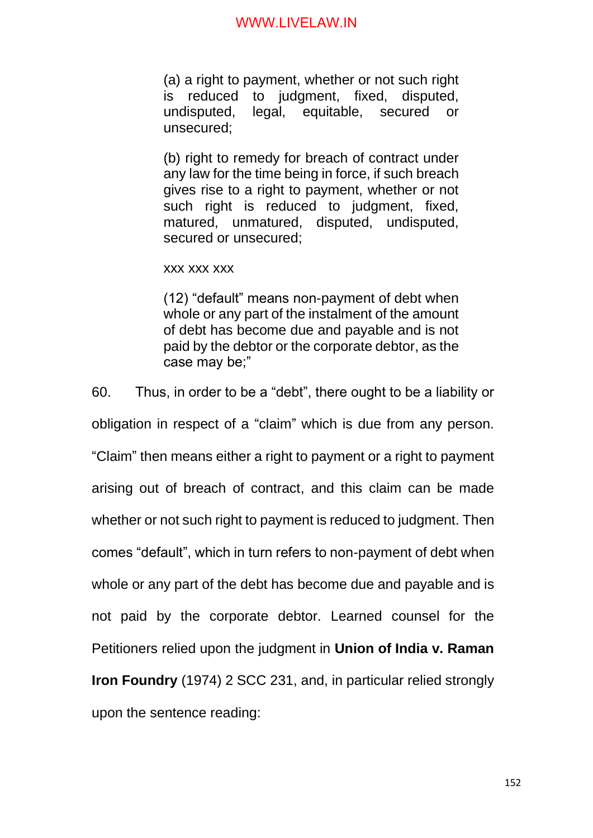(a) a right to payment, whether or not such right is reduced to judgment, fixed, disputed, undisputed, legal, equitable, secured or unsecured;

(b) right to remedy for breach of contract under any law for the time being in force, if such breach gives rise to a right to payment, whether or not such right is reduced to judgment, fixed, matured, unmatured, disputed, undisputed, secured or unsecured;

xxx xxx xxx

(12) "default" means non-payment of debt when whole or any part of the instalment of the amount of debt has become due and payable and is not paid by the debtor or the corporate debtor, as the case may be;"

60. Thus, in order to be a "debt", there ought to be a liability or obligation in respect of a "claim" which is due from any person. "Claim" then means either a right to payment or a right to payment arising out of breach of contract, and this claim can be made whether or not such right to payment is reduced to judgment. Then comes "default", which in turn refers to non-payment of debt when whole or any part of the debt has become due and payable and is not paid by the corporate debtor. Learned counsel for the Petitioners relied upon the judgment in **Union of India v. Raman Iron Foundry** (1974) 2 SCC 231, and, in particular relied strongly upon the sentence reading: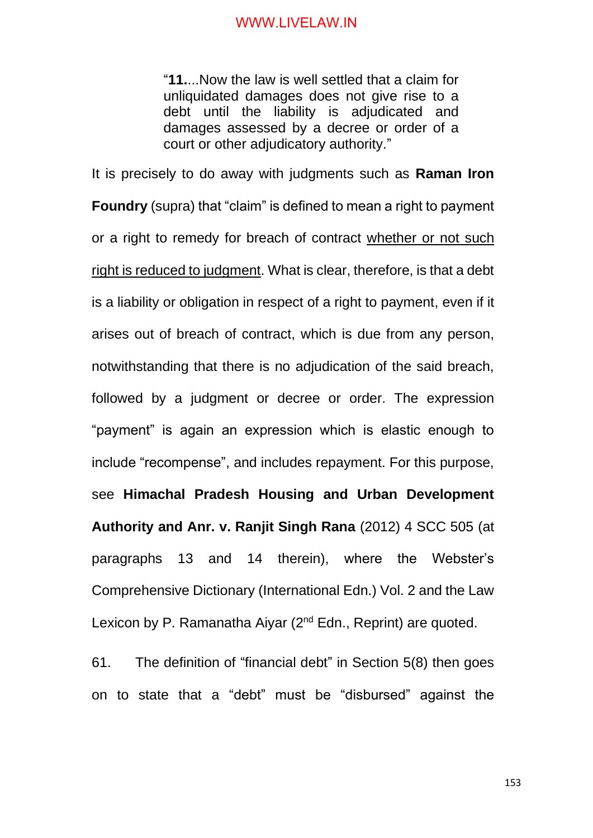"**11.**...Now the law is well settled that a claim for unliquidated damages does not give rise to a debt until the liability is adjudicated and damages assessed by a decree or order of a court or other adjudicatory authority."

It is precisely to do away with judgments such as **Raman Iron Foundry** (supra) that "claim" is defined to mean a right to payment or a right to remedy for breach of contract whether or not such right is reduced to judgment. What is clear, therefore, is that a debt is a liability or obligation in respect of a right to payment, even if it arises out of breach of contract, which is due from any person, notwithstanding that there is no adjudication of the said breach, followed by a judgment or decree or order. The expression "payment" is again an expression which is elastic enough to include "recompense", and includes repayment. For this purpose, see **Himachal Pradesh Housing and Urban Development Authority and Anr. v. Ranjit Singh Rana** (2012) 4 SCC 505 (at paragraphs 13 and 14 therein), where the Webster's Comprehensive Dictionary (International Edn.) Vol. 2 and the Law Lexicon by P. Ramanatha Aiyar (2<sup>nd</sup> Edn., Reprint) are quoted.

61. The definition of "financial debt" in Section 5(8) then goes on to state that a "debt" must be "disbursed" against the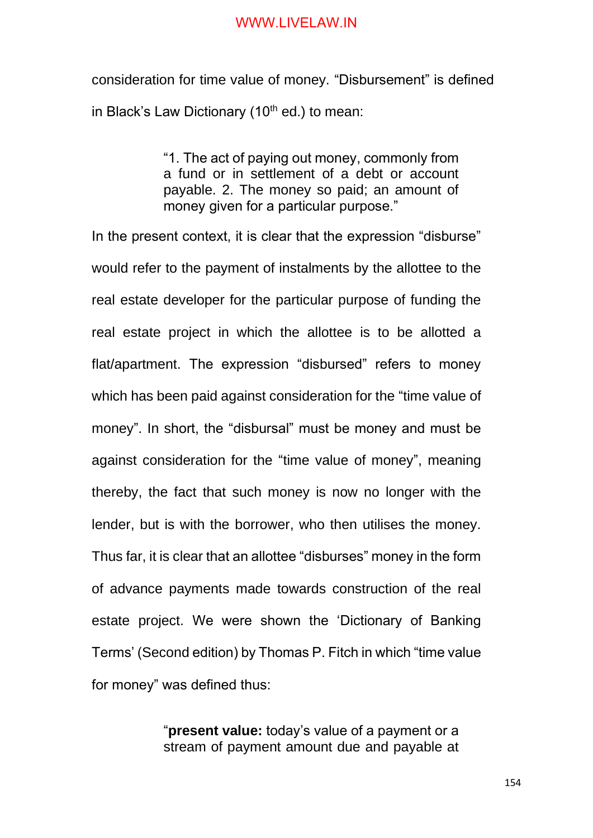consideration for time value of money. "Disbursement" is defined in Black's Law Dictionary (10<sup>th</sup> ed.) to mean:

> "1. The act of paying out money, commonly from a fund or in settlement of a debt or account payable. 2. The money so paid; an amount of money given for a particular purpose."

In the present context, it is clear that the expression "disburse" would refer to the payment of instalments by the allottee to the real estate developer for the particular purpose of funding the real estate project in which the allottee is to be allotted a flat/apartment. The expression "disbursed" refers to money which has been paid against consideration for the "time value of money". In short, the "disbursal" must be money and must be against consideration for the "time value of money", meaning thereby, the fact that such money is now no longer with the lender, but is with the borrower, who then utilises the money. Thus far, it is clear that an allottee "disburses" money in the form of advance payments made towards construction of the real estate project. We were shown the 'Dictionary of Banking Terms' (Second edition) by Thomas P. Fitch in which "time value for money" was defined thus:

> "**present value:** today's value of a payment or a stream of payment amount due and payable at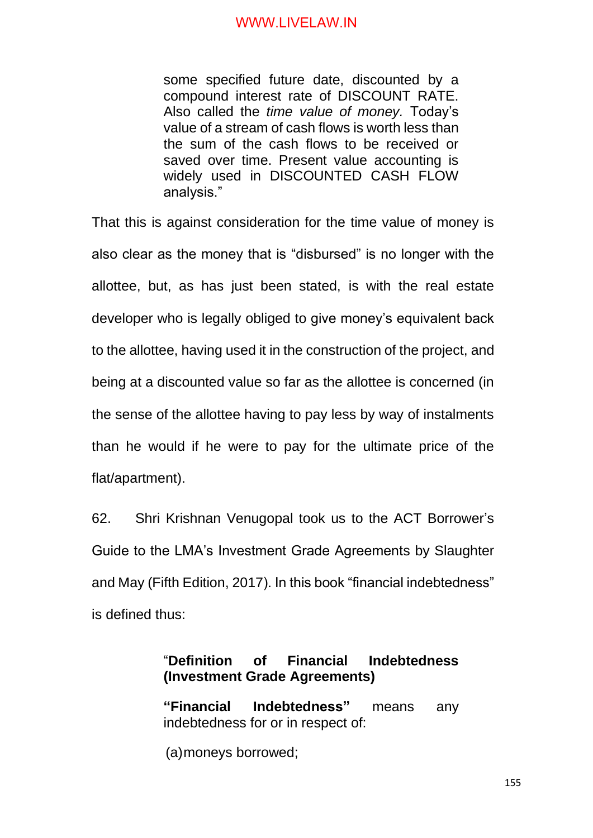some specified future date, discounted by a compound interest rate of DISCOUNT RATE. Also called the *time value of money.* Today's value of a stream of cash flows is worth less than the sum of the cash flows to be received or saved over time. Present value accounting is widely used in DISCOUNTED CASH FLOW analysis."

That this is against consideration for the time value of money is also clear as the money that is "disbursed" is no longer with the allottee, but, as has just been stated, is with the real estate developer who is legally obliged to give money's equivalent back to the allottee, having used it in the construction of the project, and being at a discounted value so far as the allottee is concerned (in the sense of the allottee having to pay less by way of instalments than he would if he were to pay for the ultimate price of the flat/apartment).

62. Shri Krishnan Venugopal took us to the ACT Borrower's Guide to the LMA's Investment Grade Agreements by Slaughter and May (Fifth Edition, 2017). In this book "financial indebtedness" is defined thus:

# "**Definition of Financial Indebtedness (Investment Grade Agreements)**

**"Financial Indebtedness"** means any indebtedness for or in respect of:

(a)moneys borrowed;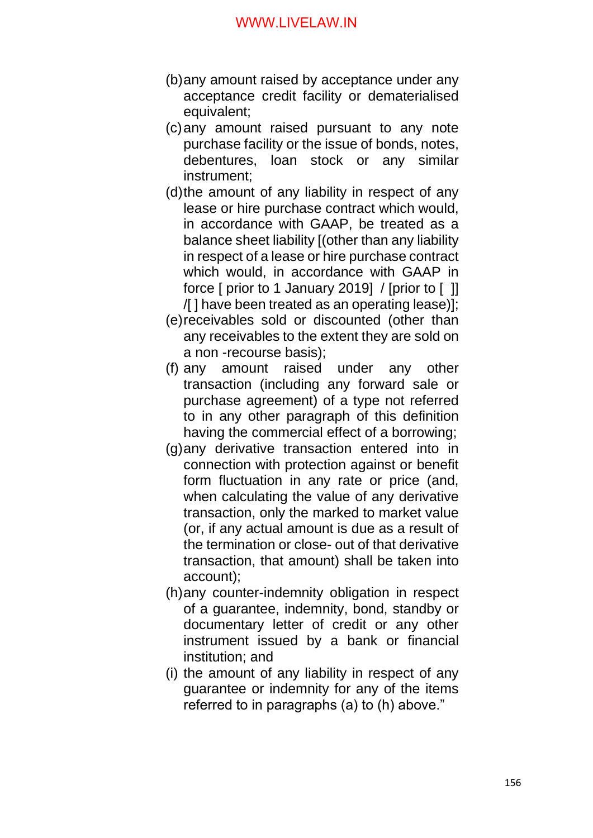- (b)any amount raised by acceptance under any acceptance credit facility or dematerialised equivalent;
- (c)any amount raised pursuant to any note purchase facility or the issue of bonds, notes, debentures, loan stock or any similar instrument;
- (d)the amount of any liability in respect of any lease or hire purchase contract which would, in accordance with GAAP, be treated as a balance sheet liability [(other than any liability in respect of a lease or hire purchase contract which would, in accordance with GAAP in force [ prior to 1 January 2019] / [prior to [ ]] /[ ] have been treated as an operating lease)];
- (e)receivables sold or discounted (other than any receivables to the extent they are sold on a non -recourse basis);
- (f) any amount raised under any other transaction (including any forward sale or purchase agreement) of a type not referred to in any other paragraph of this definition having the commercial effect of a borrowing;
- (g)any derivative transaction entered into in connection with protection against or benefit form fluctuation in any rate or price (and, when calculating the value of any derivative transaction, only the marked to market value (or, if any actual amount is due as a result of the termination or close- out of that derivative transaction, that amount) shall be taken into account);
- (h)any counter-indemnity obligation in respect of a guarantee, indemnity, bond, standby or documentary letter of credit or any other instrument issued by a bank or financial institution; and
- (i) the amount of any liability in respect of any guarantee or indemnity for any of the items referred to in paragraphs (a) to (h) above."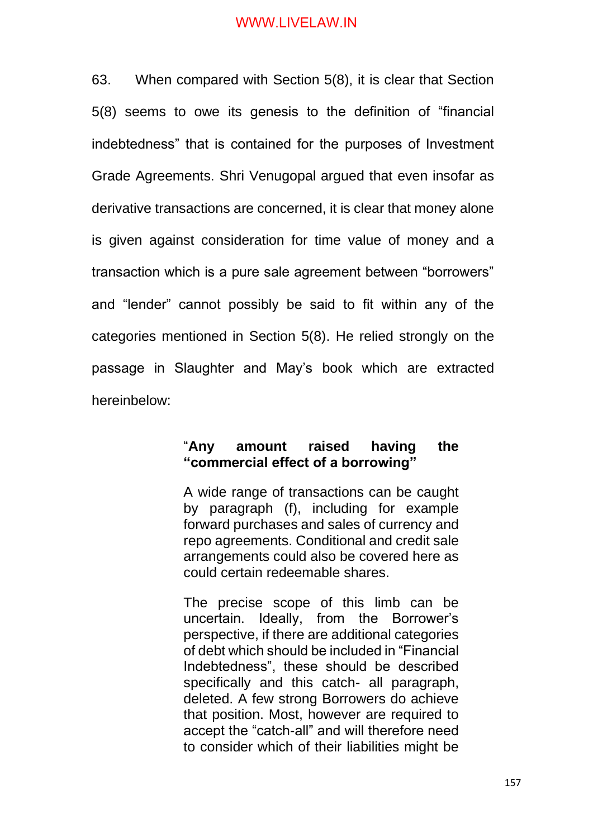63. When compared with Section 5(8), it is clear that Section 5(8) seems to owe its genesis to the definition of "financial indebtedness" that is contained for the purposes of Investment Grade Agreements. Shri Venugopal argued that even insofar as derivative transactions are concerned, it is clear that money alone is given against consideration for time value of money and a transaction which is a pure sale agreement between "borrowers" and "lender" cannot possibly be said to fit within any of the categories mentioned in Section 5(8). He relied strongly on the passage in Slaughter and May's book which are extracted hereinbelow:

### "**Any amount raised having the "commercial effect of a borrowing"**

A wide range of transactions can be caught by paragraph (f), including for example forward purchases and sales of currency and repo agreements. Conditional and credit sale arrangements could also be covered here as could certain redeemable shares.

The precise scope of this limb can be uncertain. Ideally, from the Borrower's perspective, if there are additional categories of debt which should be included in "Financial Indebtedness", these should be described specifically and this catch- all paragraph, deleted. A few strong Borrowers do achieve that position. Most, however are required to accept the "catch-all" and will therefore need to consider which of their liabilities might be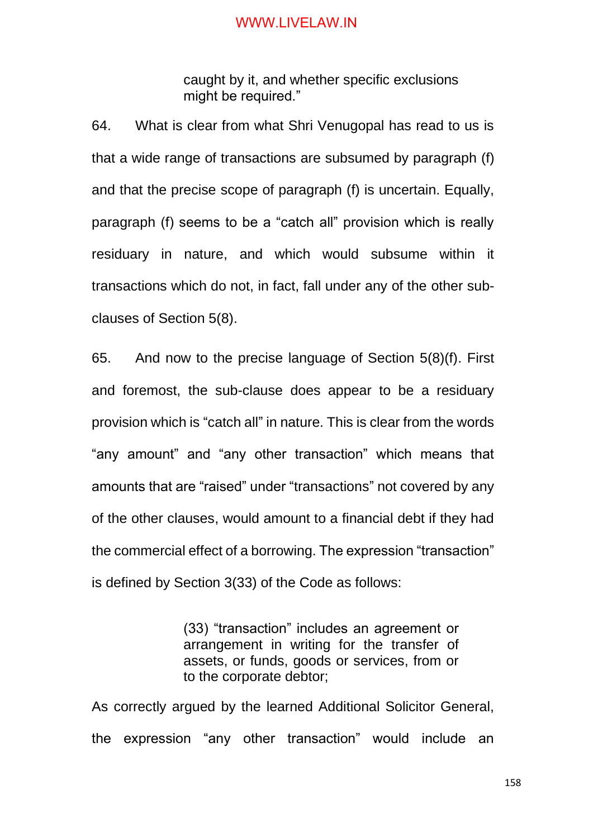caught by it, and whether specific exclusions might be required."

64. What is clear from what Shri Venugopal has read to us is that a wide range of transactions are subsumed by paragraph (f) and that the precise scope of paragraph (f) is uncertain. Equally, paragraph (f) seems to be a "catch all" provision which is really residuary in nature, and which would subsume within it transactions which do not, in fact, fall under any of the other subclauses of Section 5(8).

65. And now to the precise language of Section 5(8)(f). First and foremost, the sub-clause does appear to be a residuary provision which is "catch all" in nature. This is clear from the words "any amount" and "any other transaction" which means that amounts that are "raised" under "transactions" not covered by any of the other clauses, would amount to a financial debt if they had the commercial effect of a borrowing. The expression "transaction" is defined by Section 3(33) of the Code as follows:

> (33) "transaction" includes an agreement or arrangement in writing for the transfer of assets, or funds, goods or services, from or to the corporate debtor;

As correctly argued by the learned Additional Solicitor General, the expression "any other transaction" would include an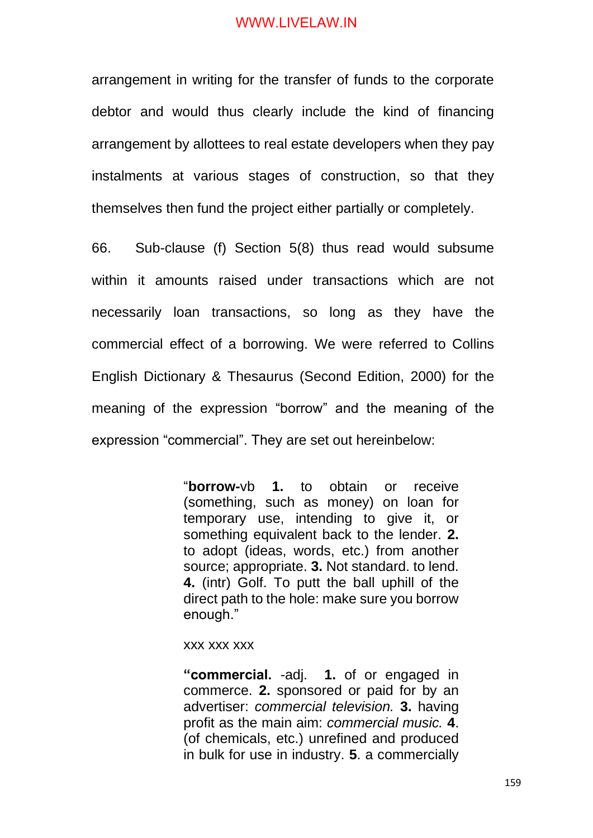arrangement in writing for the transfer of funds to the corporate debtor and would thus clearly include the kind of financing arrangement by allottees to real estate developers when they pay instalments at various stages of construction, so that they themselves then fund the project either partially or completely.

66. Sub-clause (f) Section 5(8) thus read would subsume within it amounts raised under transactions which are not necessarily loan transactions, so long as they have the commercial effect of a borrowing. We were referred to Collins English Dictionary & Thesaurus (Second Edition, 2000) for the meaning of the expression "borrow" and the meaning of the expression "commercial". They are set out hereinbelow:

> "**borrow-**vb **1.** to obtain or receive (something, such as money) on loan for temporary use, intending to give it, or something equivalent back to the lender. **2.** to adopt (ideas, words, etc.) from another source; appropriate. **3.** Not standard. to lend. **4.** (intr) Golf. To putt the ball uphill of the direct path to the hole: make sure you borrow enough."

#### xxx xxx xxx

**"commercial.** -adj. **1.** of or engaged in commerce. **2.** sponsored or paid for by an advertiser: *commercial television.* **3.** having profit as the main aim: *commercial music.* **4**. (of chemicals, etc.) unrefined and produced in bulk for use in industry. **5**. a commercially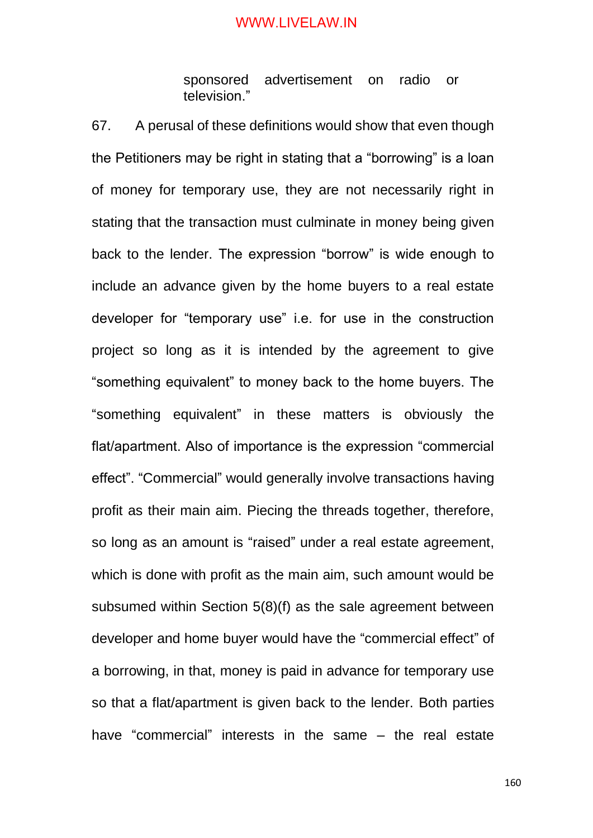sponsored advertisement on radio or television."

67. A perusal of these definitions would show that even though the Petitioners may be right in stating that a "borrowing" is a loan of money for temporary use, they are not necessarily right in stating that the transaction must culminate in money being given back to the lender. The expression "borrow" is wide enough to include an advance given by the home buyers to a real estate developer for "temporary use" i.e. for use in the construction project so long as it is intended by the agreement to give "something equivalent" to money back to the home buyers. The "something equivalent" in these matters is obviously the flat/apartment. Also of importance is the expression "commercial effect". "Commercial" would generally involve transactions having profit as their main aim. Piecing the threads together, therefore, so long as an amount is "raised" under a real estate agreement, which is done with profit as the main aim, such amount would be subsumed within Section 5(8)(f) as the sale agreement between developer and home buyer would have the "commercial effect" of a borrowing, in that, money is paid in advance for temporary use so that a flat/apartment is given back to the lender. Both parties have "commercial" interests in the same – the real estate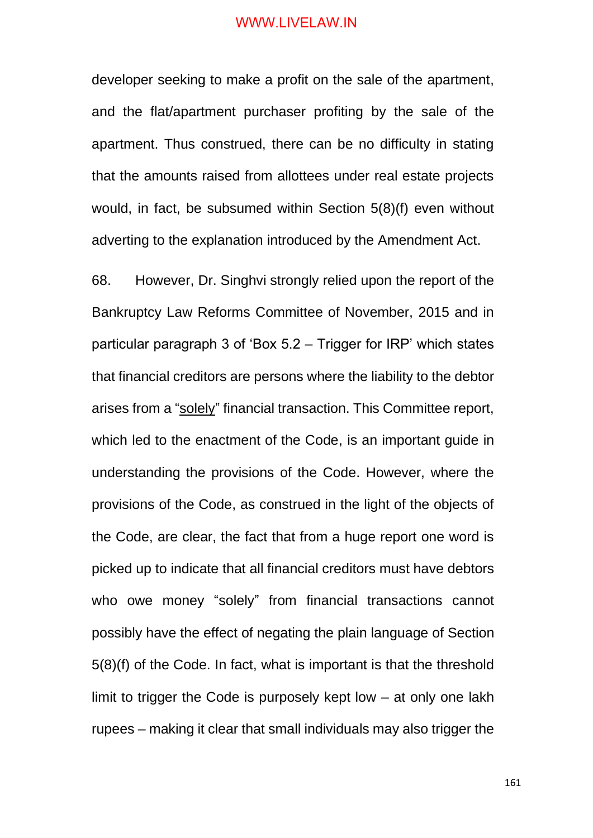developer seeking to make a profit on the sale of the apartment, and the flat/apartment purchaser profiting by the sale of the apartment. Thus construed, there can be no difficulty in stating that the amounts raised from allottees under real estate projects would, in fact, be subsumed within Section 5(8)(f) even without adverting to the explanation introduced by the Amendment Act.

68. However, Dr. Singhvi strongly relied upon the report of the Bankruptcy Law Reforms Committee of November, 2015 and in particular paragraph 3 of 'Box 5.2 – Trigger for IRP' which states that financial creditors are persons where the liability to the debtor arises from a "solely" financial transaction. This Committee report, which led to the enactment of the Code, is an important guide in understanding the provisions of the Code. However, where the provisions of the Code, as construed in the light of the objects of the Code, are clear, the fact that from a huge report one word is picked up to indicate that all financial creditors must have debtors who owe money "solely" from financial transactions cannot possibly have the effect of negating the plain language of Section 5(8)(f) of the Code. In fact, what is important is that the threshold limit to trigger the Code is purposely kept low – at only one lakh rupees – making it clear that small individuals may also trigger the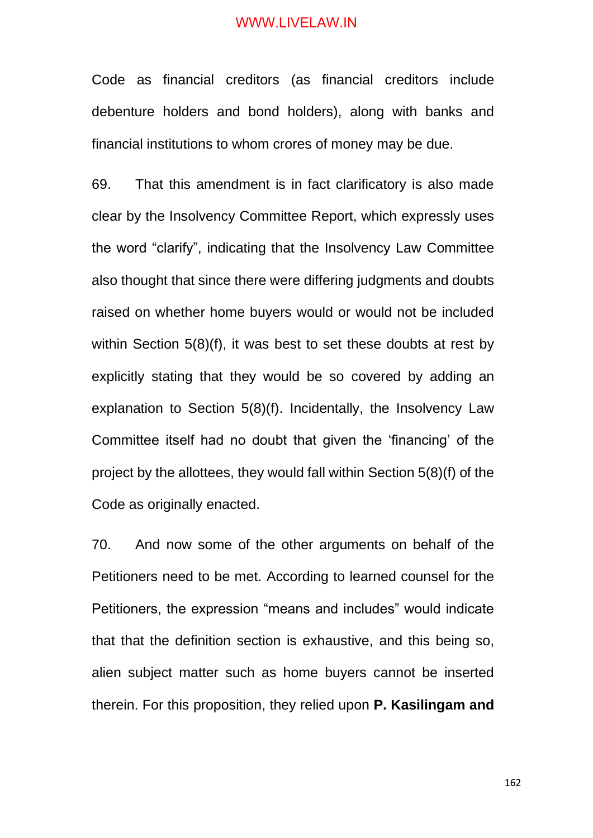Code as financial creditors (as financial creditors include debenture holders and bond holders), along with banks and financial institutions to whom crores of money may be due.

69. That this amendment is in fact clarificatory is also made clear by the Insolvency Committee Report, which expressly uses the word "clarify", indicating that the Insolvency Law Committee also thought that since there were differing judgments and doubts raised on whether home buyers would or would not be included within Section 5(8)(f), it was best to set these doubts at rest by explicitly stating that they would be so covered by adding an explanation to Section 5(8)(f). Incidentally, the Insolvency Law Committee itself had no doubt that given the 'financing' of the project by the allottees, they would fall within Section 5(8)(f) of the Code as originally enacted.

70. And now some of the other arguments on behalf of the Petitioners need to be met. According to learned counsel for the Petitioners, the expression "means and includes" would indicate that that the definition section is exhaustive, and this being so, alien subject matter such as home buyers cannot be inserted therein. For this proposition, they relied upon **P. Kasilingam and**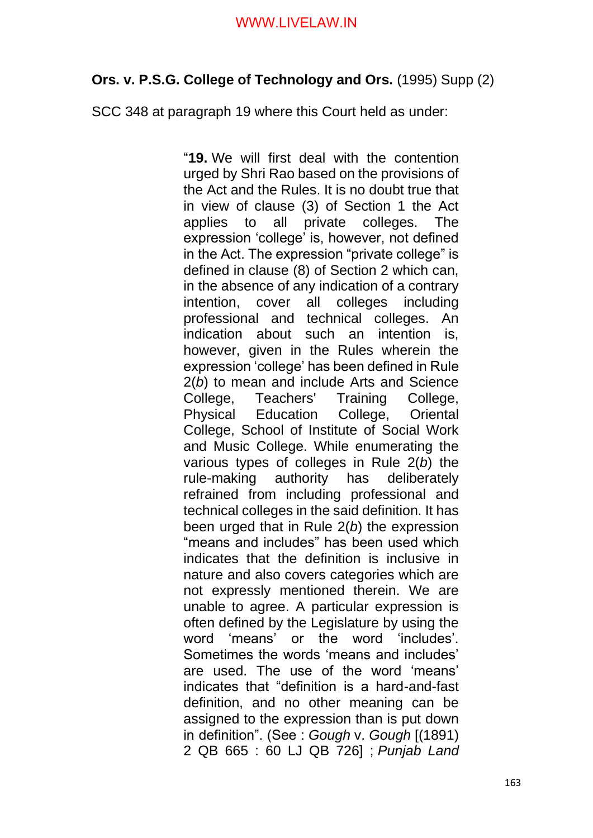# **Ors. v. P.S.G. College of Technology and Ors.** (1995) Supp (2)

SCC 348 at paragraph 19 where this Court held as under:

"**19.** We will first deal with the contention urged by Shri Rao based on the provisions of the Act and the Rules. It is no doubt true that in view of clause (3) of Section 1 the Act applies to all private colleges. The expression 'college' is, however, not defined in the Act. The expression "private college" is defined in clause (8) of Section 2 which can, in the absence of any indication of a contrary intention, cover all colleges including professional and technical colleges. An indication about such an intention is, however, given in the Rules wherein the expression 'college' has been defined in Rule 2(*b*) to mean and include Arts and Science College, Teachers' Training College, Physical Education College, Oriental College, School of Institute of Social Work and Music College. While enumerating the various types of colleges in Rule 2(*b*) the rule-making authority has deliberately refrained from including professional and technical colleges in the said definition. It has been urged that in Rule 2(*b*) the expression "means and includes" has been used which indicates that the definition is inclusive in nature and also covers categories which are not expressly mentioned therein. We are unable to agree. A particular expression is often defined by the Legislature by using the word 'means' or the word 'includes'. Sometimes the words 'means and includes' are used. The use of the word 'means' indicates that "definition is a hard-and-fast definition, and no other meaning can be assigned to the expression than is put down in definition". (See : *Gough* v. *Gough* [(1891) 2 QB 665 : 60 LJ QB 726] ; *Punjab Land*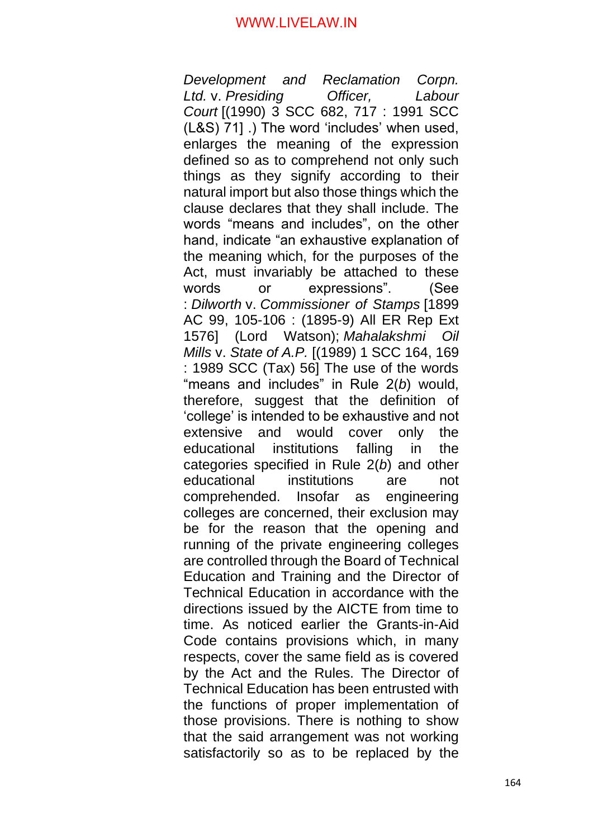*Development and Reclamation Corpn. Ltd.* v. *Presiding Officer, Labour Court* [(1990) 3 SCC 682, 717 : 1991 SCC (L&S) 71] .) The word 'includes' when used, enlarges the meaning of the expression defined so as to comprehend not only such things as they signify according to their natural import but also those things which the clause declares that they shall include. The words "means and includes", on the other hand, indicate "an exhaustive explanation of the meaning which, for the purposes of the Act, must invariably be attached to these words or expressions". (See : *Dilworth* v. *Commissioner of Stamps* [1899 AC 99, 105-106 : (1895-9) All ER Rep Ext 1576] (Lord Watson); *Mahalakshmi Oil Mills* v. *State of A.P.* [(1989) 1 SCC 164, 169 : 1989 SCC (Tax) 56] The use of the words "means and includes" in Rule 2(*b*) would, therefore, suggest that the definition of 'college' is intended to be exhaustive and not extensive and would cover only the educational institutions falling in the categories specified in Rule 2(*b*) and other educational institutions are not comprehended. Insofar as engineering colleges are concerned, their exclusion may be for the reason that the opening and running of the private engineering colleges are controlled through the Board of Technical Education and Training and the Director of Technical Education in accordance with the directions issued by the AICTE from time to time. As noticed earlier the Grants-in-Aid Code contains provisions which, in many respects, cover the same field as is covered by the Act and the Rules. The Director of Technical Education has been entrusted with the functions of proper implementation of those provisions. There is nothing to show that the said arrangement was not working satisfactorily so as to be replaced by the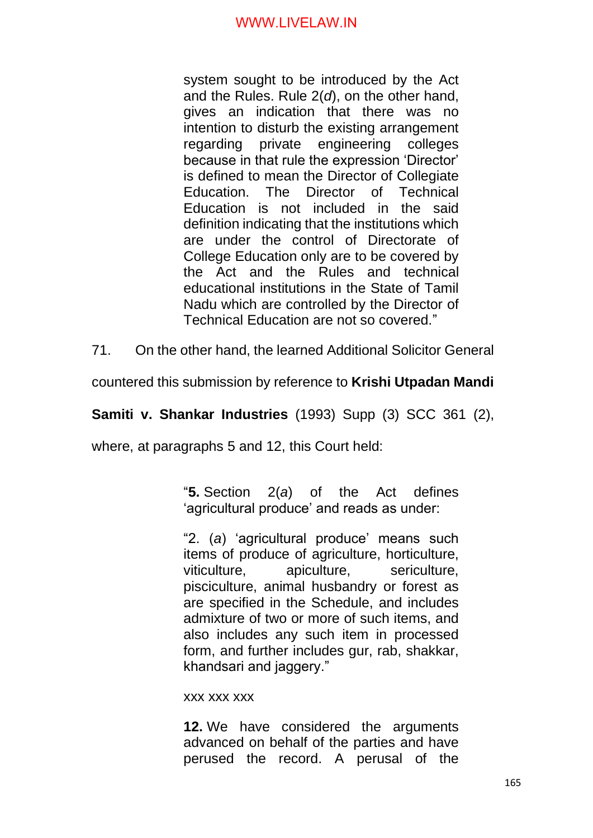system sought to be introduced by the Act and the Rules. Rule 2(*d*), on the other hand, gives an indication that there was no intention to disturb the existing arrangement regarding private engineering colleges because in that rule the expression 'Director' is defined to mean the Director of Collegiate Education. The Director of Technical Education is not included in the said definition indicating that the institutions which are under the control of Directorate of College Education only are to be covered by the Act and the Rules and technical educational institutions in the State of Tamil Nadu which are controlled by the Director of Technical Education are not so covered."

71. On the other hand, the learned Additional Solicitor General

countered this submission by reference to **Krishi Utpadan Mandi** 

**Samiti v. Shankar Industries** (1993) Supp (3) SCC 361 (2),

where, at paragraphs 5 and 12, this Court held:

"**5.** Section 2(*a*) of the Act defines 'agricultural produce' and reads as under:

"2. (*a*) 'agricultural produce' means such items of produce of agriculture, horticulture, viticulture, apiculture, sericulture, pisciculture, animal husbandry or forest as are specified in the Schedule, and includes admixture of two or more of such items, and also includes any such item in processed form, and further includes gur, rab, shakkar, khandsari and jaggery."

xxx xxx xxx

**12.** We have considered the arguments advanced on behalf of the parties and have perused the record. A perusal of the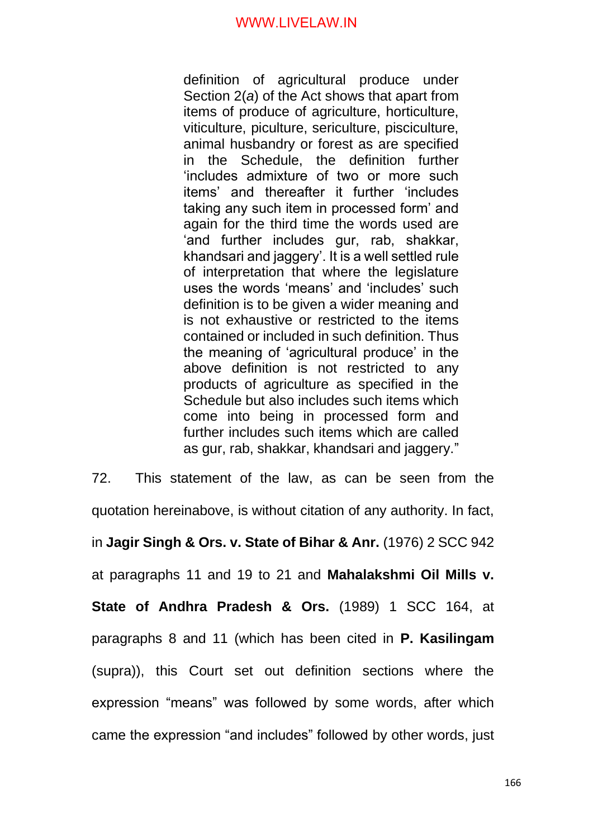definition of agricultural produce under Section 2(*a*) of the Act shows that apart from items of produce of agriculture, horticulture, viticulture, piculture, sericulture, pisciculture, animal husbandry or forest as are specified in the Schedule, the definition further 'includes admixture of two or more such items' and thereafter it further 'includes taking any such item in processed form' and again for the third time the words used are 'and further includes gur, rab, shakkar, khandsari and jaggery'. It is a well settled rule of interpretation that where the legislature uses the words 'means' and 'includes' such definition is to be given a wider meaning and is not exhaustive or restricted to the items contained or included in such definition. Thus the meaning of 'agricultural produce' in the above definition is not restricted to any products of agriculture as specified in the Schedule but also includes such items which come into being in processed form and further includes such items which are called as gur, rab, shakkar, khandsari and jaggery."

72. This statement of the law, as can be seen from the quotation hereinabove, is without citation of any authority. In fact, in **Jagir Singh & Ors. v. State of Bihar & Anr.** (1976) 2 SCC 942 at paragraphs 11 and 19 to 21 and **Mahalakshmi Oil Mills v. State of Andhra Pradesh & Ors.** (1989) 1 SCC 164, at paragraphs 8 and 11 (which has been cited in **P. Kasilingam** (supra)), this Court set out definition sections where the expression "means" was followed by some words, after which came the expression "and includes" followed by other words, just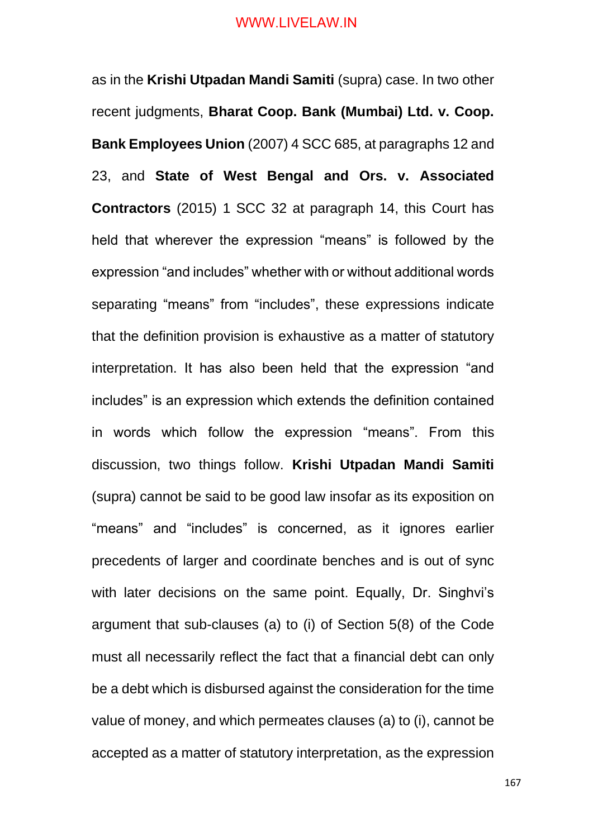as in the **Krishi Utpadan Mandi Samiti** (supra) case. In two other recent judgments, **Bharat Coop. Bank (Mumbai) Ltd. v. Coop. Bank Employees Union** (2007) 4 SCC 685, at paragraphs 12 and 23, and **State of West Bengal and Ors. v. Associated Contractors** (2015) 1 SCC 32 at paragraph 14, this Court has held that wherever the expression "means" is followed by the expression "and includes" whether with or without additional words separating "means" from "includes", these expressions indicate that the definition provision is exhaustive as a matter of statutory interpretation. It has also been held that the expression "and includes" is an expression which extends the definition contained in words which follow the expression "means". From this discussion, two things follow. **Krishi Utpadan Mandi Samiti** (supra) cannot be said to be good law insofar as its exposition on "means" and "includes" is concerned, as it ignores earlier precedents of larger and coordinate benches and is out of sync with later decisions on the same point. Equally, Dr. Singhvi's argument that sub-clauses (a) to (i) of Section 5(8) of the Code must all necessarily reflect the fact that a financial debt can only be a debt which is disbursed against the consideration for the time value of money, and which permeates clauses (a) to (i), cannot be accepted as a matter of statutory interpretation, as the expression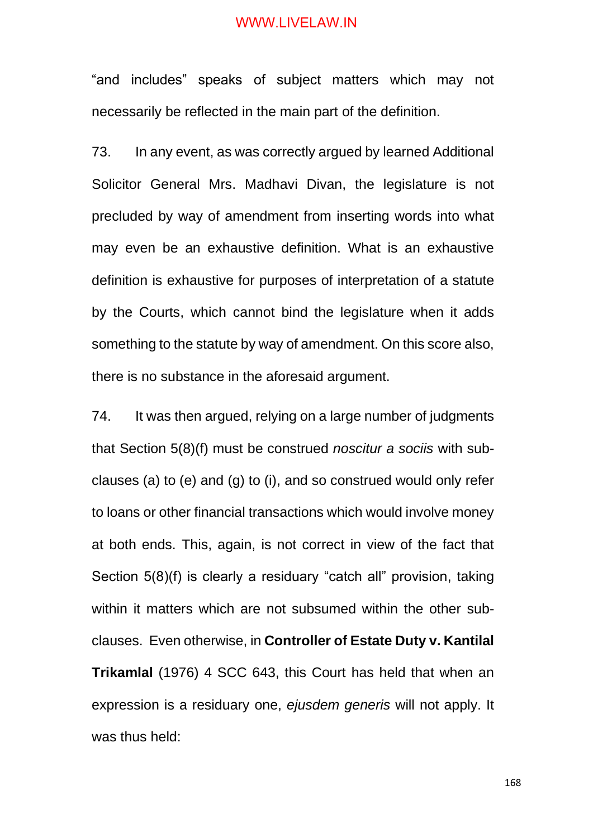"and includes" speaks of subject matters which may not necessarily be reflected in the main part of the definition.

73. In any event, as was correctly argued by learned Additional Solicitor General Mrs. Madhavi Divan, the legislature is not precluded by way of amendment from inserting words into what may even be an exhaustive definition. What is an exhaustive definition is exhaustive for purposes of interpretation of a statute by the Courts, which cannot bind the legislature when it adds something to the statute by way of amendment. On this score also, there is no substance in the aforesaid argument.

74. It was then argued, relying on a large number of judgments that Section 5(8)(f) must be construed *noscitur a sociis* with subclauses (a) to (e) and (g) to (i), and so construed would only refer to loans or other financial transactions which would involve money at both ends. This, again, is not correct in view of the fact that Section 5(8)(f) is clearly a residuary "catch all" provision, taking within it matters which are not subsumed within the other subclauses. Even otherwise, in **Controller of Estate Duty v. Kantilal Trikamlal** (1976) 4 SCC 643, this Court has held that when an expression is a residuary one, *ejusdem generis* will not apply. It was thus held: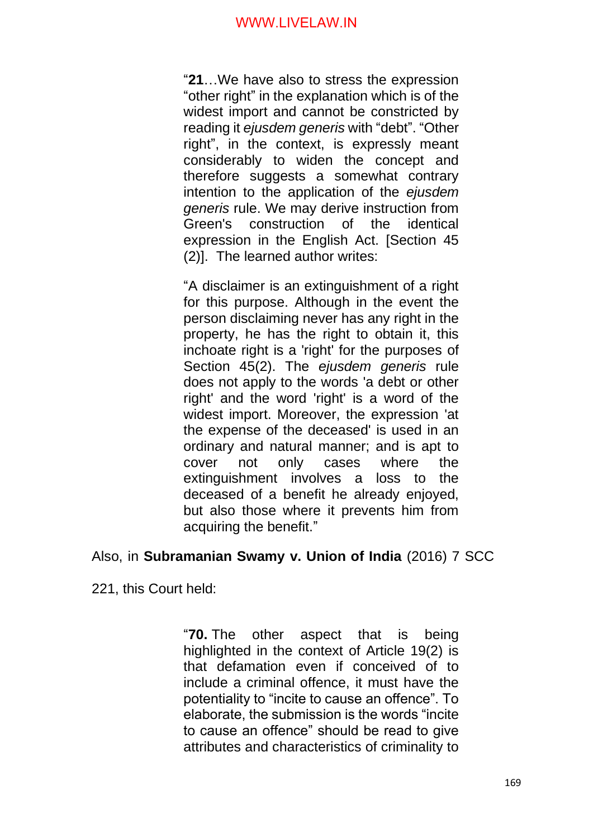"**21**…We have also to stress the expression "other right" in the explanation which is of the widest import and cannot be constricted by reading it *ejusdem generis* with "debt". "Other right", in the context, is expressly meant considerably to widen the concept and therefore suggests a somewhat contrary intention to the application of the *ejusdem generis* rule. We may derive instruction from Green's construction of the identical expression in the English Act. [Section 45 (2)]. The learned author writes:

"A disclaimer is an extinguishment of a right for this purpose. Although in the event the person disclaiming never has any right in the property, he has the right to obtain it, this inchoate right is a 'right' for the purposes of Section 45(2). The *ejusdem generis* rule does not apply to the words 'a debt or other right' and the word 'right' is a word of the widest import. Moreover, the expression 'at the expense of the deceased' is used in an ordinary and natural manner; and is apt to cover not only cases where the extinguishment involves a loss to the deceased of a benefit he already enjoyed, but also those where it prevents him from acquiring the benefit."

# Also, in **Subramanian Swamy v. Union of India** (2016) 7 SCC

221, this Court held:

"**70.** The other aspect that is being highlighted in the context of Article 19(2) is that defamation even if conceived of to include a criminal offence, it must have the potentiality to "incite to cause an offence". To elaborate, the submission is the words "incite to cause an offence" should be read to give attributes and characteristics of criminality to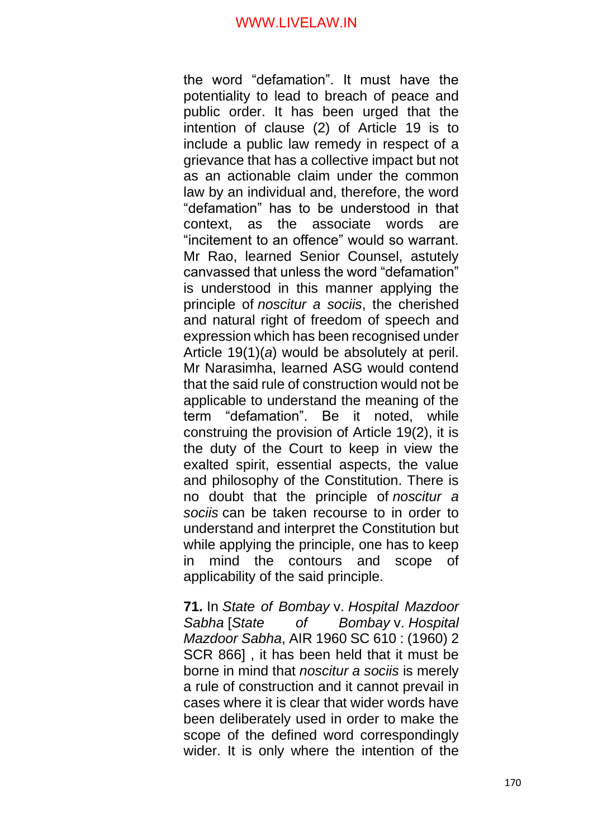the word "defamation". It must have the potentiality to lead to breach of peace and public order. It has been urged that the intention of clause (2) of Article 19 is to include a public law remedy in respect of a grievance that has a collective impact but not as an actionable claim under the common law by an individual and, therefore, the word "defamation" has to be understood in that context, as the associate words are "incitement to an offence" would so warrant. Mr Rao, learned Senior Counsel, astutely canvassed that unless the word "defamation" is understood in this manner applying the principle of *noscitur a sociis*, the cherished and natural right of freedom of speech and expression which has been recognised under Article 19(1)(*a*) would be absolutely at peril. Mr Narasimha, learned ASG would contend that the said rule of construction would not be applicable to understand the meaning of the term "defamation". Be it noted, while construing the provision of Article 19(2), it is the duty of the Court to keep in view the exalted spirit, essential aspects, the value and philosophy of the Constitution. There is no doubt that the principle of *noscitur a sociis* can be taken recourse to in order to understand and interpret the Constitution but while applying the principle, one has to keep in mind the contours and scope of applicability of the said principle.

**71.** In *State of Bombay* v. *Hospital Mazdoor Sabha* [*State of Bombay* v. *Hospital Mazdoor Sabha*, AIR 1960 SC 610 : (1960) 2 SCR 866] , it has been held that it must be borne in mind that *noscitur a sociis* is merely a rule of construction and it cannot prevail in cases where it is clear that wider words have been deliberately used in order to make the scope of the defined word correspondingly wider. It is only where the intention of the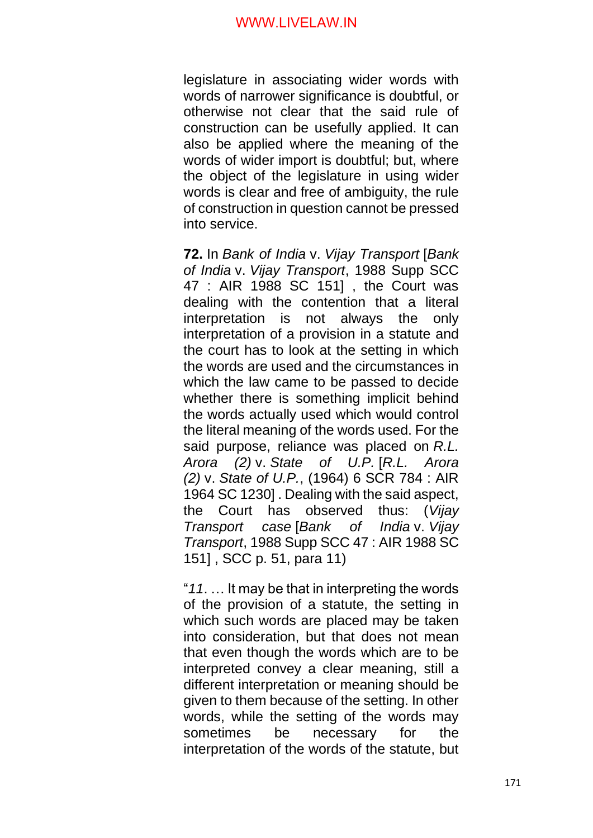legislature in associating wider words with words of narrower significance is doubtful, or otherwise not clear that the said rule of construction can be usefully applied. It can also be applied where the meaning of the words of wider import is doubtful; but, where the object of the legislature in using wider words is clear and free of ambiguity, the rule of construction in question cannot be pressed into service.

**72.** In *Bank of India* v. *Vijay Transport* [*Bank of India* v. *Vijay Transport*, 1988 Supp SCC 47 : AIR 1988 SC 151] , the Court was dealing with the contention that a literal interpretation is not always the only interpretation of a provision in a statute and the court has to look at the setting in which the words are used and the circumstances in which the law came to be passed to decide whether there is something implicit behind the words actually used which would control the literal meaning of the words used. For the said purpose, reliance was placed on *R.L. Arora (2)* v. *State of U.P.* [*R.L. Arora (2)* v. *State of U.P.*, (1964) 6 SCR 784 : AIR 1964 SC 1230] . Dealing with the said aspect, the Court has observed thus: (*Vijay Transport case* [*Bank of India* v. *Vijay Transport*, 1988 Supp SCC 47 : AIR 1988 SC 151] , SCC p. 51, para 11)

"*11*. … It may be that in interpreting the words of the provision of a statute, the setting in which such words are placed may be taken into consideration, but that does not mean that even though the words which are to be interpreted convey a clear meaning, still a different interpretation or meaning should be given to them because of the setting. In other words, while the setting of the words may sometimes be necessary for the interpretation of the words of the statute, but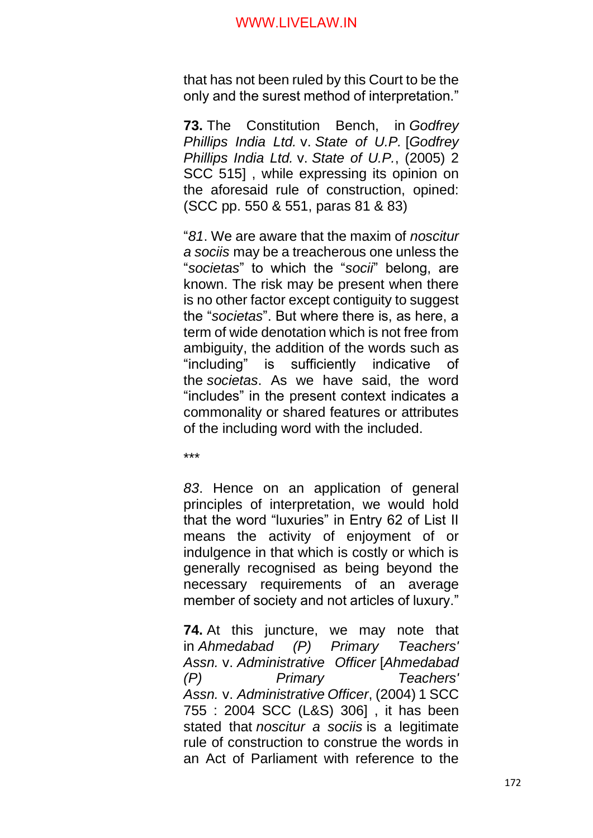that has not been ruled by this Court to be the only and the surest method of interpretation."

**73.** The Constitution Bench, in *Godfrey Phillips India Ltd.* v. *State of U.P.* [*Godfrey Phillips India Ltd.* v. *State of U.P.*, (2005) 2 SCC 515], while expressing its opinion on the aforesaid rule of construction, opined: (SCC pp. 550 & 551, paras 81 & 83)

"*81*. We are aware that the maxim of *noscitur a sociis* may be a treacherous one unless the "*societas*" to which the "*socii*" belong, are known. The risk may be present when there is no other factor except contiguity to suggest the "*societas*". But where there is, as here, a term of wide denotation which is not free from ambiguity, the addition of the words such as "including" is sufficiently indicative of the *societas*. As we have said, the word "includes" in the present context indicates a commonality or shared features or attributes of the including word with the included.

\*\*\*

*83*. Hence on an application of general principles of interpretation, we would hold that the word "luxuries" in Entry 62 of List II means the activity of enjoyment of or indulgence in that which is costly or which is generally recognised as being beyond the necessary requirements of an average member of society and not articles of luxury."

**74.** At this juncture, we may note that in *Ahmedabad (P) Primary Teachers' Assn.* v. *Administrative Officer* [*Ahmedabad (P) Primary Teachers' Assn.* v. *Administrative Officer*, (2004) 1 SCC 755 : 2004 SCC (L&S) 306] , it has been stated that *noscitur a sociis* is a legitimate rule of construction to construe the words in an Act of Parliament with reference to the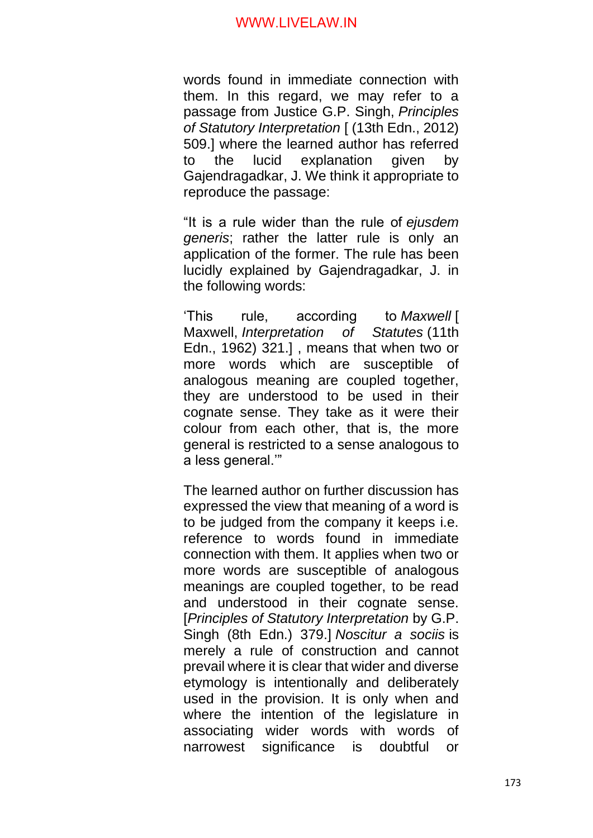words found in immediate connection with them. In this regard, we may refer to a passage from Justice G.P. Singh, *Principles of Statutory Interpretation* [ (13th Edn., 2012) 509.] where the learned author has referred to the lucid explanation given by Gajendragadkar, J. We think it appropriate to reproduce the passage:

"It is a rule wider than the rule of *ejusdem generis*; rather the latter rule is only an application of the former. The rule has been lucidly explained by Gajendragadkar, J. in the following words:

'This rule, according to *Maxwell* [ Maxwell, *Interpretation of Statutes* (11th Edn., 1962) 321.] , means that when two or more words which are susceptible of analogous meaning are coupled together, they are understood to be used in their cognate sense. They take as it were their colour from each other, that is, the more general is restricted to a sense analogous to a less general.'"

The learned author on further discussion has expressed the view that meaning of a word is to be judged from the company it keeps i.e. reference to words found in immediate connection with them. It applies when two or more words are susceptible of analogous meanings are coupled together, to be read and understood in their cognate sense. [*Principles of Statutory Interpretation* by G.P. Singh (8th Edn.) 379.] *Noscitur a sociis* is merely a rule of construction and cannot prevail where it is clear that wider and diverse etymology is intentionally and deliberately used in the provision. It is only when and where the intention of the legislature in associating wider words with words of narrowest significance is doubtful or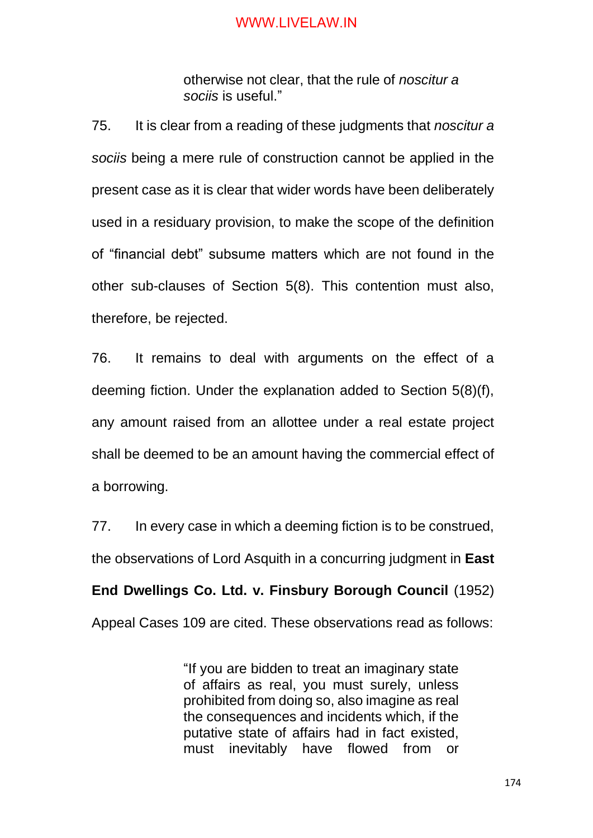otherwise not clear, that the rule of *noscitur a sociis* is useful."

75. It is clear from a reading of these judgments that *noscitur a sociis* being a mere rule of construction cannot be applied in the present case as it is clear that wider words have been deliberately used in a residuary provision, to make the scope of the definition of "financial debt" subsume matters which are not found in the other sub-clauses of Section 5(8). This contention must also, therefore, be rejected.

76. It remains to deal with arguments on the effect of a deeming fiction. Under the explanation added to Section 5(8)(f), any amount raised from an allottee under a real estate project shall be deemed to be an amount having the commercial effect of a borrowing.

77. In every case in which a deeming fiction is to be construed, the observations of Lord Asquith in a concurring judgment in **East** 

**End Dwellings Co. Ltd. v. Finsbury Borough Council** (1952) Appeal Cases 109 are cited. These observations read as follows:

> "If you are bidden to treat an imaginary state of affairs as real, you must surely, unless prohibited from doing so, also imagine as real the consequences and incidents which, if the putative state of affairs had in fact existed, must inevitably have flowed from or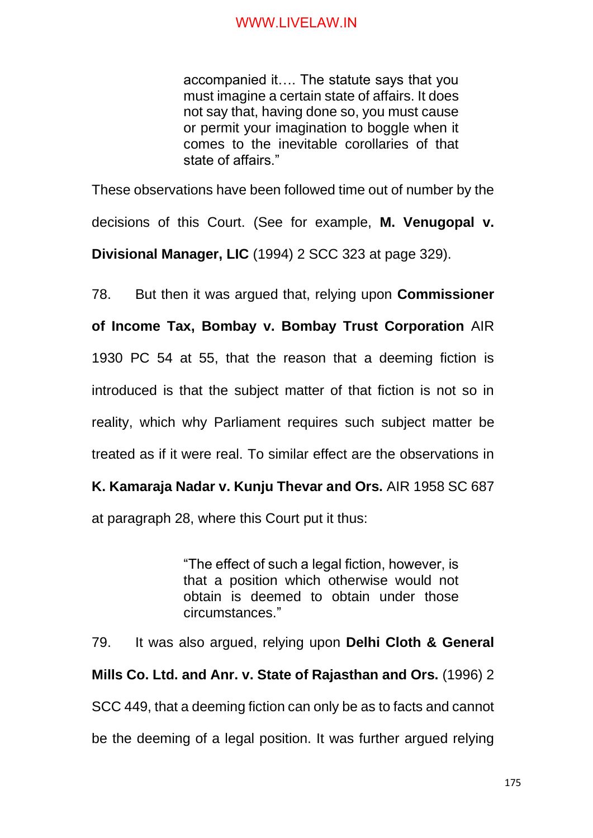accompanied it…. The statute says that you must imagine a certain state of affairs. It does not say that, having done so, you must cause or permit your imagination to boggle when it comes to the inevitable corollaries of that state of affairs."

These observations have been followed time out of number by the decisions of this Court. (See for example, **M. Venugopal v.** 

**Divisional Manager, LIC** (1994) 2 SCC 323 at page 329).

78. But then it was argued that, relying upon **Commissioner** 

**of Income Tax, Bombay v. Bombay Trust Corporation** AIR 1930 PC 54 at 55, that the reason that a deeming fiction is introduced is that the subject matter of that fiction is not so in reality, which why Parliament requires such subject matter be treated as if it were real. To similar effect are the observations in

**K. Kamaraja Nadar v. Kunju Thevar and Ors.** AIR 1958 SC 687

at paragraph 28, where this Court put it thus:

"The effect of such a legal fiction, however, is that a position which otherwise would not obtain is deemed to obtain under those circumstances."

79. It was also argued, relying upon **Delhi Cloth & General Mills Co. Ltd. and Anr. v. State of Rajasthan and Ors.** (1996) 2 SCC 449, that a deeming fiction can only be as to facts and cannot be the deeming of a legal position. It was further argued relying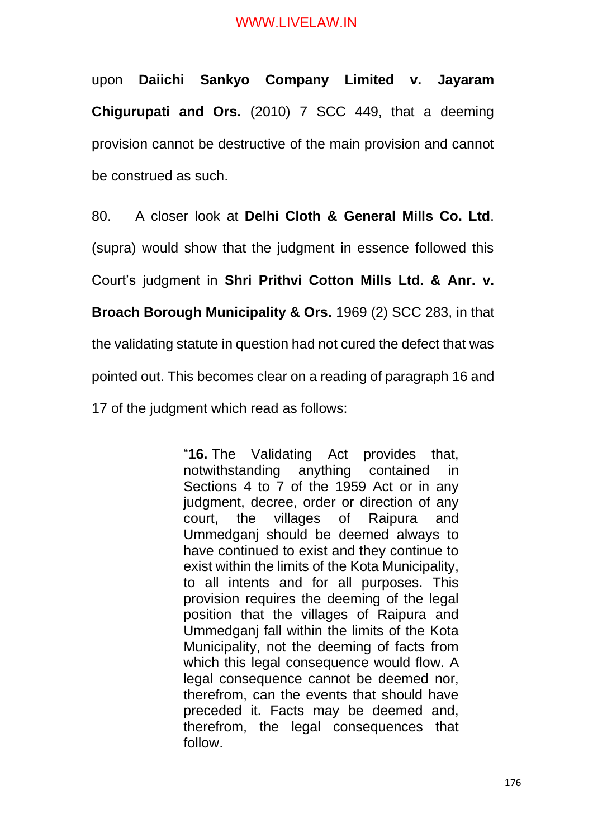upon **Daiichi Sankyo Company Limited v. Jayaram Chigurupati and Ors.** (2010) 7 SCC 449, that a deeming provision cannot be destructive of the main provision and cannot be construed as such.

80. A closer look at **Delhi Cloth & General Mills Co. Ltd**. (supra) would show that the judgment in essence followed this Court's judgment in **Shri Prithvi Cotton Mills Ltd. & Anr. v. Broach Borough Municipality & Ors.** 1969 (2) SCC 283, in that the validating statute in question had not cured the defect that was pointed out. This becomes clear on a reading of paragraph 16 and 17 of the judgment which read as follows:

> "**16.** The Validating Act provides that, notwithstanding anything contained in Sections 4 to 7 of the 1959 Act or in any judgment, decree, order or direction of any court, the villages of Raipura and Ummedganj should be deemed always to have continued to exist and they continue to exist within the limits of the Kota Municipality, to all intents and for all purposes. This provision requires the deeming of the legal position that the villages of Raipura and Ummedganj fall within the limits of the Kota Municipality, not the deeming of facts from which this legal consequence would flow. A legal consequence cannot be deemed nor, therefrom, can the events that should have preceded it. Facts may be deemed and, therefrom, the legal consequences that follow.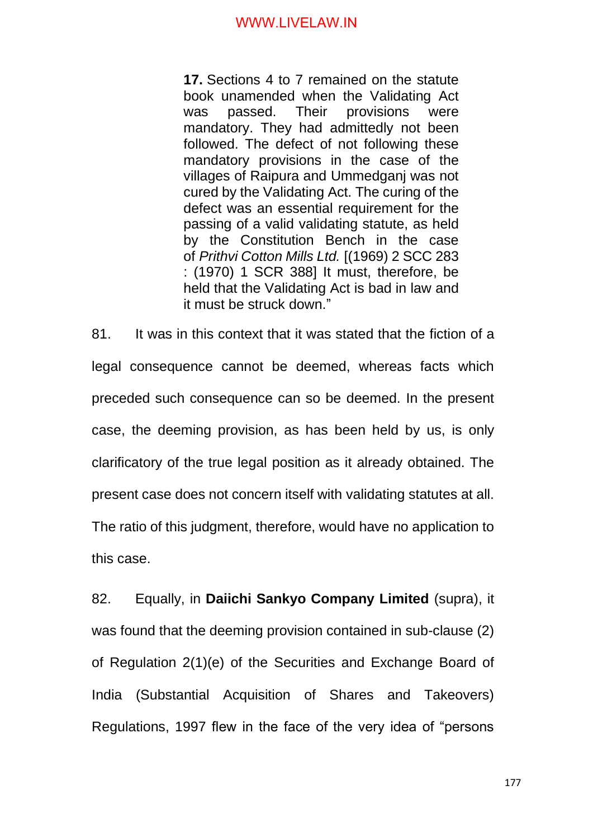**17.** Sections 4 to 7 remained on the statute book unamended when the Validating Act was passed. Their provisions were mandatory. They had admittedly not been followed. The defect of not following these mandatory provisions in the case of the villages of Raipura and Ummedganj was not cured by the Validating Act. The curing of the defect was an essential requirement for the passing of a valid validating statute, as held by the Constitution Bench in the case of *Prithvi Cotton Mills Ltd.* [(1969) 2 SCC 283 : (1970) 1 SCR 388] It must, therefore, be held that the Validating Act is bad in law and it must be struck down."

81. It was in this context that it was stated that the fiction of a legal consequence cannot be deemed, whereas facts which preceded such consequence can so be deemed. In the present case, the deeming provision, as has been held by us, is only clarificatory of the true legal position as it already obtained. The present case does not concern itself with validating statutes at all. The ratio of this judgment, therefore, would have no application to this case.

82. Equally, in **Daiichi Sankyo Company Limited** (supra), it was found that the deeming provision contained in sub-clause (2) of Regulation 2(1)(e) of the Securities and Exchange Board of India (Substantial Acquisition of Shares and Takeovers) Regulations, 1997 flew in the face of the very idea of "persons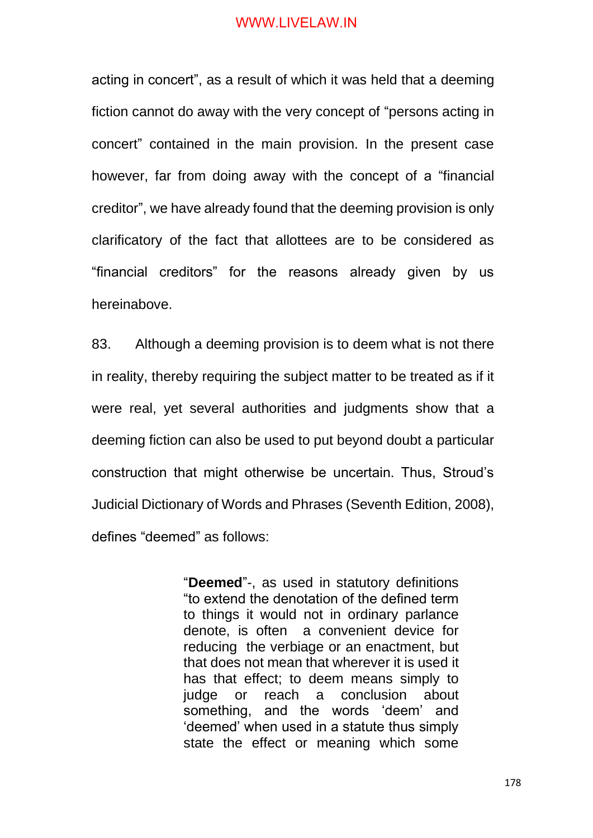acting in concert", as a result of which it was held that a deeming fiction cannot do away with the very concept of "persons acting in concert" contained in the main provision. In the present case however, far from doing away with the concept of a "financial creditor", we have already found that the deeming provision is only clarificatory of the fact that allottees are to be considered as "financial creditors" for the reasons already given by us hereinabove.

83. Although a deeming provision is to deem what is not there in reality, thereby requiring the subject matter to be treated as if it were real, yet several authorities and judgments show that a deeming fiction can also be used to put beyond doubt a particular construction that might otherwise be uncertain. Thus, Stroud's Judicial Dictionary of Words and Phrases (Seventh Edition, 2008), defines "deemed" as follows:

> "**Deemed**"-, as used in statutory definitions "to extend the denotation of the defined term to things it would not in ordinary parlance denote, is often a convenient device for reducing the verbiage or an enactment, but that does not mean that wherever it is used it has that effect; to deem means simply to judge or reach a conclusion about something, and the words 'deem' and 'deemed' when used in a statute thus simply state the effect or meaning which some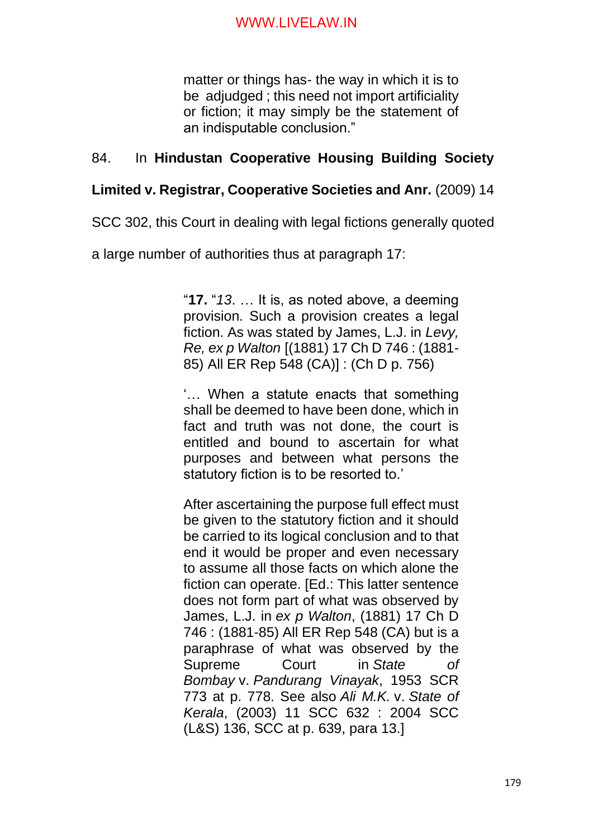matter or things has- the way in which it is to be adjudged ; this need not import artificiality or fiction; it may simply be the statement of an indisputable conclusion."

# 84. In **Hindustan Cooperative Housing Building Society**

# **Limited v. Registrar, Cooperative Societies and Anr.** (2009) 14

SCC 302, this Court in dealing with legal fictions generally quoted

a large number of authorities thus at paragraph 17:

"**17.** "*13*. … It is, as noted above, a deeming provision. Such a provision creates a legal fiction. As was stated by James, L.J. in *Levy, Re, ex p Walton* [(1881) 17 Ch D 746 : (1881- 85) All ER Rep 548 (CA)] : (Ch D p. 756)

'… When a statute enacts that something shall be deemed to have been done, which in fact and truth was not done, the court is entitled and bound to ascertain for what purposes and between what persons the statutory fiction is to be resorted to.'

After ascertaining the purpose full effect must be given to the statutory fiction and it should be carried to its logical conclusion and to that end it would be proper and even necessary to assume all those facts on which alone the fiction can operate. [Ed.: This latter sentence does not form part of what was observed by James, L.J. in *ex p Walton*, (1881) 17 Ch D 746 : (1881-85) All ER Rep 548 (CA) but is a paraphrase of what was observed by the Supreme Court in *State of Bombay* v. *Pandurang Vinayak*, 1953 SCR 773 at p. 778. See also *Ali M.K.* v. *State of Kerala*, (2003) 11 SCC 632 : 2004 SCC (L&S) 136, SCC at p. 639, para 13.]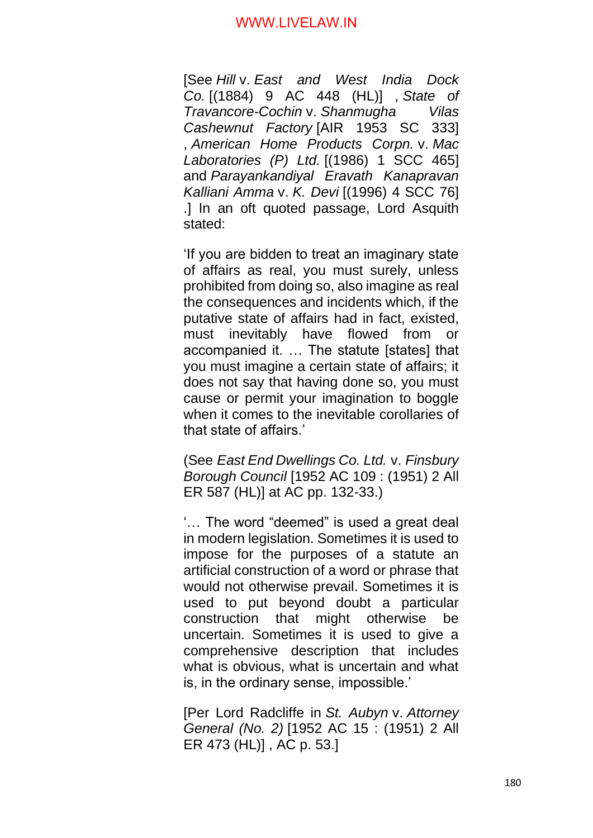[See *Hill* v. *East and West India Dock Co.* [(1884) 9 AC 448 (HL)] , *State of Travancore-Cochin* v. *Shanmugha Vilas Cashewnut Factory* [AIR 1953 SC 333] , *American Home Products Corpn.* v. *Mac Laboratories (P) Ltd.* [(1986) 1 SCC 465] and *Parayankandiyal Eravath Kanapravan Kalliani Amma* v. *K. Devi* [(1996) 4 SCC 76] .] In an oft quoted passage, Lord Asquith stated:

'If you are bidden to treat an imaginary state of affairs as real, you must surely, unless prohibited from doing so, also imagine as real the consequences and incidents which, if the putative state of affairs had in fact, existed, must inevitably have flowed from or accompanied it. … The statute [states] that you must imagine a certain state of affairs; it does not say that having done so, you must cause or permit your imagination to boggle when it comes to the inevitable corollaries of that state of affairs.'

(See *East End Dwellings Co. Ltd.* v. *Finsbury Borough Council* [1952 AC 109 : (1951) 2 All ER 587 (HL)] at AC pp. 132-33.)

'… The word "deemed" is used a great deal in modern legislation. Sometimes it is used to impose for the purposes of a statute an artificial construction of a word or phrase that would not otherwise prevail. Sometimes it is used to put beyond doubt a particular construction that might otherwise be uncertain. Sometimes it is used to give a comprehensive description that includes what is obvious, what is uncertain and what is, in the ordinary sense, impossible.'

[Per Lord Radcliffe in *St. Aubyn* v. *Attorney General (No. 2)* [1952 AC 15 : (1951) 2 All ER 473 (HL)] , AC p. 53.]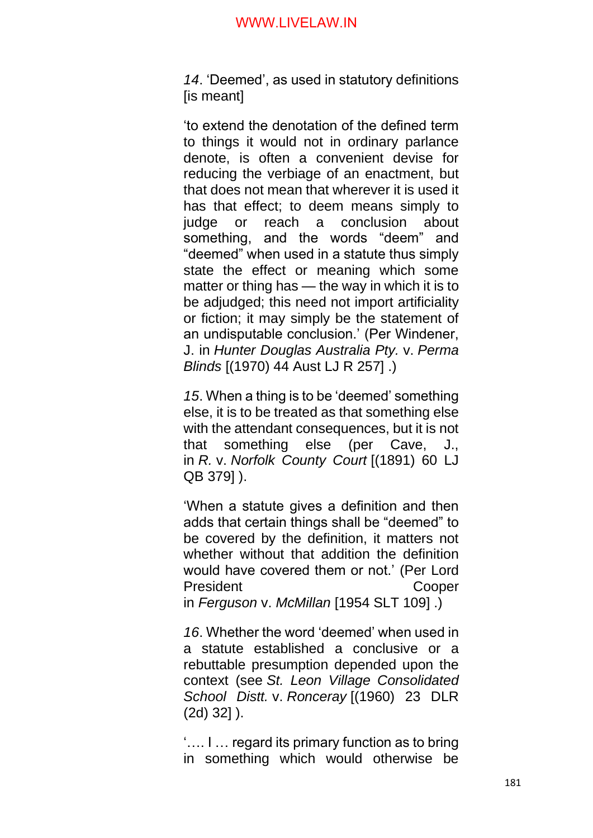*14*. 'Deemed', as used in statutory definitions [is meant]

'to extend the denotation of the defined term to things it would not in ordinary parlance denote, is often a convenient devise for reducing the verbiage of an enactment, but that does not mean that wherever it is used it has that effect; to deem means simply to judge or reach a conclusion about something, and the words "deem" and "deemed" when used in a statute thus simply state the effect or meaning which some matter or thing has — the way in which it is to be adjudged; this need not import artificiality or fiction; it may simply be the statement of an undisputable conclusion.' (Per Windener, J. in *Hunter Douglas Australia Pty.* v. *Perma Blinds* [(1970) 44 Aust LJ R 257] .)

*15*. When a thing is to be 'deemed' something else, it is to be treated as that something else with the attendant consequences, but it is not that something else (per Cave, J., in *R.* v. *Norfolk County Court* [(1891) 60 LJ QB 379] ).

'When a statute gives a definition and then adds that certain things shall be "deemed" to be covered by the definition, it matters not whether without that addition the definition would have covered them or not.' (Per Lord President Cooper

in *Ferguson* v. *McMillan* [1954 SLT 109] .)

*16*. Whether the word 'deemed' when used in a statute established a conclusive or a rebuttable presumption depended upon the context (see *St. Leon Village Consolidated School Distt.* v. *Ronceray* [(1960) 23 DLR (2d) 32] ).

'…. I … regard its primary function as to bring in something which would otherwise be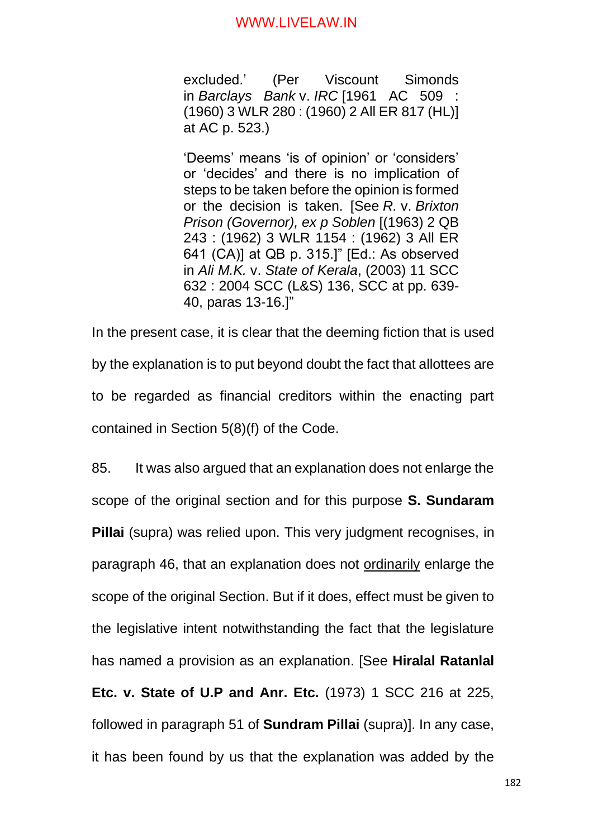excluded.' (Per Viscount Simonds in *Barclays Bank* v. *IRC* [1961 AC 509 : (1960) 3 WLR 280 : (1960) 2 All ER 817 (HL)] at AC p. 523.)

'Deems' means 'is of opinion' or 'considers' or 'decides' and there is no implication of steps to be taken before the opinion is formed or the decision is taken. [See *R.* v. *Brixton Prison (Governor), ex p Soblen* [(1963) 2 QB 243 : (1962) 3 WLR 1154 : (1962) 3 All ER 641 (CA)] at QB p. 315.]" [Ed.: As observed in *Ali M.K.* v. *State of Kerala*, (2003) 11 SCC 632 : 2004 SCC (L&S) 136, SCC at pp. 639- 40, paras 13-16.]"

In the present case, it is clear that the deeming fiction that is used by the explanation is to put beyond doubt the fact that allottees are to be regarded as financial creditors within the enacting part contained in Section 5(8)(f) of the Code.

85. It was also argued that an explanation does not enlarge the scope of the original section and for this purpose **S. Sundaram Pillai** (supra) was relied upon. This very judgment recognises, in paragraph 46, that an explanation does not ordinarily enlarge the scope of the original Section. But if it does, effect must be given to the legislative intent notwithstanding the fact that the legislature has named a provision as an explanation. [See **Hiralal Ratanlal Etc. v. State of U.P and Anr. Etc.** (1973) 1 SCC 216 at 225, followed in paragraph 51 of **Sundram Pillai** (supra)]. In any case, it has been found by us that the explanation was added by the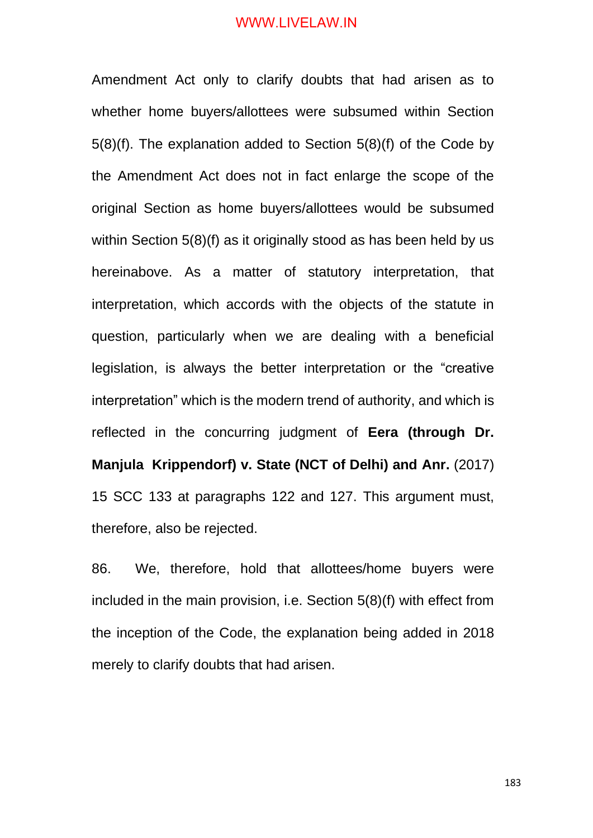Amendment Act only to clarify doubts that had arisen as to whether home buyers/allottees were subsumed within Section 5(8)(f). The explanation added to Section 5(8)(f) of the Code by the Amendment Act does not in fact enlarge the scope of the original Section as home buyers/allottees would be subsumed within Section 5(8)(f) as it originally stood as has been held by us hereinabove. As a matter of statutory interpretation, that interpretation, which accords with the objects of the statute in question, particularly when we are dealing with a beneficial legislation, is always the better interpretation or the "creative interpretation" which is the modern trend of authority, and which is reflected in the concurring judgment of **Eera (through Dr. Manjula Krippendorf) v. State (NCT of Delhi) and Anr.** (2017) 15 SCC 133 at paragraphs 122 and 127. This argument must, therefore, also be rejected.

86. We, therefore, hold that allottees/home buyers were included in the main provision, i.e. Section 5(8)(f) with effect from the inception of the Code, the explanation being added in 2018 merely to clarify doubts that had arisen.

183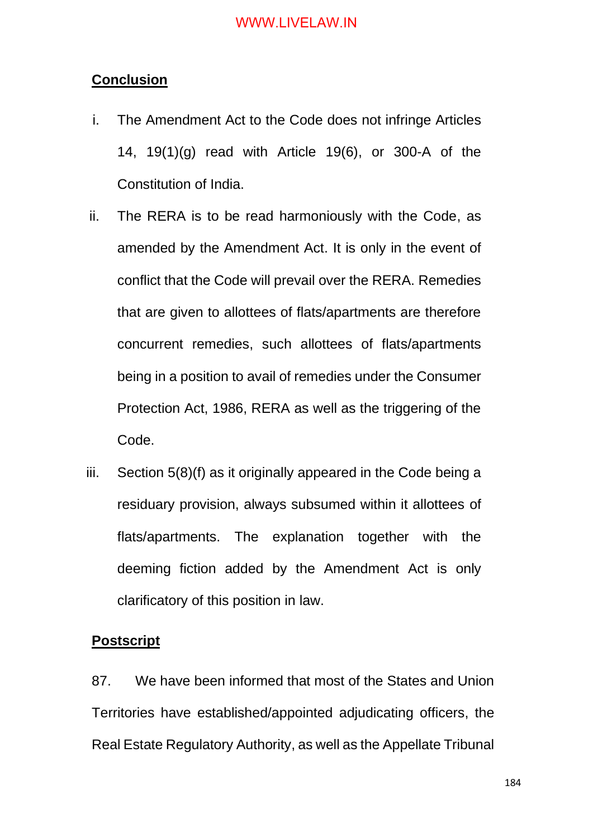## **Conclusion**

- i. The Amendment Act to the Code does not infringe Articles 14, 19(1)(g) read with Article 19(6), or 300-A of the Constitution of India.
- ii. The RERA is to be read harmoniously with the Code, as amended by the Amendment Act. It is only in the event of conflict that the Code will prevail over the RERA. Remedies that are given to allottees of flats/apartments are therefore concurrent remedies, such allottees of flats/apartments being in a position to avail of remedies under the Consumer Protection Act, 1986, RERA as well as the triggering of the Code.
- iii. Section 5(8)(f) as it originally appeared in the Code being a residuary provision, always subsumed within it allottees of flats/apartments. The explanation together with the deeming fiction added by the Amendment Act is only clarificatory of this position in law.

#### **Postscript**

87. We have been informed that most of the States and Union Territories have established/appointed adjudicating officers, the Real Estate Regulatory Authority, as well as the Appellate Tribunal

184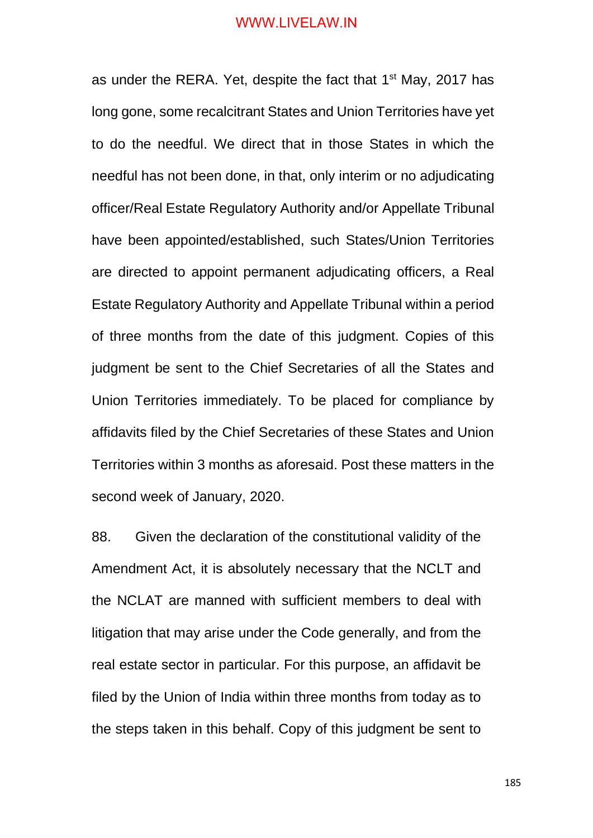as under the RERA. Yet, despite the fact that 1<sup>st</sup> May, 2017 has long gone, some recalcitrant States and Union Territories have yet to do the needful. We direct that in those States in which the needful has not been done, in that, only interim or no adjudicating officer/Real Estate Regulatory Authority and/or Appellate Tribunal have been appointed/established, such States/Union Territories are directed to appoint permanent adjudicating officers, a Real Estate Regulatory Authority and Appellate Tribunal within a period of three months from the date of this judgment. Copies of this judgment be sent to the Chief Secretaries of all the States and Union Territories immediately. To be placed for compliance by affidavits filed by the Chief Secretaries of these States and Union Territories within 3 months as aforesaid. Post these matters in the second week of January, 2020.

88. Given the declaration of the constitutional validity of the Amendment Act, it is absolutely necessary that the NCLT and the NCLAT are manned with sufficient members to deal with litigation that may arise under the Code generally, and from the real estate sector in particular. For this purpose, an affidavit be filed by the Union of India within three months from today as to the steps taken in this behalf. Copy of this judgment be sent to

185